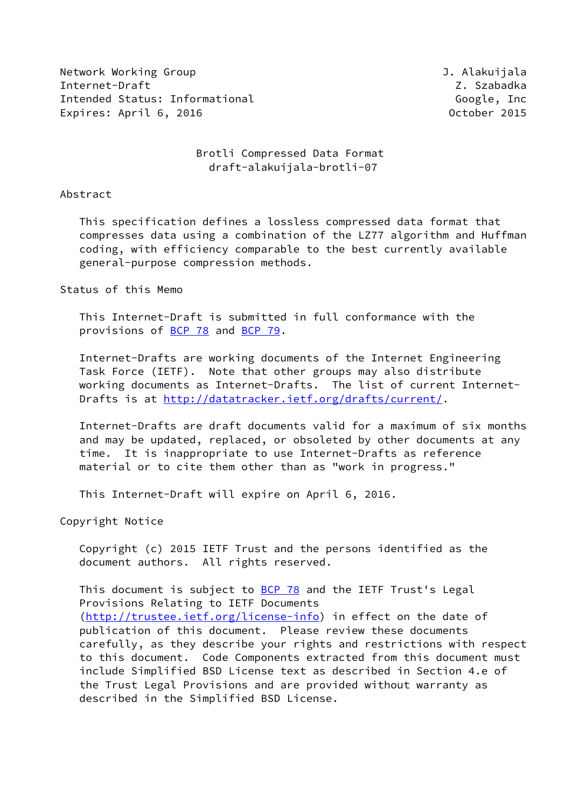Network Working Group **J. Alakuijala** Internet-Draft Z. Szabadka Z. Szabadka Z. Szabadka Z. Szabadka Z. Szabadka Z. Szabadka Z. Szabadka Z. Szabadka Intended Status: Informational Google, Inc Expires: April 6, 2016 **Canadian Control** Corporation of Detober 2015

# Brotli Compressed Data Format draft-alakuijala-brotli-07

### Abstract

 This specification defines a lossless compressed data format that compresses data using a combination of the LZ77 algorithm and Huffman coding, with efficiency comparable to the best currently available general-purpose compression methods.

# Status of this Memo

 This Internet-Draft is submitted in full conformance with the provisions of [BCP 78](https://datatracker.ietf.org/doc/pdf/bcp78) and [BCP 79](https://datatracker.ietf.org/doc/pdf/bcp79).

 Internet-Drafts are working documents of the Internet Engineering Task Force (IETF). Note that other groups may also distribute working documents as Internet-Drafts. The list of current Internet Drafts is at<http://datatracker.ietf.org/drafts/current/>.

 Internet-Drafts are draft documents valid for a maximum of six months and may be updated, replaced, or obsoleted by other documents at any time. It is inappropriate to use Internet-Drafts as reference material or to cite them other than as "work in progress."

This Internet-Draft will expire on April 6, 2016.

Copyright Notice

 Copyright (c) 2015 IETF Trust and the persons identified as the document authors. All rights reserved.

This document is subject to [BCP 78](https://datatracker.ietf.org/doc/pdf/bcp78) and the IETF Trust's Legal Provisions Relating to IETF Documents [\(http://trustee.ietf.org/license-info](http://trustee.ietf.org/license-info)) in effect on the date of publication of this document. Please review these documents carefully, as they describe your rights and restrictions with respect to this document. Code Components extracted from this document must include Simplified BSD License text as described in Section 4.e of the Trust Legal Provisions and are provided without warranty as described in the Simplified BSD License.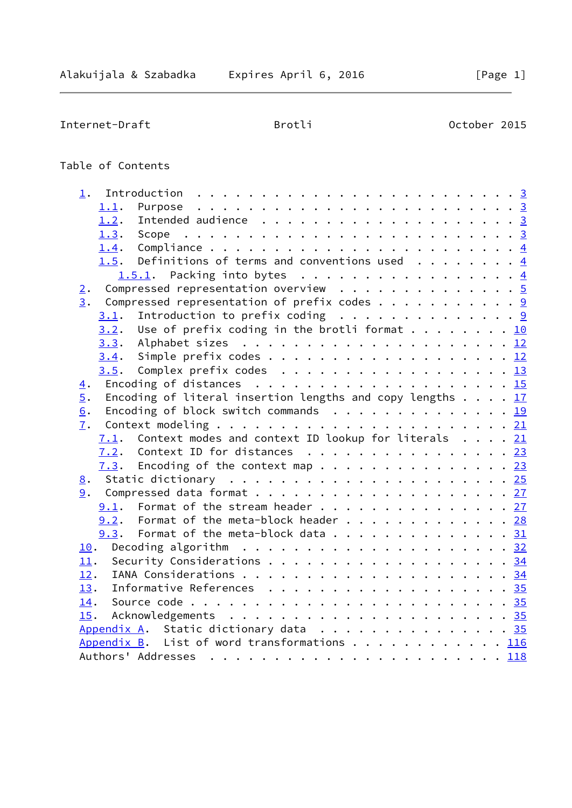Internet-Draft **Brotli** Brotli **Communist** Brotli **Communist** October 2015

# Table of Contents

| $1$ .                                                                                          |  |
|------------------------------------------------------------------------------------------------|--|
| 1.1.<br>Purpose                                                                                |  |
| Intended audience $\cdots$ , $\cdots$ , $\cdots$ , $\cdots$ , $\cdots$ , $\frac{3}{2}$<br>1.2. |  |
| Scope<br>1.3.                                                                                  |  |
|                                                                                                |  |
| Definitions of terms and conventions used $\cdots$ 4<br>1.5.                                   |  |
| 1.5.1. Packing into bytes 4                                                                    |  |
| Compressed representation overview 5<br>$\overline{2}$ .                                       |  |
| Compressed representation of prefix codes 9<br>3.                                              |  |
| Introduction to prefix coding $\cdots$ 9<br>3.1.                                               |  |
| $3.2$ . Use of prefix coding in the brotli format 10                                           |  |
|                                                                                                |  |
| 3.4. Simple prefix codes 12                                                                    |  |
| $3.5$ . Complex prefix codes 13                                                                |  |
| $\overline{4}$ .                                                                               |  |
| Encoding of literal insertion lengths and copy lengths $\ldots$ $\ldots$ 17<br>5.              |  |
| Encoding of block switch commands $\ldots$ 19<br>6.                                            |  |
| 7.                                                                                             |  |
| Context modes and context ID lookup for literals $\ldots$ $\frac{21}{2}$<br>7.1.               |  |
| 7.2. Context ID for distances 23                                                               |  |
| 7.3. Encoding of the context map 23                                                            |  |
| 8.                                                                                             |  |
| 9.                                                                                             |  |
| 9.1. Format of the stream header 27                                                            |  |
| 9.2. Format of the meta-block header 28                                                        |  |
| 9.3. Format of the meta-block data 31                                                          |  |
| Decoding algorithm $\ldots$ 32<br>10.                                                          |  |
| Security Considerations 34<br>11.                                                              |  |
| 12.                                                                                            |  |
| Informative References 35<br>13.                                                               |  |
| 14.                                                                                            |  |
| 15.                                                                                            |  |
| Appendix A. Static dictionary data 35                                                          |  |
| Appendix B. List of word transformations 116                                                   |  |
|                                                                                                |  |
|                                                                                                |  |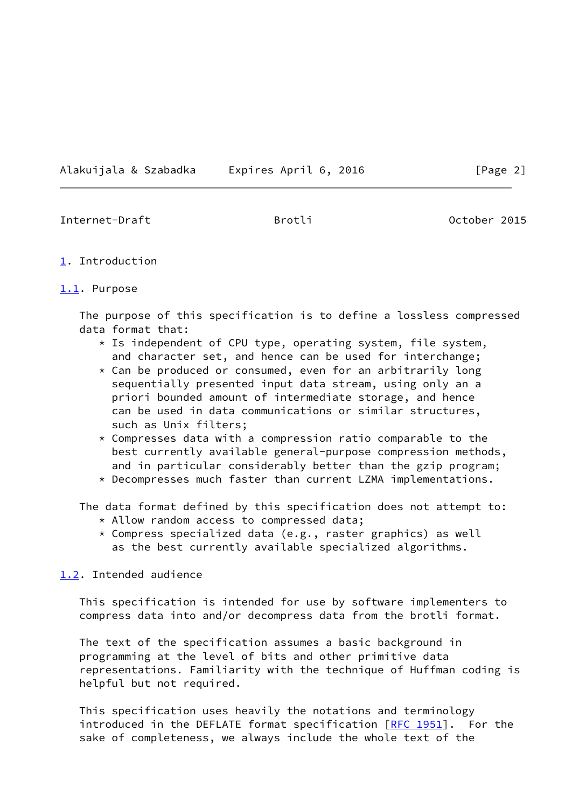<span id="page-2-1"></span>Internet-Draft Brotli October 2015

<span id="page-2-0"></span>[1](#page-2-0). Introduction

## <span id="page-2-2"></span>[1.1](#page-2-2). Purpose

 The purpose of this specification is to define a lossless compressed data format that:

- \* Is independent of CPU type, operating system, file system, and character set, and hence can be used for interchange;
- $*$  Can be produced or consumed, even for an arbitrarily long sequentially presented input data stream, using only an a priori bounded amount of intermediate storage, and hence can be used in data communications or similar structures, such as Unix filters;
- $*$  Compresses data with a compression ratio comparable to the best currently available general-purpose compression methods, and in particular considerably better than the gzip program;
- \* Decompresses much faster than current LZMA implementations.

The data format defined by this specification does not attempt to:

- \* Allow random access to compressed data;
- \* Compress specialized data (e.g., raster graphics) as well as the best currently available specialized algorithms.

## <span id="page-2-3"></span>[1.2](#page-2-3). Intended audience

 This specification is intended for use by software implementers to compress data into and/or decompress data from the brotli format.

 The text of the specification assumes a basic background in programming at the level of bits and other primitive data representations. Familiarity with the technique of Huffman coding is helpful but not required.

 This specification uses heavily the notations and terminology introduced in the DEFLATE format specification  $[RFC 1951]$  $[RFC 1951]$ . For the sake of completeness, we always include the whole text of the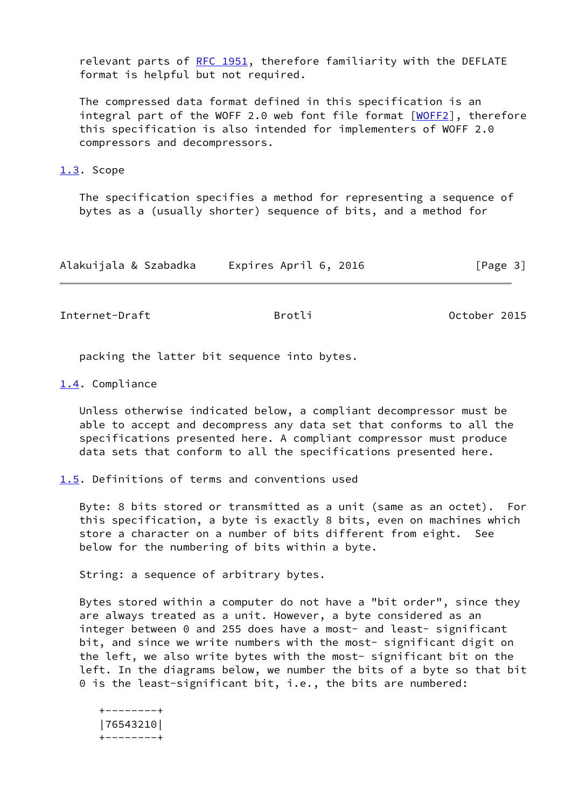relevant parts of [RFC 1951](https://datatracker.ietf.org/doc/pdf/rfc1951), therefore familiarity with the DEFLATE format is helpful but not required.

 The compressed data format defined in this specification is an integral part of the WOFF 2.0 web font file format [[WOFF2\]](#page-39-3), therefore this specification is also intended for implementers of WOFF 2.0 compressors and decompressors.

### <span id="page-3-0"></span>[1.3](#page-3-0). Scope

 The specification specifies a method for representing a sequence of bytes as a (usually shorter) sequence of bits, and a method for

| Alakuijala & Szabadka | Expires April 6, 2016 | [Page 3] |
|-----------------------|-----------------------|----------|
|-----------------------|-----------------------|----------|

<span id="page-3-2"></span>Internet-Draft Brotli October 2015

packing the latter bit sequence into bytes.

<span id="page-3-1"></span>[1.4](#page-3-1). Compliance

 Unless otherwise indicated below, a compliant decompressor must be able to accept and decompress any data set that conforms to all the specifications presented here. A compliant compressor must produce data sets that conform to all the specifications presented here.

<span id="page-3-3"></span>[1.5](#page-3-3). Definitions of terms and conventions used

 Byte: 8 bits stored or transmitted as a unit (same as an octet). For this specification, a byte is exactly 8 bits, even on machines which store a character on a number of bits different from eight. See below for the numbering of bits within a byte.

String: a sequence of arbitrary bytes.

 Bytes stored within a computer do not have a "bit order", since they are always treated as a unit. However, a byte considered as an integer between 0 and 255 does have a most- and least- significant bit, and since we write numbers with the most- significant digit on the left, we also write bytes with the most- significant bit on the left. In the diagrams below, we number the bits of a byte so that bit 0 is the least-significant bit, i.e., the bits are numbered:

 +--------+ |76543210| +--------+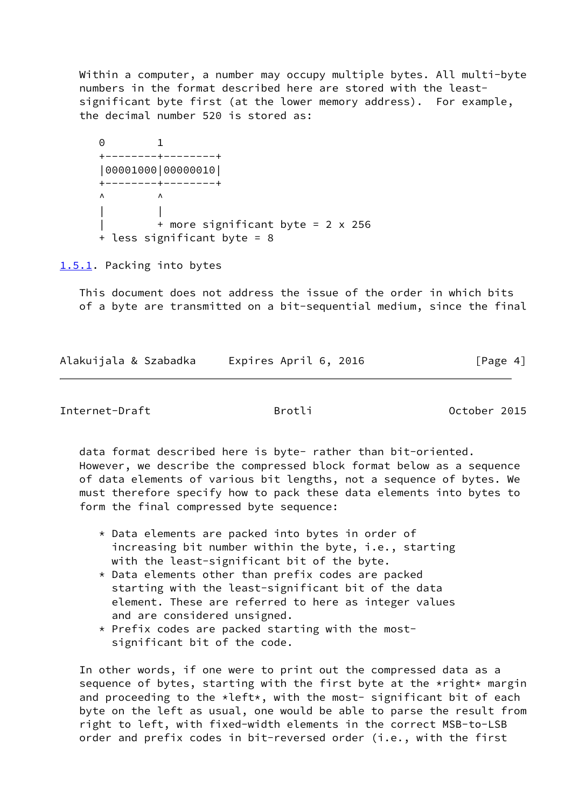Within a computer, a number may occupy multiple bytes. All multi-byte numbers in the format described here are stored with the least significant byte first (at the lower memory address). For example, the decimal number 520 is stored as:

```
 0 1
      +--------+--------+
      |00001000|00000010|
      +--------+--------+
\wedge \wedge | |
             | + more significant byte = 2 x 256
      + less significant byte = 8
```
<span id="page-4-0"></span>[1.5.1](#page-4-0). Packing into bytes

 This document does not address the issue of the order in which bits of a byte are transmitted on a bit-sequential medium, since the final

Alakuijala & Szabadka Expires April 6, 2016 [Page 4]

```
Internet-Draft Brotli October 2015
```
 data format described here is byte- rather than bit-oriented. However, we describe the compressed block format below as a sequence of data elements of various bit lengths, not a sequence of bytes. We must therefore specify how to pack these data elements into bytes to form the final compressed byte sequence:

- \* Data elements are packed into bytes in order of increasing bit number within the byte, i.e., starting with the least-significant bit of the byte.
- \* Data elements other than prefix codes are packed starting with the least-significant bit of the data element. These are referred to here as integer values and are considered unsigned.
- \* Prefix codes are packed starting with the most significant bit of the code.

 In other words, if one were to print out the compressed data as a sequence of bytes, starting with the first byte at the \*right\* margin and proceeding to the \*left\*, with the most- significant bit of each byte on the left as usual, one would be able to parse the result from right to left, with fixed-width elements in the correct MSB-to-LSB order and prefix codes in bit-reversed order (i.e., with the first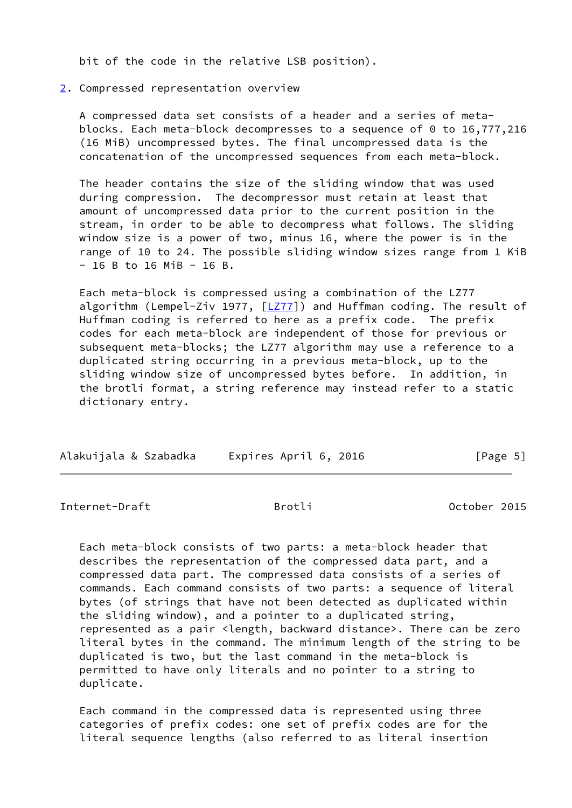bit of the code in the relative LSB position).

<span id="page-5-0"></span>[2](#page-5-0). Compressed representation overview

 A compressed data set consists of a header and a series of meta blocks. Each meta-block decompresses to a sequence of 0 to 16,777,216 (16 MiB) uncompressed bytes. The final uncompressed data is the concatenation of the uncompressed sequences from each meta-block.

 The header contains the size of the sliding window that was used during compression. The decompressor must retain at least that amount of uncompressed data prior to the current position in the stream, in order to be able to decompress what follows. The sliding window size is a power of two, minus 16, where the power is in the range of 10 to 24. The possible sliding window sizes range from 1 KiB  $-$  16 B to 16 MiB  $-$  16 B.

 Each meta-block is compressed using a combination of the LZ77 algorithm (Lempel-Ziv 1977,  $[L277]$ ) and Huffman coding. The result of Huffman coding is referred to here as a prefix code. The prefix codes for each meta-block are independent of those for previous or subsequent meta-blocks; the LZ77 algorithm may use a reference to a duplicated string occurring in a previous meta-block, up to the sliding window size of uncompressed bytes before. In addition, in the brotli format, a string reference may instead refer to a static dictionary entry.

| Alakuijala & Szabadka | Expires April 6, 2016 | [Page 5] |
|-----------------------|-----------------------|----------|
|                       |                       |          |

Internet-Draft Brotli October 2015

 Each meta-block consists of two parts: a meta-block header that describes the representation of the compressed data part, and a compressed data part. The compressed data consists of a series of commands. Each command consists of two parts: a sequence of literal bytes (of strings that have not been detected as duplicated within the sliding window), and a pointer to a duplicated string, represented as a pair <length, backward distance>. There can be zero literal bytes in the command. The minimum length of the string to be duplicated is two, but the last command in the meta-block is permitted to have only literals and no pointer to a string to duplicate.

 Each command in the compressed data is represented using three categories of prefix codes: one set of prefix codes are for the literal sequence lengths (also referred to as literal insertion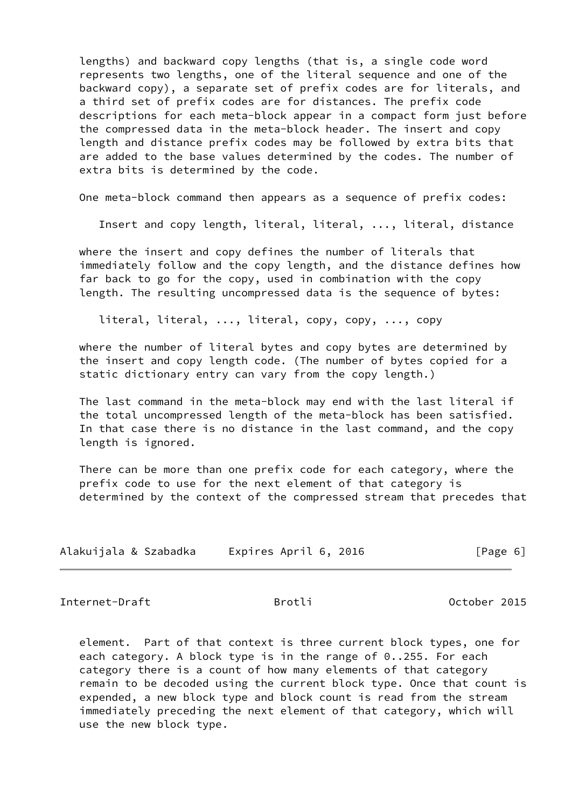lengths) and backward copy lengths (that is, a single code word represents two lengths, one of the literal sequence and one of the backward copy), a separate set of prefix codes are for literals, and a third set of prefix codes are for distances. The prefix code descriptions for each meta-block appear in a compact form just before the compressed data in the meta-block header. The insert and copy length and distance prefix codes may be followed by extra bits that are added to the base values determined by the codes. The number of extra bits is determined by the code.

One meta-block command then appears as a sequence of prefix codes:

Insert and copy length, literal, literal, ..., literal, distance

 where the insert and copy defines the number of literals that immediately follow and the copy length, and the distance defines how far back to go for the copy, used in combination with the copy length. The resulting uncompressed data is the sequence of bytes:

literal, literal, ..., literal, copy, copy, ..., copy

 where the number of literal bytes and copy bytes are determined by the insert and copy length code. (The number of bytes copied for a static dictionary entry can vary from the copy length.)

 The last command in the meta-block may end with the last literal if the total uncompressed length of the meta-block has been satisfied. In that case there is no distance in the last command, and the copy length is ignored.

 There can be more than one prefix code for each category, where the prefix code to use for the next element of that category is determined by the context of the compressed stream that precedes that

| Alakuijala & Szabadka | Expires April 6, 2016 | [Page 6] |
|-----------------------|-----------------------|----------|
|-----------------------|-----------------------|----------|

Internet-Draft Brotli October 2015

 element. Part of that context is three current block types, one for each category. A block type is in the range of 0..255. For each category there is a count of how many elements of that category remain to be decoded using the current block type. Once that count is expended, a new block type and block count is read from the stream immediately preceding the next element of that category, which will use the new block type.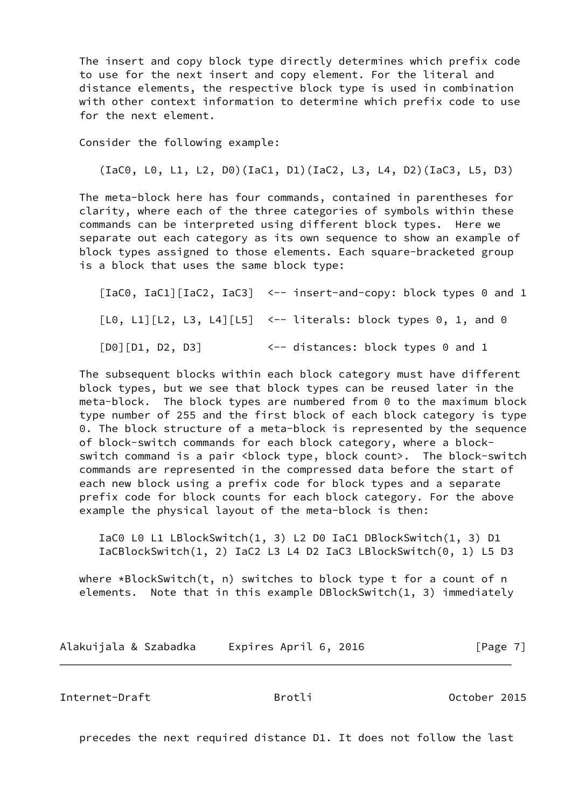The insert and copy block type directly determines which prefix code to use for the next insert and copy element. For the literal and distance elements, the respective block type is used in combination with other context information to determine which prefix code to use for the next element.

Consider the following example:

(IaC0, L0, L1, L2, D0)(IaC1, D1)(IaC2, L3, L4, D2)(IaC3, L5, D3)

 The meta-block here has four commands, contained in parentheses for clarity, where each of the three categories of symbols within these commands can be interpreted using different block types. Here we separate out each category as its own sequence to show an example of block types assigned to those elements. Each square-bracketed group is a block that uses the same block type:

[IaC0, IaC1][IaC2, IaC3] <-- insert-and-copy: block types 0 and 1 [L0, L1][L2, L3, L4][L5] <-- literals: block types 0, 1, and 0 [D0][D1, D2, D3] <-- distances: block types 0 and 1

 The subsequent blocks within each block category must have different block types, but we see that block types can be reused later in the meta-block. The block types are numbered from 0 to the maximum block type number of 255 and the first block of each block category is type 0. The block structure of a meta-block is represented by the sequence of block-switch commands for each block category, where a block switch command is a pair <block type, block count>. The block-switch commands are represented in the compressed data before the start of each new block using a prefix code for block types and a separate prefix code for block counts for each block category. For the above example the physical layout of the meta-block is then:

 IaC0 L0 L1 LBlockSwitch(1, 3) L2 D0 IaC1 DBlockSwitch(1, 3) D1 IaCBlockSwitch(1, 2) IaC2 L3 L4 D2 IaC3 LBlockSwitch(0, 1) L5 D3

where  $*BlockSwitch(t, n)$  switches to block type t for a count of n elements. Note that in this example DBlockSwitch(1, 3) immediately

Alakuijala & Szabadka Expires April 6, 2016 [Page 7]

Internet-Draft Brotli October 2015

precedes the next required distance D1. It does not follow the last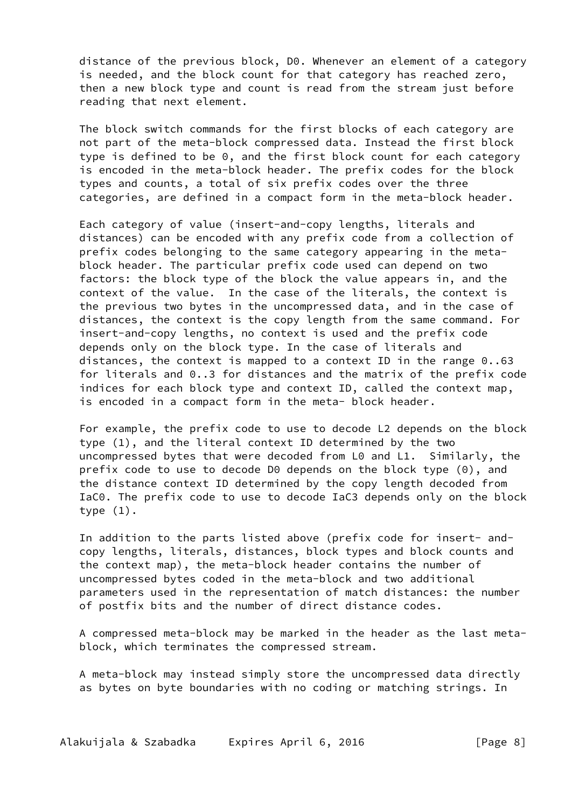distance of the previous block, D0. Whenever an element of a category is needed, and the block count for that category has reached zero, then a new block type and count is read from the stream just before reading that next element.

 The block switch commands for the first blocks of each category are not part of the meta-block compressed data. Instead the first block type is defined to be 0, and the first block count for each category is encoded in the meta-block header. The prefix codes for the block types and counts, a total of six prefix codes over the three categories, are defined in a compact form in the meta-block header.

 Each category of value (insert-and-copy lengths, literals and distances) can be encoded with any prefix code from a collection of prefix codes belonging to the same category appearing in the meta block header. The particular prefix code used can depend on two factors: the block type of the block the value appears in, and the context of the value. In the case of the literals, the context is the previous two bytes in the uncompressed data, and in the case of distances, the context is the copy length from the same command. For insert-and-copy lengths, no context is used and the prefix code depends only on the block type. In the case of literals and distances, the context is mapped to a context ID in the range 0..63 for literals and 0..3 for distances and the matrix of the prefix code indices for each block type and context ID, called the context map, is encoded in a compact form in the meta- block header.

 For example, the prefix code to use to decode L2 depends on the block type (1), and the literal context ID determined by the two uncompressed bytes that were decoded from L0 and L1. Similarly, the prefix code to use to decode D0 depends on the block type (0), and the distance context ID determined by the copy length decoded from IaC0. The prefix code to use to decode IaC3 depends only on the block type (1).

 In addition to the parts listed above (prefix code for insert- and copy lengths, literals, distances, block types and block counts and the context map), the meta-block header contains the number of uncompressed bytes coded in the meta-block and two additional parameters used in the representation of match distances: the number of postfix bits and the number of direct distance codes.

 A compressed meta-block may be marked in the header as the last meta block, which terminates the compressed stream.

 A meta-block may instead simply store the uncompressed data directly as bytes on byte boundaries with no coding or matching strings. In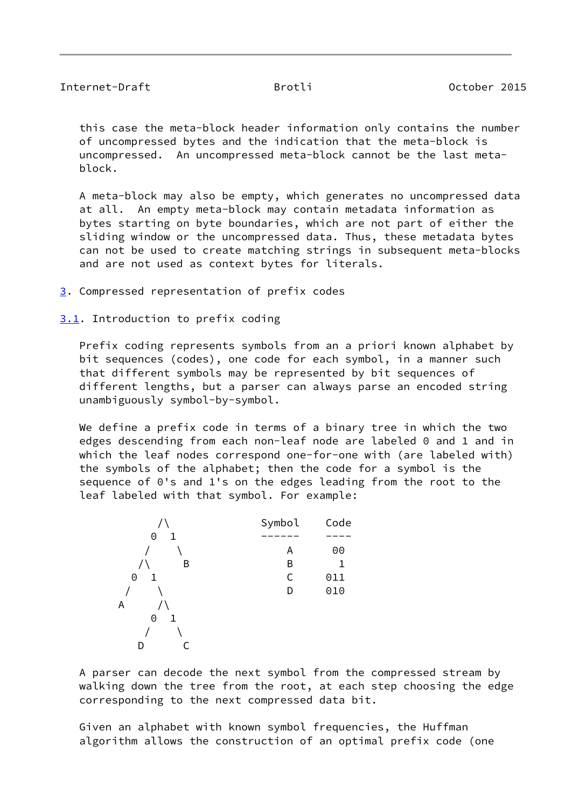<span id="page-9-1"></span> this case the meta-block header information only contains the number of uncompressed bytes and the indication that the meta-block is uncompressed. An uncompressed meta-block cannot be the last meta block.

 A meta-block may also be empty, which generates no uncompressed data at all. An empty meta-block may contain metadata information as bytes starting on byte boundaries, which are not part of either the sliding window or the uncompressed data. Thus, these metadata bytes can not be used to create matching strings in subsequent meta-blocks and are not used as context bytes for literals.

<span id="page-9-0"></span>[3](#page-9-0). Compressed representation of prefix codes

<span id="page-9-2"></span>[3.1](#page-9-2). Introduction to prefix coding

 Prefix coding represents symbols from an a priori known alphabet by bit sequences (codes), one code for each symbol, in a manner such that different symbols may be represented by bit sequences of different lengths, but a parser can always parse an encoded string unambiguously symbol-by-symbol.

 We define a prefix code in terms of a binary tree in which the two edges descending from each non-leaf node are labeled 0 and 1 and in which the leaf nodes correspond one-for-one with (are labeled with) the symbols of the alphabet; then the code for a symbol is the sequence of 0's and 1's on the edges leading from the root to the leaf labeled with that symbol. For example:

|        | Symbol | Code     |
|--------|--------|----------|
| 0<br>1 |        |          |
|        | Α      | $\Theta$ |
| Β      | Β      | 1        |
| 0<br>1 | С      | 011      |
|        | D      | 010      |
| Α      |        |          |
| 0<br>1 |        |          |
|        |        |          |
| I)     |        |          |

 A parser can decode the next symbol from the compressed stream by walking down the tree from the root, at each step choosing the edge corresponding to the next compressed data bit.

 Given an alphabet with known symbol frequencies, the Huffman algorithm allows the construction of an optimal prefix code (one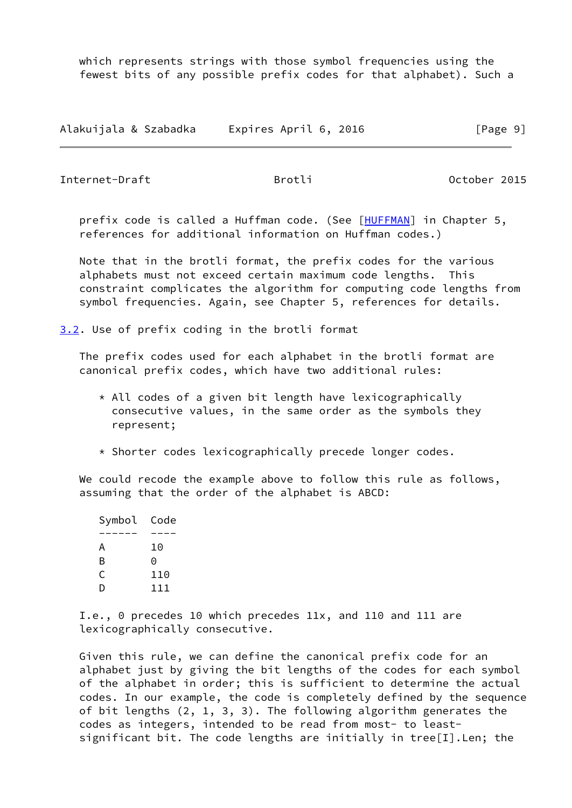which represents strings with those symbol frequencies using the fewest bits of any possible prefix codes for that alphabet). Such a

Alakuijala & Szabadka Expires April 6, 2016 [Page 9]

<span id="page-10-1"></span>Internet-Draft Brotli October 2015

prefix code is called a Huffman code. (See [[HUFFMAN\]](#page-38-5) in Chapter 5, references for additional information on Huffman codes.)

 Note that in the brotli format, the prefix codes for the various alphabets must not exceed certain maximum code lengths. This constraint complicates the algorithm for computing code lengths from symbol frequencies. Again, see Chapter 5, references for details.

<span id="page-10-0"></span>[3.2](#page-10-0). Use of prefix coding in the brotli format

 The prefix codes used for each alphabet in the brotli format are canonical prefix codes, which have two additional rules:

- \* All codes of a given bit length have lexicographically consecutive values, in the same order as the symbols they represent;
- \* Shorter codes lexicographically precede longer codes.

 We could recode the example above to follow this rule as follows, assuming that the order of the alphabet is ABCD:

| Symbol | Code |
|--------|------|
|        |      |
| А      | 10   |
| B      | റ    |
| C.     | 110  |
| ו ו    | 111  |

 I.e., 0 precedes 10 which precedes 11x, and 110 and 111 are lexicographically consecutive.

 Given this rule, we can define the canonical prefix code for an alphabet just by giving the bit lengths of the codes for each symbol of the alphabet in order; this is sufficient to determine the actual codes. In our example, the code is completely defined by the sequence of bit lengths (2, 1, 3, 3). The following algorithm generates the codes as integers, intended to be read from most- to least significant bit. The code lengths are initially in tree[I].Len; the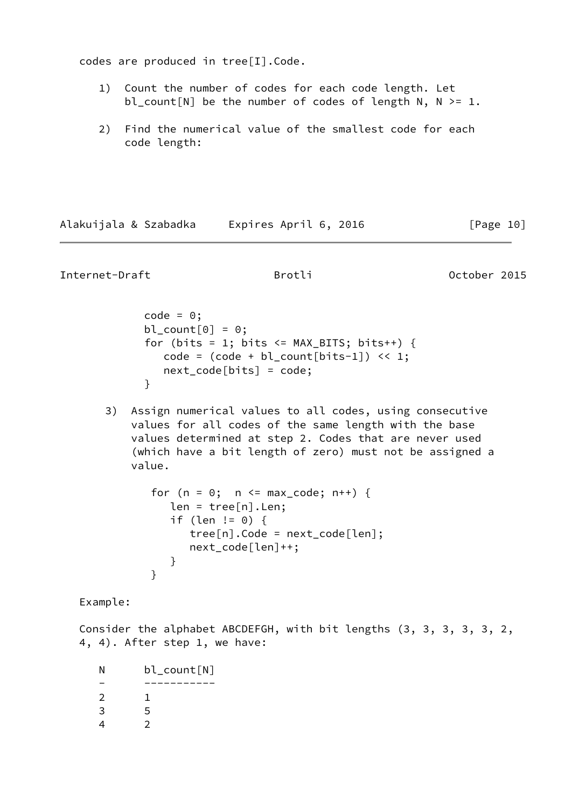codes are produced in tree[I].Code.

- 1) Count the number of codes for each code length. Let bl\_count[N] be the number of codes of length N, N  $> = 1$ .
- 2) Find the numerical value of the smallest code for each code length:

| Alakuijala & Szabadka |  | Expires April 6, 2016 |  |  |
|-----------------------|--|-----------------------|--|--|
|                       |  |                       |  |  |

 $[Page 10]$ 

```
Internet-Draft Brotli Brotli Communist Brotli October 2015
```

```
code = 0;bl_{count[0]} = 0;for (bits = 1; bits \leq MAX_BITS; bits++) {
               code = (code + bl_count[bits-1]) \leq 1; next_code[bits] = code;
 }
```
 3) Assign numerical values to all codes, using consecutive values for all codes of the same length with the base values determined at step 2. Codes that are never used (which have a bit length of zero) must not be assigned a value.

```
for (n = 0; n \le max\_code; n++) {
               len = tree[n].Len;
               if (len != 0) {
                  tree[n].Code = next_code[len];
                  next_code[len]++;
 }
 }
```
Example:

 Consider the alphabet ABCDEFGH, with bit lengths (3, 3, 3, 3, 3, 2, 4, 4). After step 1, we have:

| Ν | bl_count[N] |
|---|-------------|
|   |             |
| 2 | ı           |
| 3 | 5           |
|   |             |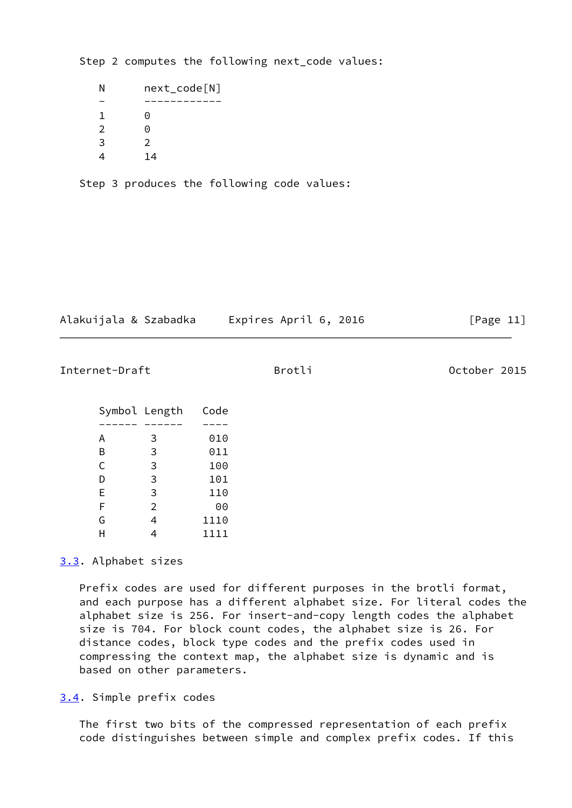Step 2 computes the following next\_code values:

| Ν             |    | next_code[N] |
|---------------|----|--------------|
|               |    |              |
| Т.            | റ  |              |
| $\mathcal{P}$ | 0  |              |
| 3             | 2  |              |
|               | 14 |              |

Step 3 produces the following code values:

| Alakuijala & Szabadka | Expires April 6, 2016 | [Page 11] |  |
|-----------------------|-----------------------|-----------|--|
|                       |                       |           |  |

```
Internet-Draft Brotli October 2015
```

| Symbol Length |                | Code |
|---------------|----------------|------|
|               |                |      |
| Α             | 3              | 010  |
| B             | 3              | 011  |
| C             | 3              | 100  |
| D             | 3              | 101  |
| Е             | 3              | 110  |
| F             | $\overline{2}$ | 00   |
| G             | 4              | 1110 |
|               | 4              | 1111 |

# <span id="page-12-0"></span>[3.3](#page-12-0). Alphabet sizes

 Prefix codes are used for different purposes in the brotli format, and each purpose has a different alphabet size. For literal codes the alphabet size is 256. For insert-and-copy length codes the alphabet size is 704. For block count codes, the alphabet size is 26. For distance codes, block type codes and the prefix codes used in compressing the context map, the alphabet size is dynamic and is based on other parameters.

## <span id="page-12-2"></span>[3.4](#page-12-2). Simple prefix codes

 The first two bits of the compressed representation of each prefix code distinguishes between simple and complex prefix codes. If this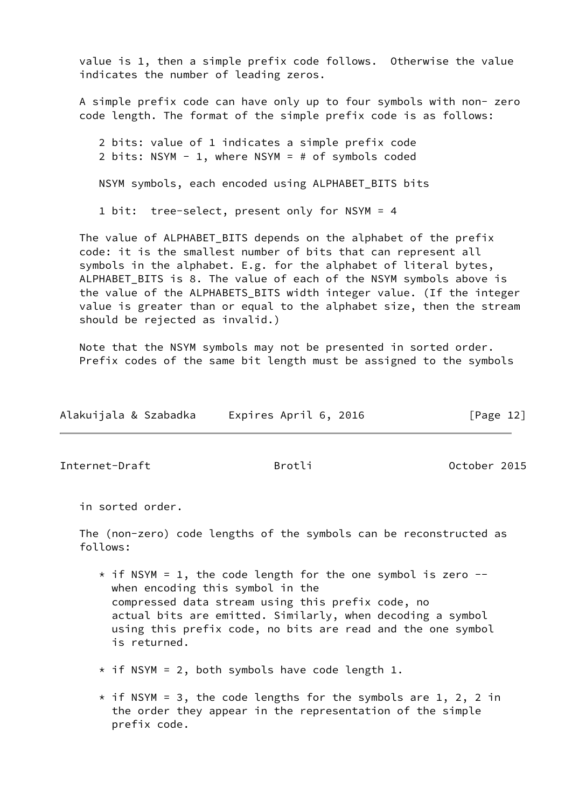value is 1, then a simple prefix code follows. Otherwise the value indicates the number of leading zeros.

 A simple prefix code can have only up to four symbols with non- zero code length. The format of the simple prefix code is as follows:

 2 bits: value of 1 indicates a simple prefix code 2 bits:  $NSYM - 1$ , where  $NSYM = #$  of symbols coded

NSYM symbols, each encoded using ALPHABET\_BITS bits

1 bit: tree-select, present only for NSYM = 4

 The value of ALPHABET\_BITS depends on the alphabet of the prefix code: it is the smallest number of bits that can represent all symbols in the alphabet. E.g. for the alphabet of literal bytes, ALPHABET BITS is 8. The value of each of the NSYM symbols above is the value of the ALPHABETS\_BITS width integer value. (If the integer value is greater than or equal to the alphabet size, then the stream should be rejected as invalid.)

 Note that the NSYM symbols may not be presented in sorted order. Prefix codes of the same bit length must be assigned to the symbols

| Alakuijala & Szabadka | Expires April 6, 2016 | [Page 12] |
|-----------------------|-----------------------|-----------|
|                       |                       |           |

<span id="page-13-0"></span>Internet-Draft Brotli October 2015

in sorted order.

 The (non-zero) code lengths of the symbols can be reconstructed as follows:

- $*$  if NSYM = 1, the code length for the one symbol is zero  $-$  when encoding this symbol in the compressed data stream using this prefix code, no actual bits are emitted. Similarly, when decoding a symbol using this prefix code, no bits are read and the one symbol is returned.
- $*$  if NSYM = 2, both symbols have code length 1.
- $*$  if NSYM = 3, the code lengths for the symbols are 1, 2, 2 in the order they appear in the representation of the simple prefix code.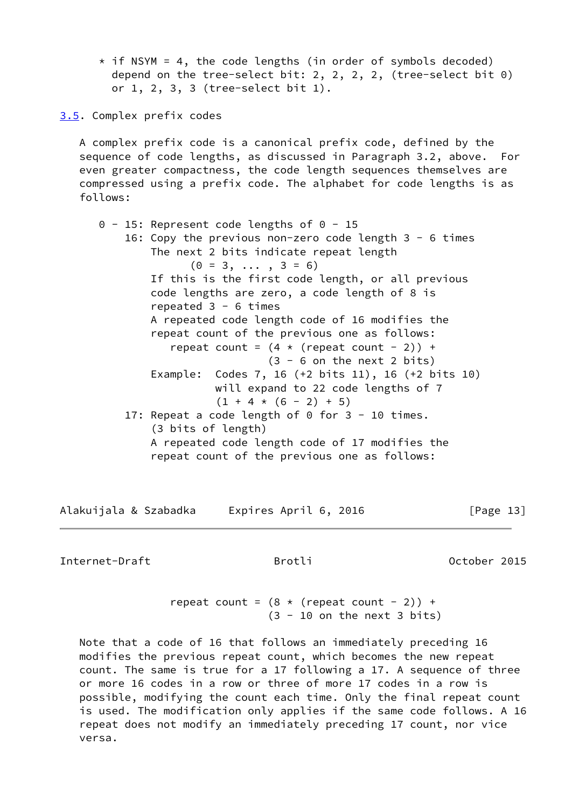$*$  if NSYM = 4, the code lengths (in order of symbols decoded) depend on the tree-select bit: 2, 2, 2, 2, (tree-select bit 0) or 1, 2, 3, 3 (tree-select bit 1).

<span id="page-14-0"></span>[3.5](#page-14-0). Complex prefix codes

 A complex prefix code is a canonical prefix code, defined by the sequence of code lengths, as discussed in Paragraph 3.2, above. For even greater compactness, the code length sequences themselves are compressed using a prefix code. The alphabet for code lengths is as follows:

```
0 - 15: Represent code lengths of 0 - 15 16: Copy the previous non-zero code length 3 - 6 times
         The next 2 bits indicate repeat length
              (0 = 3, \ldots, 3 = 6) If this is the first code length, or all previous
         code lengths are zero, a code length of 8 is
        repeated 3 - 6 times
         A repeated code length code of 16 modifies the
         repeat count of the previous one as follows:
           repeat count = (4 * (repeat count - 2)) + (3 - 6 on the next 2 bits)
         Example: Codes 7, 16 (+2 bits 11), 16 (+2 bits 10)
                   will expand to 22 code lengths of 7
                  (1 + 4 \times (6 - 2) + 5)17: Repeat a code length of 0 for 3 - 10 times.
         (3 bits of length)
         A repeated code length code of 17 modifies the
         repeat count of the previous one as follows:
```
Alakuijala & Szabadka Expires April 6, 2016 [Page 13]

Internet-Draft Brotli October 2015

repeat count =  $(8 * (repeat count - 2)) +$ (3 - 10 on the next 3 bits)

 Note that a code of 16 that follows an immediately preceding 16 modifies the previous repeat count, which becomes the new repeat count. The same is true for a 17 following a 17. A sequence of three or more 16 codes in a row or three of more 17 codes in a row is possible, modifying the count each time. Only the final repeat count is used. The modification only applies if the same code follows. A 16 repeat does not modify an immediately preceding 17 count, nor vice versa.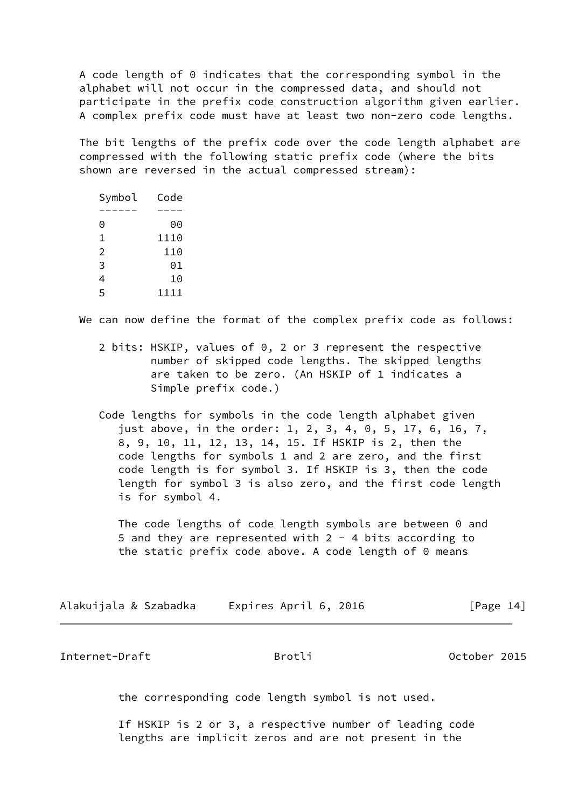A code length of 0 indicates that the corresponding symbol in the alphabet will not occur in the compressed data, and should not participate in the prefix code construction algorithm given earlier. A complex prefix code must have at least two non-zero code lengths.

 The bit lengths of the prefix code over the code length alphabet are compressed with the following static prefix code (where the bits shown are reversed in the actual compressed stream):

| Symbol         | Code |
|----------------|------|
|                |      |
| 0              | 00   |
| 1              | 1110 |
| $\overline{2}$ | 110  |
| 3              | 01   |
| 4              | 10   |
| 5              | 1111 |

We can now define the format of the complex prefix code as follows:

- 2 bits: HSKIP, values of 0, 2 or 3 represent the respective number of skipped code lengths. The skipped lengths are taken to be zero. (An HSKIP of 1 indicates a Simple prefix code.)
- Code lengths for symbols in the code length alphabet given just above, in the order: 1, 2, 3, 4, 0, 5, 17, 6, 16, 7, 8, 9, 10, 11, 12, 13, 14, 15. If HSKIP is 2, then the code lengths for symbols 1 and 2 are zero, and the first code length is for symbol 3. If HSKIP is 3, then the code length for symbol 3 is also zero, and the first code length is for symbol 4.

 The code lengths of code length symbols are between 0 and 5 and they are represented with 2 - 4 bits according to the static prefix code above. A code length of 0 means

| Alakuijala & Szabadka | Expires April 6, 2016 | [Page 14] |
|-----------------------|-----------------------|-----------|
|-----------------------|-----------------------|-----------|

<span id="page-15-0"></span>Internet-Draft Brotli October 2015

the corresponding code length symbol is not used.

 If HSKIP is 2 or 3, a respective number of leading code lengths are implicit zeros and are not present in the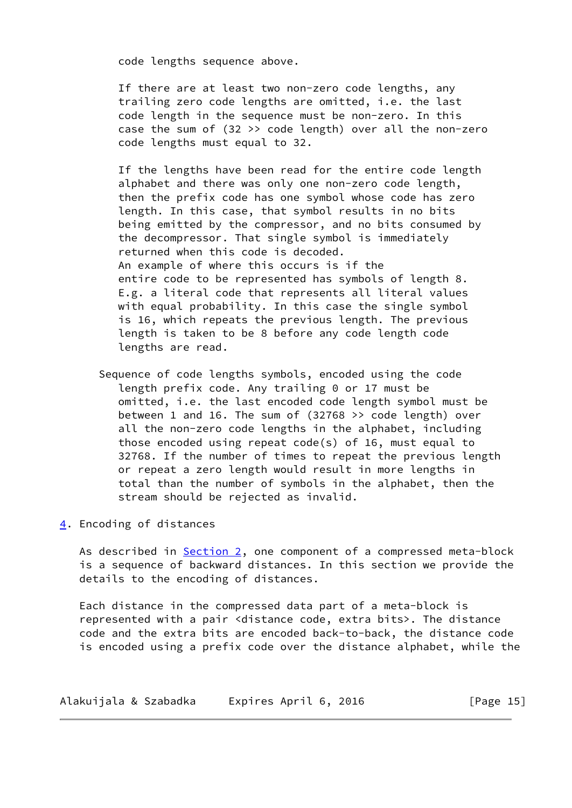code lengths sequence above.

 If there are at least two non-zero code lengths, any trailing zero code lengths are omitted, i.e. the last code length in the sequence must be non-zero. In this case the sum of (32 >> code length) over all the non-zero code lengths must equal to 32.

 If the lengths have been read for the entire code length alphabet and there was only one non-zero code length, then the prefix code has one symbol whose code has zero length. In this case, that symbol results in no bits being emitted by the compressor, and no bits consumed by the decompressor. That single symbol is immediately returned when this code is decoded. An example of where this occurs is if the entire code to be represented has symbols of length 8. E.g. a literal code that represents all literal values with equal probability. In this case the single symbol is 16, which repeats the previous length. The previous length is taken to be 8 before any code length code lengths are read.

- Sequence of code lengths symbols, encoded using the code length prefix code. Any trailing 0 or 17 must be omitted, i.e. the last encoded code length symbol must be between 1 and 16. The sum of (32768 >> code length) over all the non-zero code lengths in the alphabet, including those encoded using repeat code(s) of 16, must equal to 32768. If the number of times to repeat the previous length or repeat a zero length would result in more lengths in total than the number of symbols in the alphabet, then the stream should be rejected as invalid.
- <span id="page-16-0"></span>[4](#page-16-0). Encoding of distances

As described in  $Section 2$ , one component of a compressed meta-block is a sequence of backward distances. In this section we provide the details to the encoding of distances.

 Each distance in the compressed data part of a meta-block is represented with a pair <distance code, extra bits>. The distance code and the extra bits are encoded back-to-back, the distance code is encoded using a prefix code over the distance alphabet, while the

| Alakuijala & Szabadka | Expires April 6, 2016 | [Page $15$ ] |
|-----------------------|-----------------------|--------------|
|-----------------------|-----------------------|--------------|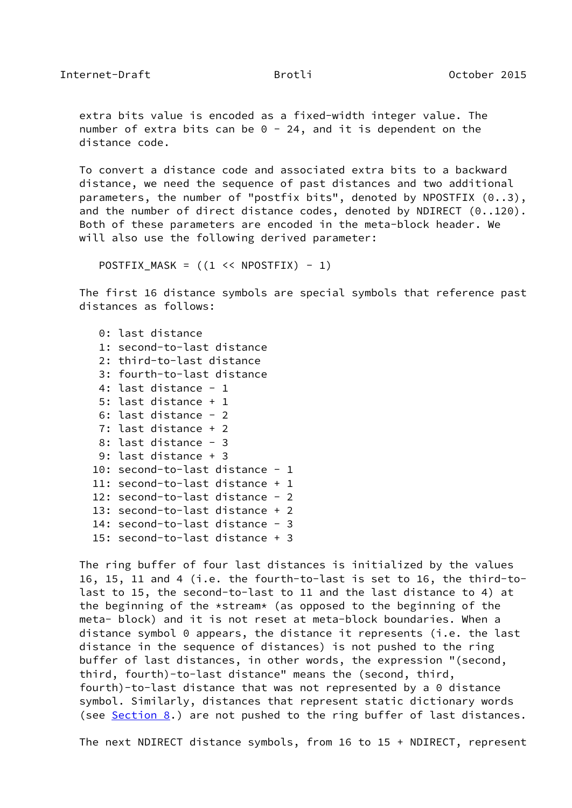extra bits value is encoded as a fixed-width integer value. The number of extra bits can be  $0 - 24$ , and it is dependent on the distance code.

 To convert a distance code and associated extra bits to a backward distance, we need the sequence of past distances and two additional parameters, the number of "postfix bits", denoted by NPOSTFIX (0..3), and the number of direct distance codes, denoted by NDIRECT (0..120). Both of these parameters are encoded in the meta-block header. We will also use the following derived parameter:

POSTFIX MASK =  $((1 \leq x \leq N)$ POSTFIX $) - 1$ 

 The first 16 distance symbols are special symbols that reference past distances as follows:

```
 0: last distance
  1: second-to-last distance
  2: third-to-last distance
  3: fourth-to-last distance
  4: last distance - 1
  5: last distance + 1
  6: last distance - 2
  7: last distance + 2
  8: last distance - 3
  9: last distance + 3
 10: second-to-last distance - 1
 11: second-to-last distance + 1
 12: second-to-last distance - 2
 13: second-to-last distance + 2
 14: second-to-last distance - 3
 15: second-to-last distance + 3
```
 The ring buffer of four last distances is initialized by the values 16, 15, 11 and 4 (i.e. the fourth-to-last is set to 16, the third-to last to 15, the second-to-last to 11 and the last distance to 4) at the beginning of the  $*$ stream $*$  (as opposed to the beginning of the meta- block) and it is not reset at meta-block boundaries. When a distance symbol 0 appears, the distance it represents (i.e. the last distance in the sequence of distances) is not pushed to the ring buffer of last distances, in other words, the expression "(second, third, fourth)-to-last distance" means the (second, third, fourth)-to-last distance that was not represented by a 0 distance symbol. Similarly, distances that represent static dictionary words (see Section  $8.$ ) are not pushed to the ring buffer of last distances.

The next NDIRECT distance symbols, from 16 to 15 + NDIRECT, represent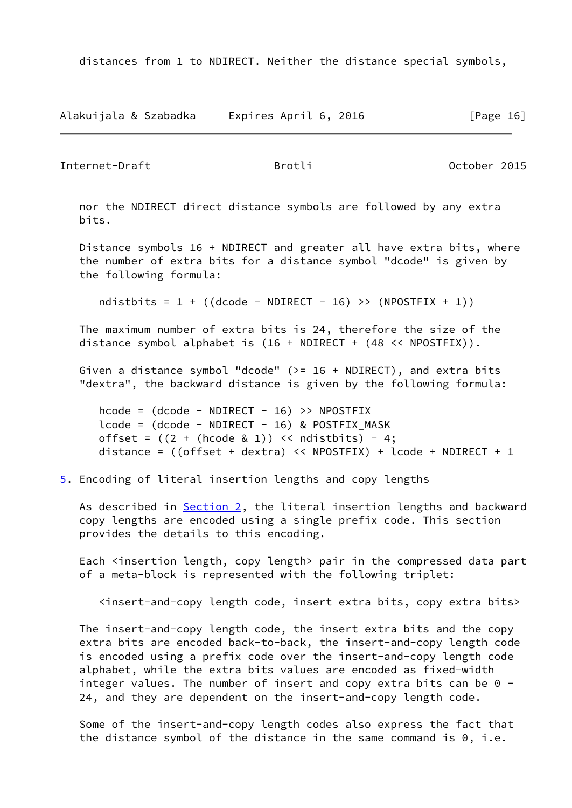distances from 1 to NDIRECT. Neither the distance special symbols,

Alakuijala & Szabadka Expires April 6, 2016 [Page 16]

```
Internet-Draft Brotli October 2015
   nor the NDIRECT direct distance symbols are followed by any extra
   bits.
   Distance symbols 16 + NDIRECT and greater all have extra bits, where
   the number of extra bits for a distance symbol "dcode" is given by
   the following formula:
     ndistbits = 1 + ((dcode - NDIFF - 16) >> (NPOSTFIX + 1)) The maximum number of extra bits is 24, therefore the size of the
   distance symbol alphabet is (16 + NDIRECT + (48 << NPOSTFIX)).
  Given a distance symbol "dcode" (>= 16 + NDIRECT), and extra bits
    "dextra", the backward distance is given by the following formula:
     hcode = (dcode - NDIFFCT - 16) >> NPOSTFIXlcode = (dcode - NDIRECT - 16) & POSTFIX MASK
     offset = ((2 + (hcode & 1)) \leq hcdot ndistbits) - 4;
     distance = ((offset + dextra) << NPOSTFLX) + lcode + NDIRECT + 15. Encoding of literal insertion lengths and copy lengths
  As described in Section 2, the literal insertion lengths and backward
    copy lengths are encoded using a single prefix code. This section
   provides the details to this encoding.
   Each <insertion length, copy length> pair in the compressed data part
   of a meta-block is represented with the following triplet:
```
<span id="page-18-0"></span><insert-and-copy length code, insert extra bits, copy extra bits>

 The insert-and-copy length code, the insert extra bits and the copy extra bits are encoded back-to-back, the insert-and-copy length code is encoded using a prefix code over the insert-and-copy length code alphabet, while the extra bits values are encoded as fixed-width integer values. The number of insert and copy extra bits can be  $0 -$ 24, and they are dependent on the insert-and-copy length code.

 Some of the insert-and-copy length codes also express the fact that the distance symbol of the distance in the same command is 0, i.e.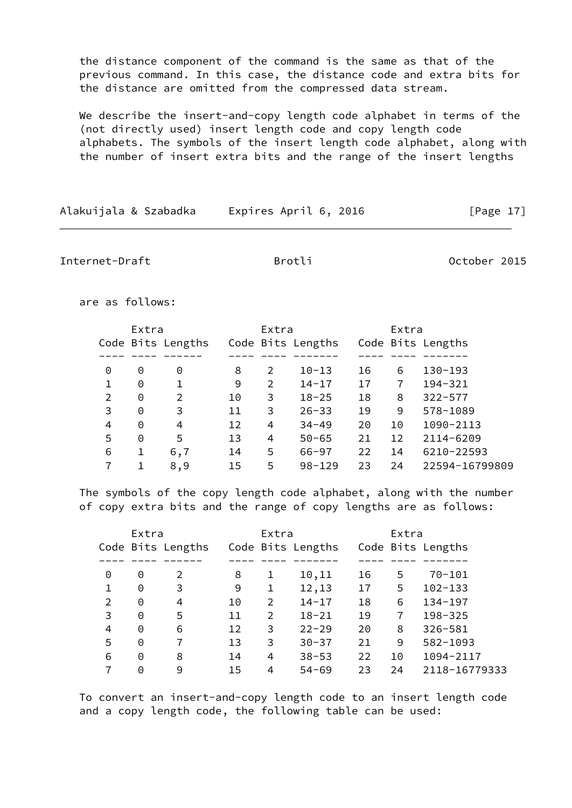the distance component of the command is the same as that of the previous command. In this case, the distance code and extra bits for the distance are omitted from the compressed data stream.

We describe the insert-and-copy length code alphabet in terms of the (not directly used) insert length code and copy length code alphabets. The symbols of the insert length code alphabet, along with the number of insert extra bits and the range of the insert lengths

| Alakuijala & Szabadka | Expires April 6, 2016 | [Page 17] |
|-----------------------|-----------------------|-----------|
|-----------------------|-----------------------|-----------|

Internet-Draft Brotli October 2015

are as follows:

|   | Extra    |                   |    | Extra |                   |    | Extra |                   |
|---|----------|-------------------|----|-------|-------------------|----|-------|-------------------|
|   |          | Code Bits Lengths |    |       | Code Bits Lengths |    |       | Code Bits Lengths |
|   |          |                   |    |       |                   |    |       |                   |
| 0 | 0        | 0                 | 8  | 2     | $10 - 13$         | 16 | 6     | $130 - 193$       |
| 1 | 0        |                   | 9  | 2     | $14 - 17$         | 17 |       | 194-321           |
| 2 | 0        | 2                 | 10 | 3     | $18 - 25$         | 18 | 8     | $322 - 577$       |
| 3 | $\Theta$ | 3                 | 11 | 3     | $26 - 33$         | 19 | 9     | 578-1089          |
| 4 | 0        | 4                 | 12 | 4     | $34 - 49$         | 20 | 10    | 1090-2113         |
| 5 | $\Theta$ | 5                 | 13 | 4     | $50 - 65$         | 21 | 12    | 2114-6209         |
| 6 |          | 6,7               | 14 | 5     | $66 - 97$         | 22 | 14    | 6210-22593        |
|   |          | 8,9               | 15 | 5     | $98 - 129$        | 23 | 24    | 22594-16799809    |
|   |          |                   |    |       |                   |    |       |                   |

 The symbols of the copy length code alphabet, along with the number of copy extra bits and the range of copy lengths are as follows:

|   | Extra    | Code Bits Lengths |    | Extra | Code Bits Lengths |    | Extra | Code Bits Lengths |
|---|----------|-------------------|----|-------|-------------------|----|-------|-------------------|
| 0 | 0        | $\overline{2}$    | 8  | 1     | 10, 11            | 16 | 5     | $70 - 101$        |
|   | $\Theta$ | 3                 | 9  | 1     | 12, 13            | 17 | 5     | $102 - 133$       |
| 2 | $\Theta$ | 4                 | 10 | 2     | $14 - 17$         | 18 | 6     | $134 - 197$       |
| 3 | $\Theta$ | 5                 | 11 | 2     | $18 - 21$         | 19 | 7     | $198 - 325$       |
| 4 | $\Theta$ | 6                 | 12 | 3     | $22 - 29$         | 20 | 8     | $326 - 581$       |
| 5 | $\Theta$ | 7                 | 13 | 3     | $30 - 37$         | 21 | 9     | 582-1093          |
| 6 | 0        | 8                 | 14 | 4     | $38 - 53$         | 22 | 10    | 1094-2117         |
|   | 0        | 9                 | 15 | 4     | $54 - 69$         | 23 | 24    | 2118-16779333     |

 To convert an insert-and-copy length code to an insert length code and a copy length code, the following table can be used: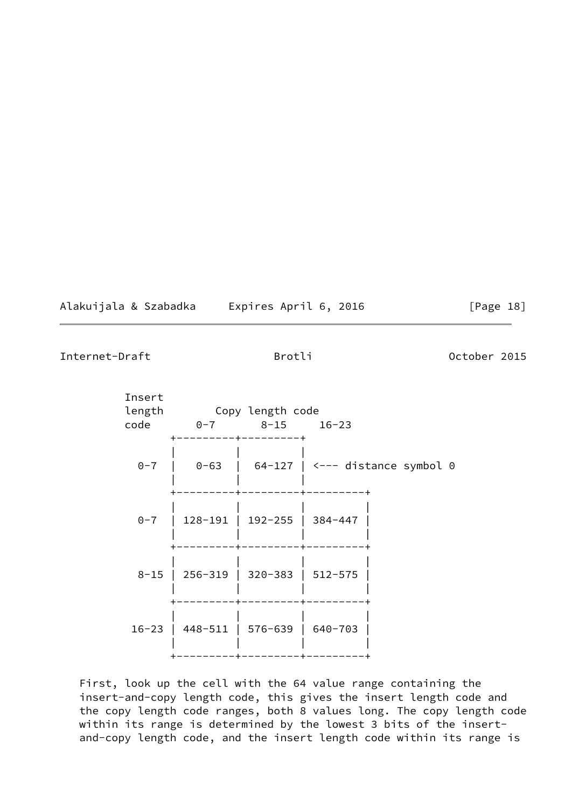| Alakuijala & Szabadka | Expires April 6, |
|-----------------------|------------------|
|-----------------------|------------------|

```
2016 [Page 18]
```
<span id="page-20-0"></span>Internet-Draft Brotli October 2015

 Insert length Copy length code code 0-7 8-15 16-23 +---------+---------+ | | | 0-7 | 0-63 | 64-127 | <--- distance symbol 0 | | | +---------+---------+---------+ | | | | 0-7 | 128-191 | 192-255 | 384-447 | | | | | +---------+---------+---------+ | | | | 8-15 | 256-319 | 320-383 | 512-575 | | | | | +---------+---------+---------+ | | | | 16-23 | 448-511 | 576-639 | 640-703 | | | | | +---------+---------+---------+

 First, look up the cell with the 64 value range containing the insert-and-copy length code, this gives the insert length code and the copy length code ranges, both 8 values long. The copy length code within its range is determined by the lowest 3 bits of the insert and-copy length code, and the insert length code within its range is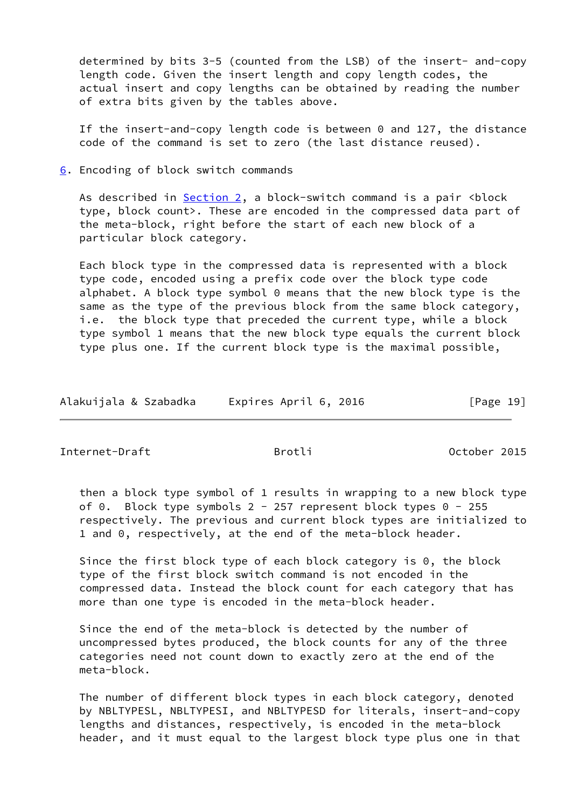determined by bits 3-5 (counted from the LSB) of the insert- and-copy length code. Given the insert length and copy length codes, the actual insert and copy lengths can be obtained by reading the number of extra bits given by the tables above.

 If the insert-and-copy length code is between 0 and 127, the distance code of the command is set to zero (the last distance reused).

<span id="page-21-0"></span>[6](#page-21-0). Encoding of block switch commands

As described in [Section 2](#page-5-0), a block-switch command is a pair <br/>block type, block count>. These are encoded in the compressed data part of the meta-block, right before the start of each new block of a particular block category.

 Each block type in the compressed data is represented with a block type code, encoded using a prefix code over the block type code alphabet. A block type symbol 0 means that the new block type is the same as the type of the previous block from the same block category, i.e. the block type that preceded the current type, while a block type symbol 1 means that the new block type equals the current block type plus one. If the current block type is the maximal possible,

| Alakuijala & Szabadka | Expires April 6, 2016 | [Page 19] |
|-----------------------|-----------------------|-----------|
|-----------------------|-----------------------|-----------|

Internet-Draft Brotli October 2015

 then a block type symbol of 1 results in wrapping to a new block type of 0. Block type symbols 2 - 257 represent block types 0 - 255 respectively. The previous and current block types are initialized to 1 and 0, respectively, at the end of the meta-block header.

 Since the first block type of each block category is 0, the block type of the first block switch command is not encoded in the compressed data. Instead the block count for each category that has more than one type is encoded in the meta-block header.

 Since the end of the meta-block is detected by the number of uncompressed bytes produced, the block counts for any of the three categories need not count down to exactly zero at the end of the meta-block.

 The number of different block types in each block category, denoted by NBLTYPESL, NBLTYPESI, and NBLTYPESD for literals, insert-and-copy lengths and distances, respectively, is encoded in the meta-block header, and it must equal to the largest block type plus one in that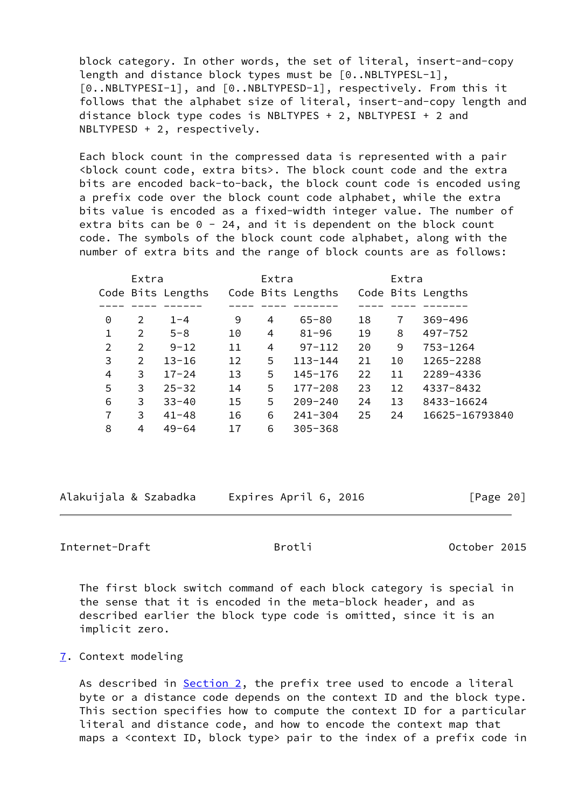block category. In other words, the set of literal, insert-and-copy length and distance block types must be [0..NBLTYPESL-1], [0..NBLTYPESI-1], and [0..NBLTYPESD-1], respectively. From this it follows that the alphabet size of literal, insert-and-copy length and distance block type codes is NBLTYPES + 2, NBLTYPESI + 2 and NBLTYPESD + 2, respectively.

 Each block count in the compressed data is represented with a pair <block count code, extra bits>. The block count code and the extra bits are encoded back-to-back, the block count code is encoded using a prefix code over the block count code alphabet, while the extra bits value is encoded as a fixed-width integer value. The number of extra bits can be  $0 - 24$ , and it is dependent on the block count code. The symbols of the block count code alphabet, along with the number of extra bits and the range of block counts are as follows:

|   | Extra          |                   |    | Extra |                   | Extra |    |                   |  |  |
|---|----------------|-------------------|----|-------|-------------------|-------|----|-------------------|--|--|
|   |                | Code Bits Lengths |    |       | Code Bits Lengths |       |    | Code Bits Lengths |  |  |
|   |                |                   |    |       |                   |       |    |                   |  |  |
| 0 | $\overline{2}$ | $1 - 4$           | 9  | 4     | $65 - 80$         | 18    | 7  | $369 - 496$       |  |  |
| 1 | $\mathfrak{D}$ | $5 - 8$           | 10 | 4     | $81 - 96$         | 19    | 8  | $497 - 752$       |  |  |
| 2 | $\overline{2}$ | $9 - 12$          | 11 | 4     | $97 - 112$        | 20    | 9  | 753-1264          |  |  |
| 3 | $\overline{2}$ | $13 - 16$         | 12 | 5     | $113 - 144$       | 21    | 10 | 1265-2288         |  |  |
| 4 | 3              | $17 - 24$         | 13 | 5     | 145-176           | 22    | 11 | 2289-4336         |  |  |
| 5 | 3              | $25 - 32$         | 14 | 5     | $177 - 208$       | 23    | 12 | 4337-8432         |  |  |
| 6 | 3              | $33 - 40$         | 15 | 5     | $209 - 240$       | 24    | 13 | 8433-16624        |  |  |
| 7 | 3              | $41 - 48$         | 16 | 6     | $241 - 304$       | 25    | 24 | 16625-16793840    |  |  |
| 8 | 4              | $49 - 64$         | 17 | 6     | $305 - 368$       |       |    |                   |  |  |
|   |                |                   |    |       |                   |       |    |                   |  |  |

|  | Alakuijala & Szabadka | Expires Apri |  |
|--|-----------------------|--------------|--|
|  |                       |              |  |

1 6, 2016 [Page 20]

### <span id="page-22-1"></span>Internet-Draft Brotli October 2015

 The first block switch command of each block category is special in the sense that it is encoded in the meta-block header, and as described earlier the block type code is omitted, since it is an implicit zero.

### <span id="page-22-0"></span>[7](#page-22-0). Context modeling

As described in  $Section 2$ , the prefix tree used to encode a literal byte or a distance code depends on the context ID and the block type. This section specifies how to compute the context ID for a particular literal and distance code, and how to encode the context map that maps a <context ID, block type> pair to the index of a prefix code in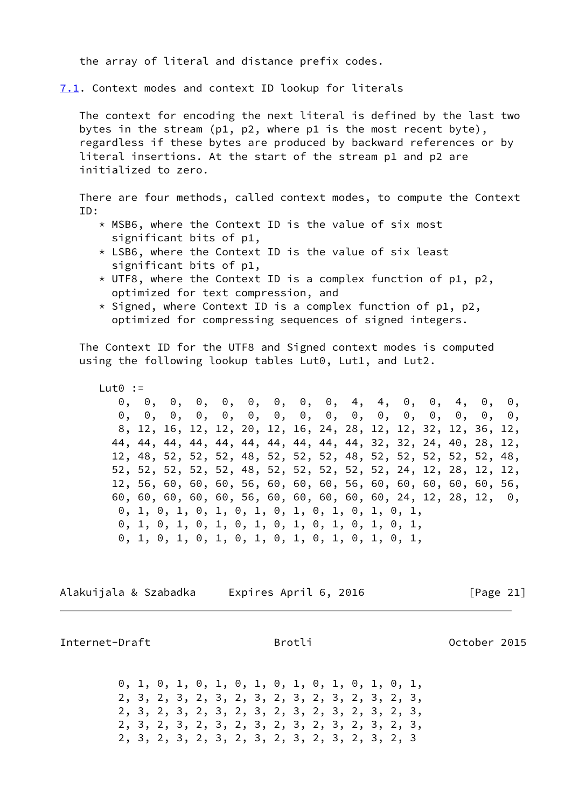the array of literal and distance prefix codes.

<span id="page-23-0"></span>[7.1](#page-23-0). Context modes and context ID lookup for literals

 The context for encoding the next literal is defined by the last two bytes in the stream (p1, p2, where p1 is the most recent byte), regardless if these bytes are produced by backward references or by literal insertions. At the start of the stream p1 and p2 are initialized to zero.

 There are four methods, called context modes, to compute the Context ID:

- \* MSB6, where the Context ID is the value of six most significant bits of p1,
- \* LSB6, where the Context ID is the value of six least significant bits of p1,
- $*$  UTF8, where the Context ID is a complex function of p1, p2, optimized for text compression, and
- $*$  Signed, where Context ID is a complex function of p1, p2, optimized for compressing sequences of signed integers.

 The Context ID for the UTF8 and Signed context modes is computed using the following lookup tables Lut0, Lut1, and Lut2.

|  | $Lut0 :=$ | $\Theta$ , $\Theta$ , |  |  |  |  | $0, 1, 0, 1, 0, 1, 0, 1, 0, 1, 0, 1, 0, 1, 0, 1, 0, 1,$<br>$0, 1, 0, 1, 0, 1, 0, 1, 0, 1, 0, 1, 0, 1, 0, 1, 0, 1,$<br>$0, 1, 0, 1, 0, 1, 0, 1, 0, 1, 0, 1, 0, 1, 0, 1, 0, 1,$ | 8, 12, 16, 12, 12, 20, 12, 16, 24, 28, 12, 12, 32, 12, 36, 12,<br>12, 48, 52, 52, 52, 48, 52, 52, 52, 48, 52, 52, 52, 52, 52, 48,<br>52, 52, 52, 52, 52, 48, 52, 52, 52, 52, 52, 24, 12, 28, 12, 12,<br>12, 56, 60, 60, 60, 56, 60, 60, 60, 56, 60, 60, 60, 60, 60, 56,<br>$60, 60, 60, 60, 60, 56, 60, 60, 60, 60, 60, 24, 12, 28, 12, 0,$ |
|--|-----------|-----------------------|--|--|--|--|-------------------------------------------------------------------------------------------------------------------------------------------------------------------------------|---------------------------------------------------------------------------------------------------------------------------------------------------------------------------------------------------------------------------------------------------------------------------------------------------------------------------------------------|

Alakuijala & Szabadka Expires April 6, 2016 [Page 21]

Internet-Draft Brotli October 2015

 0, 1, 0, 1, 0, 1, 0, 1, 0, 1, 0, 1, 0, 1, 0, 1, 2, 3, 2, 3, 2, 3, 2, 3, 2, 3, 2, 3, 2, 3, 2, 3, 2, 3, 2, 3, 2, 3, 2, 3, 2, 3, 2, 3, 2, 3, 2, 3, 2, 3, 2, 3, 2, 3, 2, 3, 2, 3, 2, 3, 2, 3, 2, 3, 2, 3, 2, 3, 2, 3, 2, 3, 2, 3, 2, 3, 2, 3, 2, 3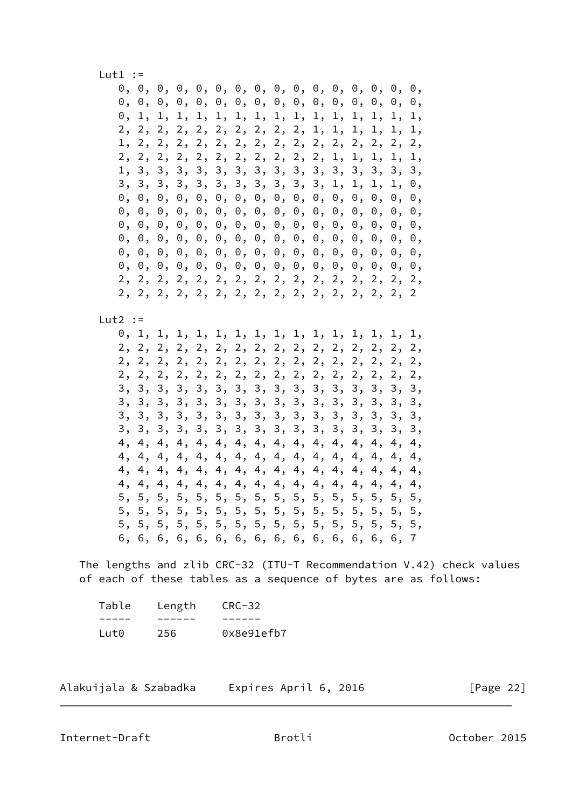| $Lut1 :=$ |            |            |                                        |            |                                        |                     |                 |                 |                     |                                  |                     |                         |            |                                        |                |
|-----------|------------|------------|----------------------------------------|------------|----------------------------------------|---------------------|-----------------|-----------------|---------------------|----------------------------------|---------------------|-------------------------|------------|----------------------------------------|----------------|
|           |            |            |                                        |            |                                        |                     |                 |                 |                     |                                  |                     |                         |            |                                        |                |
|           | 0,         | $\Theta$ , | 0,                                     |            | $\circ$ , $\circ$ ,                    |                     |                 |                 |                     | 0, 0, 0, 0, 0, 0, 0, 0, 0, 0, 0, |                     |                         |            |                                        | $\Theta$ ,     |
|           | 0,         | 1,         | 1,                                     | 1,         |                                        |                     |                 |                 |                     | 1, 1, 1, 1, 1, 1, 1, 1,          |                     | 1,                      | 1,         | 1,                                     | 1,             |
|           | 2,         | 2,         | 2,                                     |            | 2, 2, 2, 2, 2, 2, 2, 1, 1,             |                     |                 |                 |                     |                                  |                     | 1,                      | 1,         | 1,                                     | 1,             |
|           | 1,         | 2,         | 2,                                     |            | 2, 2, 2, 2, 2, 2, 2, 2, 2, 2,          |                     |                 |                 |                     |                                  |                     |                         | 2,         | 2,                                     | 2,             |
|           | 2,         | 2,         | 2,                                     |            | 2, 2, 2, 2, 2, 2, 2, 2, 1, 1,          |                     |                 |                 |                     |                                  |                     |                         | 1,         | 1,                                     | 1,             |
|           | 1,         | 3,         | 3,                                     |            | 3, 3, 3, 3, 3, 3, 3, 3, 3, 3, 3,       |                     |                 |                 |                     |                                  |                     |                         |            | 3,                                     | 3,             |
|           | 3,         | 3,         | 3,                                     |            | 3, 3, 3, 3, 3, 3, 3, 3, 1,             |                     |                 |                 |                     |                                  |                     | 1,                      | 1,         | 1,                                     | 0,             |
|           | $\Theta$ , | $\Theta$ , | $\Theta$ ,                             | 0,         | $\bm{\theta}$ ,                        | $\circ$ ,           |                 |                 |                     | 0, 0, 0, 0, 0,                   | $\mathbf{\Theta}$ , | $\Theta$ ,              | $\Theta$ , | $\Theta$ ,                             | $\Theta$ ,     |
|           | 0,         | $\Theta$ , | $\Theta$ ,                             | $\Theta$ , | $\Theta$ ,                             | $\Theta$ ,          | 0,              |                 |                     | 0, 0, 0, 0,                      | $\bm{\theta}$ ,     | $\Theta$ ,              | 0,         | $\Theta$ ,                             | 0,             |
|           | 0,         | 0,         | 0,                                     | 0,         | $\Theta$ ,                             | $\bm{\Theta}$ ,     | $\bm{\Theta}$ , | $\circ$ ,       |                     | $\circ$ , $\circ$ , $\circ$ ,    | 0,                  | $\boldsymbol{\Theta}$ , | $\Theta$ , | 0,                                     | 0,             |
|           | 0,         | $\Theta$ , | $\Theta$ ,                             | 0,         | 0,                                     | 0,                  | $\Theta$ ,      | $\bm{\theta}$ , |                     | $\circ$ , $\circ$ , $\circ$ ,    | $\bm{\Theta}$ ,     | 0,                      | $\Theta$ , | $\Theta$ ,                             | $\Theta$ ,     |
|           | 0,         | 0,         | 0,                                     | 0,         | $\Theta$ ,                             | $\mathbf{\Theta}$ , | 0,              | $\bm{\Theta}$ , | $\circ$ , $\circ$ , | 0,                               | 0,                  | $\Theta$ ,              | $\Theta$ , | $\Theta$ ,                             | 0,             |
|           | 0,         | 0,         | $\Theta$ ,                             | $\Theta$ , | $\bm{\theta}$ ,                        |                     |                 |                 |                     | 0, 0, 0, 0, 0, 0,                | $\Theta$ ,          | $\Theta$ ,              | $\Theta$ , | $\Theta$ ,                             | 0,             |
|           | 2,         | 2,         | 2,                                     |            | 2, 2, 2, 2, 2, 2, 2, 2, 2,             |                     |                 |                 |                     |                                  |                     |                         | 2, 2,      | 2,                                     | 2,             |
|           |            | 2, 2,      |                                        |            |                                        |                     |                 |                 |                     |                                  |                     |                         |            | 2, 2, 2, 2, 2, 2, 2, 2, 2, 2, 2, 2, 2, | $\overline{2}$ |
|           |            |            |                                        |            |                                        |                     |                 |                 |                     |                                  |                     |                         |            |                                        |                |
| Lut2 $:=$ |            |            |                                        |            |                                        |                     |                 |                 |                     |                                  |                     |                         |            |                                        |                |
|           | 0,         | 1,         |                                        |            | 1, 1, 1, 1, 1, 1, 1, 1, 1, 1, 1,       |                     |                 |                 |                     |                                  |                     |                         | 1,         | 1,                                     | 1,             |
|           | 2,         | 2,         | 2,                                     |            | 2, 2, 2, 2, 2, 2, 2, 2, 2, 2, 2,       |                     |                 |                 |                     |                                  |                     |                         |            | 2,                                     | 2,             |
|           | 2,         |            |                                        |            |                                        |                     |                 |                 |                     |                                  |                     |                         |            | 2, 2, 2, 2, 2, 2, 2, 2, 2, 2, 2, 2, 2, |                |
|           | 2,         | 2,<br>2,   | 2,                                     |            | 2, 2, 2, 2, 2, 2, 2, 2, 2, 2, 2,       |                     |                 |                 |                     |                                  |                     |                         |            | 2,                                     | 2,             |
|           | 3,         | 3,         | 3,                                     |            | 3, 3, 3, 3, 3, 3, 3, 3, 3, 3,          |                     |                 |                 |                     |                                  |                     |                         | 3,         | 3,                                     | 3,             |
|           | 3,         | 3,         | 3,                                     | 3,         |                                        |                     |                 |                 |                     | 3, 3, 3, 3, 3, 3, 3, 3, 3,       |                     |                         | 3,         | 3,                                     | З,             |
|           | 3,         | 3,         |                                        |            | 3, 3, 3, 3, 3, 3, 3, 3, 3, 3, 3, 3,    |                     |                 |                 |                     |                                  |                     |                         |            | 3,                                     | 3,             |
|           | 3,         | 3,         |                                        |            | 3, 3, 3, 3, 3, 3, 3, 3, 3, 3,          |                     |                 |                 |                     |                                  |                     | 3,                      | 3,         | 3,                                     | 3,             |
|           | 4,         | 4,         | 4,                                     | 4,         | 4,                                     |                     |                 |                 |                     | 4, 4, 4, 4, 4, 4, 4,             |                     | 4,                      | 4,         | 4,                                     | 4,             |
|           | 4,         | 4,         | 4,                                     | 4,         | 4,                                     |                     |                 |                 |                     | 4, 4, 4, 4, 4, 4, 4,             |                     | 4,                      | 4,         | 4,                                     | 4,             |
|           | 4,         | 4,         | 4,                                     | 4,         | 4,                                     | 4,                  |                 | 4, 4, 4, 4,     |                     | 4,                               | 4,                  | 4,                      | 4,         | 4,                                     | 4,             |
|           | 4,         | 4,         | 4,                                     | 4,         | 4,                                     |                     |                 |                 |                     | 4, 4, 4, 4, 4, 4,                | 4,                  | 4,                      | 4,         | 4,                                     | 4,             |
|           | 5,         | 5,         | 5,                                     | 5,         |                                        |                     |                 |                 |                     | 5, 5, 5, 5, 5, 5, 5, 5, 5, 5,    |                     |                         |            | 5,                                     | 5,             |
|           | 5,         | 5,         |                                        |            | 5, 5, 5, 5, 5, 5, 5, 5, 5, 5, 5, 5, 5, |                     |                 |                 |                     |                                  |                     |                         |            | 5,                                     | 5,             |
|           |            |            | 6, 6, 6, 6, 6, 6, 6, 6, 6, 6, 6, 6, 6, |            |                                        |                     |                 |                 |                     |                                  |                     |                         |            |                                        | 5,             |

 The lengths and zlib CRC-32 (ITU-T Recommendation V.42) check values of each of these tables as a sequence of bytes are as follows:

| Table | Length | $CRC-32$   |
|-------|--------|------------|
|       |        |            |
| Lut0. | 256    | 0x8e91efb7 |

| Alakuijala & Szabadka | Expires April 6, 2016 | [Page 22] |
|-----------------------|-----------------------|-----------|
|-----------------------|-----------------------|-----------|

<span id="page-24-0"></span>Internet-Draft **Brotli** Brotli **Communist** Brotli **Communist** October 2015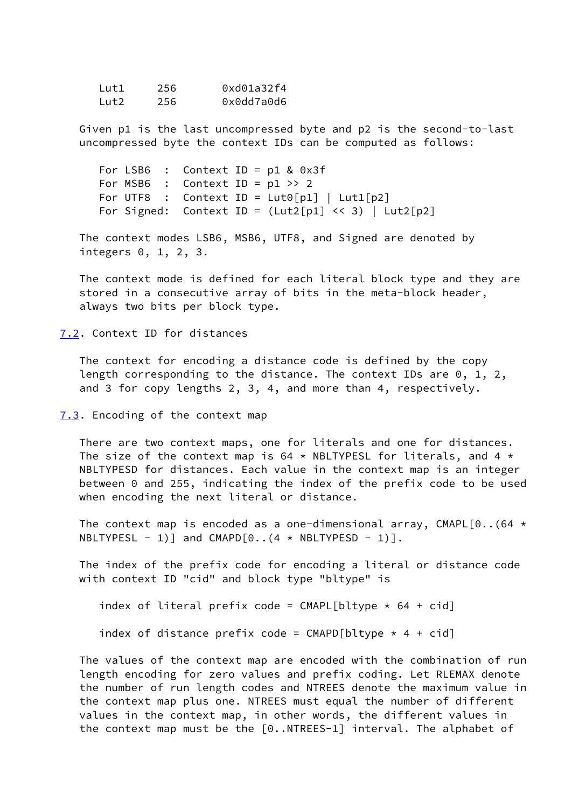| Lut1 | 256 | 0xd01a32f4 |
|------|-----|------------|
| Lut2 | 256 | 0x0dd7a0d6 |

 Given p1 is the last uncompressed byte and p2 is the second-to-last uncompressed byte the context IDs can be computed as follows:

For LSB6 : Context ID = p1 & 0x3f For MSB6 : Context ID =  $p1 \gg 2$ For UTF8 : Context ID =  $Lut0[p1]$  |  $Lut1[p2]$ For Signed: Context ID =  $(Lut2[p1] \leq 3)$  | Lut2 $[p2]$ 

 The context modes LSB6, MSB6, UTF8, and Signed are denoted by integers 0, 1, 2, 3.

 The context mode is defined for each literal block type and they are stored in a consecutive array of bits in the meta-block header, always two bits per block type.

<span id="page-25-0"></span>[7.2](#page-25-0). Context ID for distances

 The context for encoding a distance code is defined by the copy length corresponding to the distance. The context IDs are 0, 1, 2, and 3 for copy lengths 2, 3, 4, and more than 4, respectively.

<span id="page-25-1"></span>[7.3](#page-25-1). Encoding of the context map

 There are two context maps, one for literals and one for distances. The size of the context map is 64  $*$  NBLTYPESL for literals, and 4  $*$  NBLTYPESD for distances. Each value in the context map is an integer between 0 and 255, indicating the index of the prefix code to be used when encoding the next literal or distance.

The context map is encoded as a one-dimensional array,  $CMAPL[0..(64 *$ NBLTYPESL - 1)] and CMAPD $[0..(4 * NBLYPESD - 1)].$ 

 The index of the prefix code for encoding a literal or distance code with context ID "cid" and block type "bltype" is

index of literal prefix code = CMAPL[bltype  $* 64 + cid$ ]

index of distance prefix code = CMAPD[bltype  $*$  4 + cid]

 The values of the context map are encoded with the combination of run length encoding for zero values and prefix coding. Let RLEMAX denote the number of run length codes and NTREES denote the maximum value in the context map plus one. NTREES must equal the number of different values in the context map, in other words, the different values in the context map must be the [0..NTREES-1] interval. The alphabet of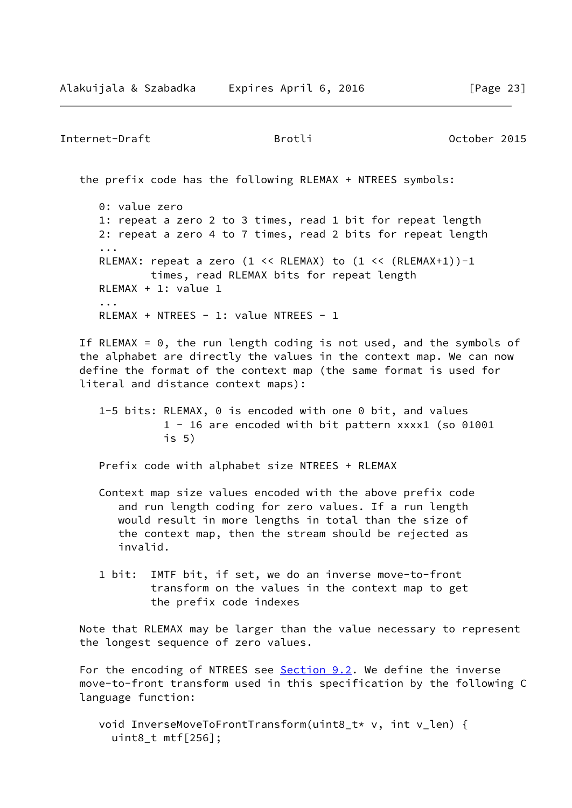```
Internet-Draft Brotli October 2015
   the prefix code has the following RLEMAX + NTREES symbols:
      0: value zero
       1: repeat a zero 2 to 3 times, read 1 bit for repeat length
       2: repeat a zero 4 to 7 times, read 2 bits for repeat length
       ...
      RLEMAX: repeat a zero (1 \leq k RLEMAX) to (1 \leq k (RLEMAX+1))-1
              times, read RLEMAX bits for repeat length
      RLEMAX + 1: value 1
       ...
      RLEMAX + NTREES - 1: value NTREES - 1
   If RLEMAX = 0, the run length coding is not used, and the symbols of
   the alphabet are directly the values in the context map. We can now
   define the format of the context map (the same format is used for
   literal and distance context maps):
       1-5 bits: RLEMAX, 0 is encoded with one 0 bit, and values
                 1 - 16 are encoded with bit pattern xxxx1 (so 01001
                 is 5)
      Prefix code with alphabet size NTREES + RLEMAX
      Context map size values encoded with the above prefix code
```
- and run length coding for zero values. If a run length would result in more lengths in total than the size of the context map, then the stream should be rejected as invalid.
- 1 bit: IMTF bit, if set, we do an inverse move-to-front transform on the values in the context map to get the prefix code indexes

 Note that RLEMAX may be larger than the value necessary to represent the longest sequence of zero values.

 For the encoding of NTREES see [Section 9.2](#page-31-0). We define the inverse move-to-front transform used in this specification by the following C language function:

 void InverseMoveToFrontTransform(uint8\_t\* v, int v\_len) { uint8\_t mtf[256];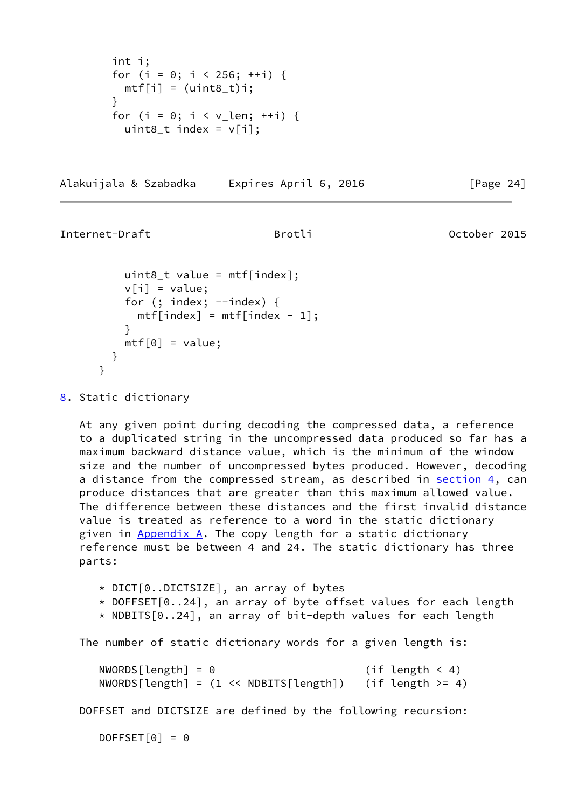```
 int i;
        for (i = 0; i < 256; ++i) {
          mtf[i] = (uint8_t)i; }
        for (i = 0; i < v_{\text{len}}; ++i) {
          uint8_t index = v[i];
```
Alakuijala & Szabadka Expires April 6, 2016 [Page 24]

```
Internet-Draft Brotli October 2015
```

```
 uint8_t value = mtf[index];
         v[i] = value; for (; index; --index) {
           mtf[index] = mtf[index - 1]; }
         mtf[0] = value; }
      }
```

```
8. Static dictionary
```
 At any given point during decoding the compressed data, a reference to a duplicated string in the uncompressed data produced so far has a maximum backward distance value, which is the minimum of the window size and the number of uncompressed bytes produced. However, decoding a distance from the compressed stream, as described in [section 4,](#page-16-0) can produce distances that are greater than this maximum allowed value. The difference between these distances and the first invalid distance value is treated as reference to a word in the static dictionary given in [Appendix A.](#page-39-2) The copy length for a static dictionary reference must be between 4 and 24. The static dictionary has three parts:

```
 * DICT[0..DICTSIZE], an array of bytes
```
- \* DOFFSET[0..24], an array of byte offset values for each length
- \* NDBITS[0..24], an array of bit-depth values for each length

The number of static dictionary words for a given length is:

 $NWORDS[length] = 0$  (if length < 4)  $NWORDS[length] = (1 \leq \text{NDBITS}[\text{length}])$  (if length >= 4)

DOFFSET and DICTSIZE are defined by the following recursion:

 $DOFFSET[0] = 0$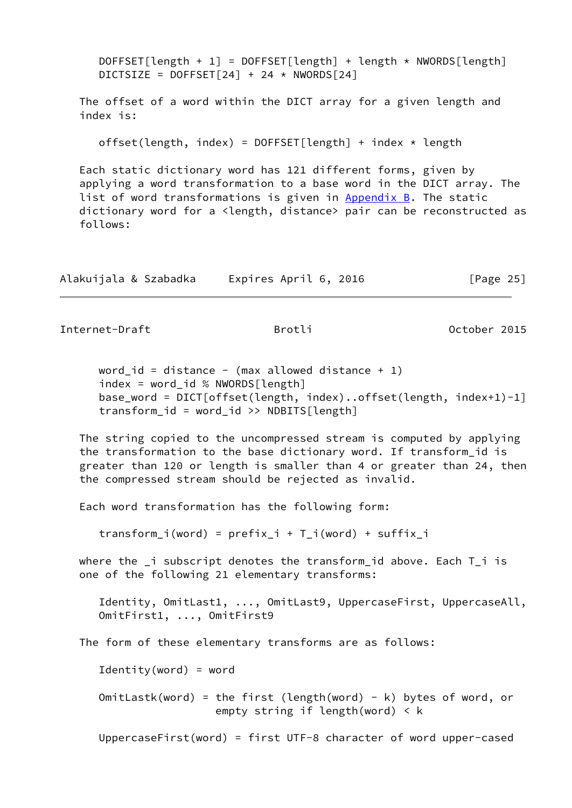DOFFSET[length + 1] = DOFFSET[length] + length \* NWORDS[length] DICTSIZE =  $DOFFSET[24] + 24 \times NWORDS[24]$  The offset of a word within the DICT array for a given length and index is: offset(length,  $index) = DOFFSET[length] + index \times length$  Each static dictionary word has 121 different forms, given by applying a word transformation to a base word in the DICT array. The list of word transformations is given in [Appendix B.](#page-130-0) The static dictionary word for a <length, distance> pair can be reconstructed as follows:

| Alakuijala & Szabadka | Expires April 6, 2016 | [Page 25] |
|-----------------------|-----------------------|-----------|
|-----------------------|-----------------------|-----------|

Internet-Draft Brotli October 2015

word\_id = distance - (max allowed distance + 1) index = word\_id % NWORDS[length] base\_word = DICT[offset(length, index)..offset(length, index+1)-1] transform  $id = word id \gg NDBITS[length]$ 

 The string copied to the uncompressed stream is computed by applying the transformation to the base dictionary word. If transform\_id is greater than 120 or length is smaller than 4 or greater than 24, then the compressed stream should be rejected as invalid.

Each word transformation has the following form:

 $transform_i(word) = prefix_i + T_i(word) + suffix_i$ 

where the \_i subscript denotes the transform\_id above. Each T\_i is one of the following 21 elementary transforms:

 Identity, OmitLast1, ..., OmitLast9, UppercaseFirst, UppercaseAll, OmitFirst1, ..., OmitFirst9

The form of these elementary transforms are as follows:

Identity(word) = word

OmitLastk(word) = the first (length(word) - k) bytes of word, or empty string if length(word) < k

UppercaseFirst(word) = first UTF-8 character of word upper-cased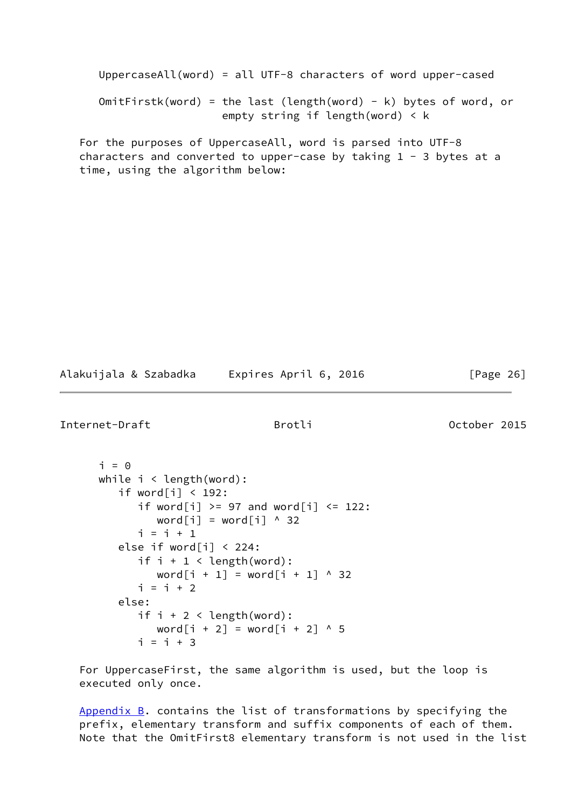UppercaseAll(word) = all UTF-8 characters of word upper-cased OmitFirstk(word) = the last (length(word) - k) bytes of word, or empty string if length(word) < k For the purposes of UppercaseAll, word is parsed into UTF-8

characters and converted to upper-case by taking  $1 - 3$  bytes at a time, using the algorithm below:

Alakuijala & Szabadka Expires April 6, 2016 [Page 26]

```
Internet-Draft Brotli October 2015
```

```
i = 0while i < length(word):
   if word[i] < 192:
      if word[i] >= 97 and word[i] <= 122:
         word[i] = word[i] \land 32i = i + 1 else if word[i] < 224:
      if i + 1 < length(word):
         word[i + 1] = word[i + 1] ^ 32
      i = i + 2 else:
       if i + 2 < length(word):
          word[i + 2] = word[i + 2] ^ 5
      i = i + 3
```
 For UppercaseFirst, the same algorithm is used, but the loop is executed only once.

[Appendix B](#page-130-0). contains the list of transformations by specifying the prefix, elementary transform and suffix components of each of them. Note that the OmitFirst8 elementary transform is not used in the list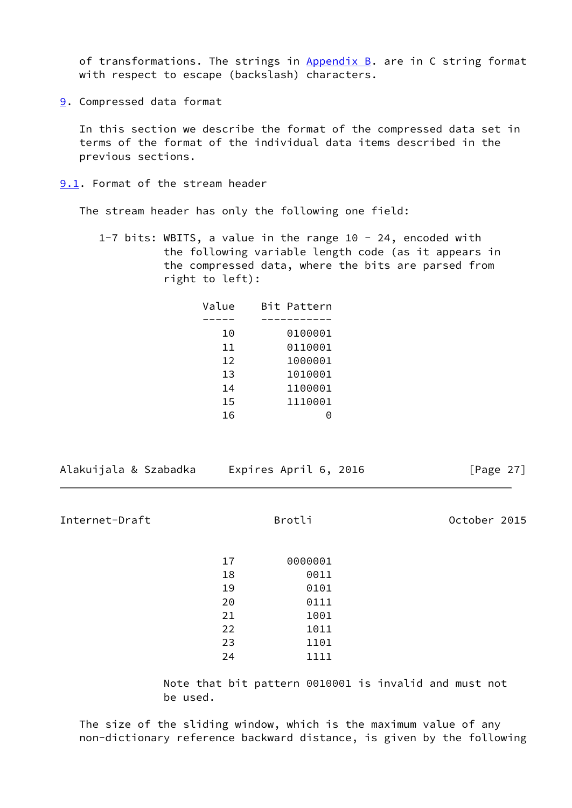of transformations. The strings in  $Appendix B$ . are in C string format with respect to escape (backslash) characters.

<span id="page-30-0"></span>[9](#page-30-0). Compressed data format

 In this section we describe the format of the compressed data set in terms of the format of the individual data items described in the previous sections.

<span id="page-30-1"></span>[9.1](#page-30-1). Format of the stream header

The stream header has only the following one field:

 1-7 bits: WBITS, a value in the range 10 - 24, encoded with the following variable length code (as it appears in the compressed data, where the bits are parsed from right to left):

| Value | Bit Pattern |
|-------|-------------|
|       |             |
| 10    | 0100001     |
| 11    | 0110001     |
| 12    | 1000001     |
| 13    | 1010001     |
| 14    | 1100001     |
| 15    | 1110001     |
| 16    | 0           |

<span id="page-30-2"></span>

| Alakuijala & Szabadka |    | Expires April 6, 2016 | [Page $27$ ]                                                    |
|-----------------------|----|-----------------------|-----------------------------------------------------------------|
| Internet-Draft        |    | Brotli                | October 2015                                                    |
|                       | 17 | 0000001               |                                                                 |
|                       | 18 | 0011                  |                                                                 |
|                       | 19 | 0101                  |                                                                 |
|                       | 20 | 0111                  |                                                                 |
|                       | 21 | 1001                  |                                                                 |
|                       | 22 | 1011                  |                                                                 |
|                       | 23 | 1101                  |                                                                 |
|                       | 24 | 1111                  |                                                                 |
|                       |    |                       | Note that $\frac{1}{2}$ nottore 0010001 is invalid and must not |

 Note that bit pattern 0010001 is invalid and must not be used.

 The size of the sliding window, which is the maximum value of any non-dictionary reference backward distance, is given by the following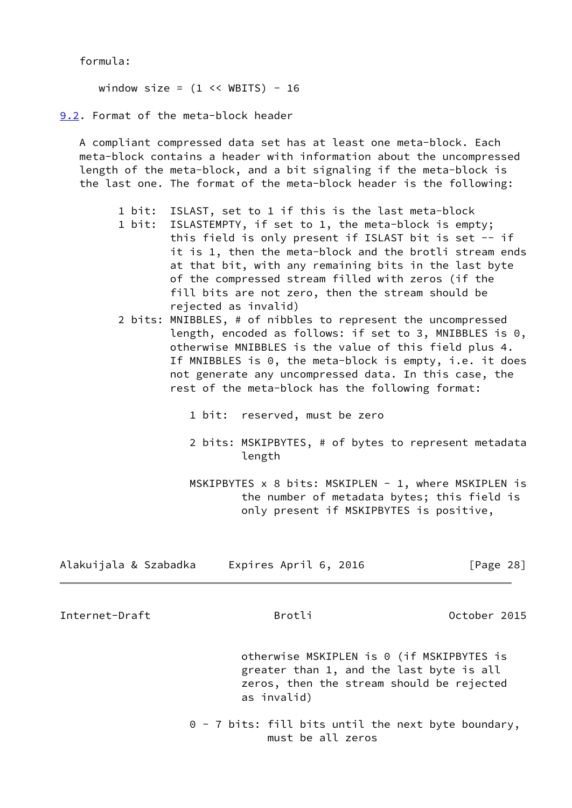formula:

window size =  $(1 \leq \text{WBITS}) - 16$ 

<span id="page-31-0"></span>[9.2](#page-31-0). Format of the meta-block header

 A compliant compressed data set has at least one meta-block. Each meta-block contains a header with information about the uncompressed length of the meta-block, and a bit signaling if the meta-block is the last one. The format of the meta-block header is the following:

- 1 bit: ISLAST, set to 1 if this is the last meta-block
- 1 bit: ISLASTEMPTY, if set to 1, the meta-block is empty; this field is only present if ISLAST bit is set -- if it is 1, then the meta-block and the brotli stream ends at that bit, with any remaining bits in the last byte of the compressed stream filled with zeros (if the fill bits are not zero, then the stream should be rejected as invalid)
- 2 bits: MNIBBLES, # of nibbles to represent the uncompressed length, encoded as follows: if set to 3, MNIBBLES is 0, otherwise MNIBBLES is the value of this field plus 4. If MNIBBLES is 0, the meta-block is empty, i.e. it does not generate any uncompressed data. In this case, the rest of the meta-block has the following format:
	- 1 bit: reserved, must be zero
	- 2 bits: MSKIPBYTES, # of bytes to represent metadata length
	- MSKIPBYTES x 8 bits: MSKIPLEN 1, where MSKIPLEN is the number of metadata bytes; this field is only present if MSKIPBYTES is positive,

| Alakuijala & Szabadka | Expires April 6, 2016 | [Page 28] |
|-----------------------|-----------------------|-----------|
|-----------------------|-----------------------|-----------|

Internet-Draft Brotli October 2015

 otherwise MSKIPLEN is 0 (if MSKIPBYTES is greater than 1, and the last byte is all zeros, then the stream should be rejected as invalid)

 0 - 7 bits: fill bits until the next byte boundary, must be all zeros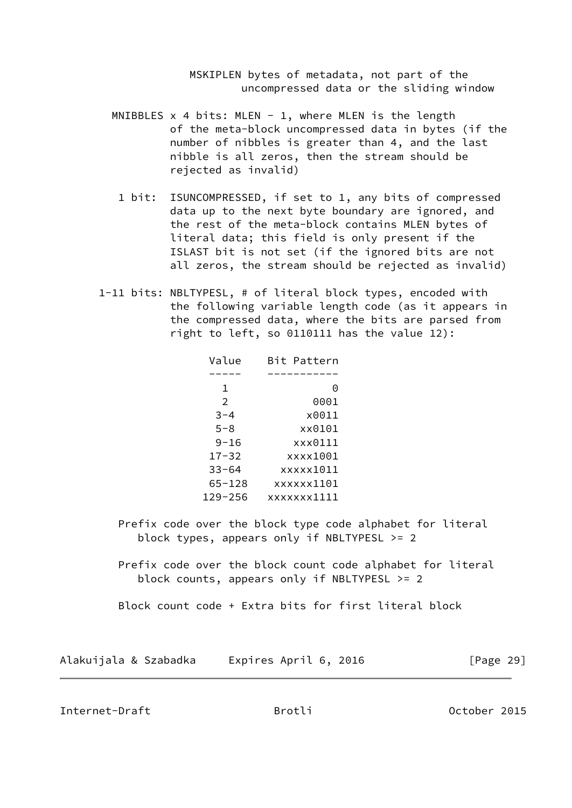MSKIPLEN bytes of metadata, not part of the uncompressed data or the sliding window

- MNIBBLES  $x$  4 bits: MLEN 1, where MLEN is the length of the meta-block uncompressed data in bytes (if the number of nibbles is greater than 4, and the last nibble is all zeros, then the stream should be rejected as invalid)
	- 1 bit: ISUNCOMPRESSED, if set to 1, any bits of compressed data up to the next byte boundary are ignored, and the rest of the meta-block contains MLEN bytes of literal data; this field is only present if the ISLAST bit is not set (if the ignored bits are not all zeros, the stream should be rejected as invalid)
- 1-11 bits: NBLTYPESL, # of literal block types, encoded with the following variable length code (as it appears in the compressed data, where the bits are parsed from right to left, so 0110111 has the value 12):

| Value          | Bit Pattern |
|----------------|-------------|
|                |             |
| $\mathbf 1$    | 0           |
| $\overline{2}$ | 0001        |
| $3 - 4$        | x0011       |
| $5 - 8$        | xx0101      |
| $9 - 16$       | xxx0111     |
| $17 - 32$      | xxxx1001    |
| $33 - 64$      | xxxxx1011   |
| $65 - 128$     | xxxxxx1101  |
| $129 - 256$    | xxxxxxx1111 |

- Prefix code over the block type code alphabet for literal block types, appears only if NBLTYPESL >= 2
- Prefix code over the block count code alphabet for literal block counts, appears only if NBLTYPESL >= 2
- Block count code + Extra bits for first literal block

| Alakuijala & Szabadka | Expires April 6, 2016 | [Page 29] |
|-----------------------|-----------------------|-----------|
|-----------------------|-----------------------|-----------|

Internet-Draft Brotli October 2015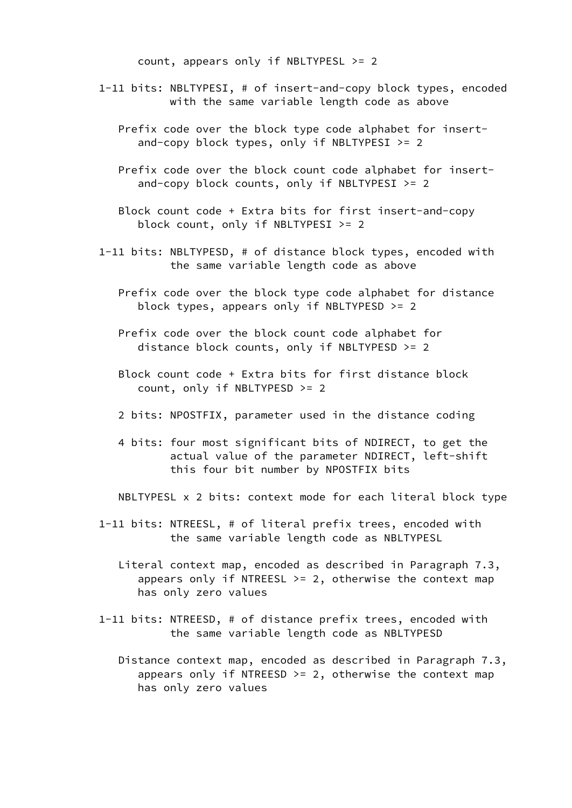count, appears only if NBLTYPESL >= 2

 1-11 bits: NBLTYPESI, # of insert-and-copy block types, encoded with the same variable length code as above

 Prefix code over the block type code alphabet for insert and-copy block types, only if NBLTYPESI  $> = 2$ 

 Prefix code over the block count code alphabet for insert and-copy block counts, only if NBLTYPESI  $> = 2$ 

 Block count code + Extra bits for first insert-and-copy block count, only if NBLTYPESI >= 2

 1-11 bits: NBLTYPESD, # of distance block types, encoded with the same variable length code as above

 Prefix code over the block type code alphabet for distance block types, appears only if NBLTYPESD >= 2

 Prefix code over the block count code alphabet for distance block counts, only if NBLTYPESD >= 2

 Block count code + Extra bits for first distance block count, only if NBLTYPESD >= 2

2 bits: NPOSTFIX, parameter used in the distance coding

 4 bits: four most significant bits of NDIRECT, to get the actual value of the parameter NDIRECT, left-shift this four bit number by NPOSTFIX bits

NBLTYPESL x 2 bits: context mode for each literal block type

- 1-11 bits: NTREESL, # of literal prefix trees, encoded with the same variable length code as NBLTYPESL
	- Literal context map, encoded as described in Paragraph 7.3, appears only if NTREESL  $>= 2$ , otherwise the context map has only zero values
- 1-11 bits: NTREESD, # of distance prefix trees, encoded with the same variable length code as NBLTYPESD
	- Distance context map, encoded as described in Paragraph 7.3, appears only if NTREESD  $>= 2$ , otherwise the context map has only zero values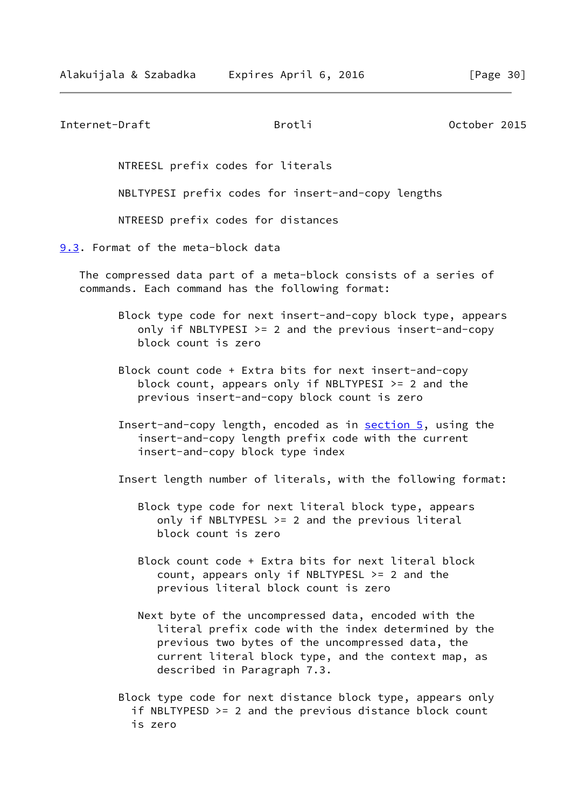<span id="page-34-1"></span>Internet-Draft Brotli October 2015

NTREESL prefix codes for literals

NBLTYPESI prefix codes for insert-and-copy lengths

NTREESD prefix codes for distances

<span id="page-34-0"></span>[9.3](#page-34-0). Format of the meta-block data

 The compressed data part of a meta-block consists of a series of commands. Each command has the following format:

- Block type code for next insert-and-copy block type, appears only if NBLTYPESI >= 2 and the previous insert-and-copy block count is zero
- Block count code + Extra bits for next insert-and-copy block count, appears only if NBLTYPESI >= 2 and the previous insert-and-copy block count is zero
- Insert-and-copy length, encoded as in [section 5,](#page-18-0) using the insert-and-copy length prefix code with the current insert-and-copy block type index
- Insert length number of literals, with the following format:
	- Block type code for next literal block type, appears only if NBLTYPESL  $>= 2$  and the previous literal block count is zero
	- Block count code + Extra bits for next literal block count, appears only if NBLTYPESL >= 2 and the previous literal block count is zero
	- Next byte of the uncompressed data, encoded with the literal prefix code with the index determined by the previous two bytes of the uncompressed data, the current literal block type, and the context map, as described in Paragraph 7.3.
- Block type code for next distance block type, appears only if NBLTYPESD >= 2 and the previous distance block count is zero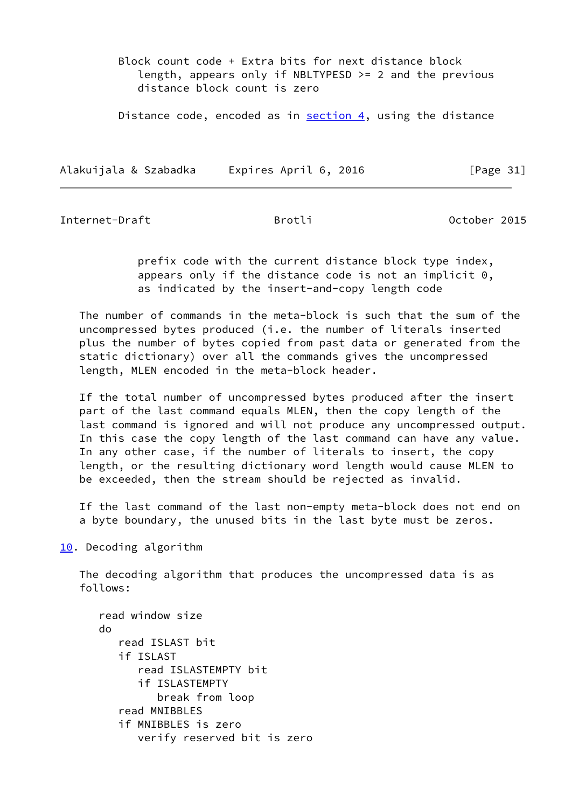Block count code + Extra bits for next distance block length, appears only if NBLTYPESD  $> = 2$  and the previous distance block count is zero

Distance code, encoded as in  $section 4$ , using the distance

Alakuijala & Szabadka Expires April 6, 2016 [Page 31]

<span id="page-35-1"></span>Internet-Draft Brotli October 2015

 prefix code with the current distance block type index, appears only if the distance code is not an implicit  $0$ , as indicated by the insert-and-copy length code

 The number of commands in the meta-block is such that the sum of the uncompressed bytes produced (i.e. the number of literals inserted plus the number of bytes copied from past data or generated from the static dictionary) over all the commands gives the uncompressed length, MLEN encoded in the meta-block header.

 If the total number of uncompressed bytes produced after the insert part of the last command equals MLEN, then the copy length of the last command is ignored and will not produce any uncompressed output. In this case the copy length of the last command can have any value. In any other case, if the number of literals to insert, the copy length, or the resulting dictionary word length would cause MLEN to be exceeded, then the stream should be rejected as invalid.

 If the last command of the last non-empty meta-block does not end on a byte boundary, the unused bits in the last byte must be zeros.

<span id="page-35-0"></span>[10.](#page-35-0) Decoding algorithm

 The decoding algorithm that produces the uncompressed data is as follows:

 read window size do read ISLAST bit if ISLAST read ISLASTEMPTY bit if ISLASTEMPTY break from loop read MNIBBLES if MNIBBLES is zero verify reserved bit is zero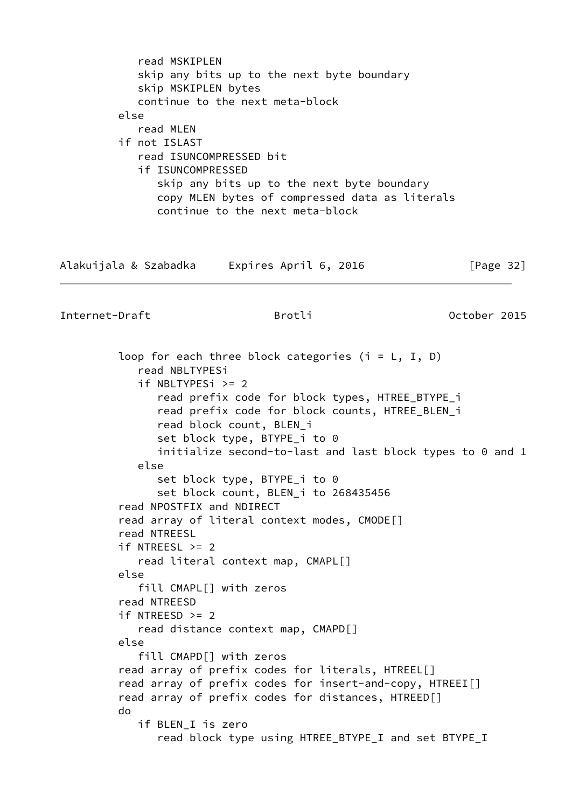```
 read MSKIPLEN
             skip any bits up to the next byte boundary
             skip MSKIPLEN bytes
             continue to the next meta-block
          else
             read MLEN
          if not ISLAST
             read ISUNCOMPRESSED bit
             if ISUNCOMPRESSED
                skip any bits up to the next byte boundary
                copy MLEN bytes of compressed data as literals
                continue to the next meta-block
Alakuijala & Szabadka Expires April 6, 2016 [Page 32]
Internet-Draft Brotli October 2015
         loop for each three block categories (i = L, I, D) read NBLTYPESi
             if NBLTYPESi >= 2
                read prefix code for block types, HTREE_BTYPE_i
                read prefix code for block counts, HTREE_BLEN_i
                read block count, BLEN_i
                set block type, BTYPE_i to 0
                initialize second-to-last and last block types to 0 and 1
             else
                set block type, BTYPE_i to 0
                set block count, BLEN_i to 268435456
          read NPOSTFIX and NDIRECT
          read array of literal context modes, CMODE[]
          read NTREESL
         if NTREESL >= 2 read literal context map, CMAPL[]
          else
             fill CMAPL[] with zeros
          read NTREESD
          if NTREESD >= 2
             read distance context map, CMAPD[]
          else
             fill CMAPD[] with zeros
          read array of prefix codes for literals, HTREEL[]
          read array of prefix codes for insert-and-copy, HTREEI[]
          read array of prefix codes for distances, HTREED[]
          do
             if BLEN_I is zero
                read block type using HTREE_BTYPE_I and set BTYPE_I
```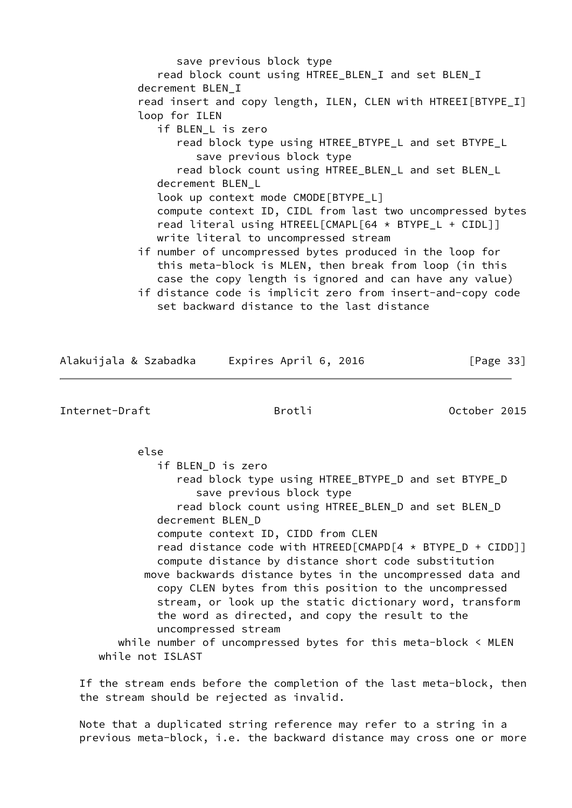save previous block type read block count using HTREE\_BLEN\_I and set BLEN\_I decrement BLEN\_I read insert and copy length, ILEN, CLEN with HTREEI[BTYPE\_I] loop for ILEN if BLEN\_L is zero read block type using HTREE BTYPE L and set BTYPE L save previous block type read block count using HTREE\_BLEN\_L and set BLEN\_L decrement BLEN\_L look up context mode CMODE[BTYPE\_L] compute context ID, CIDL from last two uncompressed bytes read literal using HTREEL[CMAPL[64 \* BTYPE\_L + CIDL]] write literal to uncompressed stream if number of uncompressed bytes produced in the loop for this meta-block is MLEN, then break from loop (in this case the copy length is ignored and can have any value) if distance code is implicit zero from insert-and-copy code set backward distance to the last distance

Alakuijala & Szabadka Expires April 6, 2016 [Page 33]

Internet-Draft Brotli October 2015

else

 if BLEN\_D is zero read block type using HTREE\_BTYPE\_D and set BTYPE\_D save previous block type read block count using HTREE\_BLEN\_D and set BLEN\_D decrement BLEN\_D compute context ID, CIDD from CLEN read distance code with HTREED[CMAPD[4 \* BTYPE\_D + CIDD]] compute distance by distance short code substitution move backwards distance bytes in the uncompressed data and copy CLEN bytes from this position to the uncompressed stream, or look up the static dictionary word, transform the word as directed, and copy the result to the uncompressed stream while number of uncompressed bytes for this meta-block < MLEN while not ISLAST

 If the stream ends before the completion of the last meta-block, then the stream should be rejected as invalid.

 Note that a duplicated string reference may refer to a string in a previous meta-block, i.e. the backward distance may cross one or more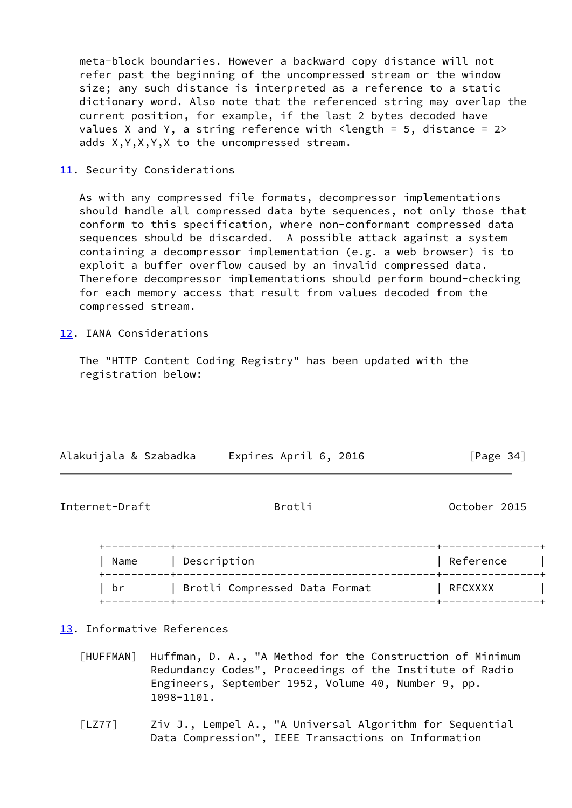meta-block boundaries. However a backward copy distance will not refer past the beginning of the uncompressed stream or the window size; any such distance is interpreted as a reference to a static dictionary word. Also note that the referenced string may overlap the current position, for example, if the last 2 bytes decoded have values X and Y, a string reference with  $\langle$ length = 5, distance = 2> adds X,Y,X,Y,X to the uncompressed stream.

<span id="page-38-0"></span>[11.](#page-38-0) Security Considerations

 As with any compressed file formats, decompressor implementations should handle all compressed data byte sequences, not only those that conform to this specification, where non-conformant compressed data sequences should be discarded. A possible attack against a system containing a decompressor implementation (e.g. a web browser) is to exploit a buffer overflow caused by an invalid compressed data. Therefore decompressor implementations should perform bound-checking for each memory access that result from values decoded from the compressed stream.

<span id="page-38-1"></span>[12.](#page-38-1) IANA Considerations

 The "HTTP Content Coding Registry" has been updated with the registration below:

| Alakuijala & Szabadka         | Expires April 6, 2016 | [Page $34$ ] |
|-------------------------------|-----------------------|--------------|
| Internet-Draft                | Brotli                | October 2015 |
| Name<br>---------+----------- | Description           | Reference    |
|                               |                       |              |

+----------+----------------------------------------+---------------+

| br | Brotli Compressed Data Format | RFCXXXX |

## <span id="page-38-2"></span>[13.](#page-38-2) Informative References

- [HUFFMAN] Huffman, D. A., "A Method for the Construction of Minimum Redundancy Codes", Proceedings of the Institute of Radio Engineers, September 1952, Volume 40, Number 9, pp. 1098-1101.
- [LZ77] Ziv J., Lempel A., "A Universal Algorithm for Sequential Data Compression", IEEE Transactions on Information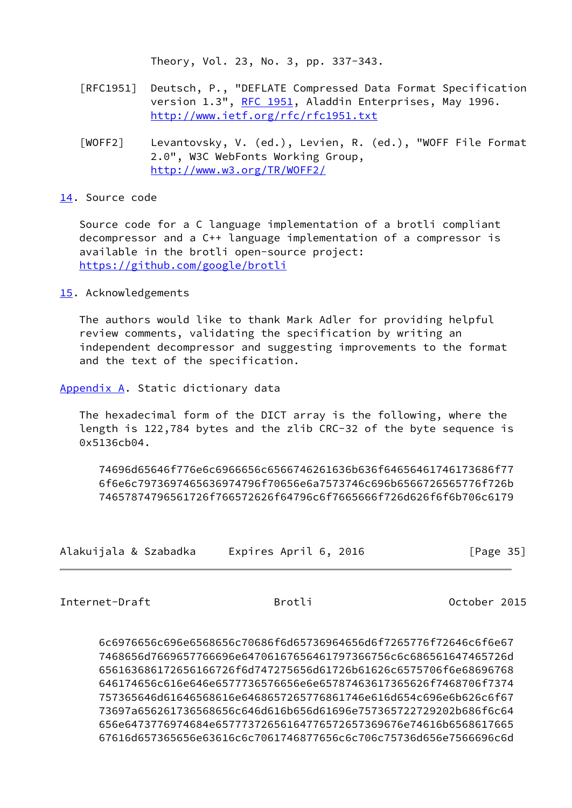Theory, Vol. 23, No. 3, pp. 337-343.

- [RFC1951] Deutsch, P., "DEFLATE Compressed Data Format Specification version 1.3", [RFC 1951](https://datatracker.ietf.org/doc/pdf/rfc1951), Aladdin Enterprises, May 1996. <http://www.ietf.org/rfc/rfc1951.txt>
- [WOFF2] Levantovsky, V. (ed.), Levien, R. (ed.), "WOFF File Format 2.0", W3C WebFonts Working Group, <http://www.w3.org/TR/WOFF2/>

## <span id="page-39-0"></span>[14.](#page-39-0) Source code

 Source code for a C language implementation of a brotli compliant decompressor and a C++ language implementation of a compressor is available in the brotli open-source project: <https://github.com/google/brotli>

<span id="page-39-1"></span>[15.](#page-39-1) Acknowledgements

 The authors would like to thank Mark Adler for providing helpful review comments, validating the specification by writing an independent decompressor and suggesting improvements to the format and the text of the specification.

<span id="page-39-2"></span>[Appendix A.](#page-39-2) Static dictionary data

 The hexadecimal form of the DICT array is the following, where the length is 122,784 bytes and the zlib CRC-32 of the byte sequence is 0x5136cb04.

 74696d65646f776e6c6966656c6566746261636b636f64656461746173686f77 6f6e6c7973697465636974796f70656e6a7573746c696b6566726565776f726b 74657874796561726f766572626f64796c6f7665666f726d626f6f6b706c6179

| Alakuijala & Szabadka | Expires April 6, 2016 | [Page 35] |
|-----------------------|-----------------------|-----------|
|-----------------------|-----------------------|-----------|

Internet-Draft **Brotli** Brotli **Communist** Brotli **Communist** October 2015

 6c6976656c696e6568656c70686f6d65736964656d6f7265776f72646c6f6e67 7468656d7669657766696e64706167656461797366756c6c686561647465726d 656163686172656166726f6d747275656d61726b61626c6575706f6e68696768 646174656c616e646e6577736576656e6e65787463617365626f7468706f7374 757365646d61646568616e6468657265776861746e616d654c696e6b626c6f67 73697a656261736568656c646d616b656d61696e757365722729202b686f6c64 656e6473776974684e65777372656164776572657369676e74616b6568617665 67616d657365656e63616c6c7061746877656c6c706c75736d656e7566696c6d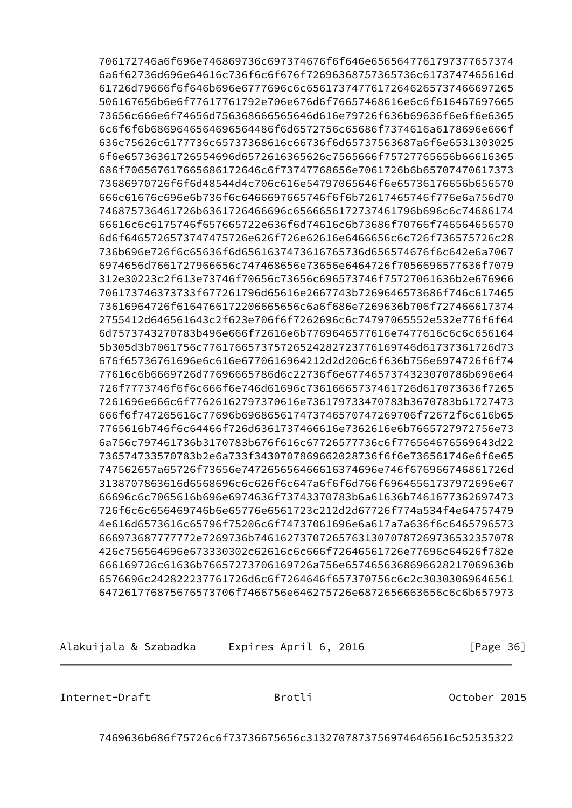706172746a6f696e746869736c697374676f6f646e6565647761797377657374 6a6f62736d696e64616c736f6c6f676f72696368757365736c6173747465616d 61726d79666f6f646b696e6777696c6c65617374776172646265737466697265 506167656b6e6f77617761792e706e676d6f76657468616e6c6f616467697665 73656c666e6f74656d756368666565646d616e79726f636b69636f6e6f6e6365 6c6f6f6b6869646564696564486f6d6572756c65686f7374616a6178696e666f 636c75626c6177736c65737368616c66736f6d65737563687a6f6e6531303025 6f6e65736361726554696d6572616365626c7565666f75727765656b66616365 686f706567617665686172646c6f73747768656e7061726b6b65707470617373 73686970726f6f6d48544d4c706c616e54797065646f6e65736176656b656570 666c61676c696e6b736f6c6466697665746f6f6b72617465746f776e6a756d70 746875736461726b6361726466696c6566656172737461796b696c6c74686174 66616c6c6175746f657665722e636f6d74616c6b73686f70766f746564656570 6d6f6465726573747475726e626f726e62616e6466656c6c726f736575726c28 736b696e726f6c65636f6d6561637473616765736d656574676f6c642e6a7067 6974656d7661727966656c747468656e73656e6464726f7056696577636f7079 312e30223c2f613e73746f70656c73656c696573746f75727061636b2e676966 706173746373733f677261796d65616e2667743b7269646573686f746c617465 73616964726f6164766172206665656c6a6f686e7269636b706f727466617374 2755412d646561643c2f623e706f6f7262696c6c74797065552e532e776f6f64 6d7573743270783b496e666f72616e6b7769646577616e7477616c6c6c656164 5b305d3b7061756c776176657375726524282723776169746d61737361726d73 676f65736761696e6c616e6770616964212d2d206c6f636b756e6974726f6f74 77616c6b6669726d77696665786d6c22736f6e6774657374323070786b696e64 726f7773746f6f6c666f6e746d61696c73616665737461726d617073636f7265 7261696e666c6f77626162797370616e736179733470783b3670783b61727473 666f6f747265616c77696b696865617473746570747269706f72672f6c616b65 7765616b746f6c64466f726d6361737466616e7362616e6b7665727972756e73 6a756c797461736b3170783b676f616c67726577736c6f776564676569643d22 736574733570783b2e6a733f3430707869662028736f6f6e736561746e6f6e65 747562657a65726f73656e747265656466616374696e746f676966746861726d 3138707863616d6568696c6c626f6c647a6f6f6d766f69646561737972696e67 66696c6c7065616b696e6974636f73743370783b6a61636b7461677362697473 726f6c6c656469746b6e65776e6561723c212d2d67726f774a534f4e64757479 4e616d6573616c65796f75206c6f74737061696e6a617a7a636f6c6465796573 666973687777772e7269736b7461627370726576313070787269736532357078 426c756564696e673330302c62616c6c666f72646561726e77696c64626f782e 666169726c61636b76657273706169726a756e6574656368696628217069636b 6576696c242822237761726d6c6f7264646f657370756c6c2c30303069646561 647261776875676573706f7466756e646275726e6872656663656c6c6b657973

Alakuijala & Szabadka Expires April 6, 2016 [Page 36]

Internet-Draft Brotli October 2015

7469636b686f75726c6f73736675656c31327078737569746465616c52535322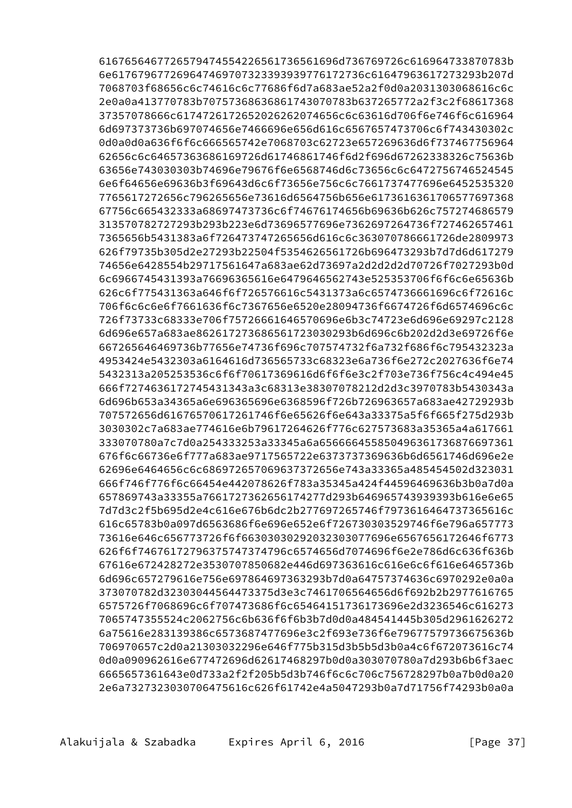6167656467726579474554226561736561696d736769726c616964733870783b 6e617679677269647469707323393939776172736c61647963617273293b207d 7068703f68656c6c74616c6c77686f6d7a683ae52a2f0d0a2031303068616c6c 2e0a0a413770783b70757368636861743070783b637265772a2f3c2f68617368 37357078666c6174726172652026262074656c6c63616d706f6e746f6c616964 6d697373736b697074656e7466696e656d616c6567657473706c6f743430302c 0d0a0d0a636f6f6c666565742e7068703c62723e657269636d6f737467756964 62656c6c64657363686169726d61746861746f6d2f696d67262338326c75636b 63656e743030303b74696e79676f6e6568746d6c73656c6c6472756746524545 6e6f64656e69636b3f69643d6c6f73656e756c6c7661737477696e6452535320 7765617272656c796265656e73616d6564756b656e6173616361706577697368 67756c665432333a68697473736c6f74676174656b69636b626c757274686579 313570782727293b293b223e6d73696577696e7362697264736f727462657461 7365656b5431383a6f726473747265656d616c6c363070786661726de2809973 626f79735b305d2e27293b22504f5354626561726b696473293b7d7d6d617279 74656e6428554b29717561647a683ae62d73697a2d2d2d2d70726f7027293b0d 6c6966745431393a76696365616e6479646562743e525353706f6f6c6e65636b 626c6f775431363a646f6f726576616c5431373a6c6574736661696c6f72616c 706f6c6c6e6f7661636f6c7367656e6520e28094736f6674726f6d6574696c6c 726f73733c68333e706f75726661646570696e6b3c74723e6d696e69297c2128 6d696e657a683ae862617273686561723030293b6d696c6b202d2d3e69726f6e 667265646469736b77656e74736f696c707574732f6a732f686f6c795432323a 4953424e5432303a6164616d736565733c68323e6a736f6e272c2027636f6e74 5432313a205253536c6f6f70617369616d6f6f6e3c2f703e736f756c4c494e45 666f7274636172745431343a3c68313e38307078212d2d3c3970783b5430343a 6d696b653a34365a6e696365696e6368596f726b726963657a683ae42729293b 707572656d61676570617261746f6e65626f6e643a33375a5f6f665f275d293b 3030302c7a683ae774616e6b79617264626f776c627573683a35365a4a617661 333070780a7c7d0a254333253a33345a6a656666455850496361736876697361 676f6c66736e6f777a683ae9717565722e6373737369636b6d6561746d696e2e 62696e6464656c6c686972657069637372656e743a33365a485454502d323031 666f746f776f6c66454e442078626f783a35345a424f44596469636b3b0a7d0a 657869743a33355a7661727362656174277d293b646965743939393b616e6e65 7d7d3c2f5b695d2e4c616e676b6dc2b277697265746f7973616464737365616c 616c65783b0a097d6563686f6e696e652e6f726730303529746f6e796a657773 73616e646c656773726f6f66303030292032303077696e6567656172646f6773 626f6f74676172796375747374796c6574656d7074696f6e2e786d6c636f636b 67616e672428272e3530707850682e446d697363616c616e6c6f616e6465736b 6d696c657279616e756e697864697363293b7d0a64757374636c6970292e0a0a 373070782d32303044564473375d3e3c7461706564656d6f692b2b2977616765 6575726f7068696c6f707473686f6c65464151736173696e2d3236546c616273 7065747355524c2062756c6b636f6f6b3b7d0d0a484541445b305d2961626272 6a75616e283139386c6573687477696e3c2f693e736f6e79677579736675636b 706970657c2d0a21303032296e646f775b315d3b5b5d3b0a4c6f672073616c74 0d0a090962616e677472696d62617468297b0d0a303070780a7d293b6b6f3aec 6665657361643e0d733a2f2f205b5d3b746f6c6c706c756728297b0a7b0d0a20 2e6a7327323030706475616c626f61742e4a5047293b0a7d71756f74293b0a0a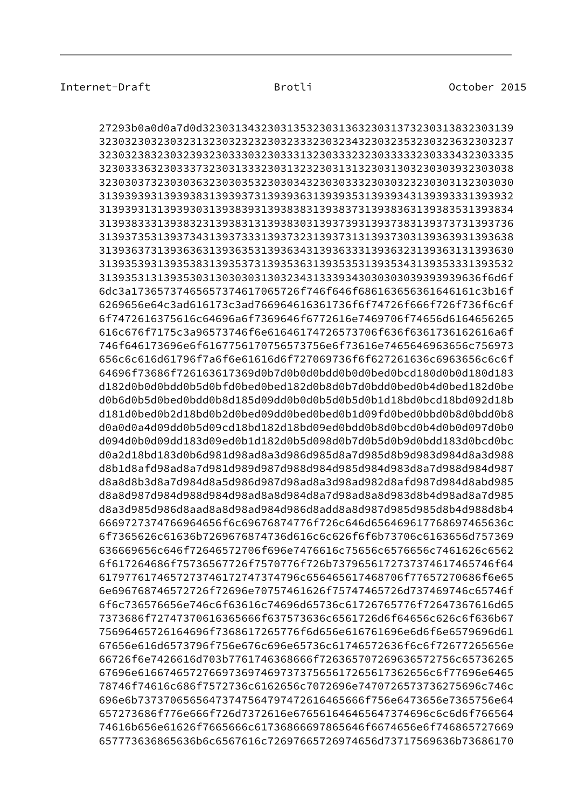27293b0a0d0a7d0d323031343230313532303136323031373230313832303139 3230323032303231323032323230323332303234323032353230323632303237 3230323832303239323033303230333132303332323033333230333432303335 3230333632303337323031333230313232303131323031303230303932303038 3230303732303036323030353230303432303033323030323230303132303030 3139393931393938313939373139393631393935313939343139393331393932 3139393131393930313938393139383831393837313938363139383531393834 3139383331393832313938313139383031393739313937383139373731393736 3139373531393734313937333139373231393731313937303139363931393638 3139363731393636313936353139363431393633313936323139363131393630 3139353931393538313935373139353631393535313935343139353331393532 31393531313935303130303031303234313339343030303039393939636f6d6f 6dc3a17365737465657374617065726f746f646f686163656361646161c3b16f 6269656e64c3ad616173c3ad766964616361736f6f74726f666f726f736f6c6f 6f7472616375616c64696a6f7369646f6772616e7469706f74656d6164656265 616c676f7175c3a96573746f6e61646174726573706f636f6361736162616a6f 746f646173696e6f6167756170756573756e6f73616e7465646963656c756973 656c6c616d61796f7a6f6e61616d6f727069736f6f627261636c6963656c6c6f 64696f73686f726163617369d0b7d0b0d0bdd0b0d0bed0bcd180d0b0d180d183 d182d0b0d0bdd0b5d0bfd0bed0bed182d0b8d0b7d0bdd0bed0b4d0bed182d0be d0b6d0b5d0bed0bdd0b8d185d09dd0b0d0b5d0b5d0b1d18bd0bcd18bd092d18b d181d0bed0b2d18bd0b2d0bed09dd0bed0bed0b1d09fd0bed0bbd0b8d0bdd0b8 d0a0d0a4d09dd0b5d09cd18bd182d18bd09ed0bdd0b8d0bcd0b4d0b0d097d0b0 d094d0b0d09dd183d09ed0b1d182d0b5d098d0b7d0b5d0b9d0bdd183d0bcd0bc d0a2d18bd183d0b6d981d98ad8a3d986d985d8a7d985d8b9d983d984d8a3d988 d8b1d8afd98ad8a7d981d989d987d988d984d985d984d983d8a7d988d984d987 d8a8d8b3d8a7d984d8a5d986d987d98ad8a3d98ad982d8afd987d984d8abd985 d8a8d987d984d988d984d98ad8a8d984d8a7d98ad8a8d983d8b4d98ad8a7d985 d8a3d985d986d8aad8a8d98ad984d986d8add8a8d987d985d985d8b4d988d8b4 6669727374766964656f6c69676874776f726c646d656469617768697465636c 6f7365626c61636b7269676874736d616c6c626f6f6b73706c6163656d757369 636669656c646f72646572706f696e7476616c75656c6576656c7461626c6562 6f617264686f75736567726f7570776f726b7379656172737374617465746f64 6179776174657273746172747374796c656465617468706f77657270686f6e65 6e696768746572726f72696e70757461626f75747465726d737469746c65746f 6f6c736576656e746c6f63616c74696d65736c61726765776f72647367616d65 7373686f72747370616365666f637573636c6561726d6f64656c626c6f636b67 75696465726164696f7368617265776f6d656e616761696e6d6f6e6579696d61 67656e616d6573796f756e676c696e65736c61746572636f6c6f72677265656e 66726f6e7426616d703b7761746368666f726365707269636572756c65736265 67696e616674657276697369746973737565617265617362656c6f77696e6465 78746f74616c686f7572736c6162656c7072696e7470726573736275696c746c 696e6b73737065656473747564797472616465666f756e6473656e7365756e64 657273686f776e666f726d7372616e676561646465647374696c6c6d6f766564 74616b656e61626f7665666c61736866697865646f6674656e6f746865727669 657773636865636b6c6567616c72697665726974656d73717569636b73686170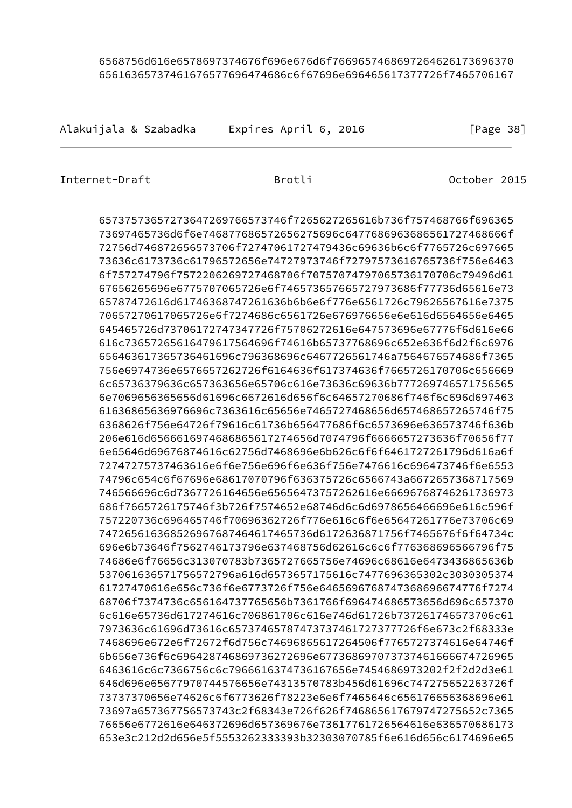Alakuijala & Szabadka Expires April 6, 2016 [Page 38]

Internet-Draft Brotli October 2015

 65737573657273647269766573746f7265627265616b736f757468766f696365 73697465736d6f6e746877686572656275696c6477686963686561727468666f 72756d746872656573706f72747061727479436c69636b6c6f7765726c697665 73636c6173736c61796572656e74727973746f72797573616765736f756e6463 6f757274796f7572206269727468706f70757074797065736170706c79496d61 67656265696e6775707065726e6f746573657665727973686f77736d65616e73 65787472616d61746368747261636b6b6e6f776e6561726c79626567616e7375 70657270617065726e6f7274686c6561726e676976656e6e616d6564656e6465 645465726d73706172747347726f75706272616e647573696e67776f6d616e66 616c73657265616479617564696f74616b65737768696c652e636f6d2f6c6976 656463617365736461696c796368696c6467726561746a7564676574686f7365 756e6974736e6576657262726f6164636f617374636f7665726170706c656669 6c65736379636c657363656e65706c616e73636c69636b777269746571756565 6e7069656365656d61696c6672616d656f6c64657270686f746f6c696d697463 61636865636976696c7363616c65656e7465727468656d657468657265746f75 6368626f756e64726f79616c61736b656477686f6c6573696e636573746f636b 206e616d6566616974686865617274656d7074796f6666657273636f70656f77 6e65646d69676874616c62756d7468696e6b626c6f6f6461727261796d616a6f 72747275737463616e6f6e756e696f6e636f756e7476616c696473746f6e6553 74796c654c6f67696e68617070796f636375726c6566743a6672657368717569 746566696c6d7367726164656e65656473757262616e66696768746261736973 686f7665726175746f3b726f7574652e68746d6c6d6978656466696e616c596f 757220736c696465746f70696362726f776e616c6f6e65647261776e73706c69 747265616368526967687464617465736d6172636871756f7465676f6f64734c 696e6b73646f7562746173796e637468756d62616c6c6f776368696566796f75 74686e6f76656c313070783b7365727665756e74696c68616e6473436865636b 537061636571756572796a616d6573657175616c7477696365302c3030305374 61727470616e656c736f6e6773726f756e6465696768747368696674776f7274 68706f7374736c656164737765656b7361766f696474686573656d696c657370 6c616e65736d617274616c706861706c616e746d61726b737261746573706c61 7973636c61696d73616c65737465787473737461727377726f6e673c2f68333e 7468696e672e6f72672f6d756c74696865617264506f7765727374616e64746f 6b656e736f6c696428746869736272696e677368697073737461666674726965 6463616c6c7366756c6c7966616374736167656e7454686973202f2f2d2d3e61 646d696e65677970744576656e74313570783b456d61696c747275652263726f 73737370656e74626c6f6773626f78223e6e6f7465646c656176656368696e61 73697a657367756573743c2f68343e726f626f746865617679747275652c7365 76656e6772616e646372696d657369676e73617761726564616e636570686173 653e3c212d2d656e5f5553262333393b32303070785f6e616d656c6174696e65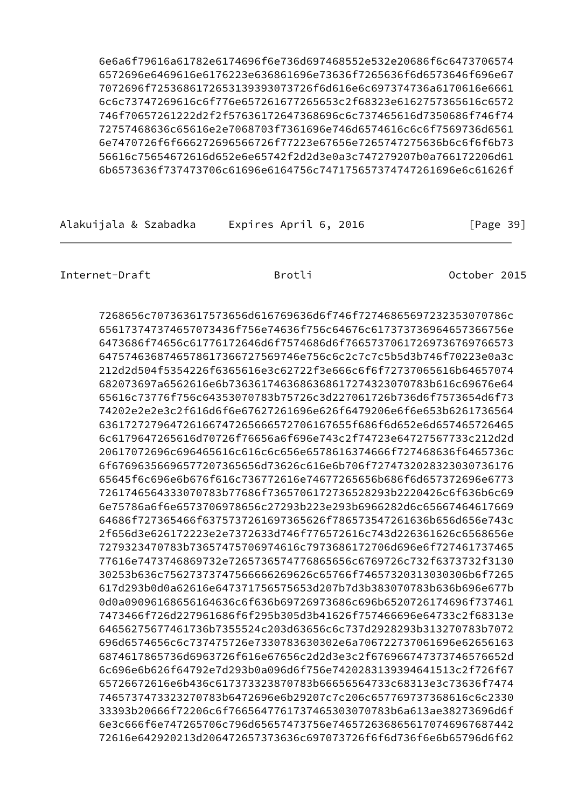6e6a6f79616a61782e6174696f6e736d697468552e532e20686f6c6473706574 6572696e6469616e6176223e636861696e73636f7265636f6d6573646f696e67 7072696f7253686172653139393073726f6d616e6c697374736a6170616e6661 6c6c73747269616c6f776e657261677265653c2f68323e6162757365616c6572 746f70657261222d2f2f57636172647368696c6c737465616d7350686f746f74 72757468636c65616e2e7068703f7361696e746d6574616c6c6f7569736d6561 6e7470726f6f666272696566726f77223e67656e7265747275636b6c6f6f6b73 56616c75654672616d652e6e65742f2d2d3e0a3c747279207b0a766172206d61 6b6573636f737473706c61696e6164756c747175657374747261696e6c61626f

| Alakuijala & Szabadka | Expires April 6, 2016 | [Page 39] |
|-----------------------|-----------------------|-----------|
|-----------------------|-----------------------|-----------|

Internet-Draft Brotli October 2015

 7268656c707363617573656d616769636d6f746f72746865697232353070786c 656173747374657073436f756e74636f756c64676c617373736964657366756e 6473686f74656c61776172646d6f7574686d6f76657370617269736769766573 6475746368746578617366727569746e756c6c2c7c7c5b5d3b746f70223e0a3c 212d2d504f5354226f6365616e3c62722f3e666c6f6f72737065616b64657074 682073697a6562616e6b7363617463686368617274323070783b616c69676e64 65616c73776f756c64353070783b75726c3d227061726b736d6f7573654d6f73 74202e2e2e3c2f616d6f6e67627261696e626f6479206e6f6e653b6261736564 636172727964726166747265666572706167655f686f6d652e6d657465726465 6c6179647265616d70726f76656a6f696e743c2f74723e64727567733c212d2d 20617072696c696465616c616c6c656e6578616374666f727468636f6465736c 6f67696356696577207365656d73626c616e6b706f7274732028323030736176 65645f6c696e6b676f616c736772616e74677265656b686f6d657372696e6773 7261746564333070783b77686f7365706172736528293b2220426c6f636b6c69 6e75786a6f6e6573706978656c27293b223e293b6966282d6c65667464617669 64686f727365466f6375737261697365626f786573547261636b656d656e743c 2f656d3e626172223e2e7372633d746f776572616c743d226361626c6568656e 7279323470783b73657475706974616c7973686172706d696e6f727461737465 77616e7473746869732e7265736574776865656c6769726c732f6373732f3130 30253b636c75627373747566666269626c65766f74657320313030306b6f7265 617d293b0d0a62616e647371756575653d207b7d3b383070783b636b696e677b 0d0a09096168656164636c6f636b69726973686c696b6520726174696f737461 7473466f726d227961686f6f295b305d3b41626f757466696e64733c2f68313e 64656275677461736b7355524c203d63656c6c737d2928293b313270783b7072 696d6574656c6c737475726e7330783630302e6a706722737061696e62656163 6874617865736d6963726f616e67656c2d2d3e3c2f676966747373746576652d 6c696e6b626f64792e7d293b0a096d6f756e7420283139394641513c2f726f67 65726672616e6b436c617373323870783b66656564733c68313e3c73636f7474 7465737473323270783b6472696e6b29207c7c206c657769737368616c6c2330 33393b20666f72206c6f7665647761737465303070783b6a613ae38273696d6f 6e3c666f6e747265706c796d65657473756e7465726368656170746967687442 72616e642920213d206472657373636c697073726f6f6d736f6e6b65796d6f62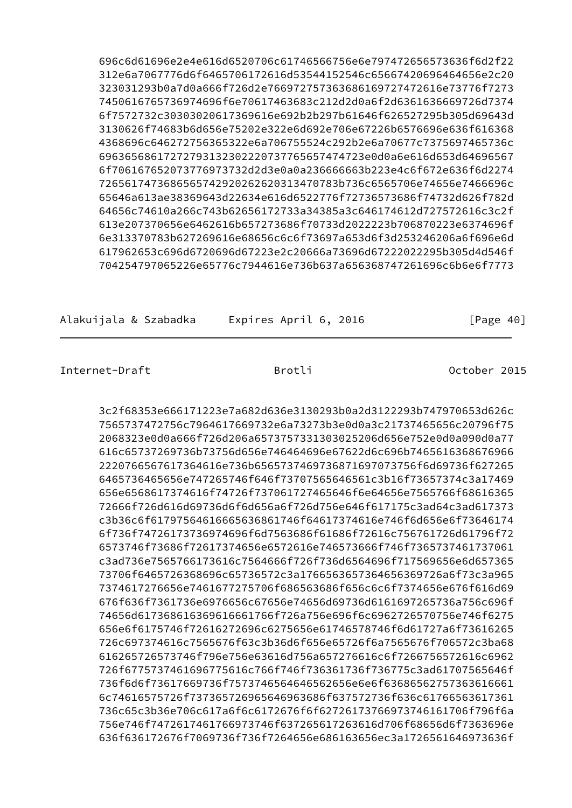696c6d61696e2e4e616d6520706c61746566756e6e797472656573636f6d2f22 312e6a7067776d6f6465706172616d53544152546c65667420696464656e2c20 323031293b0a7d0a666f726d2e766972757363686169727472616e73776f7273 7450616765736974696f6e70617463683c212d2d0a6f2d6361636669726d7374 6f7572732c30303020617369616e692b2b297b61646f626527295b305d69643d 3130626f74683b6d656e75202e322e6d692e706e67226b6576696e636f616368 4368696c646272756365322e6a706755524c292b2e6a70677c7375697465736c 69636568617272793132302220737765657474723e0d0a6e616d653d64696567 6f706167652073776973732d2d3e0a0a236666663b223e4c6f672e636f6d2274 7265617473686565742920262620313470783b736c6565706e74656e7466696c 65646a613ae38369643d22634e616d6522776f72736573686f74732d626f782d 64656c74610a266c743b62656172733a34385a3c646174612d727572616c3c2f 613e207370656e6462616b657273686f70733d2022223b706870223e6374696f 6e313370783b627269616e68656c6c6f73697a653d6f3d253246206a6f696e6d 617962653c696d6720696d67223e2c20666a73696d67222022295b305d4d546f 704254797065226e65776c7944616e736b637a656368747261696c6b6e6f7773

Alakuijala & Szabadka Expires April 6, 2016

 $\lceil \text{Page } 40 \rceil$ 

Internet-Draft

Brotli

October 2015

3c2f68353e666171223e7a682d636e3130293b0a2d3122293b747970653d626c 7565737472756c7964617669732e6a73273b3e0d0a3c21737465656c20796f75 2068323e0d0a666f726d206a6573757331303025206d656e752e0d0a090d0a77 616c65737269736b73756d656e746464696e67622d6c696b7465616368676966 2220766567617364616e736b6565737469736871697073756f6d69736f627265 6465736465656e747265746f646f73707565646561c3b16f73657374c3a17469 656e6568617374616f74726f737061727465646f6e64656e7565766f68616365 72666f726d616d69736d6f6d656a6f726d756e646f617175c3ad64c3ad617373 c3b36c6f61797564616665636861746f64617374616e746f6d656e6f73646174 6f736f74726173736974696f6d7563686f61686f72616c756761726d61796f72 6573746f73686f72617374656e6572616e746573666f746f7365737461737061 c3ad736e7565766173616c7564666f726f736d6564696f717569656e6d657365 73706f6465726368696c65736572c3a1766563657364656369726a6f73c3a965 7374617276656e7461677275706f686563686f656c6c6f7374656e676f616d69 676f636f7361736e6976656c67656e74656d69736d6161697265736a756c696f 74656d617368616369616661766f726a756e696f6c6962726570756e746f6275 656e6f6175746f72616272696c6275656e61746578746f6d61727a6f73616265 726c697374616c7565676f63c3b36d6f656e65726f6a7565676f706572c3ba68 616265726573746f796e756e63616d756a657276616c6f7266756572616c6962 726f6775737461696775616c766f746f736361736f736775c3ad61707565646f 736f6d6f73617669736f7573746564646562656e6e6f63686562757363616661 6c74616575726f737365726965646963686f637572736f636c61766563617361 736c65c3b36e706c617a6f6c6172676f6f62726173766973746161706f796f6a 756e746f7472617461766973746f637265617263616d706f68656d6f7363696e 636f636172676f7069736f736f7264656e686163656ec3a1726561646973636f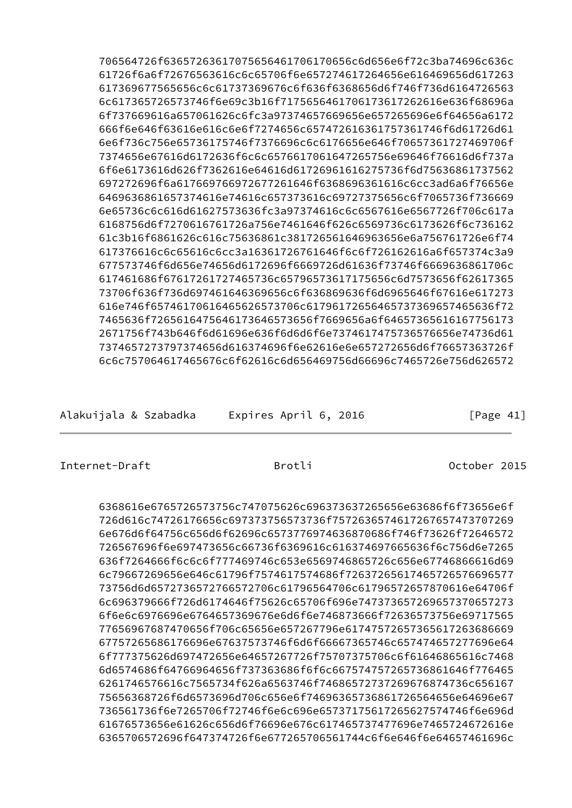706564726f63657263617075656461706170656c6d656e6f72c3ba74696c636c 61726f6a6f72676563616c6c65706f6e657274617264656e616469656d617263 617369677565656c6c61737369676c6f636f6368656d6f746f736d6164726563 6c617365726573746f6e69c3b16f7175656461706173617262616e636f68696a 6f737669616a657061626c6fc3a97374657669656e657265696e6f64656a6172 666f6e646f63616e616c6e6f7274656c657472616361757361746f6d61726d61 6e6f736c756e65736175746f7376696c6c6176656e646f70657361727469706f 7374656e67616d6172636f6c6c6576617061647265756e69646f76616d6f737a 6f6e6173616d626f7362616e64616d61726961616275736f6d75636861737562 697272696f6a617669766972677261646f6368696361616c6cc3ad6a6f76656e 6469636861657374616e74616c657373616c69727375656c6f7065736f736669 6e65736c6c616d61627573636fc3a97374616c6c6567616e6567726f706c617a 6168756d6f7270616761726a756e7461646f626c6569736c6173626f6c736162 61c3b16f6861626c616c75636861c381726561646963656e6a756761726e6f74 617376616c6c65616c6cc3a16361726761646f6c6f726162616a6f657374c3a9 677573746f6d656e74656d6172696f6669726d61636f73746f6669636861706c 617461686f67617261727465736c65796573617175656c6d7573656f62617365 73706f636f736d697461646369656c6f636869636f6d6965646f67616e617273 616e746f65746170616465626573706c61796172656465737369657465636f72 7465636f7265616475646173646573656f7669656a6f64657365616167756173 2671756f743b646f6d61696e636f6d6d6f6e7374617475736576656e74736d61 7374657273797374656d616374696f6e62616e6e657272656d6f76657363726f 6c6c757064617465676c6f62616c6d656469756d66696c7465726e756d626572

| Alakuijala & Szabadka | Expires April 6, 2016 | [Page 41] |
|-----------------------|-----------------------|-----------|
|                       |                       |           |

Internet-Draft Brotli October 2015

 6368616e6765726573756c747075626c696373637265656e63686f6f73656e6f 726d616c74726176656c697373756573736f7572636574617267657473707269 6e676d6f64756c656d6f62696c6573776974636870686f746f73626f72646572 726567696f6e697473656c66736f6369616c616374697665636f6c756d6e7265 636f7264666f6c6c6f777469746c653e6569746865726c656e67746866616d69 6c79667269656e646c61796f7574617574686f72637265617465726576696577 73756d6d6572736572766572706c61796564706c61796572657870616e64706f 6c696379666f726d6174646f75626c65706f696e747373657269657370657273 6f6e6c6976696e6764657369676e6d6f6e746873666f72636573756e69717565 77656967687470656f706c65656e657267796e61747572657365617263686669 67757265686176696e67637573746f6d6f66667365746c657474657277696e64 6f777375626d697472656e64657267726f75707375706c6f61646865616c7468 6d6574686f64766964656f737363686f6f6c667574757265736861646f776465 6261746576616c7565734f626a6563746f74686572737269676874736c656167 75656368726f6d6573696d706c656e6f74696365736861726564656e64696e67 736561736f6e7265706f72746f6e6c696e65737175617265627574746f6e696d 61676573656e61626c656d6f76696e676c617465737477696e7465724672616e 6365706572696f647374726f6e677265706561744c6f6e646f6e64657461696c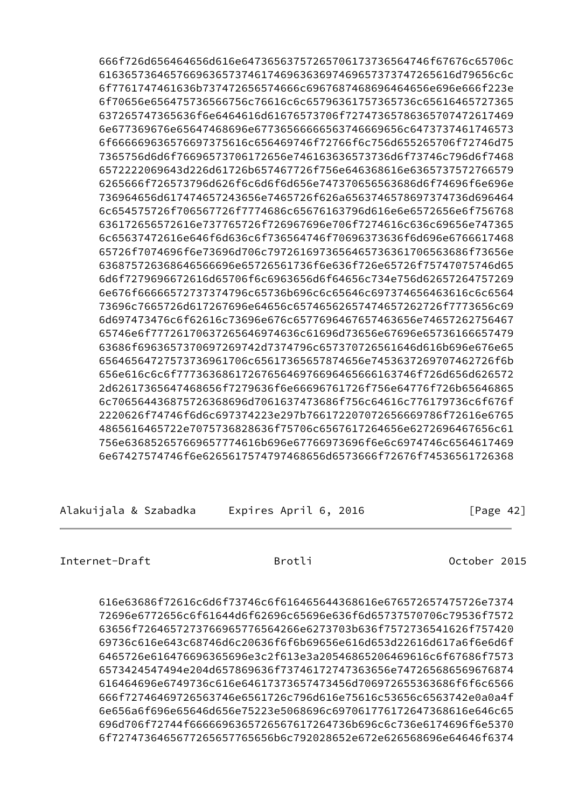666f726d656464656d616e64736563757265706173736564746f67676c65706c 6163657364657669636573746174696363697469657373747265616d79656c6c 6f7761747461636b737472656574666c6967687468696464656e696e666f223e 6f70656e656475736566756c76616c6c65796361757365736c65616465727365 637265747365636f6e6464616d61676573706f72747365786365707472617469 6e677369676e65647468696e67736566666563746669656c6473737461746573 6f666669636576697375616c656469746f72766f6c756d655265706f72746d75 7365756d6d6f76696573706172656e746163636573736d6f73746c796d6f7468 6572222069643d226d61726b657467726f756e646368616e6365737572766579 6265666f726573796d626f6c6d6f6d656e747370656563686d6f74696f6e696e 736964656d617474657243656e7465726f626a6563746578697374736d696464 6c654575726f706567726f7774686c65676163796d616e6e6572656e6f756768 636172656572616e737765726f726967696e706f7274616c636c69656e747365 6c65637472616e646f6d636c6f736564746f70696373636f6d696e6766617468 65726f7074696f6e73696d706c7972616973656465736361706563686f73656e 636875726368646566696e65726561736f6e636f726e65726f75747075746d65 6d6f7279696672616d65706f6c6963656d6f64656c734e756d62657264757269 6e676f66666572737374796c65736b696c6c65646c697374656463616c6c6564 73696c7665726d617267696e64656c65746562657474657262726f7773656c69 6d697473476c6f62616c73696e676c6577696467657463656e74657262756467 65746e6f77726170637265646974636c61696d73656e67696e65736166657479 63686f6963657370697269742d7374796c657370726561646d616b696e676e65 65646564727573736961706c65617365657874656e7453637269707462726f6b 656e616c6c6f7773636861726765646976696465666163746f726d656d626572 2d62617365647468656f7279636f6e66696761726f756e64776f726b65646865 6c706564436875726368696d7061637473686f756c64616c776179736c6f676f 2220626f74746f6d6c697374223e297b766172207072656669786f72616e6765 4865616465722e7075736828636f75706c6567617264656e6272696467656c61 756e636852657669657774616b696e67766973696f6e6c6974746c6564617469 6e67427574746f6e6265617574797468656d6573666f72676f74536561726368

Alakuijala & Szabadka Expires April 6, 2016 [Page 42]

Internet-Draft Brotli October 2015

 616e63686f72616c6d6f73746c6f616465644368616e676572657475726e7374 72696e6772656c6f61644d6f62696c65696e636f6d65737570706c79536f7572 63656f7264657273766965776564266e6273703b636f7572736541626f757420 69736c616e643c68746d6c20636f6f6b69656e616d653d22616d617a6f6e6d6f 6465726e616476696365696e3c2f613e3a20546865206469616c6f67686f7573 6573424547494e204d657869636f73746172747363656e747265686569676874 616464696e6749736c616e64617373657473456d706972655363686f6f6c6566 666f72746469726563746e6561726c796d616e75616c53656c6563742e0a0a4f 6e656a6f696e65646d656e75223e5068696c697061776172647368616e646c65 696d706f72744f6666696365726567617264736b696c6c736e6174696f6e5370 6f7274736465677265657765656b6c792028652e672e626568696e64646f6374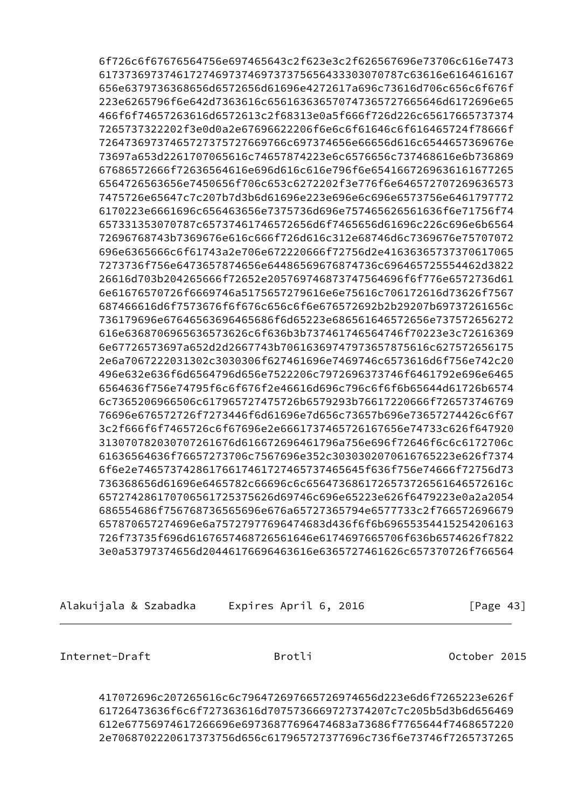6f726c6f67676564756e697465643c2f623e3c2f626567696e73706c616e7473 61737369737461727469737469737375656433303070787c63616e6164616167 656e6379736368656d6572656d61696e4272617a696c73616d706c656c6f676f 223e6265796f6e642d7363616c656163636570747365727665646d6172696e65 466f6f74657263616d6572613c2f68313e0a5f666f726d226c65617665737374 7265737322202f3e0d0a2e67696622206f6e6c6f61646c6f616465724f78666f 72647369737465727375727669766c697374656e66656d616c6544657369676e 73697a653d2261707065616c74657874223e6c6576656c737468616e6b736869 67686572666f72636564616e696d616c616e796f6e6541667269636161677265 6564726563656e7450656f706c653c6272202f3e776f6e646572707269636573 7475726e65647c7c207b7d3b6d61696e223e696e6c696e6573756e6461797772 6170223e6661696c656463656e7375736d696e757465626561636f6e71756f74 657331353070787c65737461746572656d6f7465656d61696c226c696e6b6564 72696768743b7369676e616c666f726d616c312e68746d6c7369676e75707072 696e6365666c6f61743a2e706e672220666f72756d2e41636365737370617065 7273736f756e6473657874656e64486569676874736c696465725554462d3822 26616d703b204265666f72652e205769746873747564696f6f776e6572736d61 6e61676570726f6669746a5175657279616e6e75616c706172616d73626f7567 687466616d6f7573676f6f676c656c6f6e676572692b2b29207b69737261656c 736179696e67646563696465686f6d65223e686561646572656e737572656272 616e6368706965636573626c6f636b3b737461746564746f70223e3c72616369 6e67726573697a652d2d2667743b70616369747973657875616c627572656175 2e6a7067222031302c3030306f627461696e7469746c6573616d6f756e742c20 496e632e636f6d6564796d656e7522206c7972696373746f6461792e696e6465 6564636f756e74795f6c6f676f2e46616d696c796c6f6f6b65644d61726b6574 6c7365206966506c617965727475726b6579293b76617220666f726573746769 76696e676572726f7273446f6d61696e7d656c73657b696e73657274426c6f67 3c2f666f6f7465726c6f67696e2e6661737465726167656e74733c626f647920 313070782030707261676d616672696461796a756e696f72646f6c6c6172706c 61636564636f76657273706c7567696e352c3030302070616765223e626f7374 6f6e2e74657374286176617461727465737465645f636f756e74666f72756d73 736368656d61696e6465782c66696c6c6564736861726573726561646572616c 657274286170706561725375626d69746c696e65223e626f6479223e0a2a2054 686554686f756768736565696e676a65727365794e6577733c2f766572696679 657870657274696e6a75727977696474683d436f6f6b69655354415254206163 726f73735f696d6167657468726561646e6174697665706f636b6574626f7822 3e0a53797374656d20446176696463616e6365727461626c657370726f766564

| Alakuijala & Szabadka | Expires April 6, 2016 | [Page $43$ ] |
|-----------------------|-----------------------|--------------|
|-----------------------|-----------------------|--------------|

Internet-Draft Brotli October 2015

 417072696c207265616c6c796472697665726974656d223e6d6f7265223e626f 61726473636f6c6f727363616d7075736669727374207c7c205b5d3b6d656469 612e67756974617266696e69736877696474683a73686f7765644f7468657220 2e7068702220617373756d656c617965727377696c736f6e73746f7265737265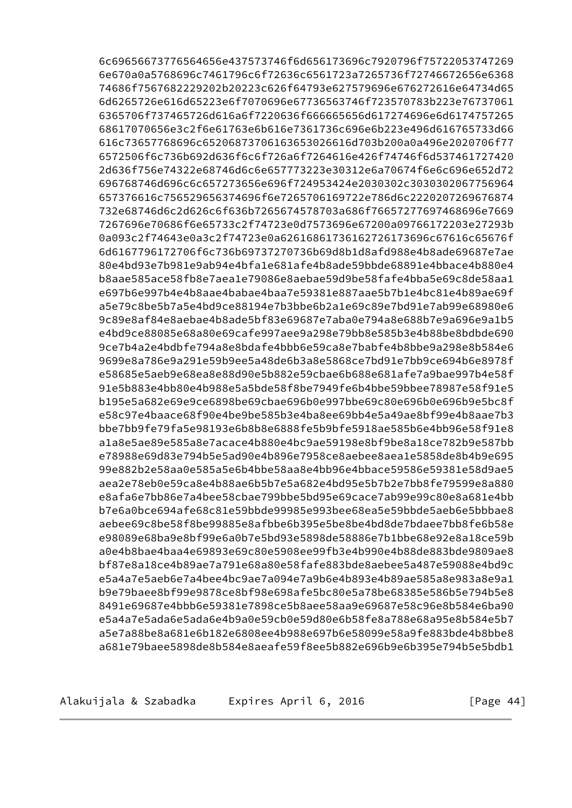6c69656673776564656e437573746f6d656173696c7920796f75722053747269 6e670a0a5768696c7461796c6f72636c6561723a7265736f72746672656e6368 74686f7567682229202b20223c626f64793e627579696e676272616e64734d65 6d6265726e616d65223e6f7070696e67736563746f723570783b223e76737061 6365706f737465726d616a6f7220636f666665656d617274696e6d6174757265 68617070656e3c2f6e61763e6b616e7361736c696e6b223e496d616765733d66 616c73657768696c65206873706163653026616d703b200a0a496e2020706f77 6572506f6c736b692d636f6c6f726a6f7264616e426f74746f6d537461727420 2d636f756e74322e68746d6c6e657773223e30312e6a70674f6e6c696e652d72 696768746d696c6c657273656e696f724953424e2030302c3030302067756964 657376616c756529656374696f6e7265706169722e786d6c2220207269676874 732e68746d6c2d626c6f636b7265674578703a686f76657277697468696e7669 7267696e70686f6e65733c2f74723e0d7573696e67200a09766172203e27293b 0a093c2f74643e0a3c2f74723e0a62616861736162726173696c67616c65676f 6d6167796172706f6c736b69737270736b69d8b1d8afd988e4b8ade69687e7ae 80e4bd93e7b981e9ab94e4bfa1e681afe4b8ade59bbde68891e4bbace4b880e4 b8aae585ace58fb8e7aea1e79086e8aebae59d9be58fafe4bba5e69c8de58aa1 e697b6e997b4e4b8aae4babae4baa7e59381e887aae5b7b1e4bc81e4b89ae69f a5e79c8be5b7a5e4bd9ce88194e7b3bbe6b2a1e69c89e7bd91e7ab99e68980e6 9c89e8af84e8aebae4b8ade5bf83e69687e7aba0e794a8e688b7e9a696e9a1b5 e4bd9ce88085e68a80e69cafe997aee9a298e79bb8e585b3e4b88be8bdbde690 9ce7b4a2e4bdbfe794a8e8bdafe4bbb6e59ca8e7babfe4b8bbe9a298e8b584e6 9699e8a786e9a291e59b9ee5a48de6b3a8e5868ce7bd91e7bb9ce694b6e8978f e58685e5aeb9e68ea8e88d90e5b882e59cbae6b688e681afe7a9bae997b4e58f 91e5b883e4bb80e4b988e5a5bde58f8be7949fe6b4bbe59bbee78987e58f91e5 b195e5a682e69e9ce6898be69cbae696b0e997bbe69c80e696b0e696b9e5bc8f e58c97e4baace68f90e4be9be585b3e4ba8ee69bb4e5a49ae8bf99e4b8aae7b3 bbe7bb9fe79fa5e98193e6b8b8e6888fe5b9bfe5918ae585b6e4bb96e58f91e8 a1a8e5ae89e585a8e7acace4b880e4bc9ae59198e8bf9be8a18ce782b9e587bb e78988e69d83e794b5e5ad90e4b896e7958ce8aebee8aea1e5858de8b4b9e695 99e882b2e58aa0e585a5e6b4bbe58aa8e4bb96e4bbace59586e59381e58d9ae5 aea2e78eb0e59ca8e4b88ae6b5b7e5a682e4bd95e5b7b2e7bb8fe79599e8a880 e8afa6e7bb86e7a4bee58cbae799bbe5bd95e69cace7ab99e99c80e8a681e4bb b7e6a0bce694afe68c81e59bbde99985e993bee68ea5e59bbde5aeb6e5bbbae8 aebee69c8be58f8be99885e8afbbe6b395e5be8be4bd8de7bdaee7bb8fe6b58e e98089e68ba9e8bf99e6a0b7e5bd93e5898de58886e7b1bbe68e92e8a18ce59b a0e4b8bae4baa4e69893e69c80e5908ee99fb3e4b990e4b88de883bde9809ae8 bf87e8a18ce4b89ae7a791e68a80e58fafe883bde8aebee5a487e59088e4bd9c e5a4a7e5aeb6e7a4bee4bc9ae7a094e7a9b6e4b893e4b89ae585a8e983a8e9a1 b9e79baee8bf99e9878ce8bf98e698afe5bc80e5a78be68385e586b5e794b5e8 8491e69687e4bbb6e59381e7898ce5b8aee58aa9e69687e58c96e8b584e6ba90 e5a4a7e5ada6e5ada6e4b9a0e59cb0e59d80e6b58fe8a788e68a95e8b584e5b7 a5e7a88be8a681e6b182e6808ee4b988e697b6e58099e58a9fe883bde4b8bbe8 a681e79baee5898de8b584e8aeafe59f8ee5b882e696b9e6b395e794b5e5bdb1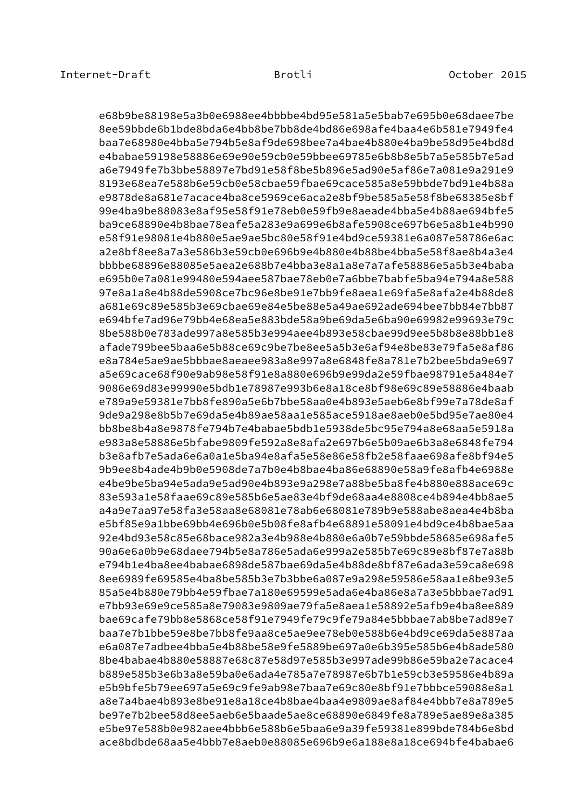e68b9be88198e5a3b0e6988ee4bbbbe4bd95e581a5e5bab7e695b0e68daee7be 8ee59bbde6b1bde8bda6e4bb8be7bb8de4bd86e698afe4baa4e6b581e7949fe4 baa7e68980e4bba5e794b5e8af9de698bee7a4bae4b880e4ba9be58d95e4bd8d e4babae59198e58886e69e90e59cb0e59bbee69785e6b8b8e5b7a5e585b7e5ad a6e7949fe7b3bbe58897e7bd91e58f8be5b896e5ad90e5af86e7a081e9a291e9 8193e68ea7e588b6e59cb0e58cbae59fbae69cace585a8e59bbde7bd91e4b88a e9878de8a681e7acace4ba8ce5969ce6aca2e8bf9be585a5e58f8be68385e8bf 99e4ba9be88083e8af95e58f91e78eb0e59fb9e8aeade4bba5e4b88ae694bfe5 ba9ce68890e4b8bae78eafe5a283e9a699e6b8afe5908ce697b6e5a8b1e4b990 e58f91e98081e4b880e5ae9ae5bc80e58f91e4bd9ce59381e6a087e58786e6ac a2e8bf8ee8a7a3e586b3e59cb0e696b9e4b880e4b88be4bba5e58f8ae8b4a3e4 bbbbe68896e88085e5aea2e688b7e4bba3e8a1a8e7a7afe58886e5a5b3e4baba e695b0e7a081e99480e594aee587bae78eb0e7a6bbe7babfe5ba94e794a8e588 97e8a1a8e4b88de5908ce7bc96e8be91e7bb9fe8aea1e69fa5e8afa2e4b88de8 a681e69c89e585b3e69cbae69e84e5be88e5a49ae692ade694bee7bb84e7bb87 e694bfe7ad96e79bb4e68ea5e883bde58a9be69da5e6ba90e69982e99693e79c 8be588b0e783ade997a8e585b3e994aee4b893e58cbae99d9ee5b8b8e88bb1e8 afade799bee5baa6e5b88ce69c9be7be8ee5a5b3e6af94e8be83e79fa5e8af86 e8a784e5ae9ae5bbbae8aeaee983a8e997a8e6848fe8a781e7b2bee5bda9e697 a5e69cace68f90e9ab98e58f91e8a880e696b9e99da2e59fbae98791e5a484e7 9086e69d83e99990e5bdb1e78987e993b6e8a18ce8bf98e69c89e58886e4baab e789a9e59381e7bb8fe890a5e6b7bbe58aa0e4b893e5aeb6e8bf99e7a78de8af 9de9a298e8b5b7e69da5e4b89ae58aa1e585ace5918ae8aeb0e5bd95e7ae80e4 bb8be8b4a8e9878fe794b7e4babae5bdb1e5938de5bc95e794a8e68aa5e5918a e983a8e58886e5bfabe9809fe592a8e8afa2e697b6e5b09ae6b3a8e6848fe794 b3e8afb7e5ada6e6a0a1e5ba94e8afa5e58e86e58fb2e58faae698afe8bf94e5 9b9ee8b4ade4b9b0e5908de7a7b0e4b8bae4ba86e68890e58a9fe8afb4e6988e e4be9be5ba94e5ada9e5ad90e4b893e9a298e7a88be5ba8fe4b880e888ace69c 83e593a1e58faae69c89e585b6e5ae83e4bf9de68aa4e8808ce4b894e4bb8ae5 a4a9e7aa97e58fa3e58aa8e68081e78ab6e68081e789b9e588abe8aea4e4b8ba e5bf85e9a1bbe69bb4e696b0e5b08fe8afb4e68891e58091e4bd9ce4b8bae5aa 92e4bd93e58c85e68bace982a3e4b988e4b880e6a0b7e59bbde58685e698afe5 90a6e6a0b9e68daee794b5e8a786e5ada6e999a2e585b7e69c89e8bf87e7a88b e794b1e4ba8ee4babae6898de587bae69da5e4b88de8bf87e6ada3e59ca8e698 8ee6989fe69585e4ba8be585b3e7b3bbe6a087e9a298e59586e58aa1e8be93e5 85a5e4b880e79bb4e59fbae7a180e69599e5ada6e4ba86e8a7a3e5bbbae7ad91 e7bb93e69e9ce585a8e79083e9809ae79fa5e8aea1e58892e5afb9e4ba8ee889 bae69cafe79bb8e5868ce58f91e7949fe79c9fe79a84e5bbbae7ab8be7ad89e7 baa7e7b1bbe59e8be7bb8fe9aa8ce5ae9ee78eb0e588b6e4bd9ce69da5e887aa e6a087e7adbee4bba5e4b88be58e9fe5889be697a0e6b395e585b6e4b8ade580 8be4babae4b880e58887e68c87e58d97e585b3e997ade99b86e59ba2e7acace4 b889e585b3e6b3a8e59ba0e6ada4e785a7e78987e6b7b1e59cb3e59586e4b89a e5b9bfe5b79ee697a5e69c9fe9ab98e7baa7e69c80e8bf91e7bbbce59088e8a1 a8e7a4bae4b893e8be91e8a18ce4b8bae4baa4e9809ae8af84e4bbb7e8a789e5 be97e7b2bee58d8ee5aeb6e5baade5ae8ce68890e6849fe8a789e5ae89e8a385 e5be97e588b0e982aee4bbb6e588b6e5baa6e9a39fe59381e899bde784b6e8bd ace8bdbde68aa5e4bbb7e8aeb0e88085e696b9e6a188e8a18ce694bfe4babae6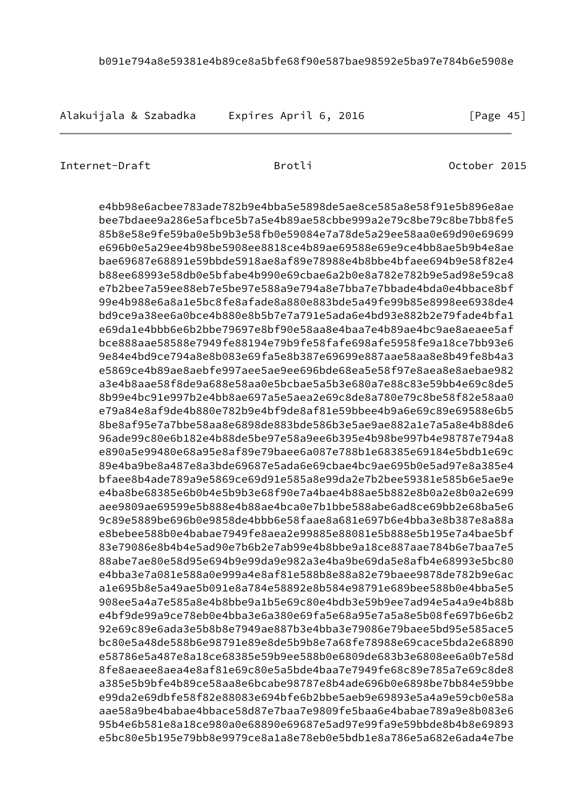Alakuijala & Szabadka Expires April 6, 2016 [Page 45]

Internet-Draft Brotli October 2015

 e4bb98e6acbee783ade782b9e4bba5e5898de5ae8ce585a8e58f91e5b896e8ae bee7bdaee9a286e5afbce5b7a5e4b89ae58cbbe999a2e79c8be79c8be7bb8fe5 85b8e58e9fe59ba0e5b9b3e58fb0e59084e7a78de5a29ee58aa0e69d90e69699 e696b0e5a29ee4b98be5908ee8818ce4b89ae69588e69e9ce4bb8ae5b9b4e8ae bae69687e68891e59bbde5918ae8af89e78988e4b8bbe4bfaee694b9e58f82e4 b88ee68993e58db0e5bfabe4b990e69cbae6a2b0e8a782e782b9e5ad98e59ca8 e7b2bee7a59ee88eb7e5be97e588a9e794a8e7bba7e7bbade4bda0e4bbace8bf 99e4b988e6a8a1e5bc8fe8afade8a880e883bde5a49fe99b85e8998ee6938de4 bd9ce9a38ee6a0bce4b880e8b5b7e7a791e5ada6e4bd93e882b2e79fade4bfa1 e69da1e4bbb6e6b2bbe79697e8bf90e58aa8e4baa7e4b89ae4bc9ae8aeaee5af bce888aae58588e7949fe88194e79b9fe58fafe698afe5958fe9a18ce7bb93e6 9e84e4bd9ce794a8e8b083e69fa5e8b387e69699e887aae58aa8e8b49fe8b4a3 e5869ce4b89ae8aebfe997aee5ae9ee696bde68ea5e58f97e8aea8e8aebae982 a3e4b8aae58f8de9a688e58aa0e5bcbae5a5b3e680a7e88c83e59bb4e69c8de5 8b99e4bc91e997b2e4bb8ae697a5e5aea2e69c8de8a780e79c8be58f82e58aa0 e79a84e8af9de4b880e782b9e4bf9de8af81e59bbee4b9a6e69c89e69588e6b5 8be8af95e7a7bbe58aa8e6898de883bde586b3e5ae9ae882a1e7a5a8e4b88de6 96ade99c80e6b182e4b88de5be97e58a9ee6b395e4b98be997b4e98787e794a8 e890a5e99480e68a95e8af89e79baee6a087e788b1e68385e69184e5bdb1e69c 89e4ba9be8a487e8a3bde69687e5ada6e69cbae4bc9ae695b0e5ad97e8a385e4 bfaee8b4ade789a9e5869ce69d91e585a8e99da2e7b2bee59381e585b6e5ae9e e4ba8be68385e6b0b4e5b9b3e68f90e7a4bae4b88ae5b882e8b0a2e8b0a2e699 aee9809ae69599e5b888e4b88ae4bca0e7b1bbe588abe6ad8ce69bb2e68ba5e6 9c89e5889be696b0e9858de4bbb6e58faae8a681e697b6e4bba3e8b387e8a88a e8bebee588b0e4babae7949fe8aea2e99885e88081e5b888e5b195e7a4bae5bf 83e79086e8b4b4e5ad90e7b6b2e7ab99e4b8bbe9a18ce887aae784b6e7baa7e5 88abe7ae80e58d95e694b9e99da9e982a3e4ba9be69da5e8afb4e68993e5bc80 e4bba3e7a081e588a0e999a4e8af81e588b8e88a82e79baee9878de782b9e6ac a1e695b8e5a49ae5b091e8a784e58892e8b584e98791e689bee588b0e4bba5e5 908ee5a4a7e585a8e4b8bbe9a1b5e69c80e4bdb3e59b9ee7ad94e5a4a9e4b88b e4bf9de99a9ce78eb0e4bba3e6a380e69fa5e68a95e7a5a8e5b08fe697b6e6b2 92e69c89e6ada3e5b8b8e7949ae887b3e4bba3e79086e79baee5bd95e585ace5 bc80e5a48de588b6e98791e89e8de5b9b8e7a68fe78988e69cace5bda2e68890 e58786e5a487e8a18ce68385e59b9ee588b0e6809de683b3e6808ee6a0b7e58d 8fe8aeaee8aea4e8af81e69c80e5a5bde4baa7e7949fe68c89e785a7e69c8de8 a385e5b9bfe4b89ce58aa8e6bcabe98787e8b4ade696b0e6898be7bb84e59bbe e99da2e69dbfe58f82e88083e694bfe6b2bbe5aeb9e69893e5a4a9e59cb0e58a aae58a9be4babae4bbace58d87e7baa7e9809fe5baa6e4babae789a9e8b083e6 95b4e6b581e8a18ce980a0e68890e69687e5ad97e99fa9e59bbde8b4b8e69893 e5bc80e5b195e79bb8e9979ce8a1a8e78eb0e5bdb1e8a786e5a682e6ada4e7be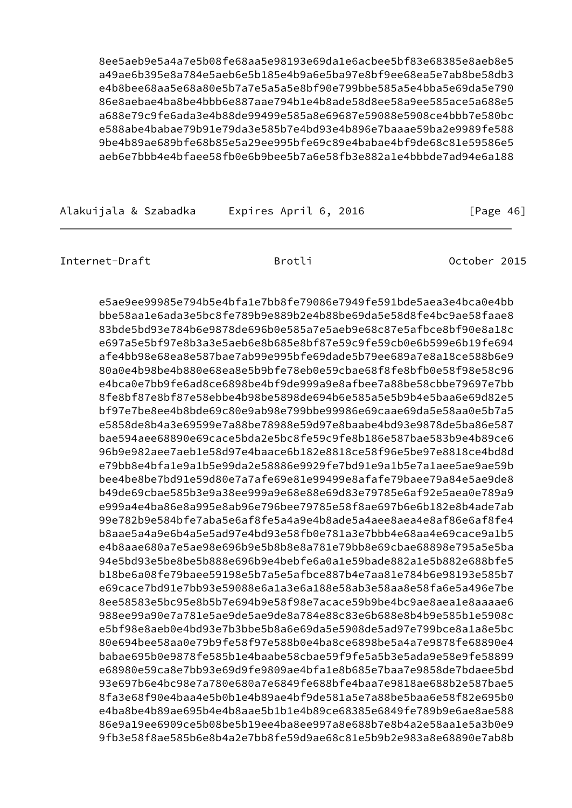8ee5aeb9e5a4a7e5b08fe68aa5e98193e69da1e6acbee5bf83e68385e8aeb8e5 a49ae6b395e8a784e5aeb6e5b185e4b9a6e5ba97e8bf9ee68ea5e7ab8be58db3 e4b8bee68aa5e68a80e5b7a7e5a5a5e8bf90e799bbe585a5e4bba5e69da5e790 86e8aebae4ba8be4bbb6e887aae794b1e4b8ade58d8ee58a9ee585ace5a688e5 a688e79c9fe6ada3e4b88de99499e585a8e69687e59088e5908ce4bbb7e580bc e588abe4babae79b91e79da3e585b7e4bd93e4b896e7baaae59ba2e9989fe588 9be4b89ae689bfe68b85e5a29ee995bfe69c89e4babae4bf9de68c81e59586e5 aeb6e7bbb4e4bfaee58fb0e6b9bee5b7a6e58fb3e882a1e4bbbde7ad94e6a188

| Alakuijala & Szabadka | Expires April 6, 2016 | [Page 46] |
|-----------------------|-----------------------|-----------|
|                       |                       |           |

Internet-Draft Brotli October 2015

 e5ae9ee99985e794b5e4bfa1e7bb8fe79086e7949fe591bde5aea3e4bca0e4bb bbe58aa1e6ada3e5bc8fe789b9e889b2e4b88be69da5e58d8fe4bc9ae58faae8 83bde5bd93e784b6e9878de696b0e585a7e5aeb9e68c87e5afbce8bf90e8a18c e697a5e5bf97e8b3a3e5aeb6e8b685e8bf87e59c9fe59cb0e6b599e6b19fe694 afe4bb98e68ea8e587bae7ab99e995bfe69dade5b79ee689a7e8a18ce588b6e9 80a0e4b98be4b880e68ea8e5b9bfe78eb0e59cbae68f8fe8bfb0e58f98e58c96 e4bca0e7bb9fe6ad8ce6898be4bf9de999a9e8afbee7a88be58cbbe79697e7bb 8fe8bf87e8bf87e58ebbe4b98be5898de694b6e585a5e5b9b4e5baa6e69d82e5 bf97e7be8ee4b8bde69c80e9ab98e799bbe99986e69caae69da5e58aa0e5b7a5 e5858de8b4a3e69599e7a88be78988e59d97e8baabe4bd93e9878de5ba86e587 bae594aee68890e69cace5bda2e5bc8fe59c9fe8b186e587bae583b9e4b89ce6 96b9e982aee7aeb1e58d97e4baace6b182e8818ce58f96e5be97e8818ce4bd8d e79bb8e4bfa1e9a1b5e99da2e58886e9929fe7bd91e9a1b5e7a1aee5ae9ae59b bee4be8be7bd91e59d80e7a7afe69e81e99499e8afafe79baee79a84e5ae9de8 b49de69cbae585b3e9a38ee999a9e68e88e69d83e79785e6af92e5aea0e789a9 e999a4e4ba86e8a995e8ab96e796bee79785e58f8ae697b6e6b182e8b4ade7ab 99e782b9e584bfe7aba5e6af8fe5a4a9e4b8ade5a4aee8aea4e8af86e6af8fe4 b8aae5a4a9e6b4a5e5ad97e4bd93e58fb0e781a3e7bbb4e68aa4e69cace9a1b5 e4b8aae680a7e5ae98e696b9e5b8b8e8a781e79bb8e69cbae68898e795a5e5ba 94e5bd93e5be8be5b888e696b9e4bebfe6a0a1e59bade882a1e5b882e688bfe5 b18be6a08fe79baee59198e5b7a5e5afbce887b4e7aa81e784b6e98193e585b7 e69cace7bd91e7bb93e59088e6a1a3e6a188e58ab3e58aa8e58fa6e5a496e7be 8ee58583e5bc95e8b5b7e694b9e58f98e7acace59b9be4bc9ae8aea1e8aaaae6 988ee99a90e7a781e5ae9de5ae9de8a784e88c83e6b688e8b4b9e585b1e5908c e5bf98e8aeb0e4bd93e7b3bbe5b8a6e69da5e5908de5ad97e799bce8a1a8e5bc 80e694bee58aa0e79b9fe58f97e588b0e4ba8ce6898be5a4a7e9878fe68890e4 babae695b0e9878fe585b1e4baabe58cbae59f9fe5a5b3e5ada9e58e9fe58899 e68980e59ca8e7bb93e69d9fe9809ae4bfa1e8b685e7baa7e9858de7bdaee5bd 93e697b6e4bc98e7a780e680a7e6849fe688bfe4baa7e9818ae688b2e587bae5 8fa3e68f90e4baa4e5b0b1e4b89ae4bf9de581a5e7a88be5baa6e58f82e695b0 e4ba8be4b89ae695b4e4b8aae5b1b1e4b89ce68385e6849fe789b9e6ae8ae588 86e9a19ee6909ce5b08be5b19ee4ba8ee997a8e688b7e8b4a2e58aa1e5a3b0e9 9fb3e58f8ae585b6e8b4a2e7bb8fe59d9ae68c81e5b9b2e983a8e68890e7ab8b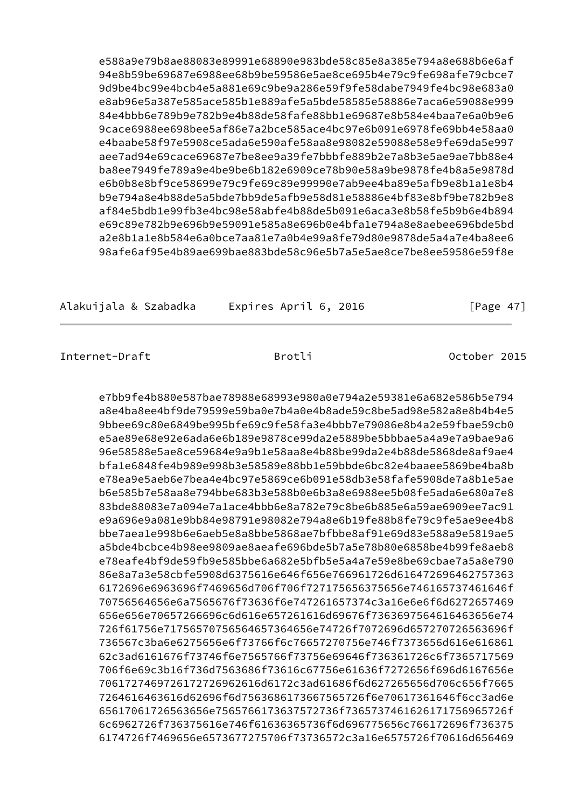e588a9e79b8ae88083e89991e68890e983bde58c85e8a385e794a8e688b6e6af 94e8b59be69687e6988ee68b9be59586e5ae8ce695b4e79c9fe698afe79cbce7 9d9be4bc99e4bcb4e5a881e69c9be9a286e59f9fe58dabe7949fe4bc98e683a0 e8ab96e5a387e585ace585b1e889afe5a5bde58585e58886e7aca6e59088e999 84e4bbb6e789b9e782b9e4b88de58fafe88bb1e69687e8b584e4baa7e6a0b9e6 9cace6988ee698bee5af86e7a2bce585ace4bc97e6b091e6978fe69bb4e58aa0 e4baabe58f97e5908ce5ada6e590afe58aa8e98082e59088e58e9fe69da5e997 aee7ad94e69cace69687e7be8ee9a39fe7bbbfe889b2e7a8b3e5ae9ae7bb88e4 ba8ee7949fe789a9e4be9be6b182e6909ce78b90e58a9be9878fe4b8a5e9878d e6b0b8e8bf9ce58699e79c9fe69c89e99990e7ab9ee4ba89e5afb9e8b1a1e8b4 b9e794a8e4b88de5a5bde7bb9de5afb9e58d81e58886e4bf83e8bf9be782b9e8 af84e5bdb1e99fb3e4bc98e58abfe4b88de5b091e6aca3e8b58fe5b9b6e4b894 e69c89e782b9e696b9e59091e585a8e696b0e4bfa1e794a8e8aebee696bde5bd a2e8b1a1e8b584e6a0bce7aa81e7a0b4e99a8fe79d80e9878de5a4a7e4ba8ee6 98afe6af95e4b89ae699bae883bde58c96e5b7a5e5ae8ce7be8ee59586e59f8e

| Alakuijala & Szabadka |  | Expires April 6, 2016 |  |
|-----------------------|--|-----------------------|--|
|-----------------------|--|-----------------------|--|

October 2015

e7bb9fe4b880e587bae78988e68993e980a0e794a2e59381e6a682e586b5e794 a8e4ba8ee4bf9de79599e59ba0e7b4a0e4b8ade59c8be5ad98e582a8e8b4b4e5 9bbee69c80e6849be995bfe69c9fe58fa3e4bbb7e79086e8b4a2e59fbae59cb0 e5ae89e68e92e6ada6e6b189e9878ce99da2e5889be5bbbae5a4a9e7a9bae9a6 96e58588e5ae8ce59684e9a9b1e58aa8e4b88be99da2e4b88de5868de8af9ae4 bfa1e6848fe4b989e998b3e58589e88bb1e59bbde6bc82e4baaee5869be4ba8b e78ea9e5aeb6e7bea4e4bc97e5869ce6b091e58db3e58fafe5908de7a8b1e5ae b6e585b7e58aa8e794bbe683b3e588b0e6b3a8e6988ee5b08fe5ada6e680a7e8 83bde88083e7a094e7a1ace4bbb6e8a782e79c8be6b885e6a59ae6909ee7ac91 e9a696e9a081e9bb84e98791e98082e794a8e6b19fe88b8fe79c9fe5ae9ee4b8 bbe7aea1e998b6e6aeb5e8a8bbe5868ae7bfbbe8af91e69d83e588a9e5819ae5 a5bde4bcbce4b98ee9809ae8aeafe696bde5b7a5e78b80e6858be4b99fe8aeb8 e78eafe4bf9de59fb9e585bbe6a682e5bfb5e5a4a7e59e8be69cbae7a5a8e790 86e8a7a3e58cbfe5908d6375616e646f656e766961726d616472696462757363 6172696e6963696f7469656d706f706f727175656375656e746165737461646f 70756564656e6a7565676f73636f6e747261657374c3a16e6e6f6d6272657469 656e656e70657266696c6d616e657261616d69676f7363697564616463656e74 726f61756e71756570756564657364656e74726f7072696d657270726563696f 736567c3ba6e6275656e6f73766f6c76657270756e746f7373656d616e616861 62c3ad6161676f73746f6e7565766f73756e69646f736361726c6f7365717569 706f6e69c3b16f736d7563686f73616c67756e61636f7272656f696d6167656e 7061727469726172726962616d6172c3ad61686f6d627265656d706c656f7665 7264616463616d62696f6d7563686173667565726f6e70617361646f6cc3ad6e 65617061726563656e7565766173637572736f7365737461626171756965726f 6c6962726f736375616e746f61636365736f6d696775656c766172696f736375 6174726f7469656e6573677275706f73736572c3a16e6575726f70616d656469

Internet-Draft

## Brotli

[Page  $47$ ]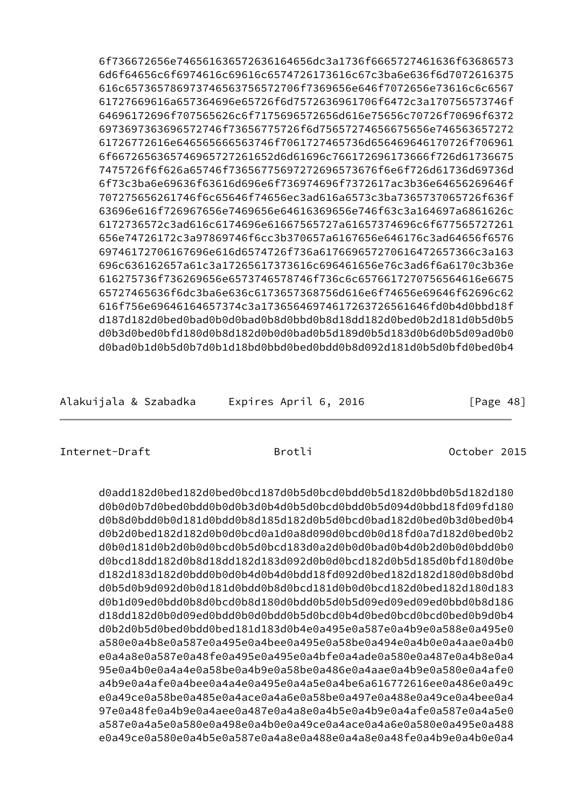6f736672656e746561636572636164656dc3a1736f6665727461636f63686573 6d6f64656c6f6974616c69616c6574726173616c67c3ba6e636f6d7072616375 616c657365786973746563756572706f7369656e646f7072656e73616c6c6567 61727669616a657364696e65726f6d7572636961706f6472c3a170756573746f 64696172696f707565626c6f7175696572656d616e75656c70726f70696f6372 6973697363696572746f73656775726f6d75657274656675656e746563657272 61726772616e646565666563746f7061727465736d656469646170726f706961 6f6672656365746965727261652d6d61696c766172696173666f726d61736675 7475726f6f626a65746f73656775697272696573676f6e6f726d61736d69736d 6f73c3ba6e69636f63616d696e6f736974696f7372617ac3b36e64656269646f 707275656261746f6c65646f74656ec3ad616a6573c3ba7365737065726f636f 63696e616f726967656e7469656e64616369656e746f63c3a164697a6861626c 6172736572c3ad616c6174696e61667565727a61657374696c6f677565727261 656e74726172c3a97869746f6cc3b370657a6167656e646176c3ad64656f6576 69746172706167696e616d6574726f736a617669657270616472657366c3a163 696c636162657a61c3a17265617373616c696461656e76c3ad6f6a6170c3b36e 616275736f736269656e6573746578746f736c6c6576617270756564616e6675 65727465636f6dc3ba6e636c6173657368756d616e6f74656e69646f62696c62 616f756e69646164657374c3a17365646974617263726561646fd0b4d0bbd18f d187d182d0bed0bad0b0d0bad0b8d0bbd0b8d18dd182d0bed0b2d181d0b5d0b5 d0b3d0bed0bfd180d0b8d182d0b0d0bad0b5d189d0b5d183d0b6d0b5d09ad0b0 d0bad0b1d0b5d0b7d0b1d18bd0bbd0bed0bdd0b8d092d181d0b5d0bfd0bed0b4

Alakuijala & Szabadka Expires April 6, 2016 [Page 48]

Internet-Draft Brotli October 2015

 d0add182d0bed182d0bed0bcd187d0b5d0bcd0bdd0b5d182d0bbd0b5d182d180 d0b0d0b7d0bed0bdd0b0d0b3d0b4d0b5d0bcd0bdd0b5d094d0bbd18fd09fd180 d0b8d0bdd0b0d181d0bdd0b8d185d182d0b5d0bcd0bad182d0bed0b3d0bed0b4 d0b2d0bed182d182d0b0d0bcd0a1d0a8d090d0bcd0b0d18fd0a7d182d0bed0b2 d0b0d181d0b2d0b0d0bcd0b5d0bcd183d0a2d0b0d0bad0b4d0b2d0b0d0bdd0b0 d0bcd18dd182d0b8d18dd182d183d092d0b0d0bcd182d0b5d185d0bfd180d0be d182d183d182d0bdd0b0d0b4d0b4d0bdd18fd092d0bed182d182d180d0b8d0bd d0b5d0b9d092d0b0d181d0bdd0b8d0bcd181d0b0d0bcd182d0bed182d180d183 d0b1d09ed0bdd0b8d0bcd0b8d180d0bdd0b5d0b5d09ed09ed09ed0bbd0b8d186 d18dd182d0b0d09ed0bdd0b0d0bdd0b5d0bcd0b4d0bed0bcd0bcd0bed0b9d0b4 d0b2d0b5d0bed0bdd0bed181d183d0b4e0a495e0a587e0a4b9e0a588e0a495e0 a580e0a4b8e0a587e0a495e0a4bee0a495e0a58be0a494e0a4b0e0a4aae0a4b0 e0a4a8e0a587e0a48fe0a495e0a495e0a4bfe0a4ade0a580e0a487e0a4b8e0a4 95e0a4b0e0a4a4e0a58be0a4b9e0a58be0a486e0a4aae0a4b9e0a580e0a4afe0 a4b9e0a4afe0a4bee0a4a4e0a495e0a4a5e0a4be6a616772616ee0a486e0a49c e0a49ce0a58be0a485e0a4ace0a4a6e0a58be0a497e0a488e0a49ce0a4bee0a4 97e0a48fe0a4b9e0a4aee0a487e0a4a8e0a4b5e0a4b9e0a4afe0a587e0a4a5e0 a587e0a4a5e0a580e0a498e0a4b0e0a49ce0a4ace0a4a6e0a580e0a495e0a488 e0a49ce0a580e0a4b5e0a587e0a4a8e0a488e0a4a8e0a48fe0a4b9e0a4b0e0a4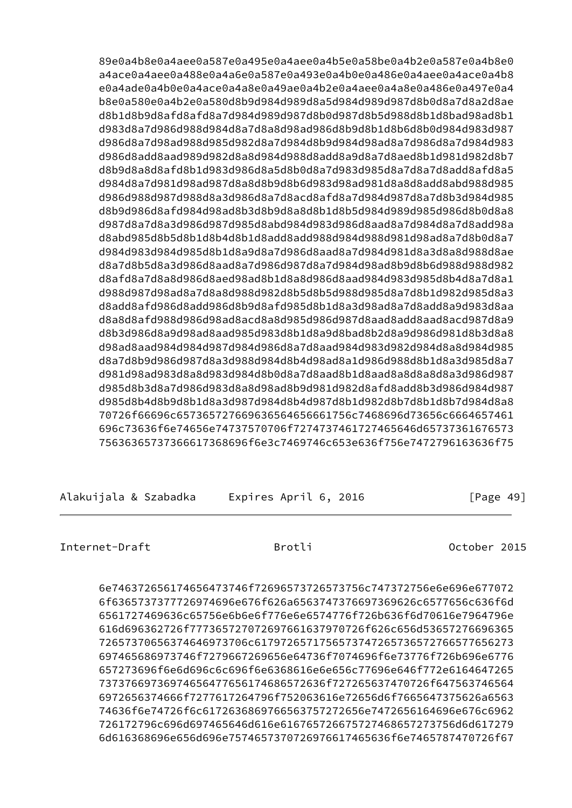89e0a4b8e0a4aee0a587e0a495e0a4aee0a4b5e0a58be0a4b2e0a587e0a4b8e0 a4ace0a4aee0a488e0a4a6e0a587e0a493e0a4b0e0a486e0a4aee0a4ace0a4b8 e0a4ade0a4b0e0a4ace0a4a8e0a49ae0a4b2e0a4aee0a4a8e0a486e0a497e0a4 b8e0a580e0a4b2e0a580d8b9d984d989d8a5d984d989d987d8b0d8a7d8a2d8ae d8b1d8b9d8afd8afd8a7d984d989d987d8b0d987d8b5d988d8b1d8bad98ad8b1 d983d8a7d986d988d984d8a7d8a8d98ad986d8b9d8b1d8b6d8b0d984d983d987 E89bb8ebT68ba8ebT68b68ebb8ebed8bb8ebT68bS8eb58eb88eb688ebT68ba8eb d986d8add8aad989d982d8a8d984d988d8add8a9d8a7d8aed8b1d981d982d8b7 d8b9d8a8d8afd8b1d983d986d8a5d8b0d8a7d983d985d8a7d8a7d8abd8afd8a5 d984d8a7d981d982d8a8b188d8b68d8b6d983d98ab188b58b58b58b58b588b d986d988d987d988d8a3d986d8a7d8acd8afd8a7d984d987d8a7d8b88b88b d8b9d986d8afd984d98ad8b3d8b9d8a8d8b1d8b5d984d989d985d986d8b0d8a8 d987d8a7d8a3d986d987d985d8abd984d983d986d8aad8a7d984d8a7d8add98a d8abd985d8b5d8b1d8b4d8b1d8add8add988d984d988d981d98ad8a7d8b0d8a7 d984d983d984d985d8b1d8a9d8a7d986d8aad8a7d984d981d8a3d8a8d988d8ae d8a7d8b5d8a3d986d8aad8a7d986d987d8a7d984d98ad8b9d8b6d988d988d982 d8afd8a7d8a8d986d8aed98ad8b1d8a8d986d8aad984d983d985d8b4d8a7d8a1 d988d987d98ad8a7d8a8d988d982d8b5d8b5d988d985d8a7d8b1d982d985d8a3 d8add8afd986d8add986d8b9d8afd985d8b1d8a3d98ad8a7d8add8a9d983d8aa d8a8d8afd988d986d98ad8acd8a8d985d986d987d8aad8add8aad8acd987d8a9 d8b3d986d8a9d98ad8aad985d983d8b1d8a9d8bad8b2d8a9d986d981d8b3d8a8 d98ad8aad984d984d987d984d986d8a7d8aad984d983d982d984d8a8d984d985 d8a7d8b9d986d987d8a3d988d984d8b4d98ad8a1d986d988d8b1d8a3d985d8a7 d981d98ad983d8a8d983d984d8b0d8a7d8aad8b1d8aad8a8d8a8d8a3d986d987 d985d8b3d8a7d986d983d8a8d98ad8b9d981d982d8afd8add8b3d986d984d987 d985d8b4d8b9d8b1d8a3d987d984d8b4d987d8b1d982d8b7d8b1d8b7d984d8a8 70726f66696c657365727669636564656661756c7468696d73656c6664657461 696c73636f6e74656e74737570706f7274737461727465646d65737361676573 75636365737366617368696f6e3c7469746c653e636f756e7472796163636f75

| Alakuijala & Szabadka | Expires April 6, 2016 | [Page 49] |
|-----------------------|-----------------------|-----------|
|                       |                       |           |

Internet-Draft

Brotli

October 2015

6e746372656174656473746f72696573726573756c747372756e6e696e677072 6f6365737377726974696e676f626a6563747376697369626c6577656c636f6d 6561727469636c65756e6b6e6f776e6e6574776f726b636f6d70616e7964796e 616d696362726f777365727072697661637970726f626c656d53657276696365 72657370656374646973706c6179726571756573747265736572766577656273 697465686973746f7279667269656e64736f7074696f6e73776f726b696e6776 657273696f6e6d696c6c696f6e6368616e6e656c77696e646f772e6164647265 73737669736974656477656174686572636f727265637470726f647563746564 6972656374666f7277617264796f752063616e72656d6f7665647375626a6563 74636f6e74726f6c6172636869766563757272656e7472656164696e676c6962 726172796c696d697465646d616e616765726675727468657273756d6d617279 6d616368696e656d696e7574657370726976617465636f6e7465787470726f67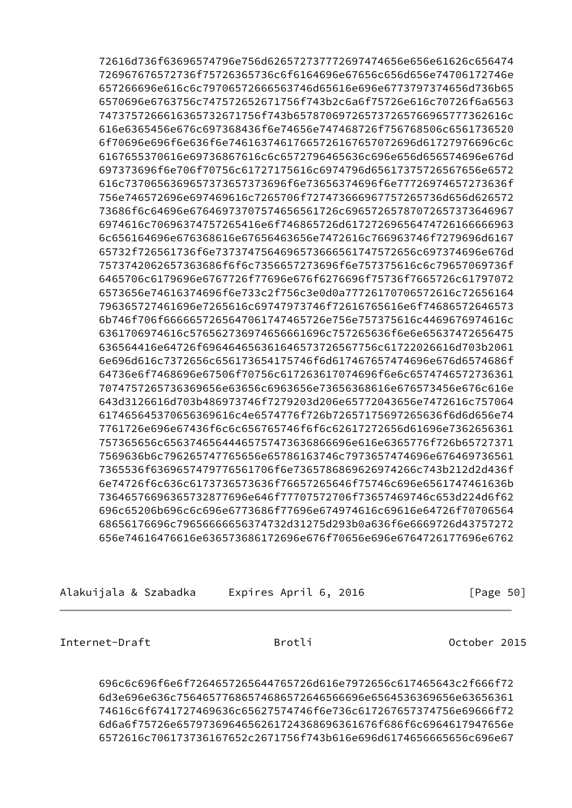72616d736f63696574796e756d626572737772697474656e656e61626c656474 726967676572736f75726365736c6f6164696e67656c656d656e74706172746e 657266696e616c6c79706572666563746d65616e696e6773797374656d736b65 6570696e6763756c747572652671756f743b2c6a6f75726e616c70726f6a6563 7473757266616365732671756f743b657870697265737265766965777362616c 616e6365456e676c697368436f6e74656e747468726f756768506c6561736520 6f70696e696f6e636f6e74616374617665726167657072696d61727976696c6c 6167655370616e69736867616c6c6572796465636c696e656d656574696e676d 697373696f6e706f70756c61727175616c6974796d65617375726567656e6572 616c7370656369657373657373696f6e73656374696f6e77726974657273636f 756e746572696e697469616c7265706f727473666967757265736d656d626572 73686f6c64696e67646973707574656561726c69657265787072657373646967 6974616c70696374757265416e6f746865726d61727269656474726166666963 6c656164696e676368616e67656463656e7472616c766963746f7279696d6167 65732f726561736f6e7373747564696573666561747572656c697374696e676d 7573742062657363686f6f6c7356657273696f6e757375616c6c79657069736f 6465706c6179696e6767726f77696e676f6276696f75736f7665726c61797072 6573656e74616374696f6e733c2f756c3e0d0a77726170706572616c72656164 796365727461696e7265616c69747973746f72616765616e6f74686572646573 6b746f706f6666657265647061747465726e756e757375616c4469676974616c 6361706974616c576562736974656661696c757265636f6e6e65637472656475 636564416e64726f696464656361646573726567756c61722026616d703b2061 6e696d616c7372656c656173654175746f6d617467657474696e676d6574686f 64736e6f7468696e67506f70756c617263617074696f6e6c6574746572736361 7074757265736369656e63656c6963656e73656368616e676573456e676c616e 643d3126616d703b486973746f7279203d206e65772043656e7472616c757064 617465645370656369616c4e6574776f726b72657175697265636f6d6d656e74 7761726e696e67436f6c6c656765746f6f6c62617272656d61696e7362656361 757365656c65637465644465757473636866696e616e6365776f726b65727371 7569636b6c796265747765656e65786163746c7973657474696e676469736561 7365536f6369657479776561706f6e7365786869626974266c743b212d2d436f 6e74726f6c636c6173736573636f76657265646f75746c696e6561747461636b 73646576696365732877696e646f77707572706f73657469746c653d224d6f62 696c65206b696c6c696e6773686f77696e674974616c69616e64726f70706564 68656176696c79656666656374732d31275d293b0a636f6e6669726d43757272 656e74616476616e636573686172696e676f70656e696e6764726177696e6762

| Alakuijala & Szabadka | Expires April 6, 2016 | [Page 50] |
|-----------------------|-----------------------|-----------|
|-----------------------|-----------------------|-----------|

Internet-Draft Brotli October 2015

 696c6c696f6e6f7264657265644765726d616e7972656c617465643c2f666f72 6d3e696e636c75646577686574686572646566696e6564536369656e63656361 74616c6f6741727469636c65627574746f6e736c617267657374756e69666f72 6d6a6f75726e6579736964656261724368696361676f686f6c6964617947656e 6572616c706173736167652c2671756f743b616e696d6174656665656c696e67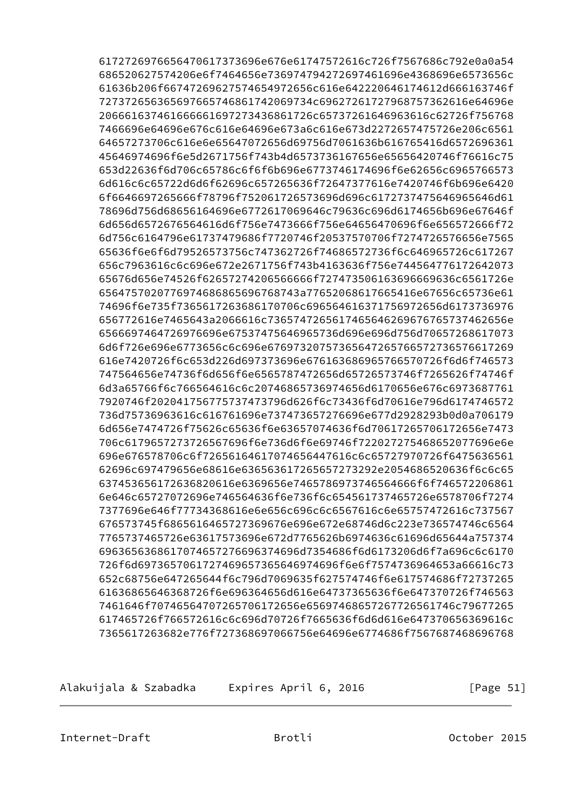6172726976656470617373696e676e61747572616c726f7567686c792e0a0a54 686520627574206e6f7464656e736974794272697461696e4368696e6573656c 61636b206f66747269627574654972656c616e642220646174612d666163746f 727372656365697665746861742069734c69627261727968757362616e64696e 206661637461666661697273436861726c65737261646963616c62726f756768 7466696e64696e676c616e64696e673a6c616e673d2272657475726e206c6561 64657273706c616e6e65647072656d69756d7061636b616765416d6572696361 45646974696f6e5d2671756f743b4d6573736167656e65656420746f76616c75 653d22636f6d706c65786c6f6f6b696e6773746174696f6e62656c6965766573 6d616c6c65722d6d6f62696c657265636f72647377616e7420746f6b696e6420 6f6646697265666f78796f752061726573696d696c6172737475646965646d61 78696d756d68656164696e6772617069646c79636c696d6174656b696e67646f 6d656d6572676564616d6f756e7473666f756e64656470696f6e656572666f72 6d756c6164796e61737479686f7720746f20537570706f7274726576656e7565 65636f6e6f6d79526573756c747362726f74686572736f6c646965726c617267 656c7963616c6c696e672e2671756f743b4163636f756e744564776172642073 65676d656e74526f62657274206566666f727473506163696669636c6561726e 6564757020776974686865696768743a77652068617665416e67656c65736e61 74696f6e735f7365617263686170706c696564616371756972656d6173736976 656772616e7465643a2066616c7365747265617465646269676765737462656e 6566697464726976696e67537475646965736d696e696d756d70657268617073 6d6f726e696e6773656c6c696e67697320757365647265766572736576617269 616e7420726f6c653d226d697373696e676163686965766570726f6d6f746573 747564656e74736f6d656f6e6565787472656d65726573746f7265626f74746f 6d3a65766f6c766564616c6c20746865736974656d6170656e676c6973687761 7920746f202041756775737473796d626f6c73436f6d70616e796d6174746572 736d75736963616c616761696e737473657276696e677d2928293b0d0a706179 6d656e7474726f75626c65636f6e63657074636f6d70617265706172656e7473 706c6179657273726567696f6e736d6f6e69746f722027275468652077696e6e 696e676578706c6f72656164617074656447616c6c65727970726f6475636561 62696c697479656e68616e636563617265657273292e2054686520636f6c6c65 637453656172636820616e6369656e7465786973746564666f6f746572206861 6e646c65727072696e746564636f6e736f6c654561737465726e6578706f7274 7377696e646f77734368616e6e656c696c6c6567616c6e65757472616c737567 676573745f6865616465727369676e696e672e68746d6c223e736574746c6564 7765737465726e63617573696e672d7765626b6974636c61696d65644a757374 6963656368617074657276696374696d7354686f6d6173206d6f7a696c6c6170 726f6d6973657061727469657365646974696f6e6f7574736964653a66616c73 652c68756e647265644f6c796d7069635f627574746f6e617574686f72737265 61636865646368726f6e696364656d616e64737365636f6e647370726f746563 7461646f70746564707265706172656e65697468657267726561746c79677265 617465726f766572616c6c696d70726f7665636f6d6d616e647370656369616c 7365617263682e776f727368697066756e64696e6774686f7567687468696768

Alakuijala & Szabadka Expires April 6, 2016 [Page 51]

Internet-Draft Brotli October 2015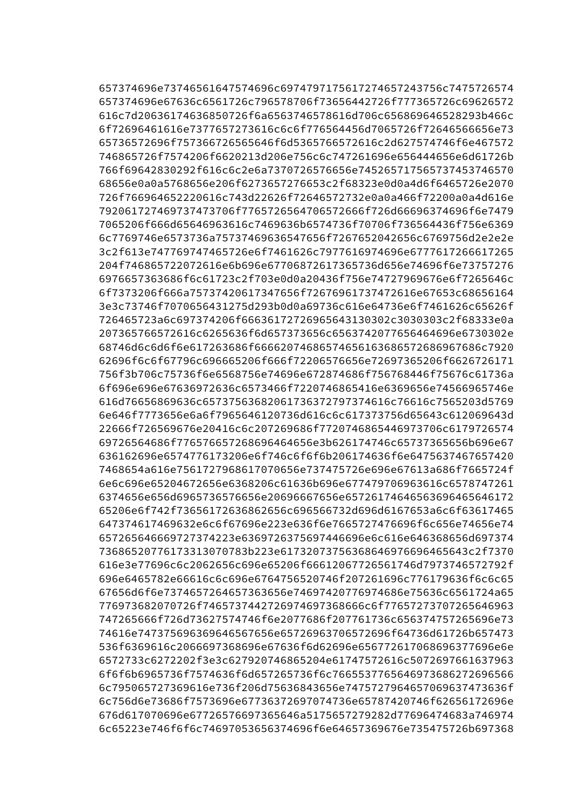657374696e73746561647574696c6974797175617274657243756c7475726574 657374696e67636c6561726c796578706f73656442726f777365726c69626572 616c7d20636174636850726f6a6563746578616d706c656869646528293b466c 6f72696461616e7377657273616c6c6f776564456d7065726f72646566656e73 65736572696f757366726565646f6d5365766572616c2d627574746f6e467572 746865726f7574206f6620213d206e756c6c747261696e656444656e6d61726b 766f69642830292f616c6c2e6a7370726576656e745265717565737453746570 68656e0a0a5768656e206f6273657276653c2f68323e0d0a4d6f6465726e2070 726f766964652220616c743d22626f72646572732e0a0a466f72200a0a4d616e 792061727469737473706f7765726564706572666f726d66696374696f6e7479 7065206f666d65646963616c7469636b6574736f70706f736564436f756e6369 6c7769746e6573736a75737469636547656f7267652042656c6769756d2e2e2e 3c2f613e747769747465726e6f7461626c7977616974696e6777617266617265 204f746865722072616e6b696e67706872617365736d656e74696f6e73757276 6976657363686f6c61723c2f703e0d0a20436f756e74727969676e6f7265646c 6f7373206f666a75737420617347656f72676961737472616e67653c68656164 3e3c73746f7070656431275d293b0d0a69736c616e64736e6f7461626c65626f 726465723a6c697374206f66636172726965643130302c3030303c2f68333e0a 207365766572616c6265636f6d657373656c6563742077656464696e6730302e 68746d6c6d6f6e617263686f66662074686574656163686572686967686c7920 62696f6c6f67796c696665206f666f72206576656e72697365206f6626726171 756f3b706c75736f6e6568756e74696e672874686f756768446f75676c61736a 6f696e696e67636972636c6573466f7220746865416e6369656e74566965746e 616d76656869636c65737563682061736372797374616c76616c7565203d5769 6e646f7773656e6a6f7965646120736d616c6c617373756d65643c612069643d 22666f726569676e20416c6c207269686f7720746865446973706c6179726574 69726564686f776576657268696464656e3b626174746c65737365656b696e67 636162696e6574776173206e6f746c6f6f6b206174636f6e6475637467657420 7468654a616e7561727968617070656e737475726e696e67613a686f7665724f 6e6c696e65204672656e6368206c61636b696e677479706963616c6578747261 6374656e656d6965736576656e20696667656e65726174646563696465646172 65206e6f742f73656172636862656c696566732d696d6167653a6c6f63617465 647374617469632e6c6f67696e223e636f6e7665727476696f6c656e74656e74 657265646669727374223e6369726375697446696e6c616e646368656d697374 73686520776173313070783b223e61732073756368646976696465643c2f7370 616e3e77696c6c2062656c696e65206f66612067726561746d7973746572792f 696e6465782e66616c6c696e6764756520746f207261696c776179636f6c6c65 67656d6f6e7374657264657363656e74697420776974686e75636c6561724a65 776973682070726f7465737442726974697368666c6f77657273707265646963 747265666f726d73627574746f6e2077686f207761736c656374757265696e73 74616e747375696369646567656e65726963706572696f64736d61726b657473 536f6369616c2066697368696e67636f6d62696e656772617068696377696e6e 6572733c6272202f3e3c627920746865204e61747572616c5072697661637963 6f6f6b6965736f7574636f6d657265736f6c7665537765646973686272696566 6c795065727369616e736f206d75636843656e7475727964657069637473636f 6c756d6e73686f7573696e67736372697074736e65787420746f62656172696e 676d617070696e67726576697365646a5175657279282d77696474683a746974 6c65223e746f6f6c74697053656374696f6e64657369676e735475726b697368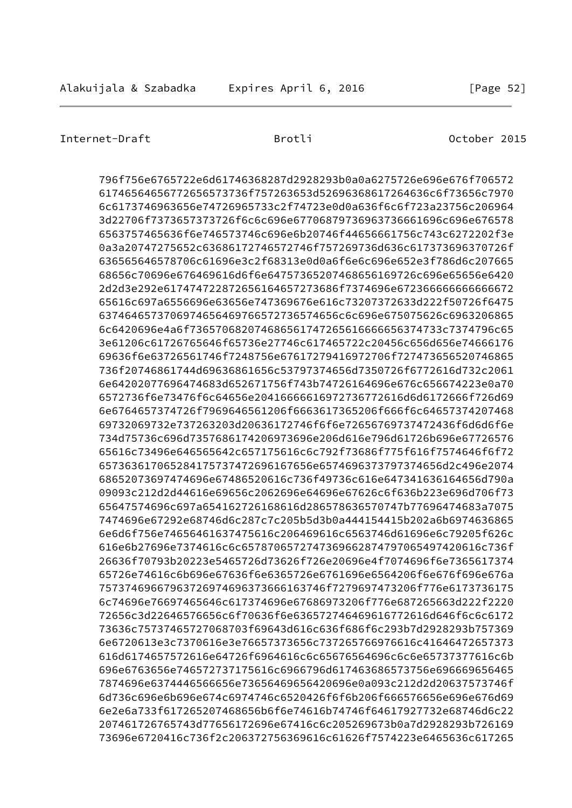Internet-Draft Brotli October 2015

 796f756e6765722e6d61746368287d2928293b0a0a6275726e696e676f706572 61746564656772656573736f757263653d52696368617264636c6f73656c7970 6c6173746963656e74726965733c2f74723e0d0a636f6c6f723a23756c206964 3d22706f7373657373726f6c6c696e67706879736963736661696c696e676578 6563757465636f6e746573746c696e6b20746f44656661756c743c6272202f3e 0a3a20747275652c63686172746572746f757269736d636c617373696370726f 636565646578706c61696e3c2f68313e0d0a6f6e6c696e652e3f786d6c207665 68656c70696e676469616d6f6e64757365207468656169726c696e65656e6420 2d2d3e292e617474722872656164657273686f7374696e672366666666666672 65616c697a6556696e63656e747369676e616c73207372633d222f50726f6475 6374646573706974656469766572736574656c6c696e675075626c6963206865 6c6420696e4a6f736570682074686561747265616666656374733c7374796c65 3e61206c61726765646f65736e27746c617465722c20456c656d656e74666176 69636f6e63726561746f7248756e67617279416972706f727473656520746865 736f20746861744d69636861656c53797374656d7350726f6772616d732c2061 6e64202077696474683d652671756f743b74726164696e676c656674223e0a70 6572736f6e73476f6c64656e20416666616972736772616d6d6172666f726d69 6e6764657374726f7969646561206f6663617365206f666f6c64657374207468 69732069732e737263203d20636172746f6f6e72656769737472436f6d6d6f6e 734d75736c696d7357686174206973696e206d616e796d61726b696e67726576 65616c73496e646565642c657175616c6c792f73686f775f616f7574646f6f72 657363617065284175737472696167656e6574696373797374656d2c496e2074 68652073697474696e67486520616c736f49736c616e647341636164656d790a 09093c212d2d44616e69656c2062696e64696e67626c6f636b223e696d706f73 65647574696c697a654162726168616d286578636570747b77696474683a7075 7474696e67292e68746d6c287c7c205b5d3b0a444154415b202a6b6974636865 6e6d6f756e74656461637475616c206469616c6563746d61696e6c79205f626c 616e6b27696e7374616c6c6578706572747369662874797065497420616c736f 26636f70793b20223e5465726d73626f726e20696e4f7074696f6e7365617374 65726e74616c6b696e67636f6e6365726e6761696e6564206f6e676f696e676a 75737469667963726974696373666163746f7279697473206f776e6173736175 6c74696e76697465646c617374696e67686973206f776e687265663d222f2220 72656c3d22646576656c6f70636f6e636572746469616772616d646f6c6c6172 73636c75737465727068703f69643d616c636f686f6c293b7d2928293b757369 6e6720613e3c7370616e3e76657373656c737265766976616c41646472657373 616d6174657572616e64726f6964616c6c65676564696c6c6e65737377616c6b 696e6763656e746572737175616c6966796d617463686573756e696669656465 7874696e6374446566656e73656469656420696e0a093c212d2d20637573746f 6d736c696e6b696e674c6974746c6520426f6f6b206f666576656e696e676d69 6e2e6a733f617265207468656b6f6e74616b74746f64617927732e68746d6c22 207461726765743d77656172696e67416c6c205269673b0a7d2928293b726169 73696e6720416c736f2c206372756369616c61626f7574223e6465636c617265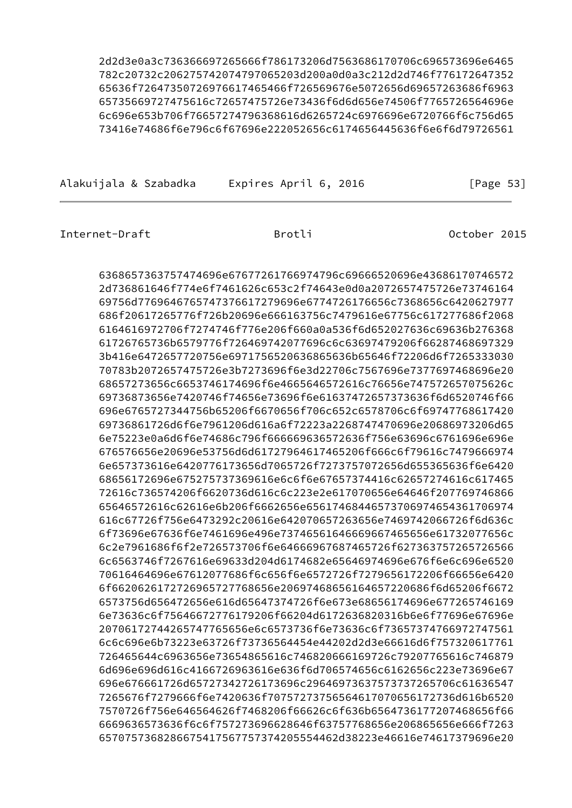2d2d3e0a3c736366697265666f786173206d7563686170706c696573696e6465 782c20732c206275742074797065203d200a0d0a3c212d2d746f776172647352 65636f72647350726976617465466f726569676e5072656d69657263686f6963 65735669727475616c72657475726e73436f6d6d656e74506f7765726564696e 6c696e653b706f76657274796368616d6265724c6976696e6720766f6c756d65 73416e74686f6e796c6f67696e222052656c6174656445636f6e6f6d79726561

|  | Alakuijala & Szabadka | Expires April 6, 2016 |  |  |
|--|-----------------------|-----------------------|--|--|
|  |                       |                       |  |  |

 $\lceil$  Page 53]

Internet-Draft Brotli October 2015

 6368657363757474696e67677261766974796c69666520696e43686170746572 2d736861646f774e6f7461626c653c2f74643e0d0a2072657475726e73746164 69756d7769646765747376617279696e6774726176656c7368656c6420627977 686f20617265776f726b20696e666163756c7479616e67756c617277686f2068 6164616972706f7274746f776e206f660a0a536f6d652027636c69636b276368 61726765736b6579776f726469742077696c6c63697479206f66287468697329 3b416e6472657720756e6971756520636865636b65646f72206d6f7265333030 70783b2072657475726e3b7273696f6e3d22706c7567696e7377697468696e20 68657273656c6653746174696f6e4665646572616c76656e747572657075626c 69736873656e7420746f74656e73696f6e61637472657373636f6d6520746f66 696e6765727344756b65206f6670656f706c652c6578706c6f69747768617420 69736861726d6f6e7961206d616a6f72223a2268747470696e20686973206d65 6e75223e0a6d6f6e74686c796f666669636572636f756e63696c6761696e696e 676576656e20696e53756d6d61727964617465206f666c6f79616c7479666974 6e657373616e6420776173656d7065726f7273757072656d655365636f6e6420 68656172696e675275737369616e6c6f6e67657374416c62657274616c617465 72616c736574206f6620736d616c6c223e2e617070656e64646f207769746866 65646572616c62616e6b206f6662656e65617468446573706974654361706974 616c67726f756e6473292c20616e642070657263656e7469742066726f6d636c 6f73696e67636f6e7461696e496e73746561646669667465656e61732077656c 6c2e7961686f6f2e726573706f6e64666967687465726f627363757265726566 6c6563746f7267616e69633d204d6174682e65646974696e676f6e6c696e6520 70616464696e67612077686f6c656f6e6572726f7279656172206f66656e6420 6f6620626172726965727768656e20697468656164657220686f6d65206f6672 6573756d656472656e616d65647374726f6e673e68656174696e677265746169 6e73636c6f75646672776179206f66204d6172636820316b6e6f77696e67696e 20706172744265747765656e6c6573736f6e73636c6f73657374766972747561 6c6c696e6b73223e63726f73736564454e44202d2d3e66616d6f757320617761 726465644c6963656e73654865616c746820666169726c79207765616c746879 6d696e696d616c4166726963616e636f6d706574656c6162656c223e73696e67 696e676661726d65727342726173696c29646973637573737265706c61636547 7265676f7279666f6e7420636f70757273756564617070656172736d616b6520 7570726f756e646564626f7468206f66626c6f636b6564736177207468656f66 6669636573636f6c6f757273696628646f63757768656e206865656e666f7263 6570757368286675417567757374205554462d38223e46616e74617379696e20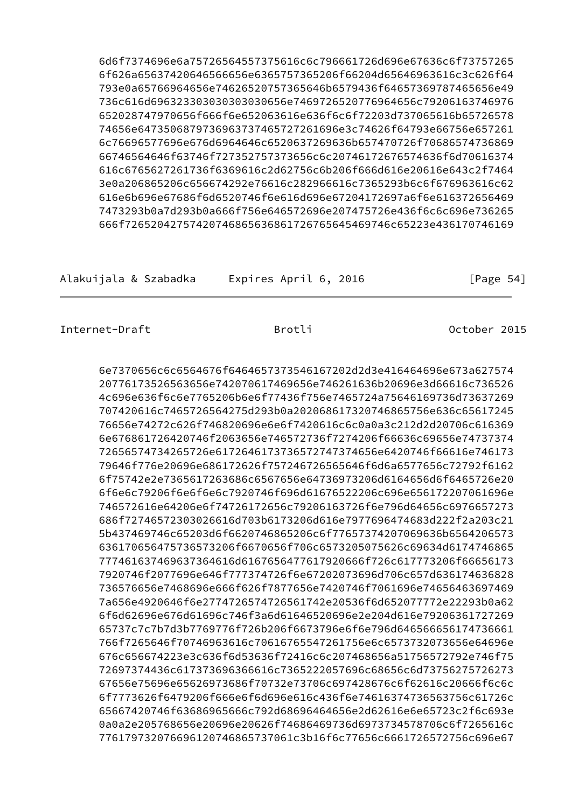6d6f7374696e6a75726564557375616c6c796661726d696e67636c6f73757265 6f626a65637420646566656e6365757365206f66204d65646963616c3c626f64 793e0a65766964656e74626520757365646b6579436f64657369787465656e49 736c616d696323303030303030656e7469726520776964656c79206163746976 652028747970656f666f6e652063616e636f6c6f72203d737065616b65726578 74656e6473506879736963737465727261696e3c74626f64793e66756e657261 6c76696577696e676d6964646c6520637269636b657470726f70686574736869 66746564646f63746f727352757373656c6c20746172676574636f6d70616374 616c6765627261736f6369616c2d62756c6b206f666d616e20616e643c2f7464 3e0a206865206c656674292e76616c282966616c7365293b6c6f676963616c62 616e6b696e67686f6d6520746f6e616d696e67204172697a6f6e616372656469 7473293b0a7d293b0a666f756e646572696e207475726e436f6c6c696e736265 666f72652042757420746865636861726765645469746c65223e436170746169

| Alakuijala & Szabadka | Expires April 6, 2016 | [Page $54$ ] |
|-----------------------|-----------------------|--------------|
|-----------------------|-----------------------|--------------|

Internet-Draft Brotli October 2015

 6e7370656c6c6564676f6464657373546167202d2d3e416464696e673a627574 20776173526563656e742070617469656e746261636b20696e3d66616c736526 4c696e636f6c6e7765206b6e6f77436f756e7465724a75646169736d73637269 707420616c7465726564275d293b0a202068617320746865756e636c65617245 76656e74272c626f746820696e6e6f7420616c6c0a0a3c212d2d20706c616369 6e676861726420746f2063656e746572736f7274206f66636c69656e74737374 72656574734265726e6172646173736572747374656e6420746f66616e746173 79646f776e20696e686172626f757246726565646f6d6a6577656c72792f6162 6f75742e2e7365617263686c6567656e64736973206d6164656d6f6465726e20 6f6e6c79206f6e6f6e6c7920746f696d61676522206c696e656172207061696e 746572616e64206e6f74726172656c79206163726f6e796d64656c6976657273 686f72746572303026616d703b6173206d616e7977696474683d222f2a203c21 5b437469746c65203d6f6620746865206c6f77657374207069636b6564206573 636170656475736573206f6670656f706c6573205075626c69634d6174746865 777461637469637364616d6167656477617920666f726c617773206f66656173 7920746f2077696e646f777374726f6e67202073696d706c657d636174636828 736576656e7468696e666f626f7877656e7420746f7061696e74656463697469 7a656e4920646f6e2774726574726561742e20536f6d652077772e22293b0a62 6f6d62696e676d61696c746f3a6d61646520696e2e204d616e79206361727269 65737c7c7b7d3b7769776f726b206f6673796e6f6e796d646566656174736661 766f7265646f70746963616c70616765547261756e6c6573732073656e64696e 676c656674223e3c636f6d53636f72416c6c207468656a51756572792e746f75 72697374436c617373696366616c7365222057696c68656c6d73756275726273 67656e75696e65626973686f70732e73706c697428676c6f62616c20666f6c6c 6f7773626f6479206f666e6f6d696e616c436f6e74616374736563756c61726c 65667420746f63686965666c792d68696464656e2d62616e6e65723c2f6c693e 0a0a2e205768656e20696e20626f74686469736d6973734578706c6f7265616c 776179732076696120746865737061c3b16f6c77656c6661726572756c696e67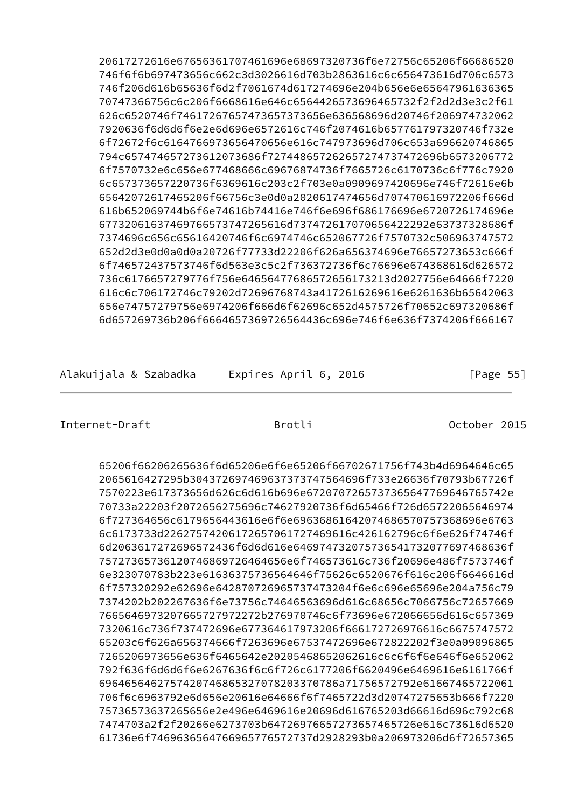20617272616e67656361707461696e68697320736f6e72756c65206f66686520 746f6f6b697473656c662c3d3026616d703b2863616c6c656473616d706c6573 746f206d616b65636f6d2f7061674d617274696e204b656e6e65647961636365 70747366756c6c206f6668616e646c6564426573696465732f2f2d2d3e3c2f61 626c6520746f74617267657473657373656e636568696d20746f206974732062 7920636f6d6d6f6e2e6d696e6572616c746f2074616b657761797320746f732e 6f72672f6c6164766973656470656e616c747973696d706c653a696620746865 794c657474657273612073686f727448657262657274737472696b6573206772 6f7570732e6c656e677468666c69676874736f7665726c6170736c6f776c7920 6c657373657220736f6369616c203c2f703e0a0909697420696e746f72616e6b 65642072617465206f66756c3e0d0a2020617474656d707470616972206f666d 616b652069744b6f6e74616b74416e746f6e696f686176696e6720726174696e 67732061637469766573747265616d737472617070656422292e63737328686f 7374696c656c65616420746f6c6974746c652067726f7570732c506963747572 652d2d3e0d0a0d0a20726f77733d22206f626a656374696e76657273653c666f 6f746572437573746f6d563e3c5c2f736372736f6c76696e674368616d626572 736c6176657279776f756e64656477686572656173213d2027756e64666f7220 616c6c706172746c79202d72696768743a4172616269616e6261636b65642063 656e74757279756e6974206f666d6f62696c652d4575726f70652c697320686f 6d657269736b206f6664657369726564436c696e746f6e636f7374206f666167

Alakuijala & Szabadka Expires April 6, 2016 [Page 55]

Internet-Draft Brotli October 2015

 65206f66206265636f6d65206e6f6e65206f66702671756f743b4d6964646c65 2065616427295b304372697469637373747564696f733e26636f70793b67726f 7570223e617373656d626c6d616b696e6720707265737365647769646765742e 70733a22203f2072656275696c74627920736f6d65466f726d65722065646974 6f727364656c6179656443616e6f6e69636861642074686570757368696e6763 6c6173733d22627574206172657061727469616c426162796c6f6e626f74746f 6d2063617272696572436f6d6d616e646974732075736541732077697468636f 75727365736120746869726464656e6f746573616c736f20696e486f7573746f 6e323070783b223e61636375736564646f75626c6520676f616c206f6646616d 6f757320292e62696e642870726965737473204f6e6c696e65696e204a756c79 7374202b202267636f6e73756c74646563696d616c68656c7066756c72657669 7665646973207665727972272b276970746c6f73696e672066656d616c657369 7320616c736f737472696e677364617973206f666172726976616c6675747572 65203c6f626a656374666f7263696e67537472696e672822202f3e0a09096865 7265206973656e636f6465642e20205468652062616c6c6f6f6e646f6e652062 792f636f6d6d6f6e6267636f6c6f726c6177206f6620496e6469616e6161766f 6964656462757420746865327078203370786a71756572792e61667465722061 706f6c6963792e6d656e20616e64666f6f7465722d3d20747275653b666f7220 75736573637265656e2e496e6469616e20696d616765203d66616d696c792c68 7474703a2f2f20266e6273703b64726976657273657465726e616c73616d6520 61736e6f7469636564766965776572737d2928293b0a206973206d6f72657365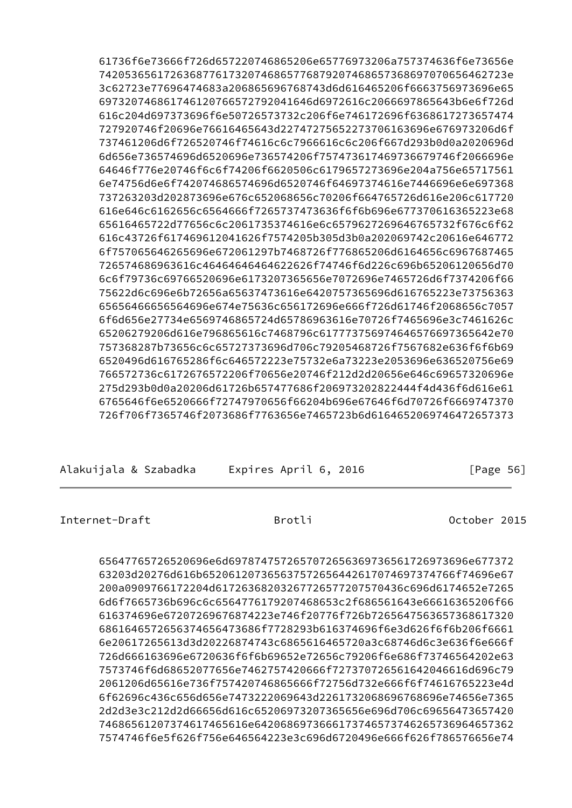61736f6e73666f726d657220746865206e65776973206a757374636f6e73656e 742053656172636877617320746865776879207468657368697070656462723e 3c62723e77696474683a206865696768743d6d616465206f6663756973696e65 697320746861746120766572792041646d6972616c2066697865643b6e6f726d 616c204d697373696f6e50726573732c206f6e746172696f6368617273657474 727920746f20696e76616465643d22747275652273706163696e676973206d6f 737461206d6f726520746f74616c6c7966616c6c206f667d293b0d0a2020696d 6d656e736574696d6520696e736574206f757473617469736679746f2066696e 64646f776e20746f6c6f74206f6620506c6179657273696e204a756e65717561 6e74756d6e6f742074686574696d6520746f64697374616e7446696e6e697368 737263203d202873696e676c652068656c70206f664765726d616e206c617720 616e646c6162656c6564666f7265737473636f6f6b696e677370616365223e68 65616465722d77656c6c2061735374616e6c6579627269646765732f676c6f62 616c43726f617469612041626f7574205b305d3b0a202069742c20616e646772 6f757065646265696e672061297b7468726f776865206d6164656c6967687465 726574686963616c46464646464622626f74746f6d226c696b65206120656d70 6c6f79736c69766520696e6173207365656e7072696e7465726d6f7374206f66 75622d6c696e6b72656a65637473616e6420757365696d616765223e73756363 65656466656564696e674e75636c656172696e666f726d61746f2068656c7057 6f6d656e27734e6569746865724d65786963616e70726f7465696e3c7461626c 65206279206d616e796865616c7468796c617773756974646576697365642e70 757368287b73656c6c65727373696d706c79205468726f7567682e636f6f6b69 6520496d616765286f6c646572223e75732e6a73223e2053696e636520756e69 766572736c6172676572206f70656e20746f212d2d20656e646c69657320696e 275d293b0d0a20206d61726b657477686f206973202822444f4d436f6d616e61 6765646f6e6520666f72747970656f66204b696e67646f6d70726f6669747370 726f706f7365746f2073686f7763656e7465723b6d6164652069746472657373

| Alakuijala & Szabadka | Expires April 6, 2016 | [Page 56] |
|-----------------------|-----------------------|-----------|
|-----------------------|-----------------------|-----------|

| Internet-Draft |  |  |  |
|----------------|--|--|--|
|----------------|--|--|--|

Brotli

October 2015

65647765726520696e6d6978747572657072656369736561726973696e677372 63203d20276d616b652061207365637572656442617074697374766f74696e67 200a0909766172204d61726368203267726577207570436c696d6174652e7265 6d6f7665736b696c6c6564776179207468653c2f686561643e66616365206f66 616374696e67207269676874223e746f20776f726b7265647563657368617320 6861646572656374656473686f7728293b616374696f6e3d626f6f6b206f6661 6e20617265613d3d20226874743c6865616465720a3c68746d6c3e636f6e666f 726d666163696e6720636f6f6b69652e72656c79206f6e686f73746564202e63 7573746f6d68652077656e7462757420666f727370726561642046616d696c79 2061206d65616e736f757420746865666f72756d732e666f6f74616765223e4d 6f62696c436c656d656e7473222069643d2261732068696768696e74656e7365 2d2d3e3c212d2d66656d616c65206973207365656e696d706c69656473657420 74686561207374617465616e6420686973666173746573746265736964657362 7574746f6e5f626f756e646564223e3c696d6720496e666f626f786576656e74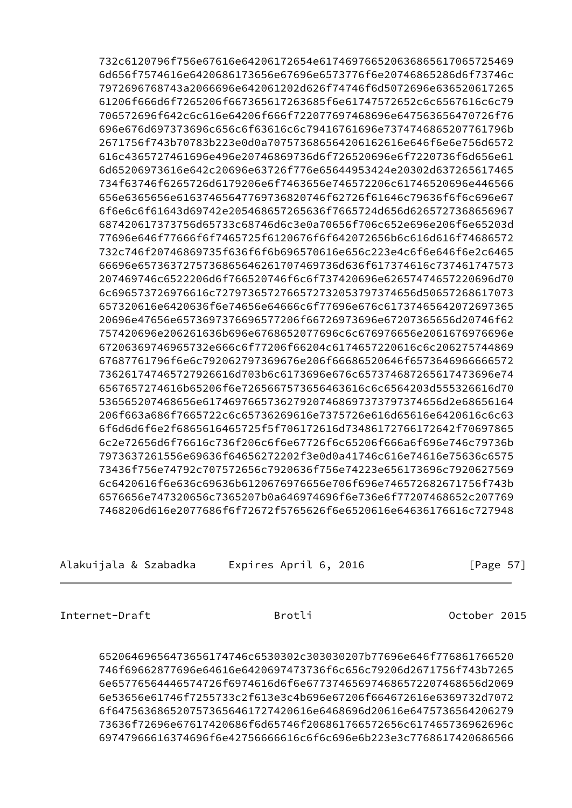732c6120796f756e67616e64206172654e617469766520636865617065725469 6d656f7574616e6420686173656e67696e6573776f6e20746865286d6f73746c 7972696768743a2066696e642061202d626f74746f6d5072696e636520617265 61206f666d6f7265206f667365617263685f6e61747572652c6c6567616c6c79 706572696f642c6c616e64206f666f722077697468696e647563656470726f76 696e676d697373696c656c6f63616c6c79416761696e7374746865207761796b 2671756f743b70783b223e0d0a707573686564206162616e646f6e6e756d6572 616c4365727461696e496e20746869736d6f726520696e6f7220736f6d656e61 6d65206973616e642c20696e63726f776e65644953424e20302d637265617465 734f63746f6265726d6179206e6f7463656e746572206c61746520696e446566 656e6365656e61637465647769736820746f62726f61646c79636f6f6c696e67 6f6e6c6f61643d69742e205468657265636f7665724d656d6265727368656967 687420617373756d65733c68746d6c3e0a70656f706c652e696e206f6e65203d 77696e646f77666f6f7465725f6120676f6f642072656b6c616d616f74686572 732c746f20746869735f636f6f6b696570616e656c223e4c6f6e646f6e2c6465 66696e6573637275736865646261707469736d636f617374616c737461747573 207469746c6522206d6f766520746f6c6f737420696e62657474657220696d70 6c696573726976616c7279736572766572732053797374656d50657268617073 657320616e6420636f6e74656e64666c6f77696e676c61737465642072697365 20696e47656e6573697376696577206f66726973696e67207365656d20746f62 757420696e206261636b696e6768652077696c6c676976656e2061676976696e 67206369746965732e666c6f77206f66204c6174657220616c6c206275744869 67687761796f6e6c792062797369676e206f66686520646f6573646966666572 736261747465727926616d703b6c6173696e676c657374687265617473696e74 6567657274616b65206f6e7265667573656463616c6c6564203d555326616d70 536565207468656e6174697665736279207468697373797374656d2e68656164 206f663a686f7665722c6c65736269616e7375726e616d65616e6420616c6c63 6f6d6d6f6e2f6865616465725f5f706172616d73486172766172642f70697865 6c2e72656d6f76616c736f206c6f6e67726f6c65206f666a6f696e746c79736b 7973637261556e69636f64656272202f3e0d0a41746c616e74616e75636c6575 73436f756e74792c707572656c7920636f756e74223e656173696c7920627569 6c6420616f6e636c69636b6120676976656e706f696e746572682671756f743b 6576656e747320656c7365207b0a646974696f6e736e6f77207468652c207769 7468206d616e2077686f6f72672f5765626f6e6520616e64636176616c727948

| Alakuijala & Szabadka |  |  | Expires April 6, 2016 |  |
|-----------------------|--|--|-----------------------|--|
|-----------------------|--|--|-----------------------|--|

 $[Page 57]$ 

Internet-Draft Brotli October 2015

 65206469656473656174746c6530302c303030207b77696e646f776861766520 746f69662877696e64616e6420697473736f6c656c79206d2671756f743b7265 6e65776564446574726f6974616d6f6e677374656974686572207468656d2069 6e53656e61746f7255733c2f613e3c4b696e67206f664672616e6369732d7072 6f6475636865207573656461727420616e6468696d20616e6475736564206279 73636f72696e67617420686f6d65746f206861766572656c617465736962696c 69747966616374696f6e42756666616c6f6c696e6b223e3c7768617420686566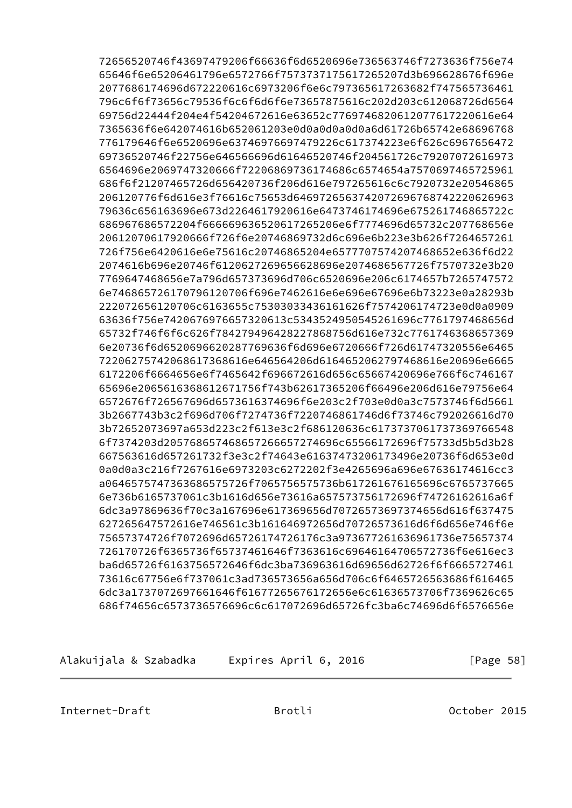72656520746f43697479206f66636f6d6520696e736563746f7273636f756e74 65646f6e65206461796e6572766f7573737175617265207d3b696628676f696e 2077686174696d672220616c6973206f6e6c797365617263682f747565736461 796c6f6f73656c79536f6c6f6d6f6e73657875616c202d203c612068726d6564 69756d22444f204e4f54204672616e63652c7769746820612077617220616e64 7365636f6e642074616b652061203e0d0a0d0a0d0a6d61726b65742e68696768 776179646f6e6520696e63746976697479226c617374223e6f626c6967656472 69736520746f22756e646566696d61646520746f204561726c79207072616973 6564696e2069747320666f72206869736174686c6574654a7570697465725961 686f6f21207465726d656420736f206d616e797265616c6c7920732e20546865 206120776f6d616e3f76616c75653d6469726563742072696768742220626963 79636c656163696e673d2264617920616e6473746174696e675261746865722c 686967686572204f666669636520617265206e6f7774696d65732c207768656e 20612070617920666f726f6e20746869732d6c696e6b223e3b626f7264657261 726f756e6420616e6e75616c20746865204e6577707574207468652e636f6d22 2074616b696e20746f6120627269656628696e2074686567726f7570732e3b20 7769647468656e7a796d657373696d706c6520696e206c6174657b7265747572 6e746865726170796120706f696e7462616e6e696e67696e6b73223e0a28293b 222072656120706c6163655c75303033436161626f7574206174723e0d0a0909 63636f756e7420676976657320613c5343524950545261696c7761797468656d 65732f746f6f6c626f784279496428227868756d616e732c7761746368657369 6e20736f6d6520696620287769636f6d696e6720666f726d61747320556e6465 72206275742068617368616e646564206d6164652062797468616e20696e6665 6172206f6664656e6f7465642f696672616d656c65667420696e766f6c746167 65696e2065616368612671756f743b62617365206f66496e206d616e79756e64 6572676f726567696d6573616374696f6e203c2f703e0d0a3c7573746f6d5661 3b2667743b3c2f696d706f7274736f7220746861746d6f73746c792026616d70 3b72652073697a653d223c2f613e3c2f686120636c6173737061737369766548 6f7374203d205768657468657266657274696c65566172696f75733d5b5d3b28 667563616d657261732f3e3c2f74643e61637473206173496e20736f6d653e0d 0a0d0a3c216f7267616e6973203c6272202f3e4265696a696e67636174616cc3 a0646575747363686575726f7065756575736b617261676165696c6765737665 6e736b6165737061c3b1616d656e73616a657573756172696f74726162616a6f 6dc3a97869636f70c3a167696e617369656d70726573697374656d616f637475 627265647572616e746561c3b161646972656d70726573616d6f6d656e746f6e 75657374726f7072696d65726174726176c3a973677261636961736e75657374 726170726f6365736f65737461646f7363616c69646164706572736f6e616ec3 ba6d65726f6163756572646f6dc3ba736963616d69656d62726f6f6665727461 73616c67756e6f737061c3ad736573656a656d706c6f6465726563686f616465 6dc3a1737072697661646f61677265676172656e6c61636573706f7369626c65 686f74656c6573736576696c6c617072696d65726fc3ba6c74696d6f6576656e

Alakuijala & Szabadka Expires April 6, 2016 [Page 58]

Internet-Draft Brotli October 2015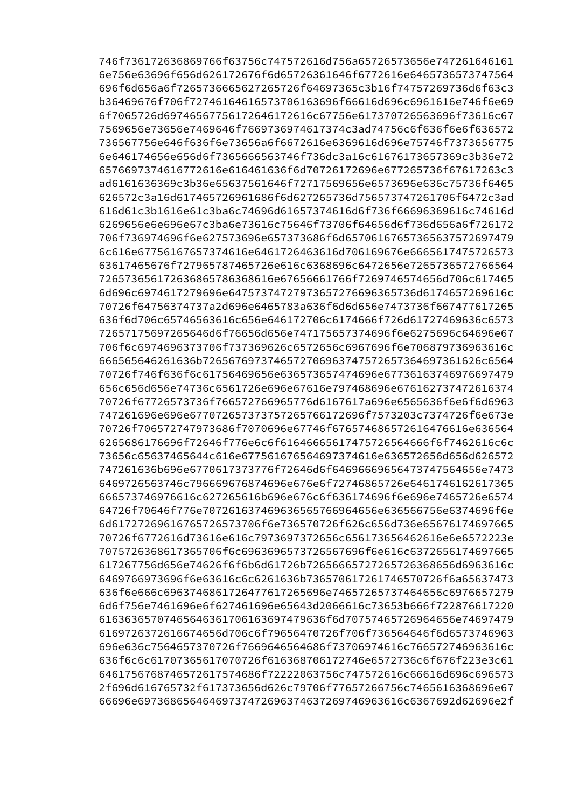746f736172636869766f63756c747572616d756a65726573656e747261646161 6e756e63696f656d626172676f6d65726361646f6772616e6465736573747564 696f6d656a6f7265736665627265726f64697365c3b16f74757269736d6f63c3 b36469676f706f72746164616573706163696f66616d696c6961616e746f6e69 6f7065726d69746567756172646172616c67756e617370726563696f73616c67 7569656e73656e7469646f7669736974617374c3ad74756c6f636f6e6f636572 736567756e646f636f6e73656a6f6672616e6369616d696e75746f7373656775 6e646174656e656d6f7365666563746f736dc3a16c61676173657369c3b36e72 6576697374616772616e616461636f6d70726172696e677265736f67617263c3 ad6161636369c3b36e65637561646f72717569656e6573696e636c75736f6465 626572c3a16d617465726961686f6d627265736d756573747261706f6472c3ad 616d61c3b1616e61c3ba6c74696d61657374616d6f736f66696369616c74616d 6269656e6e696e67c3ba6e73616c75646f73706f64656d6f736d656a6f726172 706f736974696f6e627573696e657373686f6d65706167657365637572697479 6c616e67756167657374616e6461726463616d706169676e6665617475726573 63617465676f727965787465726e616c6368696c6472656e7265736572766564 726573656172636865786368616e67656661766f7269746574656d706c617465 6d696c6974617279696e64757374727973657276696365736d6174657269616c 70726f64756374737a2d696e6465783a636f6d6d656e7473736f667477617265 636f6d706c65746563616c656e646172706c6174666f726d61727469636c6573 72657175697265646d6f76656d656e747175657374696f6e6275696c64696e67 706f6c6974696373706f737369626c6572656c6967696f6e706879736963616c 666565646261636b7265676973746572706963747572657364697361626c6564 70726f746f636f6c61756469656e636573657474696e67736163746976697479 656c656d656e74736c6561726e696e67616e797468696e676162737472616374 70726f67726573736f766572766965776d6167617a696e6565636f6e6f6d6963 747261696e696e677072657373757265766172696f7573203c7374726f6e673e 70726f706572747973686f7070696e67746f676574686572616476616e636564 6265686176696f72646f776e6c6f61646665617475726564666f6f7462616c6c 73656c65637465644c616e677561676564697374616e636572656d656d626572 747261636b696e6770617373776f72646d6f64696669656473747564656e7473 6469726563746c796669676874696e676e6f72746865726e6461746162617365 666573746976616c627265616b696e676c6f636174696f6e696e7465726e6574 64726f70646f776e707261637469636565766964656e636566756e6374696f6e 6d61727269616765726573706f6e736570726f626c656d736e65676174697665 70726f6772616d73616e616c7973697372656c656173656462616e6e6572223e 7075726368617365706f6c6963696573726567696f6e616c6372656174697665 617267756d656e74626f6f6b6d61726b72656665727265726368656d6963616c 6469766973696f6e63616c6c6261636b736570617261746570726f6a65637473 636f6e666c6963746861726477617265696e74657265737464656c6976657279 6d6f756e7461696e6f627461696e65643d2066616c73653b666f722876617220 61636365707465646361706163697479636f6d70757465726964656e74697479 6169726372616674656d706c6f79656470726f706f736564646f6d6573746963 696e636c7564657370726f7669646564686f73706974616c766572746963616c 636f6c6c61707365617070726f616368706172746e6572736c6f676f223e3c61 6461756768746572617574686f72222063756c747572616c66616d696c696573 2f696d616765732f617373656d626c79706f77657266756c7465616368696e67 66696e69736865646469737472696374637269746963616c6367692d62696e2f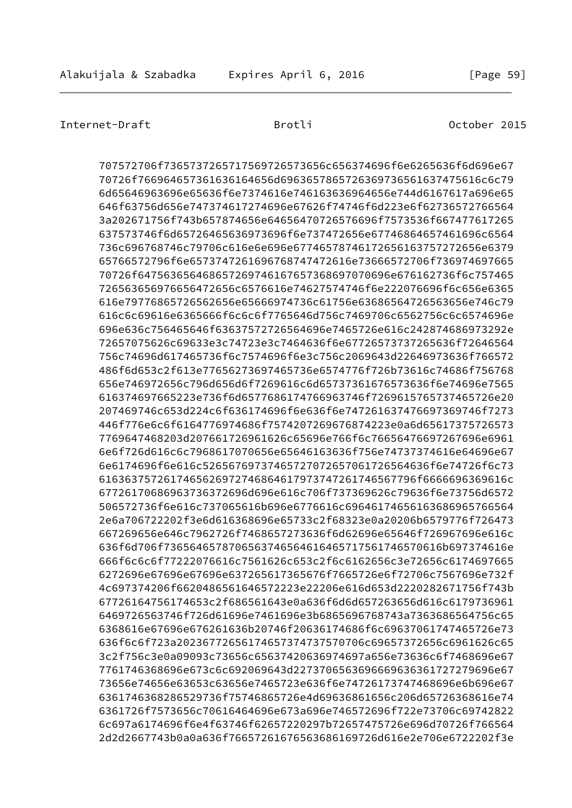Internet-Draft Brotli October 2015

 707572706f7365737265717569726573656c656374696f6e6265636f6d696e67 70726f766964657361636164656d6963657865726369736561637475616c6c79 6d65646963696e65636f6e7374616e746163636964656e744d6167617a696e65 646f63756d656e747374617274696e67626f74746f6d223e6f62736572766564 3a202671756f743b657874656e64656470726576696f7573536f667477617265 637573746f6d65726465636973696f6e737472656e67746864657461696c6564 736c696768746c79706c616e6e696e67746578746172656163757272656e6379 65766572796f6e6573747261696768747472616e73666572706f736974697665 70726f647563656468657269746167657368697070696e676162736f6c757465 726563656976656472656c6576616e74627574746f6e222076696f6c656e6365 616e79776865726562656e65666974736c61756e63686564726563656e746c79 616c6c69616e6365666f6c6c6f7765646d756c7469706c6562756c6c6574696e 696e636c756465646f63637572726564696e7465726e616c242874686973292e 72657075626c69633e3c74723e3c7464636f6e67726573737265636f72646564 756c74696d617465736f6c7574696f6e3c756c2069643d22646973636f766572 486f6d653c2f613e77656273697465736e6574776f726b73616c74686f756768 656e746972656c796d656d6f7269616c6d65737361676573636f6e74696e7565 616374697665223e736f6d6577686174766963746f7269615765737465726e20 207469746c653d224c6f636174696f6e636f6e747261637476697369746f7273 446f776e6c6f6164776974686f7574207269676874223e0a6d65617375726573 7769647468203d207661726961626c65696e766f6c76656476697267696e6961 6e6f726d616c6c7968617070656e65646163636f756e74737374616e64696e67 6e6174696f6e616c52656769737465727072657061726564636f6e74726f6c73 6163637572617465626972746864617973747261746567796f6666696369616c 67726170686963736372696d696e616c706f737369626c79636f6e73756d6572 506572736f6e616c737065616b696e6776616c69646174656163686965766564 2e6a706722202f3e6d616368696e65733c2f68323e0a20206b6579776f726473 667269656e646c7962726f7468657273636f6d62696e65646f726967696e616c 636f6d706f7365646578706563746564616465717561746570616b697374616e 666f6c6c6f77222076616c7561626c653c2f6c6162656c3e72656c6174697665 6272696e67696e67696e637265617365676f7665726e6f72706c7567696e732f 4c697374206f6620486561646572223e22206e616d653d2220282671756f743b 67726164756174653c2f686561643e0a636f6d6d657263656d616c6179736961 6469726563746f726d61696e7461696e3b6865696768743a7363686564756c65 6368616e67696e676261636b20746f20636174686f6c69637061747465726e73 636f6c6f723a20236772656174657374737570706c69657372656c6961626c65 3c2f756c3e0a09093c73656c65637420636974697a656e73636c6f7468696e67 7761746368696e673c6c692069643d2273706563696669636361727279696e67 73656e74656e63653c63656e7465723e636f6e74726173747468696e6b696e67 6361746368286529736f75746865726e4d69636861656c206d65726368616e74 6361726f7573656c70616464696e673a696e746572696f722e73706c69742822 6c697a6174696f6e4f63746f62657220297b72657475726e696d70726f766564 2d2d2667743b0a0a636f76657261676563686169726d616e2e706e6722202f3e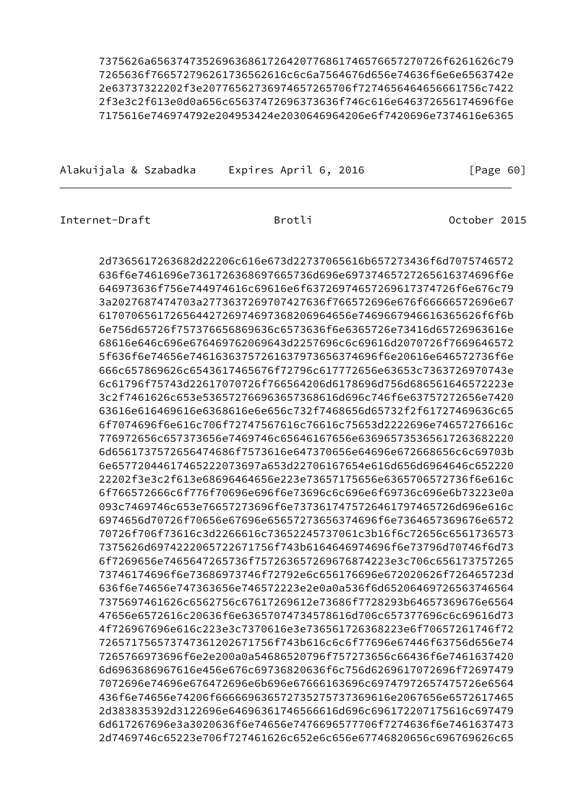7375626a656374735269636861726420776861746576657270726f6261626c79 7265636f766572796261736562616c6c6a7564676d656e74636f6e6e6563742e 2e63737322202f3e20776562736974657265706f7274656464656661756c7422 2f3e3c2f613e0d0a656c65637472696373636f746c616e646372656174696f6e 7175616e746974792e204953424e2030646964206e6f7420696e7374616e6365

Alakuijala & Szabadka Expires April 6, 2016 [Page 60]

Internet-Draft Brotli October 2015

 2d7365617263682d22206c616e673d22737065616b657273436f6d7075746572 636f6e7461696e7361726368697665736d696e69737465727265616374696f6e 646973636f756e744974616c69616e6f63726974657269617374726f6e676c79 3a2027687474703a2773637269707427636f766572696e676f66666572696e67 617070656172656442726974697368206964656e7469667946616365626f6f6b 6e756d65726f757376656869636c6573636f6e6365726e73416d65726963616e 68616e646c696e676469762069643d2257696c6c69616d2070726f7669646572 5f636f6e74656e74616363757261637973656374696f6e20616e646572736f6e 666c657869626c6543617465676f72796c617772656e63653c7363726970743e 6c61796f75743d22617070726f766564206d6178696d756d686561646572223e 3c2f7461626c653e536572766963657368616d696c746f6e63757272656e7420 63616e616469616e6368616e6e656c732f7468656d65732f2f61727469636c65 6f7074696f6e616c706f72747567616c76616c75653d2222696e74657276616c 776972656c657373656e7469746c65646167656e636965735365617263682220 6d6561737572656474686f7573616e647370656e64696e672668656c6c69703b 6e65772044617465222073697a653d22706167654e616d656d6964646c652220 22202f3e3c2f613e68696464656e223e73657175656e6365706572736f6e616c 6f766572666c6f776f70696e696f6e73696c6c696e6f69736c696e6b73223e0a 093c7469746c653e76657273696f6e7373617475726461797465726d696e616c 6974656d70726f70656e67696e65657273656374696f6e7364657369676e6572 70726f706f73616c3d2266616c73652245737061c3b16f6c72656c6561736573 7375626d6974222065722671756f743b6164646974696f6e73796d70746f6d73 6f7269656e7465647265736f757263657269676874223e3c706c656173757265 73746174696f6e73686973746f72792e6c656176696e672020626f726465723d 636f6e74656e747363656e746572223e2e0a0a536f6d65206469726563746564 7375697461626c6562756c67617269612e73686f7728293b64657369676e6564 47656e6572616c20636f6e63657074734578616d706c657377696c6c69616d73 4f726967696e616c223e3c7370616e3e736561726368223e6f70657261746f72 726571756573747361202671756f743b616c6c6f77696e67446f63756d656e74 7265766973696f6e2e200a0a54686520796f757273656c66436f6e7461637420 6d6963686967616e456e676c69736820636f6c756d6269617072696f72697479 7072696e74696e676472696e6b696e67666163696c69747972657475726e6564 436f6e74656e74206f666669636572735275737369616e2067656e6572617465 2d383835392d3122696e64696361746566616d696c696172207175616c697479 6d617267696e3a3020636f6e74656e7476696577706f7274636f6e7461637473 2d7469746c65223e706f727461626c652e6c656e67746820656c696769626c65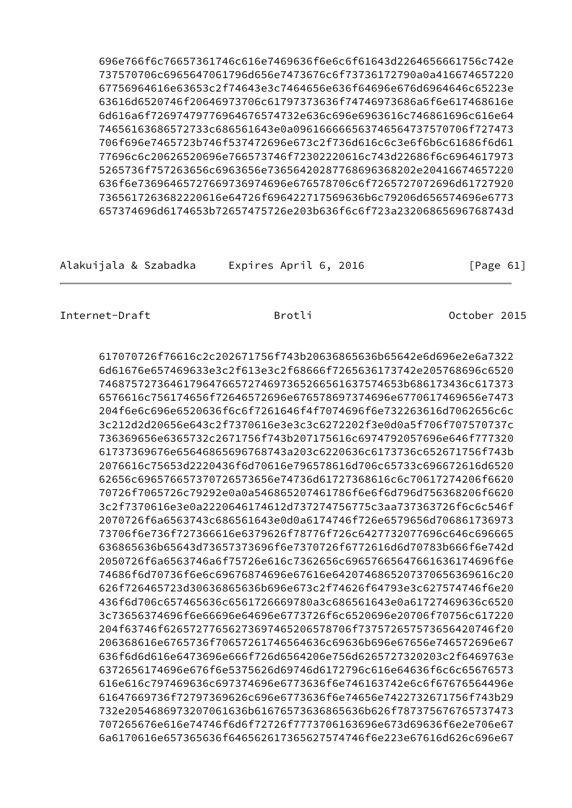696e766f6c76657361746c616e7469636f6e6c6f61643d2264656661756c742e 737570706c6965647061796d656e7473676c6f73736172790a0a416674657220 67756964616e63653c2f74643e3c7464656e636f64696e676d6964646c65223e 63616d6520746f20646973706c61797373636f74746973686a6f6e617468616e 6d616a6f72697479776964676574732e636c696e6963616c746861696c616e64 74656163686572733c686561643e0a096166666563746564737570706f727473 706f696e7465723b746f537472696e673c2f736d616c6c3e6f6b6c61686f6d61 77696c6c20626520696e766573746f72302220616c743d22686f6c6964617973 5265736f757263656c6963656e73656420287768696368202e20416674657220 636f6e73696465727669736974696e676578706c6f7265727072696d61727920 7365617263682220616e64726f696422717569636b6c79206d656574696e6773 657374696d6174653b72657475726e203b636f6c6f723a23206865696768743d

| Alakuijala & Szabadka | Expires April 6, 2016 | [Page 61] |
|-----------------------|-----------------------|-----------|
|-----------------------|-----------------------|-----------|

Internet-Draft

Brotli

October 2015

617070726f76616c2c202671756f743b20636865636b65642e6d696e2e6a7322 6d61676e657469633e3c2f613e3c2f68666f7265636173742e205768696c6520 74687572736461796476657274697365266561637574653b686173436c617373 6576616c756174656f72646572696e676578697374696e6770617469656e7473 204f6e6c696e6520636f6c6f7261646f4f7074696f6e732263616d7062656c6c 3c212d2d20656e643c2f7370616e3e3c3c6272202f3e0d0a5f706f707570737c 736369656e6365732c2671756f743b207175616c6974792057696e646f777320 61737369676e65646865696768743a203c6220636c6173736c652671756f743b 2076616c75653d2220436f6d70616e796578616d706c65733c696672616d6520 62656c696576657370726573656e74736d61727368616c6c70617274206f6620 70726f7065726c79292e0a0a546865207461786f6e6f6d796d756368206f6620 3c2f7370616e3e0a2220646174612d737274756775c3aa737363726f6c6c546f 2070726f6a6563743c686561643e0d0a6174746f726e6579656d706861736973 73706f6e736f727366616e6379626f78776f726c6427732077696c646c696665 636865636b65643d73657373696f6e7370726f6772616d6d70783b666f6e742d 2050726f6a6563746a6f75726e616c7362656c69657665647661636174696f6e 74686f6d70736f6e6c69676874696e67616e6420746865207370656369616c20 626f726465723d30636865636b696e673c2f74626f64793e3c627574746f6e20 436f6d706c657465636c6561726669780a3c686561643e0a61727469636c6520 3c73656374696f6e66696e64696e6773726f6c6520696e20706f70756c617220 204f63746f62657277656273697465206578706f737572657573656420746f20 206368616e6765736f70657261746564636c69636b696e67656e746572696e67 636f6d6d616e6473696e666f726d6564206e756d6265727320203c2f6469763e 6372656174696e676f6e5375626d69746d6172796c616e64636f6c6c65676573 616e616c797469636c697374696e6773636f6e746163742e6c6f67676564496e 61647669736f72797369626c696e6773636f6e74656e7422732671756f743b29 732e2054686973207061636b61676573636865636b626f787375676765737473 707265676e616e74746f6d6f72726f7773706163696e673d69636f6e2e706e67 6a6170616e657365636f646562617365627574746f6e223e67616d626c696e67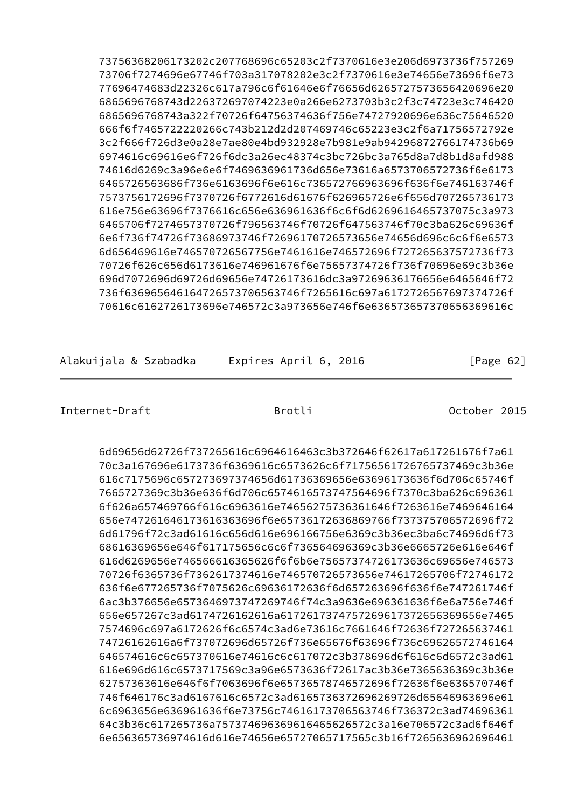73756368206173202c207768696c65203c2f7370616e3e206d6973736f757269 73706f7274696e67746f703a317078202e3c2f7370616e3e74656e73696f6e73 77696474683d22326c617a796c6f61646e6f76656d6265727573656420696e20 6865696768743d226372697074223e0a266e6273703b3c2f3c74723e3c746420 6865696768743a322f70726f64756374636f756e74727920696e636c75646520 666f6f7465722220266c743b212d2d207469746c65223e3c2f6a71756572792e 3c2f666f726d3e0a28e7ae80e4bd932928e7b981e9ab94296872766174736b69 6974616c69616e6f726f6dc3a26ec48374c3bc726bc3a765d8a7d8b1d8afd988 74616d6269c3a96e6e6f7469636961736d656e73616a6573706572736f6e6173 6465726563686f736e6163696f6e616c736572766963696f636f6e746163746f 7573756172696f7370726f6772616d61676f626965726e6f656d707265736173 616e756e63696f7376616c656e636961636f6c6f6d6269616465737075c3a973 6465706f7274657370726f796563746f70726f647563746f70c3ba626c69636f 6e6f736f74726f73686973746f72696170726573656e74656d696c6c6f6e6573 6d656469616e746570726567756e7461616e746572696f727265637572736f73 70726f626c656d6173616e746961676f6e75657374726f736f70696e69c3b36e 696d7072696d69726d69656e74726173616dc3a97269636176656e6465646f72 736f636965646164726573706563746f7265616c697a6172726567697374726f 70616c6162726173696e746572c3a973656e746f6e636573657370656369616c

| Alakuijala & Szabadka | Expires April 6, 2016 | [Page $62$ ] |
|-----------------------|-----------------------|--------------|
|                       |                       |              |

Internet-Draft

Brotli

October 2015

6d69656d62726f737265616c6964616463c3b372646f62617a617261676f7a61 70c3a167696e6173736f6369616c6573626c6f71756561726765737469c3b36e 616c7175696c657273697374656d61736369656e63696173636f6d706c65746f 7665727369c3b36e636f6d706c6574616573747564696f7370c3ba626c696361 6f626a657469766f616c6963616e74656275736361646f7263616e7469646164 656e747261646173616363696f6e65736172636869766f737375706572696f72 6d61796f72c3ad61616c656d616e696166756e6369c3b36ec3ba6c74696d6f73 68616369656e646f617175656c6c6f736564696369c3b36e6665726e616e646f 616d6269656e746566616365626f6f6b6e75657374726173636c69656e746573 70726f6365736f7362617374616e746570726573656e74617265706f72746172 636f6e677265736f7075626c69636172636f6d657263696f636f6e747261746f 6ac3b376656e6573646973747269746f74c3a9636e696361636f6e6a756e746f 656e657267c3ad6174726162616a6172617374757269617372656369656e7465 7574696c697a6172626f6c6574c3ad6e73616c7661646f72636f727265637461 74726162616a6f737072696d65726f736e65676f63696f736c69626572746164 646574616c6c657370616e74616c6c617072c3b378696d6f616c6d6572c3ad61 616e696d616c6573717569c3a96e6573636f72617ac3b36e7365636369c3b36e 62757363616e646f6f7063696f6e65736578746572696f72636f6e636570746f 746f646176c3ad6167616c6572c3ad6165736372696269726d65646963696e61 6c6963656e636961636f6e73756c74616173706563746f736372c3ad74696361 64c3b36c617265736a757374696369616465626572c3a16e706572c3ad6f646f 6e656365736974616d616e74656e65727065717565c3b16f7265636962696461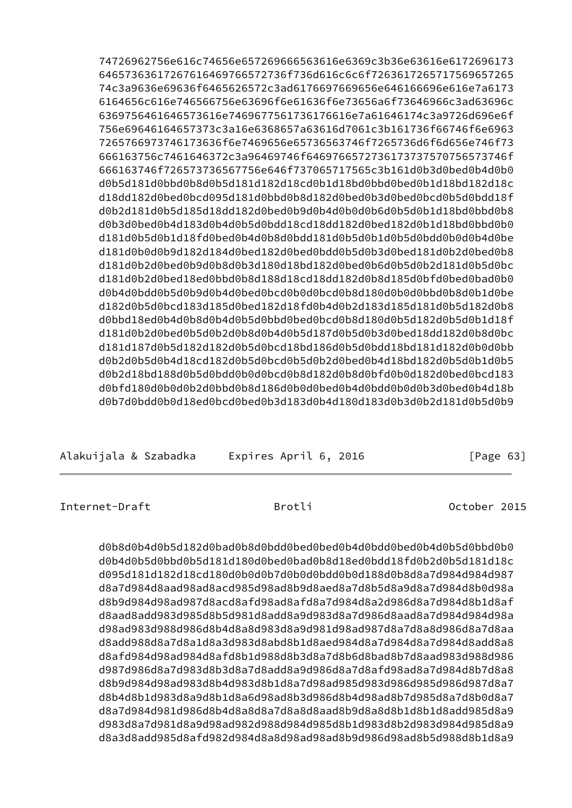74726962756e616c74656e657269666563616e6369c3b36e63616e6172696173 64657363617267616469766572736f736d616c6c6f7263617265717569657265 74c3a9636e69636f6465626572c3ad6176697669656e646166696e616e7a6173 6164656c616e746566756e63696f6e61636f6e73656a6f73646966c3ad63696c 6369756461646573616e7469677561736176616e7a61646174c3a9726d696e6f 756e69646164657373c3a16e6368657a63616d7061c3b161736f66746f6e6963 7265766973746173636f6e7469656e65736563746f7265736d6f6d656e746f73 666163756c7461646372c3a96469746f6469766572736173737570756573746f 666163746f726573736567756e646f737065717565c3b161d0b3d0bed0b4d0b0 d0b5d181d0bbd0b8d0b5d181d182d18cd0b1d18bd0bbd0bed0b1d18bd182d18c d18dd182d0bed0bcd095d181d0bbd0b8d182d0bed0b3d0bed0bcd0b5d0bdd18f d0b2d181d0b5d185d18dd182d0bed0b9d0b4d0b0d0b6d0b5d0b1d18bd0bbd0b8 d0b3d0bed0b4d183d0b4d0b5d0bdd18cd18dd182d0bed182d0b1d18bd0bbd0b0 d181d0b5d0b1d18fd0bed0b4d0b8d0bdd181d0b5d0b1d0b5d0bdd0b0d0b4d0be d181d0b0d0b9d182d184d0bed182d0bed0bdd0b5d0b3d0bed181d0b2d0bed0b8 d181d0b2d0bed0b9d0b8d0b3d180d18bd182d0bed0b6d0b5d0b2d181d0b5d0bc d181d0b2d0bed18ed0bbd0b8d188d18cd18dd182d0b8d185d0bfd0bed0bad0b0 d0b4d0bd0b5d0b9d0b4d0bed0bcd0b0d0bcd0b8d180d0b0d0bbd0b8d0b1d0be d182d0b5d0bcd183d185d0bed182d18fd0b4d0b2d183d185d181d0b5d182d0b8 d0bbd18ed0b4d0b8d0b4d0b5d0bbd0bed0bcd0b8d180d0b5d182d0b5d0b1d18f d181d0b2d0bed0b5d0b2d0b8d0b4d0b5d187d0b5d0b3d0bed18dd182d0b8d0bc d181d187d0b5d182d182d0b5d0bcd18bd186d0b5d0bdd18bd181d182d0b0d0bb d0b2d0b5d0b4d18cd182d0b5d0bcd0b5d0b2d0bed0b4d18bd182d0b5d0b1d0b5 d0b2d18bd188d0b5d0bdd0b0d0bcd0b8d182d0b8d0bfd0b0d182d0bed0bcd183 d0bfd180d0b0d0b2d0bbd0b8d186d0b0d0bed0b4d0bdd0b0d0b3d0bed0b4d18b d0b7d0bdd0b0d18ed0bcd0bed0b3d183d0b4d180d183d0b3d0b2d181d0b5d0b9

| Alakuijala & Szabadka | Expires April 6, 2016 |  | [Page 63] |
|-----------------------|-----------------------|--|-----------|
|-----------------------|-----------------------|--|-----------|

October 2015

d0b8d0b4d0b5d182d0bad0b8d0bdd0bed0bed0b4d0bdd0bed0b4d0b5d0bbd0b0 d0b4d0b5d0bbd0b5d181d180d0bed0bad0b8d18ed0bdd18fd0b2d0b5d181d18c d095d181d182d18cd180d0b0d0b7d0b0d0bdd0b0d188d0b8d8a7d984d984d987 d8a7d984d8aad98ad8acd985d98ad8b9d8aed8a7d8b5d8a9d8a7d984d8b0d98a d8b9d984d98ad987d8acd8afd98ad8afd8a7d984d8a2d986d8a7d984d8b1d8af d8aad8add983d985d8b5d981d8add8a9d983d8a7d986d8aad8a7d984d984d98a d98ad983d988d986d8b4d8a8d983d8a9d981d98ad987d8a7d8a8d986d8a7d8aa d8add988d8a7d8a1d8a3d983d8abd8b1d8aed984d8a7d984d8a7d984d8add8a8 d8afd984d98ad984d8afd8b1d988d8b3d8a7d8b6d8bad8b7d8aad983d988d986 d987d986d8a7d983d8b3d8a7d9add8a9d986d8a7d8afd98ad8a7d984d8b7d8a8 d8b9d984d98ad983d8b4d983d8b1d8a7d98ad985d983d986d985d986d987d8a7 d8b4d8b1d983d8a9d8b1d8a6d98ad8b3d986d8b4d98ad8b7d985d8a7d8b0d8a7 d8a7d984d981d986d8b4d8a8d8a7d8a8d8aad8b9d8a8d8b1d8b1d8add985d8a9 d983d8a7d981d8a9d98ad982d988d984d985d8b1d983d8b2d983d984d985d8a9 d8a3d8add985d8afd982d984d8a8d98ad98ad8b9d986d98ad8b5d988d8b1d8a9

Internet-Draft

Brotli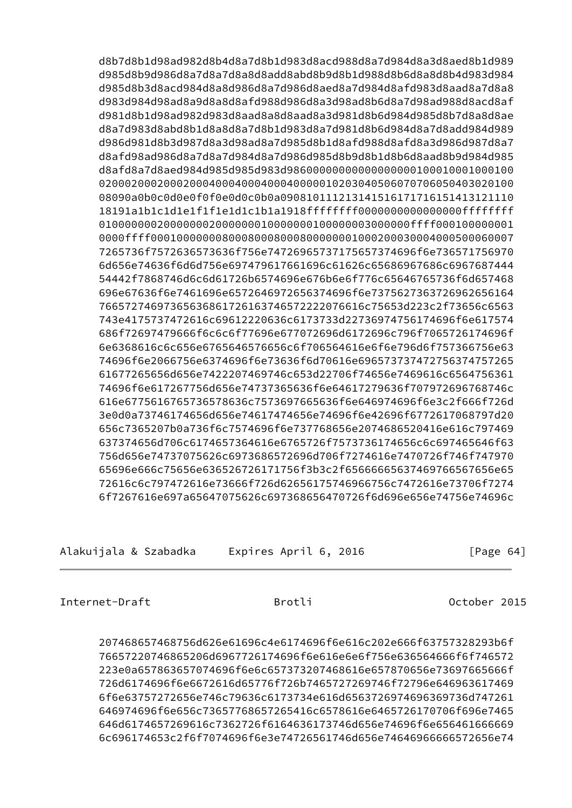d8b7d8b1d98ad982d8b4d8a7d8b1d983d8acd988d8a7d984d8a3d8aed8b1d989 d985d8b9d986d8a7d8a7d8a8d8add8abd8b9d8b1d988d8b6d8a8d8b4d983d984 d985d8b3d8acd984d8a8d986d8a7d986d8aed8a7d984d8afd983d8aad8a7d8a8 d983d984d98ad8a9d8a8d8afd988d986d8a3d98ad8b6d8a7d98ad988d8acd8af d981d8b1d98ad982d983d8aad8a8d8aad8a3d981d8b6d984d985d8b7d8a8d8ae d8a7d983d8abd8b1d8a8d8a7d8b1d983d8a7d981d8b6d984d8a7d8add984d989 d986d981d8b3d987d8a3d98ad8a7d985d8b1d8afd988d8afd8a3d986d987d8a7 d8afd98ad986d8a7d8a7d984d8a7d986d985d8b9d8b1d8b6d8aad8b9d984d985 d8afd8a7d8aed984d985d985d983d98600000000000000000100010001000100 0200020002000200040004000400040000010203040506070706050403020100 08090a0b0c0d0e0f0f0e0d0c0b0a090810111213141516171716151413121110 18191a1b1c1d1e1f1f1e1d1c1b1a1918ffffffff0000000000000000ffffffff 010000000200000002000000010000000100000003000000ffff000100000001 0000ffff00010000000800080008000800000001000200030004000500060007 7265736f7572636573636f756e74726965737175657374696f6e736571756970 6d656e74636f6d6d756e697479617661696c61626c65686967686c6967687444 54442f7868746d6c6d61726b6574696e676b6e6f776c65646765736f6d657468 696e67636f6e7461696e6572646972656374696f6e7375627363726962656164 76657274697365636861726163746572222076616c75653d223c2f73656c6563 743e4175737472616c69612220636c6173733d22736974756174696f6e617574 686f72697479666f6c6c6f77696e677072696d6172696c796f7065726174696f 6e6368616c6c656e6765646576656c6f706564616e6f6e796d6f757366756e63 74696f6e2066756e6374696f6e73636f6d70616e696573737472756374757265 61677265656d656e7422207469746c653d22706f74656e7469616c6564756361 74696f6e617267756d656e74737365636f6e64617279636f707972696768746c 616e6775616765736578636c7573697665636f6e646974696f6e3c2f666f726d 3e0d0a73746174656d656e74617474656e74696f6e42696f6772617068797d20 656c7365207b0a736f6c7574696f6e737768656e2074686520416e616c797469 637374656d706c6174657364616e6765726f7573736174656c6c697465646f63 756d656e74737075626c6973686572696d706f7274616e7470726f746f747970 65696e666c75656e636526726171756f3b3c2f65666665637469766567656e65 72616c6c797472616e73666f726d62656175746966756c7472616e73706f7274 6f7267616e697a65647075626c697368656470726f6d696e656e74756e74696c

| Alakuijala & Szabadka | Expires April 6, 2016 |  |
|-----------------------|-----------------------|--|
|-----------------------|-----------------------|--|

 $[Page 64]$ 

Internet-Draft Brotli October 2015

 207468657468756d626e61696c4e6174696f6e616c202e666f63757328293b6f 76657220746865206d6967726174696f6e616e6e6f756e636564666f6f746572 223e0a657863657074696f6e6c657373207468616e657870656e73697665666f 726d6174696f6e6672616d65776f726b7465727269746f72796e646963617469 6f6e63757272656e746c79636c6173734e616d6563726974696369736d747261 646974696f6e656c73657768657265416c6578616e6465726170706f696e7465 646d6174657269616c7362726f6164636173746d656e74696f6e656461666669 6c696174653c2f6f7074696f6e3e74726561746d656e74646966666572656e74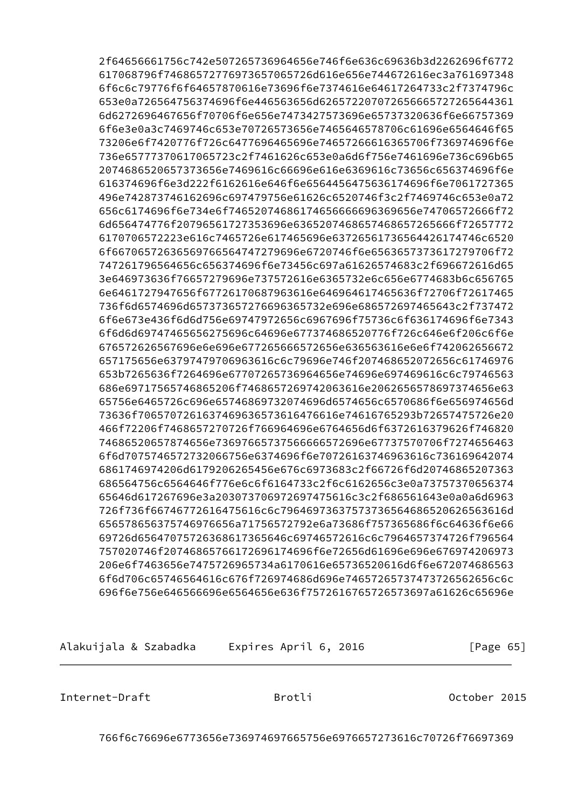2f64656661756c742e507265736964656e746f6e636c69636b3d2262696f6772 617068796f74686572776973657065726d616e656e744672616ec3a761697348 6f6c6c79776f6f64657870616e73696f6e7374616e64617264733c2f7374796c 653e0a726564756374696f6e446563656d626572207072656665727265644361 6d6272696467656f70706f6e656e7473427573696e65737320636f6e66757369 6f6e3e0a3c7469746c653e70726573656e7465646578706c61696e6564646f65 73206e6f7420776f726c6477696465696e74657266616365706f736974696f6e 736e65777370617065723c2f7461626c653e0a6d6f756e7461696e736c696b65 2074686520657373656e7469616c66696e616e6369616c73656c656374696f6e 616374696f6e3d222f6162616e646f6e6564456475636174696f6e7061727365 496e742873746162696c697479756e61626c6520746f3c2f7469746c653e0a72 656c6174696f6e734e6f74652074686174656666696369656e74706572666f72 6d656474776f20796561727353696e6365207468657468657265666f72657772 6170706572223e616c7465726e617465696e63726561736564426174746c6520 6f66706572636569766564747279696e6720746f6e6563657373617279706f72 747261796564656c656374696f6e73456c697a61626574683c2f696672616d65 3e646973636f76657279696e737572616e6365732e6c656e6774683b6c656765 6e6461727947656f67726170687963616e646964617465636f72706f72617465 736f6d6574696d657373657276696365732e696e686572697465643c2f737472 6f6e673e436f6d6d756e69747972656c6967696f75736c6f636174696f6e7343 6f6d6d69747465656275696c64696e677374686520776f726c646e6f206c6f6e 676572626567696e6e696e677265666572656e636563616e6e6f742062656672 657175656e63797479706963616c6c79696e746f207468652072656c61746976 653b7265636f7264696e67707265736964656e74696e697469616c6c79746563 686e69717565746865206f7468657269742063616e2062656578697374656e63 65756e6465726c696e65746869732074696d6574656c6570686f6e656974656d 73636f7065707261637469636573616476616e74616765293b72657475726e20 466f72206f7468657270726f766964696e6764656d6f6372616379626f746820 74686520657874656e73697665737566666572696e67737570706f7274656463 6f6d7075746572732066756e6374696f6e70726163746963616c736169642074 6861746974206d6179206265456e676c6973683c2f66726f6d20746865207363 686564756c6564646f776e6c6f6164733c2f6c6162656c3e0a73757370656374 65646d617267696e3a203073706972697475616c3c2f686561643e0a0a6d6963 726f736f66746772616475616c6c79646973637573736564686520626563616d 656578656375746976656a71756572792e6a73686f757365686f6c64636f6e66 69726d65647075726368617365646c69746572616c6c7964657374726f796564 757020746f20746865766172696174696f6e72656d61696e696e676974206973 206e6f7463656e7475726965734a6170616e65736520616d6f6e672074686563 6f6d706c65746564616c676f726974686d696e74657265737473726562656c6c 696f6e756e646566696e6564656e636f7572616765726573697a61626c65696e

Alakuijala & Szabadka Expires April 6, 2016 [Page 65]

Internet-Draft Brotli October 2015

766f6c76696e6773656e736974697665756e6976657273616c70726f76697369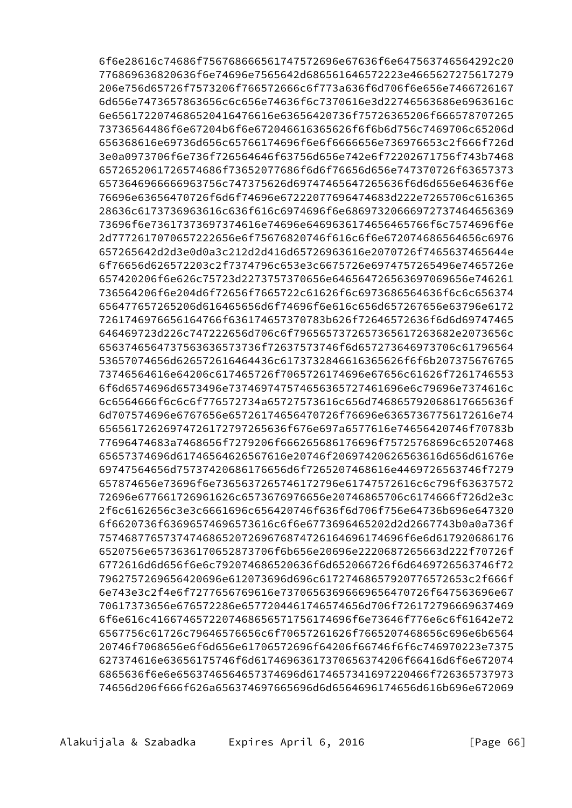6f6e28616c74686f756768666561747572696e67636f6e647563746564292c20 776869636820636f6e74696e7565642d686561646572223e4665627275617279 206e756d65726f7573206f766572666c6f773a636f6d706f6e656e7466726167 6d656e7473657863656c6c656e74636f6c7370616e3d22746563686e6963616c 6e6561722074686520416476616e63656420736f75726365206f666578707265 73736564486f6e67204b6f6e672046616365626f6f6b6d756c7469706c65206d 656368616e69736d656c65766174696f6e6f6666656e736976653c2f666f726d 3e0a0973706f6e736f726564646f63756d656e742e6f72202671756f743b7468 6572652061726574686f73652077686f6d6f76656d656e747370726f63657373 6573646966666963756c747375626d69747465647265636f6d6d656e64636f6e 76696e63656470726f6d6f74696e67222077696474683d222e7265706c616365 28636c6173736963616c636f616c6974696f6e68697320666972737464656369 73696f6e73617373697374616e74696e6469636174656465766f6c7574696f6e 2d7772617070657222656e6f75676820746f616c6f6e672074686564656c6976 657265642d2d3e0d0a3c212d2d416d65726963616e2070726f7465637465644e 6f76656d626572203c2f7374796c653e3c6675726e6974757265496e7465726e 657420206f6e626c75723d2273757370656e646564726563697069656e746261 736564206f6e204d6f72656f7665722c61626f6c6973686564636f6c6c656374 656477657265206d616465656d6f74696f6e616c656d657267656e63796e6172 7261746976656164766f636174657370783b626f72646572636f6d6d69747465 646469723d226c747222656d706c6f7965657372657365617263682e2073656c 6563746564737563636573736f72637573746f6d657273646973706c61796564 53657074656d626572616464436c6173732846616365626f6f6b207375676765 73746564616e64206c617465726f7065726174696e67656c61626f7261746553 6f6d6574696d6573496e737469747574656365727461696e6c79696e7374616c 6c6564666f6c6c6f776572734a65727573616c656d746865792068617665636f 6d707574696e6767656e65726174656470726f76696e63657367756172616e74 65656172626974726172797265636f676e697a6577616e74656420746f70783b 77696474683a7468656f7279206f666265686176696f75725768696c65207468 65657374696d61746564626567616e20746f20697420626563616d656d61676e 69747564656d75737420686176656d6f7265207468616e4469726563746f7279 657874656e73696f6e7365637265746172796e61747572616c6c796f63637572 72696e677661726961626c6573676976656e20746865706c6174666f726d2e3c 2f6c6162656c3e3c6661696c656420746f636f6d706f756e64736b696e647320 6f6620736f63696574696573616c6f6e6773696465202d2d2667743b0a0a736f 75746877657374746865207269676874726164696174696f6e6d617920686176 6520756e6573636170652873706f6b656e20696e2220687265663d222f70726f 6772616d6d656f6e6c792074686520636f6d652066726f6d6469726563746f72 7962757269656420696e612073696d696c61727468657920776572653c2f666f 6e743e3c2f4e6f7277656769616e73706563696669656470726f647563696e67 70617373656e676572286e6577204461746574656d706f726172796669637469 6f6e616c4166746572207468656571756174696f6e73646f776e6c6f61642e72 6567756c61726c79646576656c6f70657261626f7665207468656c696e6b6564 20746f7068656e6f6d656e61706572696f64206f66746f6f6c746970223e7375 627374616e63656175746f6d61746963617370656374206f66416d6f6e672074 6865636f6e6e6563746564657374696d6174657341697220466f726365737973 74656d206f666f626a656374697665696d6d6564696174656d616b696e672069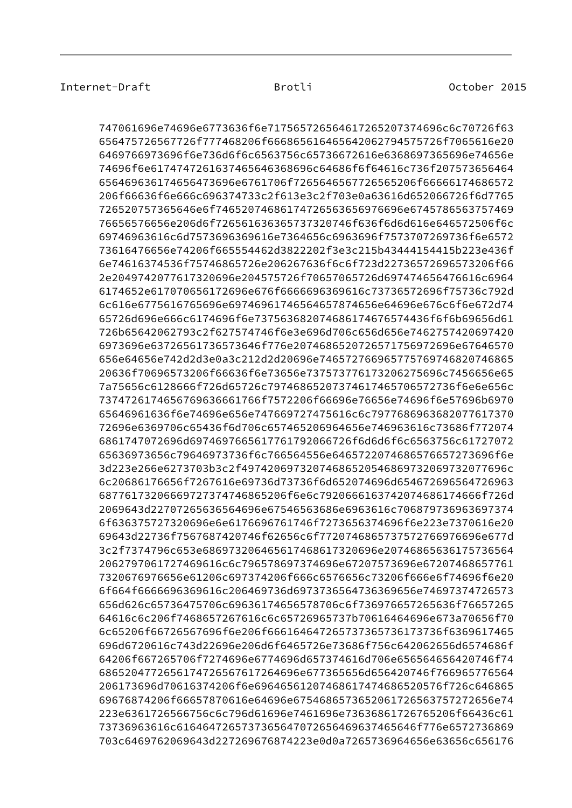747061696e74696e6773636f6e717565726564617265207374696c6c70726f63 656475726567726f777468206f666865616465642062794575726f7065616e20 6469766973696f6e736d6f6c6563756c65736672616e6368697365696e74656e 74696f6e6174747261637465646368696c64686f6f64616c736f207573656464 656469636174656473696e6761706f7265646567726565206f66666174686572 206f66636f6e666c696374733c2f613e3c2f703e0a63616d652066726f6d7765 726520757365646e6f74652074686174726563656976696e6745786563757469 76656576656e206d6f726561636365737320746f636f6d6d616e646572506f6c 69746963616c6d7573696369616e7364656c6963696f7573707269736f6e6572 73616476656e74206f665554462d3822202f3e3c215b43444154415b223e436f 6e74616374536f75746865726e206267636f6c6f723d22736572696573206f66 2e2049742077617320696e204575726f70657065726d697474656476616c6964 6174652e617070656172696e676f6666696369616c73736572696f75736c792d 6c616e6775616765696e69746961746564657874656e64696e676c6f6e672d74 65726d696e666c6174696f6e737563682074686174676574436f6f6b69656d61 726b65642062793c2f627574746f6e3e696d706c656d656e7462757420697420 6973696e63726561736573646f776e2074686520726571756972696e67646570 656e64656e742d2d3e0a3c212d2d20696e746572766965775769746820746865 20636f70696573206f66636f6e73656e737573776173206275696c7456656e65 7a75656c6128666f726d65726c79746865207374617465706572736f6e6e656c 7374726174656769636661766f7572206f66696e76656e74696f6e57696b6970 65646961636f6e74696e656e747669727475616c6c7977686963682077617370 72696e6369706c65436f6d706c657465206964656e746963616c73686f772074 6861747072696d6974697665617761792066726f6d6d6f6c6563756c61727072 65636973656c79646973736f6c766564556e6465722074686576657273696f6e 3d223e266e6273703b3c2f49742069732074686520546869732069732077696c 6c20686176656f7267616e69736d73736f6d652074696d654672696564726963 68776173206669727374746865206f6e6c7920666163742074686174666f726d 2069643d22707265636564696e67546563686e6963616c706879736963697374 6f636375727320696e6e6176696761746f7273656374696f6e223e7370616e20 69643d22736f7567687420746f62656c6f7720746865737572766976696e677d 3c2f7374796c653e686973206465617468617320696e20746865636175736564 2062797061727469616c6c796578697374696e67207573696e67207468657761 7320676976656e61206c697374206f666c6576656c73206f666e6f74696f6e20 6f664f6666696369616c206469736d6973736564736369656e74697374726573 656d626c65736475706c69636174656578706c6f736976657265636f76657265 64616c6c206f7468657267616c6c65726965737b70616464696e673a70656f70 6c65206f66726567696f6e206f666164647265737365736173736f6369617465 696d6720616c743d22696e206d6f6465726e73686f756c642062656d6574686f 64206f667265706f7274696e6774696d657374616d706e656564656420746f74 6865204772656174726567617264696e677365656d656420746f766965776564 206173696d70616374206f6e69646561207468617474686520576f726c646865 69676874206f66657870616e64696e6754686573652061726563757272656e74 223e6361726566756c6c796d61696e7461696e73636861726765206f66436c61 73736963616c6164647265737365647072656469637465646f776e6572736869 703c6469762069643d227269676874223e0d0a7265736964656e63656c656176

## Internet-Draft Brotli October 2015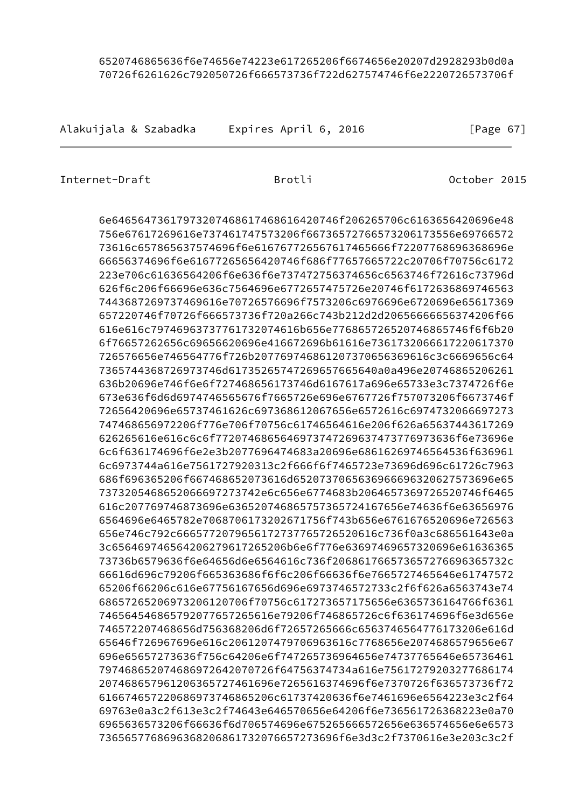## 6520746865636f6e74656e74223e617265206f6674656e20207d2928293b0d0a 70726f6261626c792050726f666573736f722d627574746f6e2220726573706f

Alakuijala & Szabadka Expires April 6, 2016 [Page 67]

Internet-Draft Brotli October 2015

 6e64656473617973207468617468616420746f206265706c6163656420696e48 756e67617269616e737461747573206f66736572766573206173556e69766572 73616c657865637574696f6e616767726567617465666f72207768696368696e 66656374696f6e61677265656420746f686f77657665722c20706f70756c6172 223e706c61636564206f6e636f6e737472756374656c6563746f72616c73796d 626f6c206f66696e636c7564696e6772657475726e20746f6172636869746563 7443687269737469616e70726576696f7573206c6976696e6720696e65617369 657220746f70726f666573736f720a266c743b212d2d20656666656374206f66 616e616c79746963737761732074616b656e776865726520746865746f6f6b20 6f76657262656c69656620696e416672696b61616e7361732066617220617370 726576656e746564776f726b207769746861207370656369616c3c6669656c64 7365744368726973746d61735265747269657665640a0a496e20746865206261 636b20696e746f6e6f727468656173746d6167617a696e65733e3c7374726f6e 673e636f6d6d6974746565676f7665726e696e6767726f757073206f6673746f 72656420696e65737461626c697368612067656e6572616c6974732066697273 747468656972206f776e706f70756c61746564616e206f626a65637443617269 626265616e616c6c6f7720746865646973747269637473776973636f6e73696e 6c6f636174696f6e2e3b2077696474683a20696e68616269746564536f636961 6c6973744a616e7561727920313c2f666f6f7465723e73696d696c61726c7963 686f696365206f667468652073616d6520737065636966696320627573696e65 7373205468652066697273742e6c656e6774683b2064657369726520746f6465 616c207769746873696e636520746865757365724167656e74636f6e63656976 6564696e6465782e7068706173202671756f743b656e6761676520696e726563 656e746c792c6665772079656172737765726520616c736f0a3c686561643e0a 3c656469746564206279617265206b6e6f776e63697469657320696e61636365 73736b6579636f6e64656d6e6564616c736f206861766573657276696365732c 66616d696c79206f665363686f6f6c206f66636f6e7665727465646e61747572 65206f66206c616e67756167656d696e6973746572733c2f6f626a6563743e74 68657265206973206120706f70756c617273657175656e6365736164766f6361 746564546865792077657265616e79206f746865726c6f636174696f6e3d656e 746572207468656d756368206d6f72657265666c6563746564776173206e616d 65646f726967696e616c2061207479706963616c7768656e2074686579656e67 696e65657273636f756c64206e6f747265736964656e74737765646e65736461 797468652074686972642070726f64756374734a616e75617279203277686174 207468657961206365727461696e7265616374696f6e7370726f636573736f72 616674657220686973746865206c61737420636f6e7461696e6564223e3c2f64 69763e0a3c2f613e3c2f74643e646570656e64206f6e736561726368223e0a70 6965636573206f66636f6d706574696e675265666572656e636574656e6e6573 7365657768696368206861732076657273696f6e3d3c2f7370616e3e203c3c2f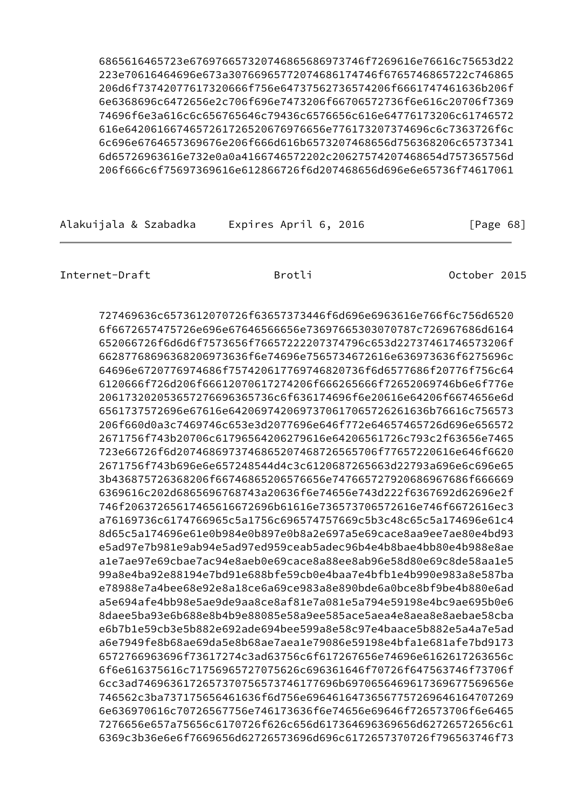6865616465723e676976657320746865686973746f7269616e76616c75653d22 223e70616464696e673a30766965772074686174746f6765746865722c746865 206d6f73742077617320666f756e64737562736574206f6661747461636b206f 6e6368696c6472656e2c706f696e7473206f66706572736f6e616c20706f7369 74696f6e3a616c6c656765646c79436c6576656c616e64776173206c61746572 616e6420616674657261726520676976656e776173207374696c6c7363726f6c 6c696e6764657369676e206f666d616b6573207468656d756368206c65737341 6d65726963616e732e0a0a4166746572202c20627574207468654d757365756d 206f666c6f75697369616e612866726f6d207468656d696e6e65736f74617061

| Alakuijala & Szabadka | Expires April 6, 2016 | [Page 68] |
|-----------------------|-----------------------|-----------|
|-----------------------|-----------------------|-----------|

Internet-Draft Brotli October 2015

 727469636c6573612070726f63657373446f6d696e6963616e766f6c756d6520 6f6672657475726e696e67646566656e73697665303070787c726967686d6164 652066726f6d6d6f7573656f76657222207374796c653d22737461746573206f 66287768696368206973636f6e74696e7565734672616e636973636f6275696c 64696e6720776974686f757420617769746820736f6d6577686f20776f756c64 6120666f726d206f66612070617274206f666265666f72652069746b6e6f776e 206173202053657276696365736c6f636174696f6e20616e64206f6674656e6d 6561737572696e67616e6420697420697370617065726261636b76616c756573 206f660d0a3c7469746c653e3d2077696e646f772e64657465726d696e656572 2671756f743b20706c61796564206279616e64206561726c793c2f63656e7465 723e66726f6d2074686973746865207468726565706f77657220616e646f6620 2671756f743b696e6e657248544d4c3c6120687265663d22793a696e6c696e65 3b436875726368206f66746865206576656e747665727920686967686f666669 6369616c202d6865696768743a20636f6e74656e743d222f6367692d62696e2f 746f20637265617465616672696b61616e736573706572616e746f6672616ec3 a76169736c6174766965c5a1756c696574757669c5b3c48c65c5a174696e61c4 8d65c5a174696e61e0b984e0b897e0b8a2e697a5e69cace8aa9ee7ae80e4bd93 e5ad97e7b981e9ab94e5ad97ed959ceab5adec96b4e4b8bae4bb80e4b988e8ae a1e7ae97e69cbae7ac94e8aeb0e69cace8a88ee8ab96e58d80e69c8de58aa1e5 99a8e4ba92e88194e7bd91e688bfe59cb0e4baa7e4bfb1e4b990e983a8e587ba e78988e7a4bee68e92e8a18ce6a69ce983a8e890bde6a0bce8bf9be4b880e6ad a5e694afe4bb98e5ae9de9aa8ce8af81e7a081e5a794e59198e4bc9ae695b0e6 8daee5ba93e6b688e8b4b9e88085e58a9ee585ace5aea4e8aea8e8aebae58cba e6b7b1e59cb3e5b882e692ade694bee599a8e58c97e4baace5b882e5a4a7e5ad a6e7949fe8b68ae69da5e8b68ae7aea1e79086e59198e4bfa1e681afe7bd9173 6572766963696f73617274c3ad63756c6f617267656e74696e6162617263656c 6f6e616375616c71756965727075626c696361646f70726f647563746f73706f 6cc3ad7469636172657370756573746177696b6970656469617369677569656e 746562c3ba737175656461636f6d756e69646164736567757269646164707269 6e636970616c70726567756e746173636f6e74656e69646f726573706f6e6465 7276656e657a75656c6170726f626c656d617364696369656d62726572656c61 6369c3b36e6e6f7669656d62726573696d696c6172657370726f796563746f73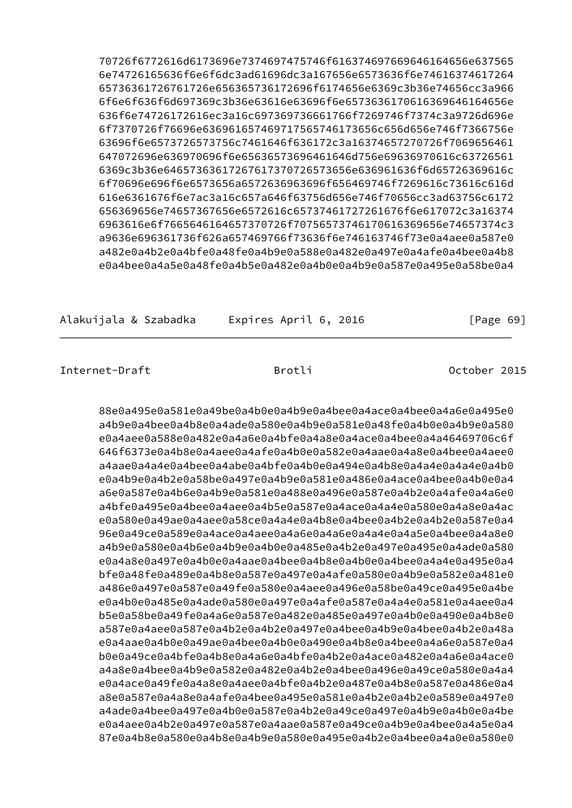70726f6772616d6173696e7374697475746f616374697669646164656e637565 6e74726165636f6e6f6dc3ad61696dc3a167656e6573636f6e74616374617264 65736361726761726e656365736172696f6174656e6369c3b36e74656cc3a966 6f6e6f636f6d697369c3b36e63616e63696f6e6573636170616369646164656e 636f6e74726172616ec3a16c697369736661766f7269746f7374c3a9726d696e 6f7370726f76696e636961657469717565746173656c656d656e746f7366756e 63696f6e6573726573756c7461646f636172c3a16374657270726f7069656461 647072696e636970696f6e65636573696461646d756e69636970616c63726561 6369c3b36e64657363617267617370726573656e636961636f6d65726369616c 6f70696e696f6e6573656a6572636963696f656469746f7269616c73616c616d 616e6361676f6e7ac3a16c657a646f63756d656e746f70656cc3ad63756c6172 656369656e74657367656e6572616c65737461727261676f6e617072c3a16374 6963616e6f7665646164657370726f70756573746170616369656e74657374c3 a9636e696361736f626a657469766f73636f6e746163746f73e0a4aee0a587e0 a482e0a4b2e0a4bfe0a48fe0a4b9e0a588e0a482e0a497e0a4afe0a4bee0a4b8 e0a4bee0a4a5e0a48fe0a4b5e0a482e0a4b0e0a4b9e0a587e0a495e0a58be0a4

Alakuijala & Szabadka Expires April 6, 2016

Brotli

 $\lceil \text{Page } 69 \rceil$ 

Internet-Draft

88e0a495e0a581e0a49be0a4b0e0a4b9e0a4bee0a4ace0a4bee0a4a6e0a495e0 a4b9e0a4bee0a4b8e0a4ade0a580e0a4b9e0a581e0a48fe0a4b0e0a4b9e0a580 e0a4aee0a588e0a482e0a4a6e0a4bfe0a4a8e0a4ace0a4bee0a4a46469706c6f 646f6373e0a4b8e0a4aee0a4afe0a4b0e0a582e0a4aae0a4a8e0a4bee0a4aee0 a4aae0a4a4e0a4bee0a4abe0a4bfe0a4b0e0a494e0a4b8e0a4a4e0a4a4e0a4b0 e0a4b9e0a4b2e0a58be0a497e0a4b9e0a581e0a486e0a4ace0a4bee0a4b0e0a4 a6e0a587e0a4b6e0a4b9e0a581e0a488e0a496e0a587e0a4b2e0a4afe0a4a6e0 a4bfe0a495e0a4bee0a4aee0a4b5e0a587e0a4ace0a4a4e0a580e0a4a8e0a4ac e0a580e0a49ae0a4aee0a58ce0a4a4e0a4b8e0a4bee0a4b2e0a4b2e0a587e0a4 96e0a49ce0a589e0a4ace0a4aee0a4a6e0a4a6e0a4a4e0a4a5e0a4bee0a4a8e0 a4b9e0a580e0a4b6e0a4b9e0a4b0e0a485e0a4b2e0a497e0a495e0a4ade0a580 e0a4a8e0a497e0a4b0e0a4aae0a4bee0a4b8e0a4b0e0a4bee0a4a4e0a495e0a4 bfe0a48fe0a489e0a4b8e0a587e0a497e0a4afe0a580e0a4b9e0a582e0a481e0 a486e0a497e0a587e0a49fe0a580e0a4aee0a496e0a58be0a49ce0a495e0a4be e0a4b0e0a485e0a4ade0a580e0a497e0a4afe0a587e0a4a4e0a581e0a4aee0a4 b5e0a58be0a49fe0a4a6e0a587e0a482e0a485e0a497e0a4b0e0a490e0a4b8e0 a587e0a4aee0a587e0a4b2e0a4b2e0a497e0a4bee0a4b9e0a4bee0a4b2e0a48a e0a4aae0a4b0e0a49ae0a4bee0a4b0e0a490e0a4b8e0a4bee0a4a6e0a587e0a4 b0e0a49ce0a4bfe0a4b8e0a4a6e0a4bfe0a4b2e0a4ace0a482e0a4a6e0a4ace0 a4a8e0a4bee0a4b9e0a582e0a482e0a4b2e0a4bee0a496e0a49ce0a580e0a4a4 e0a4ace0a49fe0a4a8e0a4aee0a4bfe0a4b2e0a487e0a4b8e0a587e0a486e0a4 a8e0a587e0a4a8e0a4afe0a4bee0a495e0a581e0a4b2e0a4b2e0a589e0a497e0 a4ade0a4bee0a497e0a4b0e0a587e0a4b2e0a49ce0a497e0a4b9e0a4b0e0a4be e0a4aee0a4b2e0a497e0a587e0a4aae0a587e0a49ce0a4b9e0a4bee0a4a5e0a4 87e0a4b8e0a580e0a4b8e0a4b9e0a580e0a495e0a4b2e0a4bee0a4a0e0a580e0

October 2015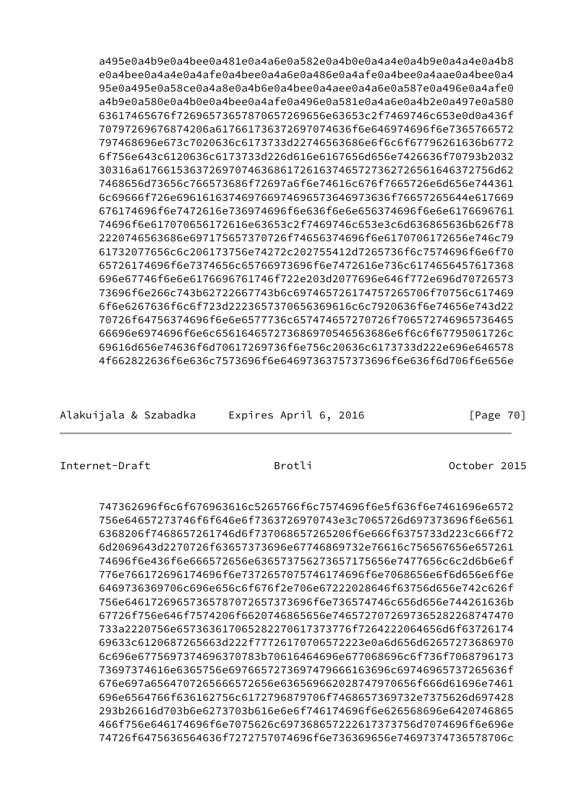a495e0a4b9e0a4bee0a481e0a4a6e0a582e0a4b0e0a4a4e0a4b9e0a4a4e0a4b8 e0a4bee0a4a4e0a4afe0a4bee0a4a6e0a486e0a4afe0a4bee0a4aae0a4bee0a4 95e0a495e0a58ce0a4a8e0a4b6e0a4bee0a4aee0a4a6e0a587e0a496e0a4afe0 a4b9e0a580e0a4b0e0a4bee0a4afe0a496e0a581e0a4a6e0a4b2e0a497e0a580 63617465676f72696573657870657269656e63653c2f7469746c653e0d0a436f 70797269676874206a617661736372697074636f6e646974696f6e7365766572 797468696e673c7020636c6173733d22746563686e6f6c6f67796261636b6772 6f756e643c6120636c6173733d226d616e6167656d656e7426636f70793b2032 30316a6176615363726970746368617261637465727362726561646372756d62 7468656d73656c766573686f72697a6f6e74616c676f7665726e6d656e744361 6c69666f726e696161637469766974696573646973636f76657265644e617669 676174696f6e7472616e736974696f6e636f6e6e656374696f6e6e6176696761 74696f6e617070656172616e63653c2f7469746c653e3c6d636865636b626f78 2220746563686e697175657370726f74656374696f6e6170706172656e746c79 61732077656c6c206173756e74272c202755412d7265736f6c7574696f6e6f70 65726174696f6e7374656c65766973696f6e7472616e736c6174656457617368 696e67746f6e6e6176696761746f722e203d2077696e646f772e696d70726573 73696f6e266c743b62722667743b6c697465726174757265706f70756c617469 6f6e6267636f6c6f723d2223657370656369616c6c7920636f6e74656e743d22 70726f64756374696f6e6e6577736c657474657270726f706572746965736465 66696e6974696f6e6c656164657273686970546563686e6f6c6f67795061726c 69616d656e74636f6d70617269736f6e756c20636c6173733d222e696e646578 4f662822636f6e636c7573696f6e64697363757373696f6e636f6d706f6e656e

| Alakuijala & Szabadka | Expires April 6, 2016 | [Page 70] |
|-----------------------|-----------------------|-----------|
|                       |                       |           |

Internet-Draft

Brotli

October 2015

747362696f6c6f676963616c5265766f6c7574696f6e5f636f6e7461696e6572 756e64657273746f6f646e6f7363726970743e3c7065726d697373696f6e6561 6368206f7468657261746d6f737068657265206f6e666f6375733d223c666f72 6d2069643d2270726f63657373696e67746869732e76616c756567656e657261 74696f6e436f6e666572656e636573756273657175656e7477656c6c2d6b6e6f 776e766172696174696f6e7372657075746174696f6e7068656e6f6d656e6f6e 6469736369706c696e656c6f676f2e706e67222028646f63756d656e742c626f 756e64617269657365787072657373696f6e736574746c656d656e744261636b 67726f756e646f7574206f6620746865656e7465727072697365282268747470 733a2220756e657363617065282270617373776f7264222064656d6f63726174 69633c6120687265663d222f77726170706572223e0a6d656d62657273686970 6c696e6775697374696370783b70616464696e677068696c6f736f7068796173 73697374616e6365756e6976657273697479666163696c69746965737265636f 676e697a6564707265666572656e636569662028747970656f666d61696e7461 696e6564766f636162756c6172796879706f7468657369732e7375626d697428 293b26616d703b6e6273703b616e6e6f746174696f6e626568696e6420746865 466f756e646174696f6e7075626c697368657222617373756d7074696f6e696e 74726f6475636564636f7272757074696f6e736369656e74697374736578706c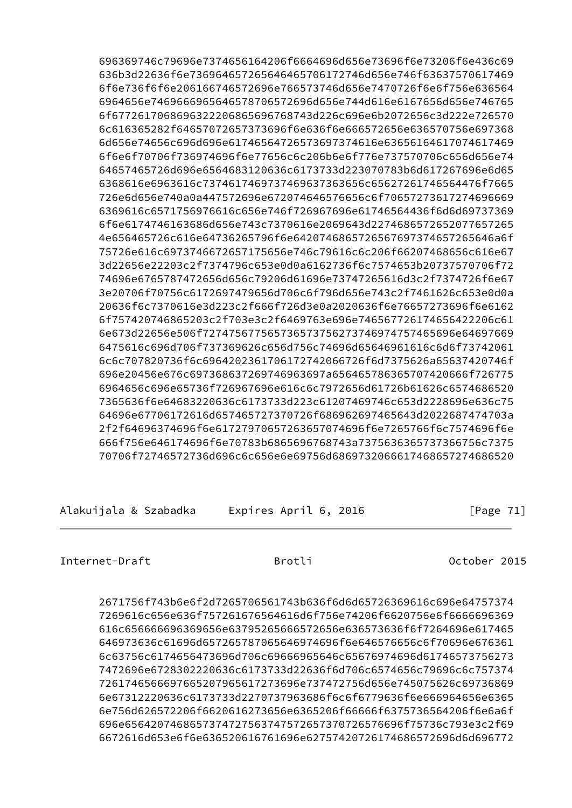696369746c79696e7374656164206f6664696d656e73696f6e73206f6e436c69 636b3d22636f6e736964657265646465706172746d656e746f63637570617469 6f6e736f6f6e206166746572696e766573746d656e7470726f6e6f756e636564 6964656e7469666965646578706572696d656e744d616e6167656d656e746765 6f6772617068696322206865696768743d226c696e6b2072656c3d222e726570 6c616365282f64657072657373696f6e636f6e666572656e636570756e697368 6d656e74656c696d696e61746564726573697374616e63656164617074617469 6f6e6f70706f736974696f6e77656c6c206b6e6f776e737570706c656d656e74 64657465726d696e6564683120636c6173733d223070783b6d617267696e6d65 6368616e6963616c7374617469737469637363656c65627261746564476f7665 726e6d656e740a0a447572696e672074646576656c6f70657273617274696669 6369616c6571756976616c656e746f726967696e61746564436f6d6d69737369 6f6e6174746163686d656e743c7370616e2069643d2274686572652077657265 4e656465726c616e64736265796f6e6420746865726567697374657265646a6f 75726e616c6973746672657175656e746c79616c6c206f66207468656c616e67 3d22656e22203c2f7374796c653e0d0a6162736f6c7574653b20737570706f72 74696e6765787472656d656c79206d61696e73747265616d3c2f7374726f6e67 3e20706f70756c6172697479656d706c6f796d656e743c2f7461626c653e0d0a 20636f6c7370616e3d223c2f666f726d3e0a2020636f6e76657273696f6e6162 6f757420746865203c2f703e3c2f6469763e696e746567726174656422206c61 6e673d22656e506f727475677565736573756273746974757465696e64697669 6475616c696d706f737369626c656d756c74696d65646961616c6d6f73742061 6c6c707820736f6c6964202361706172742066726f6d7375626a65637420746f 696e20456e676c697368637269746963697a656465786365707420666f726775 6964656c696e65736f726967696e616c6c7972656d61726b61626c6574686520 7365636f6e64683220636c6173733d223c61207469746c653d2228696e636c75 64696e67706172616d657465727370726f686962697465643d2022687474703a 2f2f64696374696f6e61727970657263657074696f6e7265766f6c7574696f6e 666f756e646174696f6e70783b6865696768743a7375636365737366756c7375 70706f72746572736d696c6c656e6e69756d6869732066617468657274686520

Alakuijala & Szabadka Expires April 6, 2016 [Page  $71$ ]

Internet-Draft

Brotli

October 2015

2671756f743b6e6f2d7265706561743b636f6d6d65726369616c696e64757374 7269616c656e636f757261676564616d6f756e74206f6620756e6f6666696369 616c656666696369656e63795265666572656e636573636f6f7264696e617465 646973636c61696d657265787065646974696f6e646576656c6f70696e676361 6c63756c6174656473696d706c69666965646c65676974696d61746573756273 7472696e6728302220636c6173733d22636f6d706c6574656c79696c6c757374 7261746566697665207965617273696e737472756d656e745075626c69736869 6e67312220636c6173733d2270737963686f6c6f6779636f6e666964656e6365 6e756d626572206f6620616273656e6365206f66666f6375736564206f6e6a6f 696e6564207468657374727563747572657370726576696f75736c793e3c2f69 6672616d653e6f6e636520616761696e62757420726174686572696d6d696772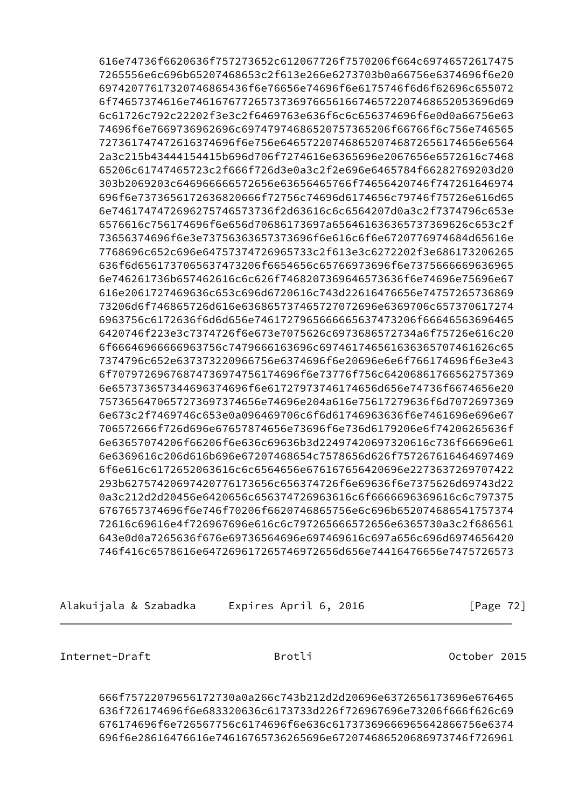616e74736f6620636f757273652c612067726f7570206f664c69746572617475 7265556e6c696b65207468653c2f613e266e6273703b0a66756e6374696f6e20 69742077617320746865436f6e76656e74696f6e6175746f6d6f62696c655072 6f74657374616e74616767726573736976656166746572207468652053696d69 6c61726c792c22202f3e3c2f6469763e636f6c6c656374696f6e0d0a66756e63 74696f6e7669736962696c69747974686520757365206f66766f6c756e746565 727361747472616374696f6e756e6465722074686520746872656174656e6564 2a3c215b43444154415b696d706f7274616e6365696e2067656e6572616c7468 65206c61747465723c2f666f726d3e0a3c2f2e696e6465784f66282769203d20 303b2069203c646966666572656e63656465766f74656420746f747261646974 696f6e7373656172636820666f72756c74696d6174656c79746f75726e616d65 6e7461747472696275746573736f2d63616c6c6564207d0a3c2f7374796c653e 6576616c756174696f6e656d70686173697a656461636365737369626c653c2f 73656374696f6e3e73756363657373696f6e616c6f6e6720776974684d65616e 7768696c652c696e64757374726965733c2f613e3c6272202f3e686173206265 636f6d6561737065637473206f6654656c65766973696f6e7375666669636965 6e746261736b657462616c6c626f7468207369646573636f6e74696e75696e67 616e2061727469636c653c696d6720616c743d22616476656e74757265736869 73206d6f746865726d616e636865737465727072696e6369706c657370617274 6963756c6172636f6d6d656e7461727965666665637473206f66646563696465 6420746f223e3c7374726f6e673e7075626c6973686572734a6f75726e616c20 6f66646966666963756c7479666163696c697461746561636365707461626c65 7374796c652e637373220966756e6374696f6e20696e6e6f766174696f6e3e43 6f70797269676874736974756174696f6e73776f756c64206861766562757369 6e657373657344696374696f6e61727973746174656d656e74736f6674656e20 7573656470657273697374656e74696e204a616e75617279636f6d7072697369 6e673c2f7469746c653e0a096469706c6f6d61746963636f6e7461696e696e67 706572666f726d696e67657874656e73696f6e736d6179206e6f74206265636f 6e63657074206f66206f6e636c69636b3d22497420697320616c736f66696e61 6e6369616c206d616b696e67207468654c7578656d626f757267616464697469 6f6e616c6172652063616c6c6564656e676167656420696e2273637269707422 293b62757420697420776173656c656374726f6e69636f6e7375626d69743d22 0a3c212d2d20456e6420656c656374726963616c6f6666696369616c6c797375 6767657374696f6e746f70206f6620746865756e6c696b652074686541757374 72616c69616e4f726967696e616c6c797265666572656e6365730a3c2f686561 643e0d0a7265636f676e69736564696e697469616c697a656c696d6974656420 746f416c6578616e647269617265746972656d656e74416476656e7475726573

Alakuijala & Szabadka Expires April 6, 2016 [Page 72]

Internet-Draft Brotli October 2015

 666f75722079656172730a0a266c743b212d2d20696e6372656173696e676465 636f726174696f6e683320636c6173733d226f726967696e73206f666f626c69 676174696f6e726567756c6174696f6e636c61737369666965642866756e6374 696f6e28616476616e74616765736265696e672074686520686973746f726961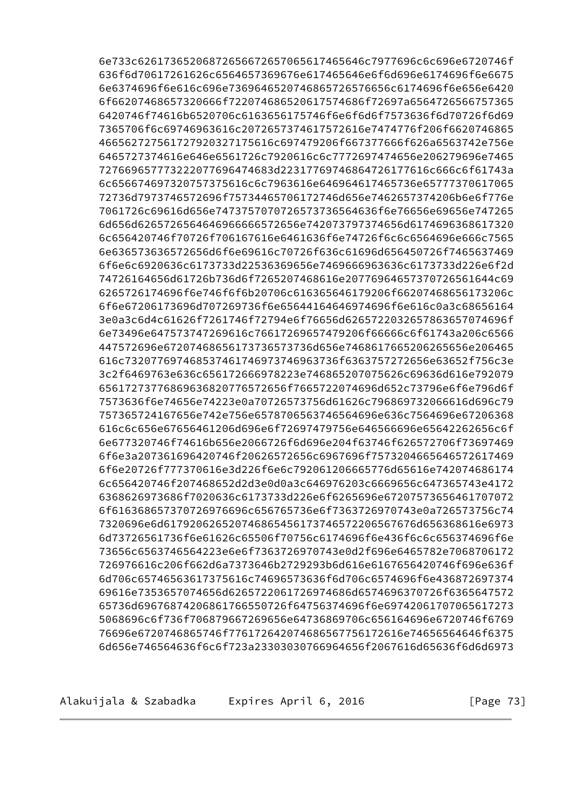6e733c62617365206872656672657065617465646c7977696c6c696e6720746f 636f6d70617261626c6564657369676e617465646e6f6d696e6174696f6e6675 6e6374696f6e616c696e7369646520746865726576656c6174696f6e656e6420 6f66207468657320666f722074686520617574686f72697a6564726566757365 6420746f74616b6520706c6163656175746f6e6f6d6f7573636f6d70726f6d69 7365706f6c69746963616c2072657374617572616e7474776f206f6620746865 466562727561727920327175616c697479206f667377666f626a6563742e756e 6465727374616e646e6561726c7920616c6c7772697474656e206279696e7465 727669657773222077696474683d22317769746864726177616c666c6f61743a 6c656674697320757375616c6c7963616e646964617465736e65777370617065 72736d7973746572696f75734465706172746d656e7462657374206b6e6f776e 7061726c69616d656e7473757070726573736564636f6e76656e69656e747265 6d656d6265726564646966666572656e742073797374656d6174696368617320 6c656420746f70726f706167616e6461636f6e74726f6c6c6564696e666c7565 6e636573636572656d6f6e69616c70726f636c61696d656450726f7465637469 6f6e6c6920636c6173733d22536369656e7469666963636c6173733d226e6f2d 74726164656d61726b736d6f7265207468616e20776964657370726561644c69 6265726174696f6e746f6f6b20706c616365646179206f66207468656173206c 6f6e67206173696d707269736f6e65644164646974696f6e616c0a3c68656164 3e0a3c6d4c61626f7261746f72794e6f76656d6265722032657863657074696f 6e73496e647573747269616c76617269657479206f66666c6f61743a206c6566 447572696e67207468656173736573736d656e7468617665206265656e206465 616c732077697468537461746973746963736f6363757272656e63652f756c3e 3c2f6469763e636c656172666978223e746865207075626c69636d616e792079 65617273776869636820776572656f7665722074696d652c73796e6f6e796d6f 7573636f6e74656e74223e0a70726573756d61626c796869732066616d696c79 757365724167656e742e756e6578706563746564696e636c7564696e67206368 616c6c656e67656461206d696e6f72697479756e646566696e65642262656c6f 6e677320746f74616b656e2066726f6d696e204f63746f626572706f73697469 6f6e3a207361696420746f20626572656c6967696f7573204665646572617469 6f6e20726f777370616e3d226f6e6c792061206665776d65616e742074686174 6c656420746f207468652d2d3e0d0a3c646976203c6669656c647365743e4172 6368626973686f7020636c6173733d226e6f6265696e67207573656461707072 6f616368657370726976696c656765736e6f7363726970743e0a726573756c74 7320696e6d617920626520746865456173746572206567676d656368616e6973 6d73726561736f6e61626c65506f70756c6174696f6e436f6c6c656374696f6e 73656c6563746564223e6e6f7363726970743e0d2f696e6465782e7068706172 726976616c206f662d6a7373646b2729293b6d616e6167656420746f696e636f 6d706c65746563617375616c74696573636f6d706c6574696f6e436872697374 69616e7353657074656d6265722061726974686d6574696370726f6365647572 65736d69676874206861766550726f64756374696f6e69742061707065617273 5068696c6f736f706879667269656e64736869706c656164696e6720746f6769 76696e6720746865746f776172642074686567756172616e74656564646f6375 6d656e746564636f6c6f723a23303030766964656f2067616d65636f6d6d6973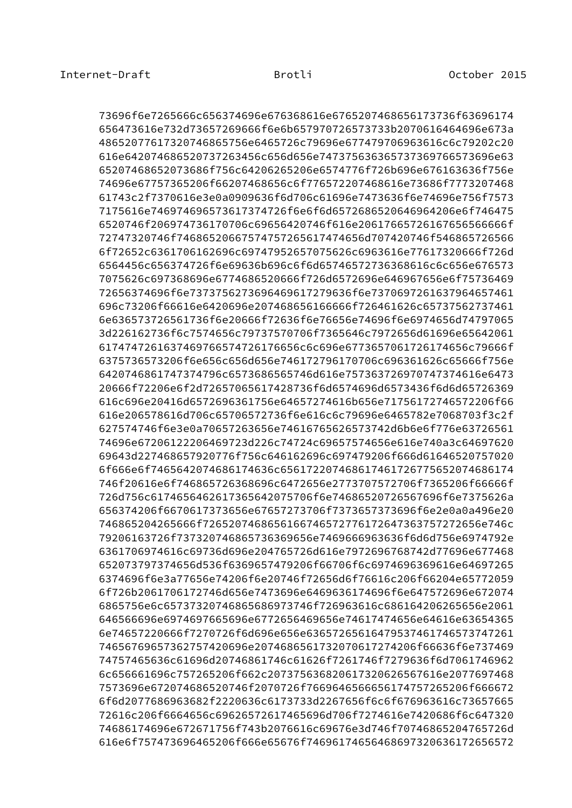73696f6e7265666c656374696e676368616e6765207468656173736f63696174 656473616e732d73657269666f6e6b657970726573733b2070616464696e673a 48652077617320746865756e6465726c79696e677479706963616c6c79202c20 616e642074686520737263456c656d656e747375636365737369766573696e63 65207468652073686f756c64206265206e6574776f726b696e676163636f756e 74696e67757365206f66207468656c6f776572207468616e73686f7773207468 61743c2f7370616e3e0a0909636f6d706c61696e7473636f6e74696e756f7573 7175616e746974696573617374726f6e6f6d6572686520646964206e6f746475 6520746f206974736170706c69656420746f616e20617665726167656566666f 72747320746f74686520667574757265617474656d707420746f546865726566 6f72652c6361706162696c69747952657075626c6963616e77617320666f726d 6564456c656374726f6e69636b696c6f6d65746572736368616c6c656e676573 7075626c697368696e6774686520666f726d6572696e646967656e6f75736469 72656374696f6e7373756273696469617279636f6e7370697261637964657461 696c73206f66616e6420696e207468656166666f726461626c65737562737461 6e636573726561736f6e20666f72636f6e76656e74696f6e6974656d74797065 3d226162736f6c7574656c79737570706f7365646c7972656d61696e65642061 6174747261637469766574726176656c6c696e6773657061726174656c79666f 6375736573206f6e656c656d656e746172796170706c696361626c65666f756e 6420746861747374796c6573686565746d616e757363726970747374616e6473 20666f72206e6f2d72657065617428736f6d6574696d6573436f6d6d65726369 616c696e20416d6572696361756e64657274616b656e71756172746572206f66 616e206578616d706c65706572736f6e616c6c79696e6465782e7068703f3c2f 627574746f6e3e0a70657263656e74616765626573742d6b6e6f776e63726561 74696e67206122206469723d226c74724c69657574656e616e740a3c64697620 69643d227468657920776f756c646162696c697479206f666d61646520757020 6f666e6f7465642074686174636c656172207468617461726775652074686174 746f20616e6f746865726368696c6472656e2773707572706f7365206f66666f 726d756c6174656462617365642075706f6e74686520726567696f6e7375626a 656374206f6670617373656e67657273706f7373657373696f6e2e0a0a496e20 746865204265666f7265207468656166746572776172647363757272656e746c 79206163726f737320746865736369656e7469666963636f6d6d756e6974792e 6361706974616c69736d696e204765726d616e7972696768742d77696e677468 652073797374656d536f6369657479206f66706f6c6974696369616e64697265 6374696f6e3a77656e74206f6e20746f72656d6f76616c206f66204e65772059 6f726b2061706172746d656e7473696e6469636174696f6e647572696e672074 6865756e6c65737320746865686973746f726963616c686164206265656e2061 646566696e6974697665696e6772656469656e74617474656e64616e63654365 6e74657220666f7270726f6d696e656e63657265616479537461746573747261 74656769657362757420696e2074686561732070617274206f66636f6e737469 74757465636c61696d20746861746c61626f7261746f7279636f6d7061746962 6c656661696c757265206f662c207375636820617320626567616e2077697468 7573696e672074686520746f2070726f7669646566656174757265206f666672 6f6d2077686963682f2220636c6173733d2267656f6c6f676963616c73657665 72616c206f6664656c69626572617465696d706f7274616e7420686f6c647320 74686174696e672671756f743b2076616c69676e3d746f70746865204765726d 616e6f757473696465206f666e65676f74696174656468697320636172656572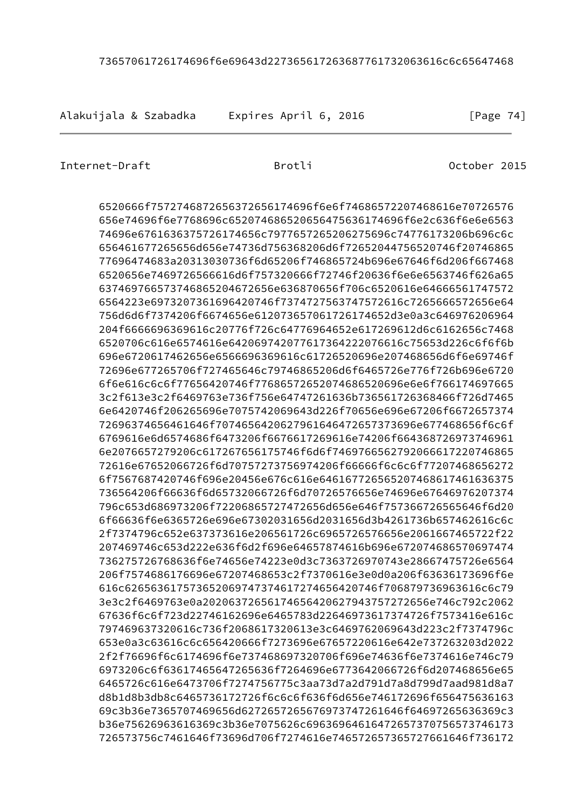Alakuijala & Szabadka Expires April 6, 2016 [Page 74]

Internet-Draft Brotli October 2015

 6520666f7572746872656372656174696f6e6f74686572207468616e70726576 656e74696f6e7768696c652074686520656475636174696f6e2c636f6e6e6563 74696e6761636375726174656c7977657265206275696c74776173206b696c6c 656461677265656d656e74736d756368206d6f72652044756520746f20746865 77696474683a20313030736f6d65206f746865724b696e67646f6d206f667468 6520656e7469726566616d6f757320666f72746f20636f6e6e6563746f626a65 637469766573746865204672656e636870656f706c6520616e64666561747572 6564223e6973207361696420746f7374727563747572616c7265666572656e64 756d6d6f7374206f6674656e612073657061726174652d3e0a3c646976206964 204f6666696369616c20776f726c64776964652e617269612d6c6162656c7468 6520706c616e6574616e642069742077617364222076616c75653d226c6f6f6b 696e6720617462656e6566696369616c61726520696e207468656d6f6e69746f 72696e677265706f727465646c79746865206d6f6465726e776f726b696e6720 6f6e616c6c6f77656420746f77686572652074686520696e6e6f766174697665 3c2f613e3c2f6469763e736f756e64747261636b736561726368466f726d7465 6e6420746f206265696e7075742069643d226f70656e696e67206f6672657374 72696374656461646f7074656420627961646472657373696e677468656f6c6f 6769616e6d6574686f6473206f6676617269616e74206f664368726973746961 6e2076657279206c617267656175746f6d6f7469766562792066617220746865 72616e67652066726f6d70757273756974206f66666f6c6c6f77207468656272 6f7567687420746f696e20456e676c616e646167726565207468617461636375 736564206f66636f6d65732066726f6d70726576656e74696e67646976207374 796c653d686973206f72206865727472656d656e646f757366726565646f6d20 6f66636f6e6365726e696e67302031656d2031656d3b4261736b657462616c6c 2f7374796c652e637373616e206561726c6965726576656e2061667465722f22 207469746c653d222e636f6d2f696e64657874616b696e672074686570697474 736275726768636f6e74656e74223e0d3c7363726970743e28667475726e6564 206f7574686176696e67207468653c2f7370616e3e0d0a206f63636173696f6e 616c626563617573652069747374617274656420746f706879736963616c6c79 3e3c2f6469763e0a20206372656174656420627943757272656e746c792c2062 67636f6c6f723d22746162696e6465783d22646973617374726f7573416e616c 797469637320616c736f2068617320613e3c6469762069643d223c2f7374796c 653e0a3c63616c6c656420666f7273696e67657220616e642e737263203d2022 2f2f76696f6c6174696f6e737468697320706f696e74636f6e7374616e746c79 6973206c6f63617465647265636f7264696e6773642066726f6d207468656e65 6465726c616e6473706f7274756775c3aa73d7a2d791d7a8d799d7aad981d8a7 d8b1d8b3db8c6465736172726f6c6c6f636f6d656e746172696f656475636163 69c3b36e7365707469656d6272657265676973747261646f64697265636369c3 b36e75626963616369c3b36e7075626c69636964616472657370756573746173 726573756c7461646f73696d706f7274616e746572657365727661646f736172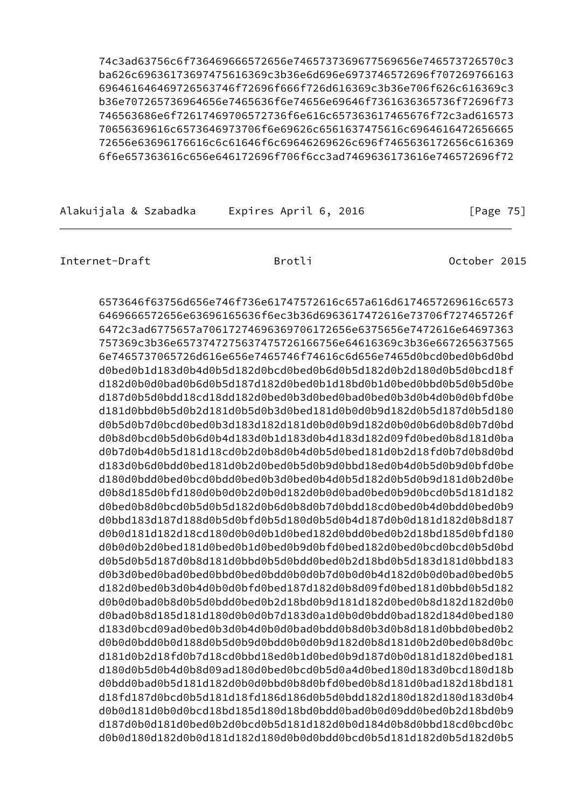74c3ad63756c6f736469666572656e7465737369677569656e746573726570c3 ba626c69636173697475616369c3b36e6d696e6973746572696f707269766163 696461646469726563746f72696f666f726d616369c3b36e706f626c616369c3 b36e707265736964656e7465636f6e74656e69646f7361636365736f72696f73 746563686e6f72617469706572736f6e616c657363617465676f72c3ad616573 70656369616c6573646973706f6e69626c6561637475616c6964616472656665 72656e63696176616c6c61646f6c69646269626c696f7465636172656c616369 6f6e657363616c656e646172696f706f6cc3ad7469636173616e746572696f72

| Alakuijala & Szabadka | Expires April 6, 2016 | [Page 75] |
|-----------------------|-----------------------|-----------|
|                       |                       |           |

Internet-Draft Brotli October 2015

 6573646f63756d656e746f736e61747572616c657a616d6174657269616c6573 6469666572656e63696165636f6ec3b36d6963617472616e73706f727465726f 6472c3ad6775657a70617274696369706172656e6375656e7472616e64697363 757369c3b36e6573747275637475726166756e64616369c3b36e667265637565 6e7465737065726d616e656e7465746f74616c6d656e7465d0bcd0bed0b6d0bd d0bed0b1d183d0b4d0b5d182d0bcd0bed0b6d0b5d182d0b2d180d0b5d0bcd18f d182d0b0d0bad0b6d0b5d187d182d0bed0b1d18bd0b1d0bed0bbd0b5d0b5d0be d187d0b5d0bdd18cd18dd182d0bed0b3d0bed0bad0bed0b3d0b4d0b0d0bfd0be d181d0bbd0b5d0b2d181d0b5d0b3d0bed181d0b0d0b9d182d0b5d187d0b5d180 d0b5d0b7d0bcd0bed0b3d183d182d181d0b0d0b9d182d0b0d0b6d0b8d0b7d0bd d0b8d0bcd0b5d0b6d0b4d183d0b1d183d0b4d183d182d09fd0bed0b8d181d0ba d0b7d0b4d0b5d181d18cd0b2d0b8d0b4d0b5d0bed181d0b2d18fd0b7d0b8d0bd d183d0b6d0bdd0bed181d0b2d0bed0b5d0b9d0bbd18ed0b4d0b5d0b9d0bfd0be d180d0bdd0bed0bcd0bdd0bed0b3d0bed0b4d0b5d182d0b5d0b9d181d0b2d0be d0b8d185d0bfd180d0b0d0b2d0b0d182d0b0d0bad0bed0b9d0bcd0b5d181d182 d0bed0b8d0bcd0b5d0b5d182d0b6d0b8d0b7d0bdd18cd0bed0b4d0bdd0bed0b9 d0bbd183d187d188d0b5d0bfd0b5d180d0b5d0b4d187d0b0d181d182d0b8d187 d0b0d181d182d18cd180d0b0d0b1d0bed182d0bdd0bed0b2d18bd185d0bfd180 d0b0d0b2d0bed181d0bed0b1d0bed0b9d0bfd0bed182d0bed0bcd0bcd0b5d0bd d0b5d0b5d187d0b8d181d0bbd0b5d0bdd0bed0b2d18bd0b5d183d181d0bbd183 d0b3d0bed0bad0bed0bbd0bed0bdd0b0d0b7d0b0d0b4d182d0b0d0bad0bed0b5 d182d0bed0b3d0b4d0b0d0bfd0bed187d182d0b8d09fd0bed181d0bbd0b5d182 d0b0d0bad0b8d0b5d0bdd0bed0b2d18bd0b9d181d182d0bed0b8d182d182d0b0 d0bad0b8d185d181d180d0b0d0b7d183d0a1d0b0d0bdd0bad182d184d0bed180 d183d0bcd09ad0bed0b3d0b4d0b0d0bad0bdd0b8d0b3d0b8d181d0bbd0bed0b2 d0b0d0bdd0b0d188d0b5d0b9d0bdd0b0d0b9d182d0b8d181d0b2d0bed0b8d0bc d181d0b2d18fd0b7d18cd0bbd18ed0b1d0bed0b9d187d0b0d181d182d0bed181 d180d0b5d0b4d0b8d09ad180d0bed0bcd0b5d0a4d0bed180d183d0bcd180d18b d0bdd0bad0b5d181d182d0b0d0bbd0b8d0bfd0bed0b8d181d0bad182d18bd181 d18fd187d0bcd0b5d181d18fd186d186d0b5d0bdd182d180d182d180d183d0b4 d0b0d181d0b0d0bcd18bd185d180d18bd0bdd0bad0b0d09dd0bed0b2d18bd0b9 d187d0b0d181d0bed0b2d0bcd0b5d181d182d0b0d184d0b8d0bbd18cd0bcd0bc d0b0d180d182d0b0d181d182d180d0b0d0bdd0bcd0b5d181d182d0b5d182d0b5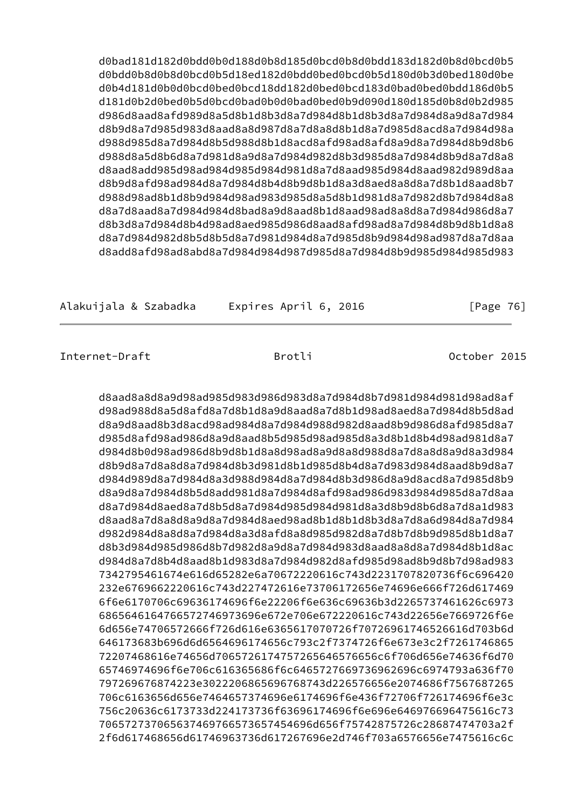d0bad181d182d0bdd0b0d188d0b8d185d0bcd0b8d0bdd183d182d0b8d0bcd0b5 d0bdd0b8d0b8d0bcd0b5d18ed182d0bdd0bed0bcd0b5d180d0b3d0bed180d0be d0b4d181d0b0d0bcd0bed0bcd18dd182d0bed0bcd183d0bad0bed0bdd186d0b5 d181d0b2d0bed0b5d0bcd0bad0b0d0bad0bed0b9d090d180d185d0b8d0b2d985 d986d8aad8afd989d8a5d8b1d8b3d8a7d984d8b1d8b3d8a7d984d8a9d8a7d984 d8b9d8a7d985d983d8aad8a8d987d8a7d8a8d8b1d8a7d985d8acd8a7d984d98a ad8bed8b488ebT68be68bf68b688bf68b568bfd8b688eb5d8b48ebT68b58eb88eb d988d8a5d8b6d8a7d981d8a9d8a7d984d982d8b3d8985d8a7d984d8b9d8a7d8a8 d8aad8add985d98ad984d985d984d981d8a7d8aad985d984d8aad982d989d8aa d8b9d8afd98ad984d8a7d984d8b4d8b9d8b1d8a3d8aed8a8d8a7d8b1d8aad8b7 d988d98ad8b1d8b9d984d98ad983d985d8a5d8b1d981d8a7d982d8b7d984d8a8 d8a7d8aad8a7d984d984d8bad8a9d8aad8b1d8aad98ad8a8d8a7d984d986d8a7 d8b3d8a7d984d8b4d98ad8aed985d986d8aad8afd98ad8a7d984d8b9d8b1d8a8 d8a7d984d982d8b5d8b5d8a7d981d984d8a7d985d8b9d984d98ad987d8a7d8aa d8add8afd98ad8abd8a7d984d984d987d985d8a7d984d8b9d985d984d985d983

Alakuijala & Szabadka Expires April 6, 2016

October 2015

 $[Page 76]$ 

Brotli

Internet-Draft

d8aad8a8d8a9d98ad985d983d986d983d8a7d984d8b7d981d984d981d98ad8af d98ad988d8a5d8afd8a7d8b1d8a9d8aad8a7d8b1d98ad8aed8a7d984d8b5d8ad d8a9d8aad8b3d8acd98ad984d8a7d984d988d982d8aad8b9d986d8afd985d8a7 d985d8afd98ad986d8a9d8aad8b5d985d98ad985d8a3d8b1d8b4d98ad981d8a7 d984d8b0d98ad986d8b9d8b1d8a8d98ad8a9d8a8d988d8a7d8a8d8a9d8a3d984 d8b9d8a7d8a8d8a7d984d8b3d981d8b1d985d8b4d8a7d983d984d8aad8b9d8a7 d984d989d8a7d984d8a3d988d984d8a7d984d8b3d986d8a9d8acd8a7d985d8b9 d8a9d8a7d984d8b5d8add981d8a7d984d8afd98ad986d983d984d985d8a7d8aa d8a7d984d8aed8a7d8b5d8a7d984d985d984d981d8a3d8b9d8b6d8a7d8a1d983 d8aad8a7d8a8d8a9d8a7d984d8aed98ad8b1d8b1d8b3d8a7d8a6d984d8a7d984 d982d984d8a8d8a7d984d8a3d8afd8a8d985d982d8a7d8b7d8b9d985d8b1d8a7 d8b3d984d985d986d8b7d982d8a9d8a7d984d983d8aad8a8d8a7d984d8b1d8ac d984d8a7d8b4d8aad8b1d983d8a7d984d982d8afd985d98ad8b9d8b7d98ad983 7342795461674e616d65282e6a70672220616c743d2231707820736f6c696420 232e6769662220616c743d227472616e73706172656e74696e666f726d617469 6f6e6170706c69636174696f6e22206f6e636c69636b3d2265737461626c6973 6865646164766572746973696e672e706e672220616c743d22656e7669726f6e 6d656e74706572666f726d616e6365617070726f70726961746526616d703b6d 646173683b696d6d6564696174656c793c2f7374726f6e673e3c2f7261746865 72207468616e74656d7065726174757265646576656c6f706d656e74636f6d70 65746974696f6e706c616365686f6c6465727669736962696c6974793a636f70 797269676874223e3022206865696768743d226576656e2074686f7567687265 706c6163656d656e7464657374696e6174696f6e436f72706f726174696f6e3c 756c20636c6173733d224173736f63696174696f6e696e646976696475616c73 706572737065637469766573657454696d656f75742875726c28687474703a2f 2f6d617468656d61746963736d617267696e2d746f703a6576656e7475616c6c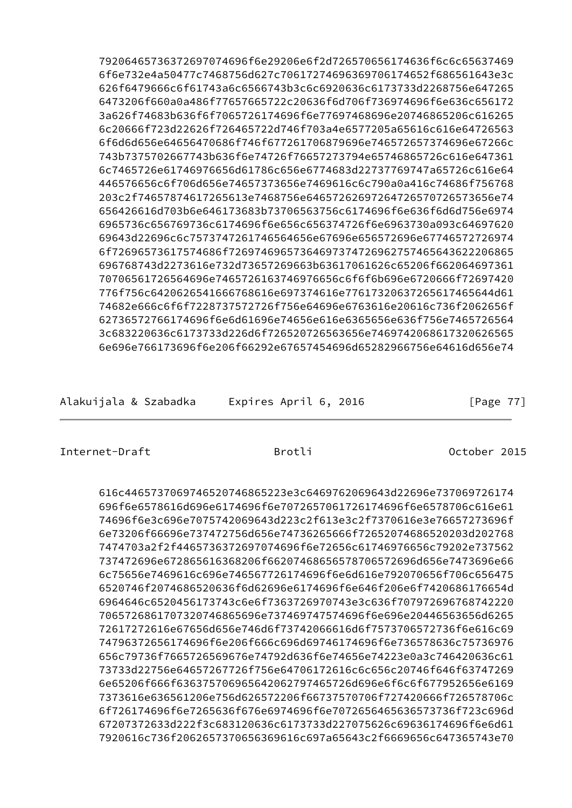79206465736372697074696f6e29206e6f2d726570656174636f6c6c65637469 6f6e732e4a50477c7468756d627c70617274696369706174652f686561643e3c 626f6479666c6f61743a6c6566743b3c6c6920636c6173733d2268756e647265 6473206f660a0a486f77657665722c20636f6d706f736974696f6e636c656172 3a626f74683b636f6f7065726174696f6e77697468696e20746865206c616265 6c20666f723d22626f726465722d746f703a4e6577205a65616c616e64726563 6f6d6d656e64656470686f746f677261706879696e746572657374696e67266c 743b7375702667743b636f6e74726f76657273794e65746865726c616e647361 6c7465726e61746976656d61786c656e6774683d22737769747a65726c616e64 446576656c6f706d656e74657373656e7469616c6c790a0a416c74686f756768 203c2f74657874617265613e7468756e64657262697264726570726573656e74 656426616d703b6e646173683b73706563756c6174696f6e636f6d6d756e6974 6965736c656769736c6174696f6e656c656374726f6e6963730a093c64697620 69643d22696c6c7573747261746564656e67696e656572696e67746572726974 6f72696573617574686f72697469657364697374726962757465643622206865 696768743d2273616e732d73657269663b63617061626c65206f662064697361 70706561726564696e7465726163746976656c6f6f6b696e6720666f72697420 776f756c6420626541666768616e697374616e77617320637265617465644d61 74682e666c6f6f7228737572726f756e64696e6763616e20616c736f2062656f 62736572766174696f6e6d61696e74656e616e6365656e636f756e7465726564 3c683220636c6173733d226d6f726520726563656e7469742068617320626565 6e696e766173696f6e206f66292e67657454696d65282966756e64616d656e74

Alakuijala & Szabadka [Page  $77$ ] Expires April 6, 2016

Internet-Draft

Brotli

October 2015

616c4465737069746520746865223e3c6469762069643d22696e737069726174 696f6e6578616d696e6174696f6e7072657061726174696f6e6578706c616e61 74696f6e3c696e7075742069643d223c2f613e3c2f7370616e3e76657273696f 6e73206f66696e737472756d656e74736265666f72652074686520203d202768 7474703a2f2f4465736372697074696f6e72656c61746976656c79202e737562 737472696e672865616368206f66207468656578706572696d656e7473696e66 6c75656e7469616c696e746567726174696f6e6d616e792070656f706c656475 6520746f2074686520636f6d62696e6174696f6e646f206e6f7420686176654d 6964646c6520456173743c6e6f7363726970743e3c636f707972696768742220 7065726861707320746865696e737469747574696f6e696e20446563656d6265 72617272616e67656d656e746d6f73742066616d6f7573706572736f6e616c69 74796372656174696f6e206f666c696d69746174696f6e736578636c75736976 656c79736f7665726569676e74792d636f6e74656e74223e0a3c746420636c61 73733d22756e64657267726f756e64706172616c6c656c20746f646f63747269 6e65206f666f636375706965642062797465726d696e6f6c6f677952656e6169 7373616e636561206e756d626572206f66737570706f727420666f726578706c 6f726174696f6e7265636f676e6974696f6e7072656465636573736f723c696d 67207372633d222f3c683120636c6173733d227075626c69636174696f6e6d61 7920616c736f2062657370656369616c697a65643c2f6669656c647365743e70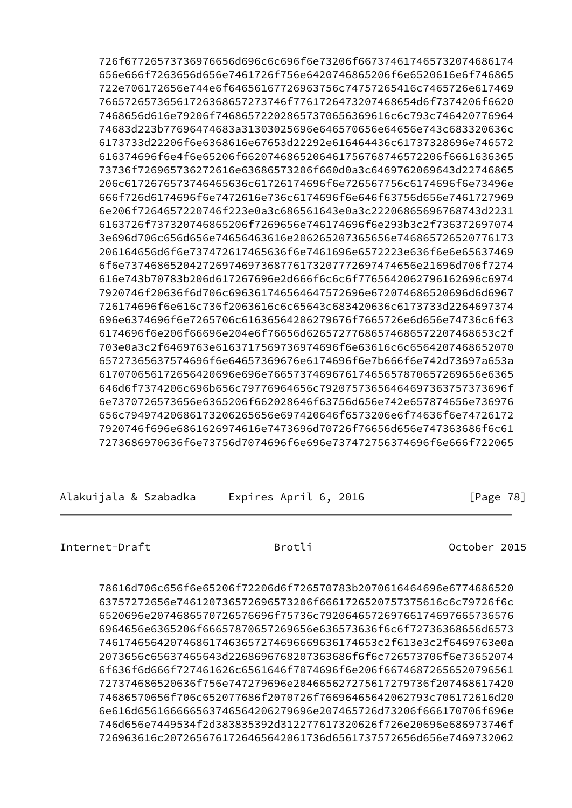726f67726573736976656d696c6c696f6e73206f667374617465732074686174 656e666f7263656d656e7461726f756e6420746865206f6e6520616e6f746865 722e706172656e744e6f64656167726963756c74757265416c7465726e617469 76657265736561726368657273746f7761726473207468654d6f7374206f6620 7468656d616e79206f746865722028657370656369616c6c793c746420776964 74683d223b77696474683a31303025696e646570656e64656e743c683320636c 6173733d22206f6e6368616e67653d22292e616464436c61737328696e746572 616374696f6e4f6e65206f6620746865206461756768746572206f6661636365 73736f726965736272616e63686573206f660d0a3c6469762069643d22746865 206c6172676573746465636c61726174696f6e726567756c6174696f6e73496e 666f726d6174696f6e7472616e736c6174696f6e646f63756d656e7461727969 6e206f7264657220746f223e0a3c686561643e0a3c22206865696768743d2231 6163726f737320746865206f7269656e746174696f6e293b3c2f736372697074 3e696d706c656d656e74656463616e206265207365656e746865726520776173 206164656d6f6e737472617465636f6e7461696e6572223e636f6e6e65637469 6f6e737468652042726974697368776173207772697474656e21696d706f7274 616e743b70783b206d617267696e2d666f6c6c6f7765642062796162696c6974 7920746f20636f6d706c696361746564647572696e672074686520696d6d6967 726174696f6e616c736f2063616c6c65643c683420636c6173733d2264697374 696e6374696f6e7265706c61636564206279676f7665726e6d656e74736c6f63 6174696f6e206f66696e204e6f76656d62657277686574686572207468653c2f 703e0a3c2f6469763e6163717569736974696f6e63616c6c6564207468652070 65727365637574696f6e64657369676e6174696f6e7b666f6e742d73697a653a 617070656172656420696e696e766573746967617465657870657269656e6365 646d6f7374206c696b656c79776964656c79207573656464697363757373696f 6e7370726573656e6365206f662028646f63756d656e742e657874656e736976 656c79497420686173206265656e697420646f6573206e6f74636f6e74726172 7920746f696e6861626974616e7473696d70726f76656d656e747363686f6c61 7273686970636f6e73756d7074696f6e696e737472756374696f6e666f722065

| Alakuijala & Szabadka | Expires April 6, 2016 | [Page 78] |
|-----------------------|-----------------------|-----------|
|                       |                       |           |

Internet-Draft Brotli October 2015

 78616d706c656f6e65206f72206d6f726570783b2070616464696e6774686520 63757272656e746120736572696573206f6661726520757375616c6c79726f6c 6520696e2074686570726576696f75736c792064657269766174697665736576 6964656e6365206f66657870657269656e636573636f6c6f72736368656d6573 7461746564207468617463657274696669636174653c2f613e3c2f6469763e0a 2073656c65637465643d2268696768207363686f6f6c726573706f6e73652074 6f636f6d666f727461626c6561646f7074696f6e206f66746872656520796561 727374686520636f756e747279696e204665627275617279736f207468617420 74686570656f706c652077686f2070726f76696465642062793c706172616d20 6e616d656166666563746564206279696e207465726d73206f666170706f696e 746d656e7449534f2d383835392d312277617320626f726e20696e686973746f 726963616c2072656761726465642061736d6561737572656d656e7469732062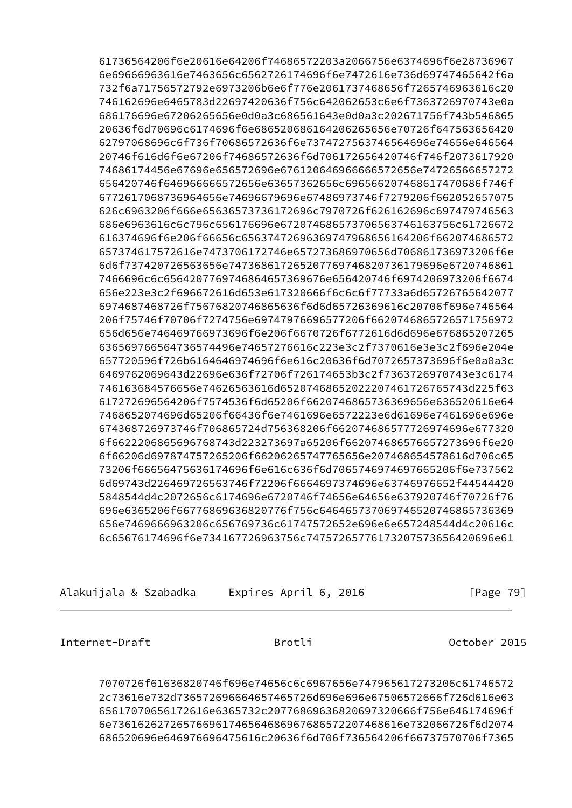61736564206f6e20616e64206f74686572203a2066756e6374696f6e28736967 6e69666963616e7463656c6562726174696f6e7472616e736d69747465642f6a 732f6a71756572792e6973206b6e6f776e2061737468656f7265746963616c20 746162696e6465783d22697420636f756c642062653c6e6f7363726970743e0a 686176696e67206265656e0d0a3c686561643e0d0a3c202671756f743b546865 20636f6d70696c6174696f6e686520686164206265656e70726f647563656420 62797068696c6f736f70686572636f6e7374727563746564696e74656e646564 20746f616d6f6e67206f74686572636f6d706172656420746f746f2073617920 74686174456e67696e656572696e676120646966665572656e74726566657272 656420746f646966665572656e63657362656c696566207468617470686f746f 6772617068736964656e74696679696e67486973746f7279206f662052657075 626c6963206f666e65636573736172696c7970726f626162696c697479746563 686e6963616c6c796c656176696e672074686573706563746163756c61726672 616374696f6e206f66656c65637472696369747968656164206f662074686572 657374617572616e7473706172746e657273686970656d706861736973206f6e 6d6f737420726563656e747368617265207769746820736179696e6720746861 7466696c6c6564207769746864657369676e656420746f6974206973206f6674 656e223e3c2f696672616d653e617320666f6c6c6f77733a6d65726765642077 6974687468726f75676820746865636f6d6d65726369616c20706f696e746564 206f75746f70706f7274756e69747976696577206f6620746865726571756972 656d656e746469766973696f6e206f6670726f6772616d6d696e676865207265 636569766564736574496e74657276616c223e3c2f7370616e3e3c2f696e204e 657720596f726b6164646974696f6e616c20636f6d7072657373696f6e0a0a3c 6469762069643d22696e636f72706f726174653b3c2f7363726970743e3c6174 746163684576656e74626563616d65207468652022207461726765743d225f63 617272696564206f7574536f6d65206f6620746865736369656e636520616e64 7468652074696d65206f66436f6e7461696e6572223e6d61696e7461696e696e 674368726973746f706865724d756368206f662074686577726974696e677320 6f6622206865696768743d223273697a65206f662074686576657273696f6e20 6f66206d697874757265206f66206265747765656e207468654578616d706c65 73206f66656475636174696f6e616c636f6d7065746974697665206f6e737562 6d69743d226469726563746f72206f6664697374696e63746976652f44544420 5848544d4c2072656c6174696e6720746f74656e64656e637920746f70726f76 696e6365206f66776869636820776f756c646465737069746520746865736369 656e7469666963206c656769736c61747572652e696e6e657248544d4c20616c 6c65676174696f6e734167726963756c74757265776173207573656420696e61

| Alakuijala & Szabadka | Expires April 6, 2016 | [Page 79] |
|-----------------------|-----------------------|-----------|
|-----------------------|-----------------------|-----------|

Internet-Draft

Brotli

October 2015

7070726f61636820746f696e74656c6c6967656e747965617273206c61746572 2c73616e732d736572696664657465726d696e696e67506572666f726d616e63 65617070656172616e6365732c20776869636820697320666f756e646174696f 6e736162627265766961746564686967686572207468616e732066726f6d2074 686520696e646976696475616c20636f6d706f736564206f66737570706f7365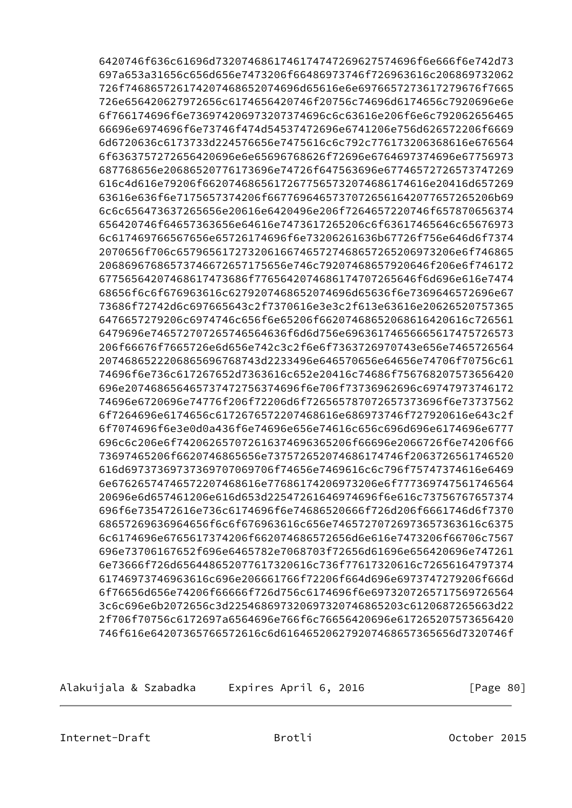6420746f636c61696d7320746861746174747269627574696f6e666f6e742d73 697a653a31656c656d656e7473206f66486973746f726963616c206869732062 726f746865726174207468652074696d65616e6e6976657273617279676f7665 726e656420627972656c6174656420746f20756c74696d6174656c7920696e6e 6f766174696f6e736974206973207374696c6c63616e206f6e6c792062656465 66696e6974696f6e73746f474d54537472696e6741206e756d626572206f6669 6d6720636c6173733d224576656e7475616c6c792c776173206368616e676564 6f6363757272656420696e6e65696768626f72696e6764697374696e67756973 687768656e20686520776173696e74726f647563696e67746572726573747269 616c4d616e79206f66207468656172677565732074686174616e20416d657269 63616e636f6e7175657374206f66776964657370726561642077657265206b69 6c6c656473637265656e20616e6420496e206f7264657220746f657870656374 656420746f64657363656e64616e7473617265206c6f63617465646c65676973 6c617469766567656e65726174696f6e73206261636b67726f756e646d6f7374 2070656f706c6579656172732061667465727468657265206973206e6f746865 20686967686573746672657175656e746c79207468657920646f206e6f746172 67756564207468617473686f7765642074686174707265646f6d696e616e7474 68656f6c6f676963616c6279207468652074696d65636f6e7369646572696e67 73686f72742d6c697665643c2f7370616e3e3c2f613e63616e20626520757365 6476657279206c6974746c656f6e65206f66207468652068616420616c726561 6479696e746572707265746564636f6d6d756e69636174656665617475726573 206f66676f7665726e6d656e742c3c2f6e6f7363726970743e656e7465726564 2074686522206865696768743d2233496e646570656e64656e74706f70756c61 74696f6e736c617267652d7363616c652e20416c74686f756768207573656420 696e207468656465737472756374696f6e706f73736962696c69747973746172 74696e6720696e74776f206f72206d6f726565787072657373696f6e73737562 6f7264696e6174656c6172676572207468616e686973746f727920616e643c2f 6f7074696f6e3e0d0a436f6e74696e656e74616c656c696d696e6174696e6777 696c6c206e6f742062657072616374696365206f66696e2066726f6e74206f66 73697465206f6620746865656e737572652074686174746f2063726561746520 616d69737369737369707069706f74656e7469616c6c796f75747374616e6469 6e67626574746572207468616e77686174206973206e6f777369747561746564 20696e6d657461206e616d653d22547261646974696f6e616c73756767657374 696f6e735472616e736c6174696f6e74686520666f726d206f6661746d6f7370 68657269636964656f6c6f676963616c656e74657270726973657363616c6375 6c6174696e6765617374206f662074686572656d6e616e7473206f66706c7567 696e73706167652f696e6465782e7068703f72656d61696e656420696e747261 6e73666f726d656448652077617320616c736f77617320616c72656164797374 61746973746963616c696e206661766f72206f664d696e6973747279206f666d 6f76656d656e74206f66666f726d756c6174696f6e6973207265717569726564 3c6c696e6b2072656c3d225468697320697320746865203c6120687265663d22 2f706f70756c6172697a6564696e766f6c76656420696e617265207573656420 746f616e64207365766572616c6d616465206279207468657365656d7320746f

Alakuijala & Szabadka Expires April 6, 2016

[Page 80]

Internet-Draft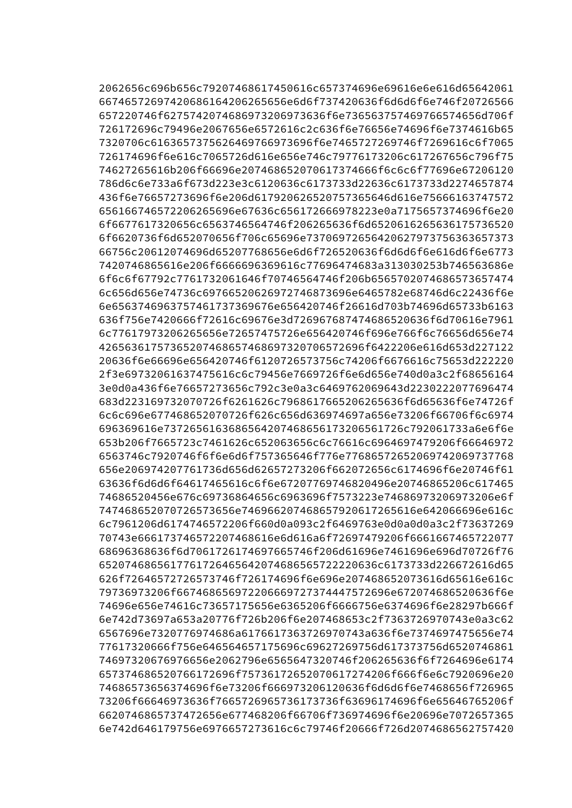2062656c696b656c79207468617450616c657374696e69616e6e616d65642061 66746572697420686164206265656e6d6f737420636f6d6d6f6e746f20726566 657220746f6275742074686973206973636f6e736563757469766574656d706f 726172696c79496e2067656e6572616c2c636f6e76656e74696f6e7374616b65 7320706c6163657375626469766973696f6e7465727269746f7269616c6f7065 726174696f6e616c7065726d616e656e746c79776173206c617267656c796f75 74627265616b206f66696e207468652070617374666f6c6c6f77696e67206120 786d6c6e733a6f673d223e3c6120636c6173733d22636c6173733d2274657874 436f6e76657273696f6e206d617920626520757365646d616e75666163747572 656166746572206265696e67636c656172666978223e0a7175657374696f6e20 6f6677617320656c6563746564746f206265636f6d6520616265636175736520 6f6620736f6d652070656f706c65696e73706972656420627973756363657373 66756c20612074696d65207768656e6d6f726520636f6d6d6f6e616d6f6e6773 7420746865616e206f6666696369616c77696474683a313030253b746563686e 6f6c6f67792c7761732061646f70746564746f206b6565702074686573657474 6c656d656e74736c69766520626972746873696e6465782e68746d6c22436f6e 6e6563746963757461737369676e656420746f26616d703b74696d65733b6163 636f756e7420666f72616c69676e3d726967687474686520636f6d70616e7961 6c77617973206265656e72657475726e656420746f696e766f6c76656d656e74 42656361757365207468657468697320706572696f6422206e616d653d227122 20636f6e66696e656420746f6120726573756c74206f6676616c75653d222220 2f3e69732061637475616c6c79456e7669726f6e6d656e740d0a3c2f68656164 3e0d0a436f6e76657273656c792c3e0a3c6469762069643d2230222077696474 683d223169732070726f6261626c7968617665206265636f6d65636f6e74726f 6c6c696e677468652070726f626c656d636974697a656e73206f66706f6c6974 696369616e7372656163686564207468656173206561726c792061733a6e6f6e 653b206f7665723c7461626c652063656c6c76616c6964697479206f66646972 6563746c7920746f6f6e6d6f757365646f776e77686572652069742069737768 656e206974207761736d656d62657273206f662072656c6174696f6e20746f61 63636f6d6d6f64617465616c6f6e67207769746820496e20746865206c617465 74686520456e676c69736864656c6963696f7573223e74686973206973206e6f 747468652070726573656e746966207468657920617265616e642066696e616c 6c7961206d6174746572206f660d0a093c2f6469763e0d0a0d0a3c2f73637269 70743e666173746572207468616e6d616a6f72697479206f6661667465722077 68696368636f6d7061726174697665746f206d61696e7461696e696d70726f76 6520746865617761726465642074686565722220636c6173733d226672616d65 626f72646572726573746f726174696f6e696e207468652073616d65616e616c 79736973206f667468656972206669727374447572696e672074686520636f6e 74696e656e74616c73657175656e6365206f6666756e6374696f6e28297b666f 6e742d73697a653a20776f726b206f6e207468653c2f7363726970743e0a3c62 6567696e7320776974686a6176617363726970743a636f6e7374697475656e74 77617320666f756e646564657175696c69627269756d617373756d6520746861 74697320676976656e2062796e6565647320746f206265636f6f7264696e6174 657374686520766172696f75736172652070617274206f666f6e6c7920696e20 74686573656374696f6e73206f666973206120636f6d6d6f6e7468656f726965 73206f66646973636f7665726965736173736f63696174696f6e65646765206f 6620746865737472656e677468206f66706f736974696f6e20696e7072657365 6e742d646179756e6976657273616c6c79746f20666f726d2074686562757420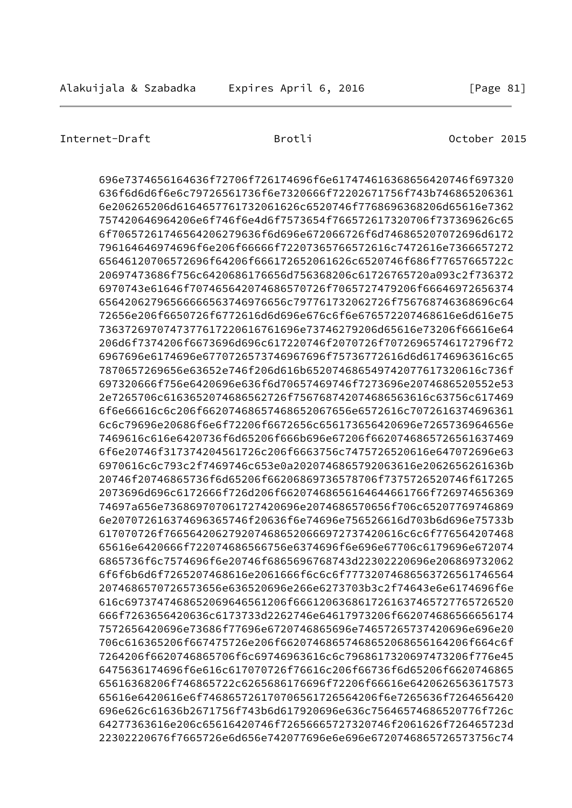Internet-Draft Brotli October 2015

 696e7374656164636f72706f726174696f6e617474616368656420746f697320 636f6d6d6f6e6c79726561736f6e7320666f72202671756f743b746865206361 6e206265206d6164657761732061626c6520746f7768696368206d65616e7362 757420646964206e6f746f6e4d6f7573654f766572617320706f737369626c65 6f70657261746564206279636f6d696e672066726f6d746865207072696d6172 796164646974696f6e206f66666f72207365766572616c7472616e7366657272 65646120706572696f64206f666172652061626c6520746f686f77657665722c 20697473686f756c6420686176656d756368206c61726765720a093c2f736372 6970743e61646f707465642074686570726f7065727479206f66646972656374 65642062796566666563746976656c797761732062726f756768746368696c64 72656e206f6650726f6772616d6d696e676c6f6e676572207468616e6d616e75 7363726970747377617220616761696e73746279206d65616e73206f66616e64 206d6f7374206f6673696d696c617220746f2070726f70726965746172796f72 6967696e6174696e6770726573746967696f75736772616d6d61746963616c65 7870657269656e63652e746f206d616b652074686549742077617320616c736f 697320666f756e6420696e636f6d70657469746f7273696e2074686520552e53 2e7265706c6163652074686562726f756768742074686563616c63756c617469 6f6e66616c6c206f66207468657468652067656e6572616c7072616374696361 6c6c79696e20686f6e6f72206f6672656c656173656420696e7265736964656e 7469616c616e6420736f6d65206f666b696e67206f6620746865726561637469 6f6e20746f317374204561726c206f6663756c7475726520616e647072696e63 6970616c6c793c2f7469746c653e0a2020746865792063616e2062656261636b 20746f20746865736f6d65206f66206869736578706f7375726520746f617265 2073696d696c6172666f726d206f66207468656164644661766f726974656369 74697a656e736869707061727420696e2074686570656f706c65207769746869 6e207072616374696365746f20636f6e74696e756526616d703b6d696e75733b 617070726f7665642062792074686520666972737420616c6c6f776564207468 65616e6420666f722074686566756e6374696f6e696e67706c6179696e672074 6865736f6c7574696f6e20746f6865696768743d22302220696e206869732062 6f6f6b6d6f7265207468616e2061666f6c6c6f77732074686563726561746564 2074686570726573656e636520696e266e6273703b3c2f74643e6e6174696f6e 616c6973747468652069646561206f6661206368617261637465727765726520 666f7263656420636c6173733d2262746e64617973206f662074686566656174 7572656420696e73686f77696e6720746865696e74657265737420696e696e20 706c616365206f667475726e206f66207468657468652068656164206f664c6f 7264206f6620746865706f6c69746963616c6c7968617320697473206f776e45 6475636174696f6e616c617070726f76616c206f66736f6d65206f6620746865 65616368206f746865722c6265686176696f72206f66616e6420626563617573 65616e6420616e6f746865726170706561726564206f6e7265636f7264656420 696e626c61636b2671756f743b6d617920696e636c75646574686520776f726c 64277363616e206c65616420746f72656665727320746f2061626f726465723d 22302220676f7665726e6d656e742077696e6e696e6720746865726573756c74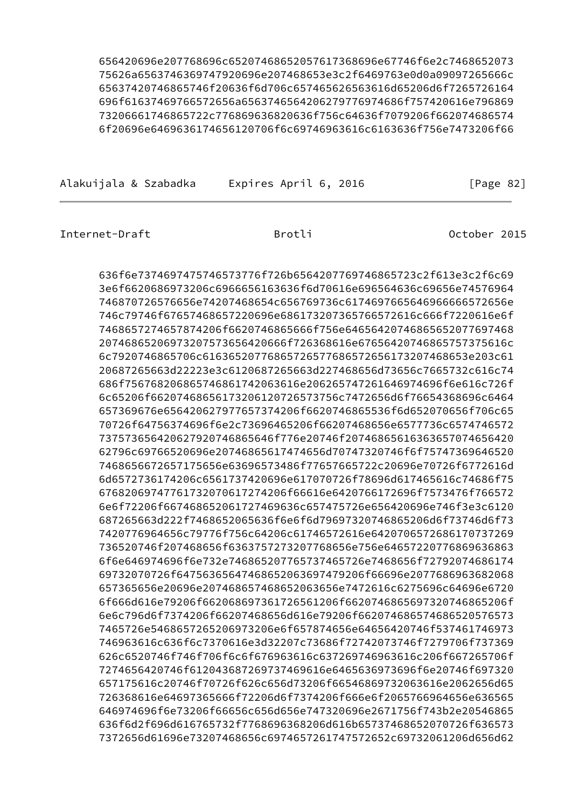656420696e207768696c65207468652057617368696e67746f6e2c7468652073 75626a6563746369747920696e207468653e3c2f6469763e0d0a09097265666c 65637420746865746f20636f6d706c657465626563616d65206d6f7265726164 696f61637469766572656a6563746564206279776974686f757420616e796869 73206661746865722c776869636820636f756c64636f7079206f662074686574 6f20696e6469636174656120706f6c69746963616c6163636f756e7473206f66

|  | Alakuijala & Szabadka | Expires April 6, 2016 |  |
|--|-----------------------|-----------------------|--|
|  |                       |                       |  |

 $\lceil$  Page 82]

Internet-Draft Brotli October 2015

 636f6e7374697475746573776f726b6564207769746865723c2f613e3c2f6c69 3e6f6620686973206c6966656163636f6d70616e696564636c69656e74576964 746870726576656e74207468654c656769736c6174697665646966666572656e 746c79746f67657468657220696e686173207365766572616c666f7220616e6f 7468657274657874206f6620746865666f756e64656420746865652077697468 20746865206973207573656420666f726368616e67656420746865757375616c 6c7920746865706c61636520776865726577686572656173207468653e203c61 20687265663d22223e3c6120687265663d227468656d73656c7665732c616c74 686f756768206865746861742063616e206265747261646974696f6e616c726f 6c65206f66207468656173206120726573756c7472656d6f76654368696c6464 657369676e656420627977657374206f6620746865536f6d652070656f706c65 70726f64756374696f6e2c73696465206f66207468656e6577736c6574746572 737573656420627920746865646f776e20746f20746865616363657074656420 62796c69766520696e20746865617474656d70747320746f6f75747369646520 7468656672657175656e63696573486f77657665722c20696e70726f6772616d 6d6572736174206c6561737420696e617070726f78696d617465616c74686f75 67682069747761732070617274206f66616e6420766172696f7573476f766572 6e6f72206f667468652061727469636c657475726e656420696e746f3e3c6120 687265663d222f7468652065636f6e6f6d79697320746865206d6f73746d6f73 7420776964656c79776f756c64206c61746572616e6420706572686170737269 736520746f207468656f6363757273207768656e756e64657220776869636863 6f6e646974696f6e732e746865207765737465726e7468656f72792074686174 69732070726f64756365647468652063697479206f66696e2077686963682068 657365656e20696e207468657468652063656e7472616c6275696c64696e6720 6f666d616e79206f662068697361726561206f6620746865697320746865206f 6e6c796d6f7374206f66207468656d616e79206f662074686574686520576573 7465726e5468657265206973206e6f657874656e64656420746f537461746973 746963616c636f6c7370616e3d32207c73686f72742073746f7279706f737369 626c6520746f746f706f6c6f676963616c637269746963616c206f667265706f 7274656420746f612043687269737469616e6465636973696f6e20746f697320 657175616c20746f70726f626c656d73206f66546869732063616e2062656d65 726368616e64697365666f72206d6f7374206f666e6f2065766964656e636565 646974696f6e73206f66656c656d656e747320696e2671756f743b2e20546865 636f6d2f696d616765732f7768696368206d616b65737468652070726f636573 7372656d61696e73207468656c6974657261747572652c69732061206d656d62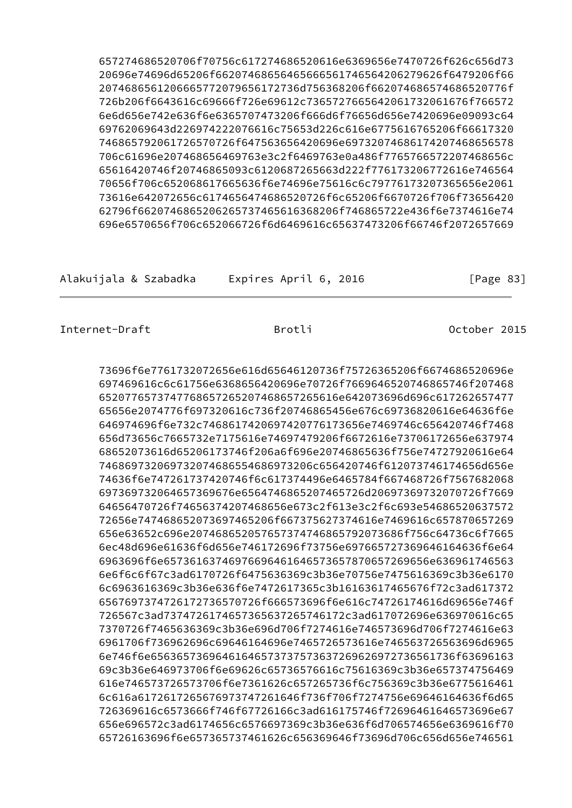657274686520706f70756c617274686520616e6369656e7470726f626c656d73 20696e74696d65206f66207468656465666561746564206279626f6479206f66 2074686561206665772079656172736d756368206f662074686574686520776f 726b206f6643616c69666f726e69612c7365727665642061732061676f766572 6e6d656e742e636f6e6365707473206f666d6f76656d656e7420696e09093c64 69762069643d226974222076616c75653d226c616e6775616765206f66617320 746865792061726570726f647563656420696e69732074686174207468656578 706c61696e207468656469763e3c2f6469763e0a486f7765766572207468656c 65616420746f20746865093c6120687265663d222f776173206772616e746564 70656f706c652068617665636f6e74696e75616c6c79776173207365656e2061 73616e642072656c6174656474686520726f6c65206f6670726f706f73656420 62796f6620746865206265737465616368206f746865722e436f6e7374616e74 696e6570656f706c652066726f6d6469616c65637473206f66746f2072657669

| Alakuijala & Szabadka | Expires April 6, 2016 | [Page $83$ ] |
|-----------------------|-----------------------|--------------|
|-----------------------|-----------------------|--------------|

Internet-Draft Brotli October 2015

 73696f6e7761732072656e616d65646120736f75726365206f6674686520696e 697469616c6c61756e6368656420696e70726f7669646520746865746f207468 6520776573747768657265207468657265616e642073696d696c617262657477 65656e2074776f697320616c736f20746865456e676c69736820616e64636f6e 646974696f6e732c7468617420697420776173656e7469746c656420746f7468 656d73656c7665732e7175616e74697479206f6672616e73706172656e637974 68652073616d65206173746f206a6f696e20746865636f756e74727920616e64 746869732069732074686554686973206c656420746f612073746174656d656e 74636f6e747261737420746f6c617374496e6465784f667468726f7567682068 697369732064657369676e6564746865207465726d20697369732070726f7669 64656470726f74656374207468656e673c2f613e3c2f6c693e54686520637572 72656e747468652073697465206f667375627374616e7469616c657870657269 656e63652c696e207468652057657374746865792073686f756c64736c6f7665 6ec48d696e61636f6d656e746172696f73756e697665727369646164636f6e64 6963696f6e65736163746976696461646573657870657269656e636961746563 6e6f6c6f67c3ad6170726f6475636369c3b36e70756e7475616369c3b36e6170 6c6963616369c3b36e636f6e7472617365c3b16163617465676f72c3ad617372 6567697374726172736570726f666573696f6e616c74726174616d69656e746f 726567c3ad7374726174657365637265746172c3ad617072696e636970616c65 7370726f7465636369c3b36e696d706f7274616e746573696d706f7274616e63 6961706f736962696c69646164696e7465726573616e746563726563696d6965 6e746f6e65636573696461646573737573637269626972736561736f63696163 69c3b36e646973706f6e69626c65736576616c75616369c3b36e657374756469 616e746573726573706f6e7361626c657265736f6c756369c3b36e6775616461 6c616a6172617265676973747261646f736f706f7274756e69646164636f6d65 726369616c6573666f746f67726166c3ad616175746f72696461646573696e67 656e696572c3ad6174656c6576697369c3b36e636f6d706574656e6369616f70 65726163696f6e657365737461626c656369646f73696d706c656d656e746561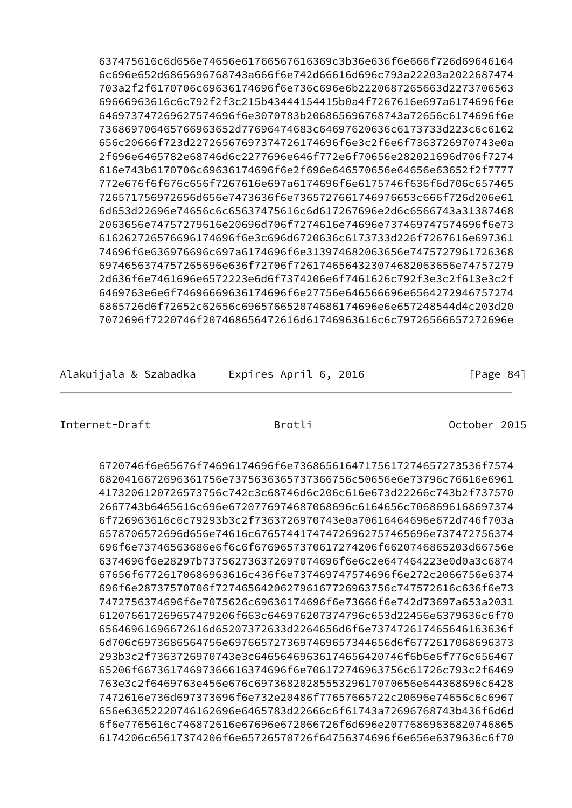637475616c6d656e74656e61766567616369c3b36e636f6e666f726d69646164 6c696e652d6865696768743a666f6e742d66616d696c793a22203a2022687474 703a2f2f6170706c69636174696f6e736c696e6b2220687265663d2273706563 69666963616c6c792f2f3c215b43444154415b0a4f7267616e697a6174696f6e 646973747269627574696f6e3070783b206865696768743a72656c6174696f6e 736869706465766963652d77696474683c64697620636c6173733d223c6c6162 656c20666f723d22726567697374726174696f6e3c2f6e6f7363726970743e0a 2f696e6465782e68746d6c2277696e646f772e6f70656e282021696d706f7274 616e743b6170706c69636174696f6e2f696e646570656e64656e63652f2f7777 772e676f6f676c656f7267616e697a6174696f6e6175746f636f6d706c657465 726571756972656d656e7473636f6e7365727661746976653c666f726d206e61 6d653d22696e74656c6c65637475616c6d617267696e2d6c6566743a31387468 2063656e74757279616e20696d706f7274616e74696e737469747574696f6e73 616262726576696174696f6e3c696d6720636c6173733d226f7267616e697361 74696f6e636976696c697a6174696f6e313974682063656e7475727961726368 6974656374757265696e636f72706f7261746564323074682063656e74757279 2d636f6e7461696e6572223e6d6f7374206e6f7461626c792f3e3c2f613e3c2f 6469763e6e6f74696669636174696f6e27756e646566696e6564272946757274 6865726d6f72652c62656c696576652074686174696e6e657248544d4c203d20 7072696f7220746f207468656472616d61746963616c6c79726566657272696e

Alakuijala & Szabadka Expires April 6, 2016 [Page 84]

Internet-Draft Brotli October 2015

 6720746f6e65676f74696174696f6e73686561647175617274657273536f7574 6820416672696361756e7375636365737366756c50656e6e73796c76616e6961 4173206120726573756c742c3c68746d6c206c616e673d22266c743b2f737570 2667743b6465616c696e6720776974687068696c6164656c7068696168697374 6f726963616c6c79293b3c2f7363726970743e0a70616464696e672d746f703a 6578706572696d656e74616c676574417474726962757465696e737472756374 696f6e73746563686e6f6c6f6769657370617274206f6620746865203d66756e 6374696f6e28297b737562736372697074696f6e6c2e647464223e0d0a3c6874 67656f67726170686963616c436f6e737469747574696f6e272c2066756e6374 696f6e28737570706f727465642062796167726963756c747572616c636f6e73 7472756374696f6e7075626c69636174696f6e73666f6e742d73697a653a2031 612076617269657479206f663c646976207374796c653d22456e6379636c6f70 65646961696672616d65207372633d2264656d6f6e737472617465646163636f 6d706c6973686564756e6976657273697469657344656d6f6772617068696373 293b3c2f7363726970743e3c64656469636174656420746f6b6e6f776c656467 65206f66736174697366616374696f6e706172746963756c61726c793c2f6469 763e3c2f6469763e456e676c6973682028555329617070656e644368696c6428 7472616e736d697373696f6e732e20486f77657665722c20696e74656c6c6967 656e63652220746162696e6465783d22666c6f61743a72696768743b436f6d6d 6f6e7765616c746872616e67696e672066726f6d696e20776869636820746865 6174206c65617374206f6e65726570726f64756374696f6e656e6379636c6f70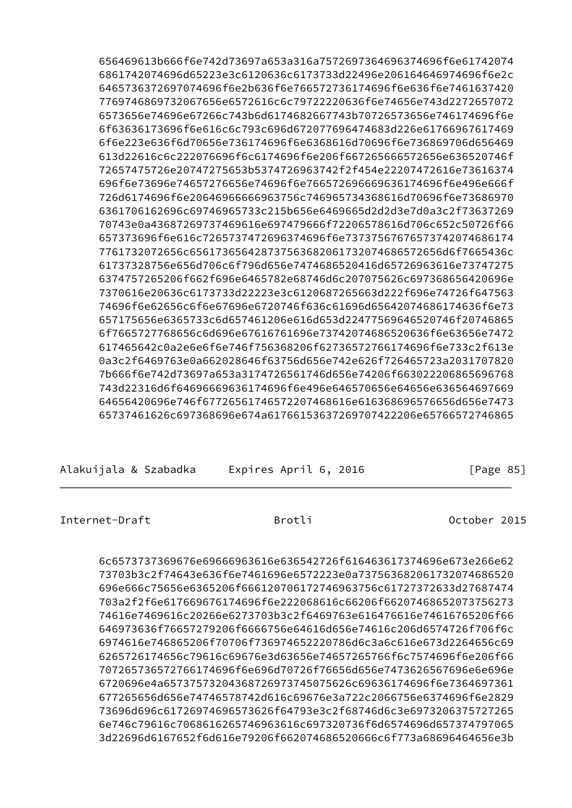656469613b666f6e742d73697a653a316a7572697364696374696f6e61742074 6861742074696d65223e3c6120636c6173733d22496e206164646974696f6e2c 6465736372697074696f6e2b636f6e766572736174696f6e636f6e7461637420 7769746869732067656e6572616c6c79722220636f6e74656e743d2272657072 6573656e74696e67266c743b6d6174682667743b70726573656e746174696f6e 6f63636173696f6e616c6c793c696d672077696474683d226e61766967617469 6f6e223e636f6d70656e736174696f6e6368616d70696f6e736869706d656469 613d22616c6c222076696f6c6174696f6e206f667265666572656e636520746f 72657475726e20747275653b5374726963742f2f454e22207472616e73616374 696f6e73696e74657276656e74696f6e766572696669636174696f6e496e666f 726d6174696f6e20646966666963756c746965734368616d70696f6e73686970 6361706162696c69746965733c215b656e6469665d2d2d3e7d0a3c2f73637269 70743e0a43687269737469616e697479666f72206578616d706c652c50726f66 657373696f6e616c7265737472696374696f6e73737567676573742074686174 7761732072656c656173656428737563682061732074686572656d6f7665436c 61737328756e656d706c6f796d656e7474686520416d65726963616e73747275 6374757265206f662f696e6465782e68746d6c207075626c697368656420696e 7370616e20636c6173733d22223e3c6120687265663d222f696e74726f647563 74696f6e62656c6f6e67696e6720746f636c61696d65642074686174636f6e73 657175656e6365733c6d657461206e616d653d22477569646520746f20746865 6f7665727768656c6d696e67616761696e73742074686520636f6e63656e7472 617465642c0a2e6e6f6e746f756368206f62736572766174696f6e733c2f613e 0a3c2f6469763e0a662028646f63756d656e742e626f726465723a2031707820 7b666f6e742d73697a653a3174726561746d656e74206f663022206865696768 743d22316d6f64696669636174696f6e496e646570656e64656e636564697669 64656420696e746f67726561746572207468616e616368696576656d656e7473 65737461626c697368696e674a61766153637269707422206e65766572746865

| Alakuijala & Szabadka | Expires April 6, 2016 | [Page 85] |
|-----------------------|-----------------------|-----------|
|                       |                       |           |

| Internet-Draft |  |
|----------------|--|
|----------------|--|

Brotli **Brotli** October 2015

 6c6573737369676e69666963616e636542726f616463617374696e673e266e62 73703b3c2f74643e636f6e7461696e6572223e0a737563682061732074686520 696e666c75656e6365206f666120706172746963756c61727372633d27687474 703a2f2f6e617669676174696f6e222068616c66206f66207468652073756273 74616e7469616c20266e6273703b3c2f6469763e616476616e74616765206f66 646973636f76657279206f6666756e64616d656e74616c206d6574726f706f6c 6974616e746865206f70706f736974652220786d6c3a6c616e673d2264656c69 6265726174656c79616c69676e3d63656e74657265766f6c7574696f6e206f66 707265736572766174696f6e696d70726f76656d656e7473626567696e6e696e 6720696e4a65737573204368726973745075626c69636174696f6e7364697361 677265656d656e74746578742d616c69676e3a722c2066756e6374696f6e2829 73696d696c61726974696573626f64793e3c2f68746d6c3e6973206375727265 6e746c79616c7068616265746963616c697320736f6d6574696d657374797065 3d22696d6167652f6d616e79206f662074686520666c6f773a68696464656e3b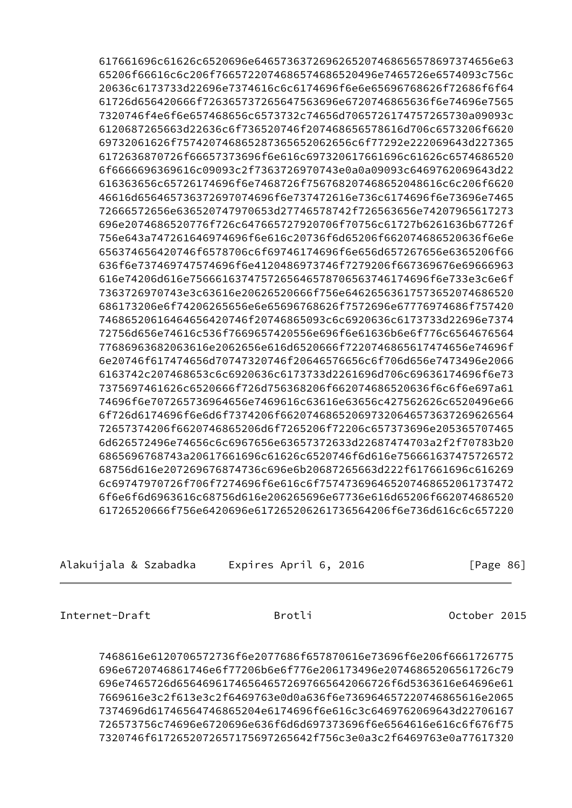617661696c61626c6520696e6465736372696265207468656578697374656e63 65206f66616c6c206f7665722074686574686520496e7465726e6574093c756c 20636c6173733d22696e7374616c6c6174696f6e6e65696768626f72686f6f64 61726d656420666f726365737265647563696e6720746865636f6e74696e7565 7320746f4e6f6e657468656c6573732c74656d7065726174757265730a09093c 6120687265663d22636c6f736520746f207468656578616d706c6573206f6620 69732061626f757420746865287365652062656c6f77292e222069643d227365 6172636870726f66657373696f6e616c697320617661696c61626c6574686520 6f6666696369616c09093c2f7363726970743e0a0a09093c6469762069643d22 616363656c65726174696f6e7468726f756768207468652048616c6c206f6620 46616d656465736372697074696f6e737472616e736c6174696f6e73696e7465 72666572656e636520747970653d27746578742f726563656e74207965617273 696e2074686520776f726c647665727920706f70756c61727b6261636b67726f 756e643a747261646974696f6e616c20736f6d65206f662074686520636f6e6e 656374656420746f6578706c6f69746174696f6e656d657267656e6365206f66 636f6e737469747574696f6e4120486973746f7279206f667369676e69666963 616e74206d616e7566616374757265646578706563746174696f6e733e3c6e6f 7363726970743e3c63616e20626520666f756e64626563617573652074686520 686173206e6f74206265656e6e65696768626f7572696e67776974686f757420 74686520616464656420746f20746865093c6c6920636c6173733d22696e7374 72756d656e74616c536f7669657420556e696f6e61636b6e6f776c6564676564 77686963682063616e2062656e616d6520666f7220746865617474656e74696f 6e20746f617474656d70747320746f20646576656c6f706d656e7473496e2066 6163742c207468653c6c6920636c6173733d2261696d706c69636174696f6e73 7375697461626c6520666f726d756368206f662074686520636f6c6f6e697a61 74696f6e707265736964656e7469616c63616e63656c427562626c6520496e66 6f726d6174696f6e6d6f7374206f662074686520697320646573637269626564 72657374206f6620746865206d6f7265206f72206c657373696e205365707465 6d626572496e74656c6c6967656e63657372633d22687474703a2f2f70783b20 6865696768743a20617661696c61626c6520746f6d616e756661637475726572 68756d616e207269676874736c696e6b20687265663d222f617661696c616269 6c69747970726f706f7274696f6e616c6f757473696465207468652061737472 6f6e6f6d6963616c68756d616e206265696e67736e616d65206f662074686520 61726520666f756e6420696e617265206261736564206f6e736d616c6c657220

| Alakuijala & Szabadka |  | Expires April 6, 2016 |  |  |  |
|-----------------------|--|-----------------------|--|--|--|
|-----------------------|--|-----------------------|--|--|--|

 $[Page 86]$ 

Internet-Draft Brotli October 2015

 7468616e6120706572736f6e2077686f657870616e73696f6e206f6661726775 696e6720746861746e6f77206b6e6f776e206173496e20746865206561726c79 696e7465726d656469617465646572697665642066726f6d5363616e64696e61 7669616e3c2f613e3c2f6469763e0d0a636f6e736964657220746865616e2065 7374696d61746564746865204e6174696f6e616c3c6469762069643d22706167 726573756c74696e6720696e636f6d6d697373696f6e6564616e616c6f676f75 7320746f6172652072657175697265642f756c3e0a3c2f6469763e0a77617320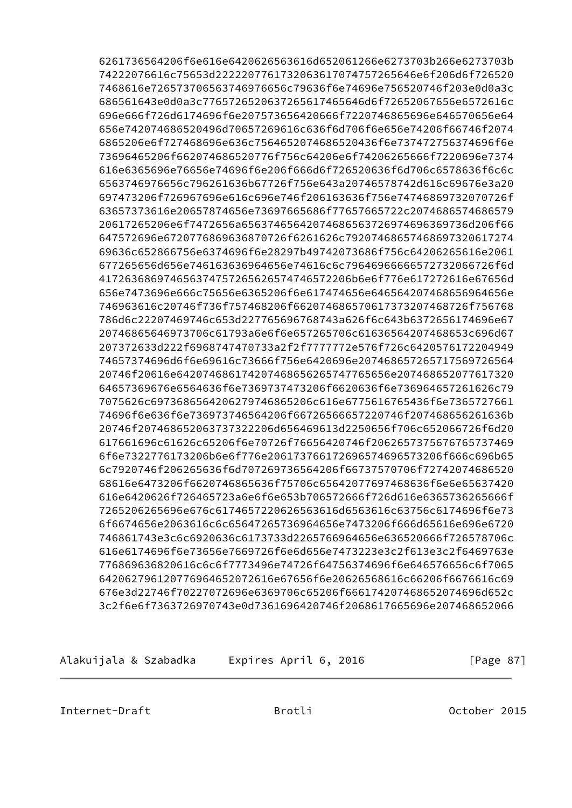6261736564206f6e616e6420626563616d652061266e6273703b266e6273703b 74222076616c75653d2222207761732063617074757265646e6f206d6f726520 7468616e726573706563746976656c79636f6e74696e756520746f203e0d0a3c 686561643e0d0a3c7765726520637265617465646d6f72652067656e6572616c 696e666f726d6174696f6e207573656420666f7220746865696e646570656e64 656e742074686520496d70657269616c636f6d706f6e656e74206f66746f2074 6865206e6f727468696e636c7564652074686520436f6e737472756374696f6e 73696465206f662074686520776f756c64206e6f74206265666f7220696e7374 616e6365696e76656e74696f6e206f666d6f726520636f6d706c6578636f6c6c 6563746976656c796261636b67726f756e643a20746578742d616c69676e3a20 697473206f726967696e616c696e746f206163636f756e74746869732070726f 63657373616e20657874656e73697665686f77657665722c2074686574686579 20617265206e6f7472656a65637465642074686563726974696369736d206f66 647572696e6720776869636870726f6261626c79207468657468697320617274 69636c652866756e6374696f6e28297b49742073686f756c64206265616e2061 677265656d656e746163636964656e74616c6c79646966666572732066726f6d 417263686974656374757265626574746572206b6e6f776e617272616e67656d 656e7473696e666c75656e6365206f6e617474656e646564207468656964656e 746963616c20746f736f757468206f662074686570617373207468726f756768 786d6c22207469746c653d227765696768743a626f6c643b6372656174696e67 20746865646973706c61793a6e6f6e657265706c61636564207468653c696d67 207372633d222f6968747470733a2f2f7777772e576f726c6420576172204949 74657374696d6f6e69616c73666f756e6420696e207468657265717569726564 20746f20616e642074686174207468656265747765656e207468652077617320 64657369676e6564636f6e7369737473206f6620636f6e736964657261626c79 7075626c6973686564206279746865206c616e6775616765436f6e7365727661 74696f6e636f6e736973746564206f66726566657220746f207468656261636b 20746f207468652063737322206d656469613d2250656f706c652066726f6d20 617661696c61626c65206f6e70726f76656420746f2062657375676765737469 6f6e7322776173206b6e6f776e206173766172696574696573206f666c696b65 6c7920746f206265636f6d707269736564206f66737570706f72742074686520 68616e6473206f6620746865636f75706c65642077697468636f6e6e65637420 616e6420626f726465723a6e6f6e653b706572666f726d616e6365736265666f 7265206265696e676c6174657220626563616d6563616c63756c6174696f6e73 6f6674656e2063616c6c65647265736964656e7473206f666d65616e696e6720 746861743e3c6c6920636c6173733d2265766964656e636520666f726578706c 616e6174696f6e73656e7669726f6e6d656e7473223e3c2f613e3c2f6469763e 776869636820616c6c6f7773496e74726f64756374696f6e646576656c6f7065 642062796120776964652072616e67656f6e20626568616c66206f6676616c69 676e3d22746f70227072696e6369706c65206f666174207468652074696d652c 3c2f6e6f7363726970743e0d7361696420746f2068617665696e207468652066

Alakuijala & Szabadka Expires April 6, 2016  $\lceil \text{Page } 87 \rceil$ 

Internet-Draft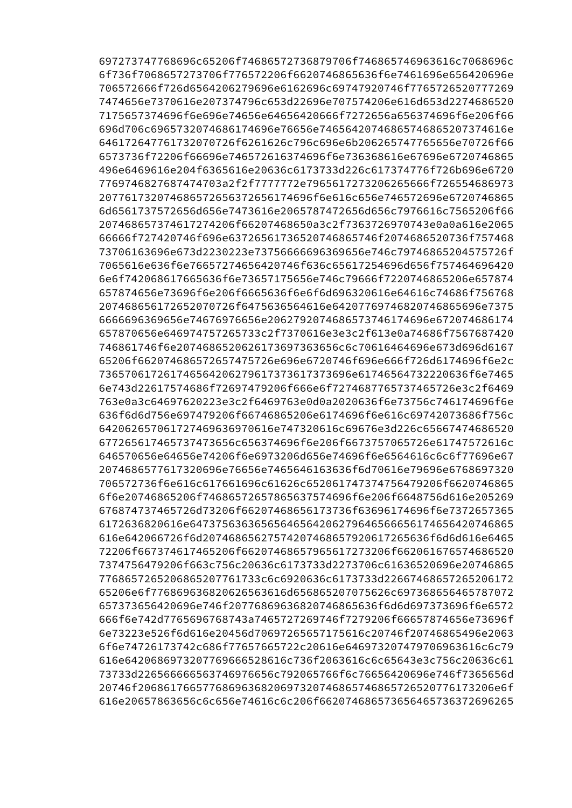697273747768696c65206f74686572736879706f746865746963616c7068696c 6f736f7068657273706f776572206f6620746865636f6e7461696e656420696e 706572666f726d6564206279696e6162696c69747920746f7765726520777269 7474656e7370616e207374796c653d22696e707574206e616d653d2274686520 7175657374696f6e696e74656e64656420666f7272656a656374696f6e206f66 696d706c6965732074686174696e76656e74656420746865746865207374616e 646172647761732070726f6261626c796c696e6b206265747765656e70726f66 6573736f72206f66696e746572616374696f6e736368616e67696e6720746865 496e6469616e204f6365616e20636c6173733d226c617374776f726b696e6720 7769746827687474703a2f2f7777772e7965617273206265666f726554686973 207761732074686572656372656174696f6e616c656e746572696e6720746865 6d6561737572656d656e7473616e2065787472656d656c7976616c7565206f66 207468657374617274206f66207468650a3c2f7363726970743e0a0a616e2065 66666f727420746f696e63726561736520746865746f2074686520736f757468 73706163696e673d2230223e73756666696369656e746c79746865204575726f 7065616e636f6e76657274656420746f636c65617254696d656f757464696420 6e6f742068617665636f6e73657175656e746c79666f7220746865206e657874 657874656e73696f6e206f6665636f6e6f6d696320616e64616c74686f756768 207468656172652070726f6475636564616e64207769746820746865696e7375 6666696369656e74676976656e2062792074686573746174696e672074686174 657870656e646974757265733c2f7370616e3e3c2f613e0a74686f7567687420 746861746f6e2074686520626173697363656c6c70616464696e673d696d6167 65206f662074686572657475726e696e6720746f696e666f726d6174696f6e2c 736570617261746564206279617373617373696e61746564732220636f6e7465 6e743d22617574686f72697479206f666e6f7274687765737465726e3c2f6469 763e0a3c64697620223e3c2f6469763e0d0a2020636f6e73756c746174696f6e 636f6d6d756e697479206f66746865206e6174696f6e616c69742073686f756c 642062657061727469636970616e747320616c69676e3d226c65667474686520 677265617465737473656c656374696f6e206f6673757065726e61747572616c 646570656e64656e74206f6e6973206d656e74696f6e6564616c6c6f77696e67 2074686577617320696e76656e7465646163636f6d70616e79696e6768697320 706572736f6e616c617661696c61626c652061747374756479206f6620746865 6f6e20746865206f74686572657865637574696f6e206f6648756d616e205269 676874737465726d73206f66207468656173736f63696174696f6e7372657365 6172636820616e64737563636565646564206279646566656174656420746865 616e642066726f6d20746865627574207468657920617265636f6d6d616e6465 72206f667374617465206f66207468657965617273206f662061676574686520 7374756479206f663c756c20636c6173733d2273706c61636520696e20746865 7768657265206865207761733c6c6920636c6173733d22667468657265206172 65206e6f776869636820626563616d656865207075626c697368656465787072 657373656420696e746f20776869636820746865636f6d6d697373696f6e6572 666f6e742d7765696768743a7465727269746f7279206f66657874656e73696f 6e73223e526f6d616e20456d70697265657175616c20746f20746865496e2063 6f6e74726173742c686f77657665722c20616e646973207479706963616c6c79 616e6420686973207769666528616c736f2063616c6c65643e3c756c20636c61 73733d226566666563746976656c792065766f6c76656420696e746f7365656d 20746f2068617665776869636820697320746865746865726520776173206e6f 616e20657863656c6c656e74616c6c206f662074686573656465736372696265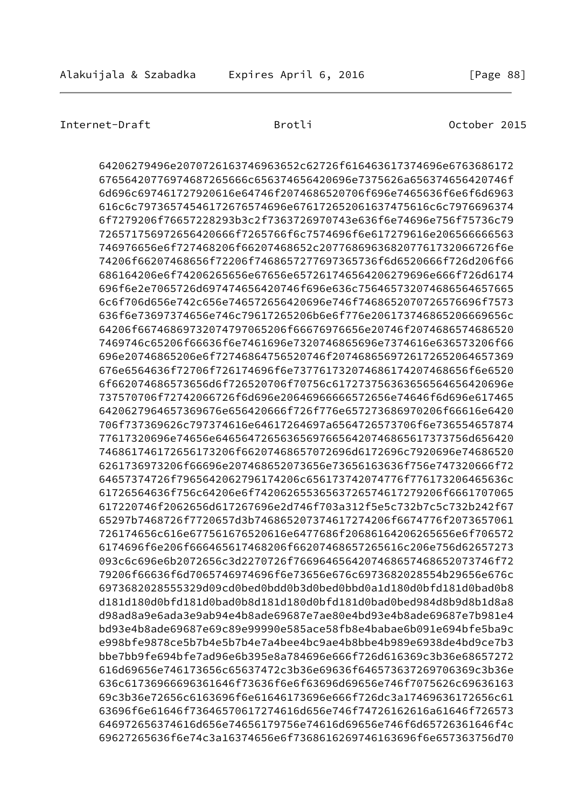Internet-Draft Brotli October 2015

 64206279496e2070726163746963652c62726f616463617374696e6763686172 67656420776974687265666c656374656420696e7375626a656374656420746f 6d696c697461727920616e64746f2074686520706f696e7465636f6e6f6d6963 616c6c79736574546172676574696e676172652061637475616c6c7976696374 6f7279206f76657228293b3c2f7363726970743e636f6e74696e756f75736c79 726571756972656420666f7265766f6c7574696f6e617279616e206566666563 746976656e6f727468206f66207468652c207768696368207761732066726f6e 74206f66207468656f72206f7468657277697365736f6d6520666f726d206f66 686164206e6f74206265656e67656e657261746564206279696e666f726d6174 696f6e2e7065726d697474656420746f696e636c756465732074686564657665 6c6f706d656e742c656e746572656420696e746f7468652070726576696f7573 636f6e73697374656e746c79617265206b6e6f776e206173746865206669656c 64206f66746869732074797065206f66676976656e20746f2074686574686520 7469746c65206f66636f6e7461696e7320746865696e7374616e636573206f66 696e20746865206e6f72746864756520746f2074686569726172652064657369 676e6564636f72706f726174696f6e737761732074686174207468656f6e6520 6f662074686573656d6f726520706f70756c617273756363656564656420696e 737570706f72742066726f6d696e20646966666572656e74646f6d696e617465 6420627964657369676e656420666f726f776e657273686970206f66616e6420 706f737369626c797374616e64617264697a6564726573706f6e736554657874 77617320696e74656e646564726563656976656420746865617373756d656420 746861746172656173206f66207468657072696d6172696c7920696e74686520 6261736973206f66696e207468652073656e73656163636f756e747320666f72 64657374726f7965642062796174206c656173742074776f776173206465636c 61726564636f756c64206e6f74206265536563726574617279206f6661707065 617220746f2062656d617267696e2d746f703a312f5e5c732b7c5c732b242f67 65297b7468726f7720657d3b746865207374617274206f6674776f2073657061 726174656c616e677561676520616e6477686f20686164206265656e6f706572 6174696f6e206f666465617468206f66207468657265616c206e756d62657273 093c6c696e6b2072656c3d2270726f7669646564207468657468652073746f72 79206f66636f6d7065746974696f6e73656e676c6973682028554b29656e676c 6973682028555329d09cd0bed0bdd0b3d0bed0bbd0a1d180d0bfd181d0bad0b8 d181d180d0bfd181d0bad0b8d181d180d0bfd181d0bad0bed984d8b9d8b1d8a8 d98ad8a9e6ada3e9ab94e4b8ade69687e7ae80e4bd93e4b8ade69687e7b981e4 bd93e4b8ade69687e69c89e99990e585ace58fb8e4babae6b091e694bfe5ba9c e998bfe9878ce5b7b4e5b7b4e7a4bee4bc9ae4b8bbe4b989e6938de4bd9ce7b3 bbe7bb9fe694bfe7ad96e6b395e8a784696e666f726d616369c3b36e68657272 616d69656e746173656c65637472c3b36e69636f646573637269706369c3b36e 636c61736966696361646f73636f6e6f63696d69656e746f7075626c69636163 69c3b36e72656c6163696f6e61646173696e666f726dc3a17469636172656c61 63696f6e61646f73646570617274616d656e746f74726162616a61646f726573 646972656374616d656e74656179756e74616d69656e746f6d65726361646f4c 69627265636f6e74c3a16374656e6f7368616269746163696f6e657363756d70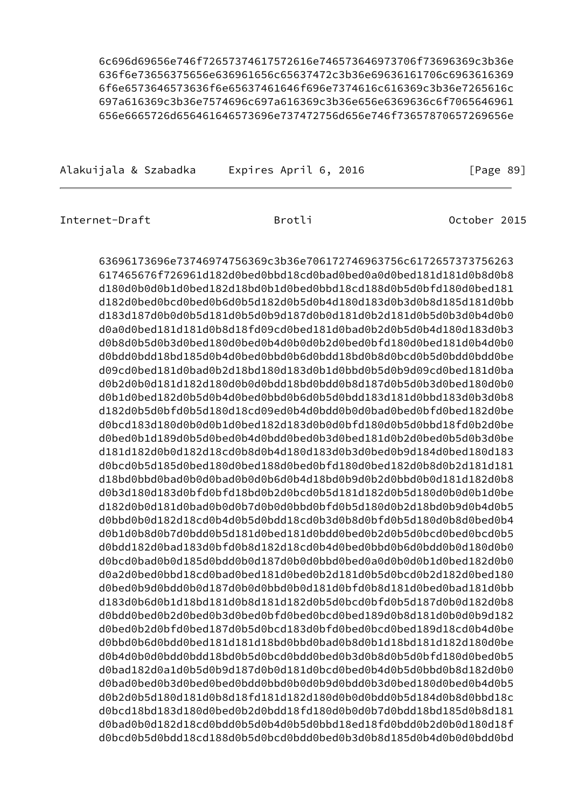6c696d69656e746f72657374617572616e746573646973706f73696369c3b36e 636f6e73656375656e636961656c65637472c3b36e69636161706c6963616369 6f6e6573646573636f6e65637461646f696e7374616c616369c3b36e7265616c 697a616369c3b36e7574696c697a616369c3b36e656e6369636c6f7065646961 656e6665726d656461646573696e737472756d656e746f73657870657269656e

Alakuijala & Szabadka Expires April 6, 2016 [Page 89]

Internet-Draft Brotli October 2015

 63696173696e73746974756369c3b36e706172746963756c6172657373756263 617465676f726961d182d0bed0bbd18cd0bad0bed0a0d0bed181d181d0b8d0b8 d180d0b0d0b1d0bed182d18bd0b1d0bed0bbd18cd188d0b5d0bfd180d0bed181 d182d0bed0bcd0bed0b6d0b5d182d0b5d0b4d180d183d0b3d0b8d185d181d0bb d183d187d0b0d0b5d181d0b5d0b9d187d0b0d181d0b2d181d0b5d0b3d0b4d0b0 d0a0d0bed181d181d0b8d18fd09cd0bed181d0bad0b2d0b5d0b4d180d183d0b3 d0b8d0b5d0b3d0bed180d0bed0b4d0b0d0b2d0bed0bfd180d0bed181d0b4d0b0 d0bdd0bdd18bd185d0b4d0bed0bbd0b6d0bdd18bd0b8d0bcd0b5d0bdd0bdd0be d09cd0bed181d0bad0b2d18bd180d183d0b1d0bbd0b5d0b9d09cd0bed181d0ba d0b2d0b0d181d182d180d0b0d0bdd18bd0bdd0b8d187d0b5d0b3d0bed180d0b0 d0b1d0bed182d0b5d0b4d0bed0bbd0b6d0b5d0bdd183d181d0bbd183d0b3d0b8 d182d0b5d0bfd0b5d180d18cd09ed0b4d0bdd0b0d0bad0bed0bfd0bed182d0be d0bcd183d180d0b0d0b1d0bed182d183d0b0d0bfd180d0b5d0bbd18fd0b2d0be d0bed0b1d189d0b5d0bed0b4d0bdd0bed0b3d0bed181d0b2d0bed0b5d0b3d0be d181d182d0b0d182d18cd0b8d0b4d180d183d0b3d0bed0b9d184d0bed180d183 d0bcd0b5d185d0bed180d0bed188d0bed0bfd180d0bed182d0b8d0b2d181d181 d18bd0bbd0bad0b0d0bad0b0d0b6d0b4d18bd0b9d0b2d0bbd0b0d181d182d0b8 d0b3d180d183d0bfd0bfd18bd0b2d0bcd0b5d181d182d0b5d180d0b0d0b1d0be d182d0b0d181d0bad0b0d0b7d0b0d0bbd0bfd0b5d180d0b2d18bd0b9d0b4d0b5 d0bbd0b0d182d18cd0b4d0b5d0bdd18cd0b3d0b8d0bfd0b5d180d0b8d0bed0b4 d0b1d0b8d0b7d0bdd0b5d181d0bed181d0bdd0bed0b2d0b5d0bcd0bed0bcd0b5 d0bdd182d0bad183d0bfd0b8d182d18cd0b4d0bed0bbd0b6d0bdd0b0d180d0b0 d0bcd0bad0b0d185d0bdd0b0d187d0b0d0bbd0bed0a0d0b0d0b1d0bed182d0b0 d0a2d0bed0bbd18cd0bad0bed181d0bed0b2d181d0b5d0bcd0b2d182d0bed180 d0bed0b9d0bdd0b0d187d0b0d0bbd0b0d181d0bfd0b8d181d0bed0bad181d0bb d183d0b6d0b1d18bd181d0b8d181d182d0b5d0bcd0bfd0b5d187d0b0d182d0b8 d0bdd0bed0b2d0bed0b3d0bed0bfd0bed0bcd0bed189d0b8d181d0b0d0b9d182 d0bed0b2d0bfd0bed187d0b5d0bcd183d0bfd0bed0bcd0bed189d18cd0b4d0be d0bbd0b6d0bdd0bed181d181d18bd0bbd0bad0b8d0b1d18bd181d182d180d0be d0b4d0b0d0bdd0bdd18bd0b5d0bcd0bdd0bed0b3d0b8d0b5d0bfd180d0bed0b5 d0bad182d0a1d0b5d0b9d187d0b0d181d0bcd0bed0b4d0b5d0bbd0b8d182d0b0 d0bad0bed0b3d0bed0bed0bdd0bbd0b0d0b9d0bdd0b3d0bed180d0bed0b4d0b5 d0b2d0b5d180d181d0b8d18fd181d182d180d0b0d0bdd0b5d184d0b8d0bbd18c d0bcd18bd183d180d0bed0b2d0bdd18fd180d0b0d0b7d0bdd18bd185d0b8d181 d0bad0b0d182d18cd0bdd0b5d0b4d0b5d0bbd18ed18fd0bdd0b2d0b0d180d18f d0bcd0b5d0bdd18cd188d0b5d0bcd0bdd0bed0b3d0b8d185d0b4d0b0d0bdd0bd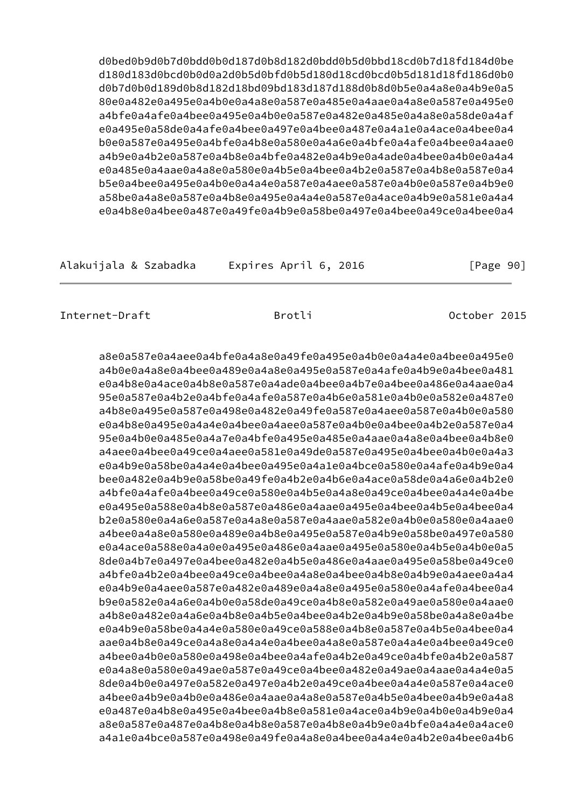d0bed0b9d0b7d0bdd0b0d187d0b8d182d0bbdd0b5d0bbd18cd0b7d18fd184d0be d180d183d0bcd0b0d0a2d0b5d0bfd0b5d180d18cd0bcd0b5d181d18fd186d0b0 d0b7d0b0d189d0b8d182d18bd09bd183d187d188d0b8d0b5e0a4a8e0a4b9e0a5 80e0a482e0a495e0a4b0e0a4a8e0a587e0a485e0a4aae0a4a8e0a587e0a495e0 a4bfe0a4afe0a4bee0a495e0a4b0e0a587e0a482e0a485e0a4a8e0a58de0a4af e0a495e0a58de0a4afe0a4bee0a497e0a4bee0a487e0a4a1e0a4ace0a4bee0a4 b0e0a587e0a495e0a4bfe0a4b8e0a580e0a4a6e0a4bfe0a4afe0a4bee0a4aae0 a4b9e0a4b2e0a587e0a4b8e0a4bfe0a482e0a4b9e0a4ade0a4bee0a4b0e0a4a4 e0a485e0a4aae0a4a8e0a580e0a4b5e0a4bee0a4b2e0a587e0a4b8e0a587e0a4 b5e0a4bee0a495e0a4b0e0a4a4e0a587e0a4aee0a587e0a4b0e0a587e0a4b9e0 a58be0a4a8e0a587e0a4b8e0a495e0a4a4e0a587e0a4ace0a4b9e0a581e0a4a4 e0a4b8e0a4bee0a487e0a49fe0a4b9e0a58be0a497e0a4bee0a49ce0a4bee0a4

[Page 90] Alakuijala & Szabadka Expires April 6, 2016

October 2015

Brotli

Internet-Draft

a8e0a587e0a4aee0a4bfe0a4a8e0a49fe0a495e0a4b0e0a4a4e0a4bee0a495e0 a4b0e0a4a8e0a4bee0a489e0a4a8e0a495e0a587e0a4afe0a4b9e0a4bee0a481 e0a4b8e0a4ace0a4b8e0a587e0a4ade0a4bee0a4b7e0a4bee0a486e0a4aae0a4 95e0a587e0a4b2e0a4bfe0a4afe0a587e0a4b6e0a581e0a4b0e0a582e0a487e0 a4b8e0a495e0a587e0a498e0a482e0a49fe0a587e0a4aee0a587e0a4b0e0a580 e0a4b8e0a495e0a4a4e0a4bee0a4aee0a587e0a4b0e0a4bee0a4b2e0a587e0a4 95e0a4b0e0a485e0a4a7e0a4bfe0a495e0a485e0a4aae0a4a8e0a4bee0a4b8e0 a4aee0a4bee0a49ce0a4aee0a581e0a49de0a587e0a495e0a4bee0a4b0e0a4a3 e0a4b9e0a58be0a4a4e0a4bee0a495e0a4a1e0a4bce0a580e0a4afe0a4b9e0a4 bee0a482e0a4b9e0a58be0a49fe0a4b2e0a4b6e0a4ace0a58de0a4a6e0a4b2e0 a4bfe0a4afe0a4bee0a49ce0a580e0a4b5e0a4a8e0a49ce0a4bee0a4a4e0a4be e0a495e0a588e0a4b8e0a587e0a486e0a4aae0a495e0a4bee0a4b5e0a4bee0a4 b2e0a580e0a4a6e0a587e0a4a8e0a587e0a4aae0a582e0a4b0e0a580e0a4aae0 a4bee0a4a8e0a580e0a489e0a4b8e0a495e0a587e0a4b9e0a58be0a497e0a580 e0a4ace0a588e0a4a0e0a495e0a486e0a4aae0a495e0a580e0a4b5e0a4b0e0a5 8de0a4b7e0a497e0a4bee0a482e0a4b5e0a486e0a4aae0a495e0a58be0a49ce0 a4bfe0a4b2e0a4bee0a49ce0a4bee0a4a8e0a4bee0a4b8e0a4b9e0a4aee0a4a4 e0a4b9e0a4aee0a587e0a482e0a489e0a4a8e0a495e0a580e0a4afe0a4bee0a4 b9e0a582e0a4a6e0a4b0e0a58de0a49ce0a4b8e0a582e0a49ae0a580e0a4aae0 a4b8e0a482e0a4a6e0a4b8e0a4b5e0a4bee0a4b2e0a4b9e0a58be0a4a8e0a4be e0a4b9e0a58be0a4a4e0a580e0a49ce0a588e0a4b8e0a587e0a4b5e0a4bee0a4 aae0a4b8e0a49ce0a4a8e0a4a4e0a4bee0a4a8e0a587e0a4a4e0a4bee0a49ce0 a4bee0a4b0e0a580e0a498e0a4bee0a4afe0a4b2e0a49ce0a4bfe0a4b2e0a587 e0a4a8e0a580e0a49ae0a587e0a49ce0a4bee0a482e0a49ae0a4aae0a4a4e0a5 8de0a4b0e0a497e0a582e0a497e0a4b2e0a49ce0a4bee0a4a4e0a587e0a4ace0 a4bee0a4b9e0a4b0e0a486e0a4aae0a4a8e0a587e0a4b5e0a4bee0a4b9e0a4a8 e0a487e0a4b8e0a495e0a4bee0a4b8e0a581e0a4ace0a4b9e0a4b0e0a4b9e0a4 a8e0a587e0a487e0a4b8e0a4b8e0a587e0a4b8e0a4b9e0a4bfe0a4a4e0a4ace0 a4a1e0a4bce0a587e0a498e0a49fe0a4a8e0a4bee0a4a4e0a4b2e0a4bee0a4b6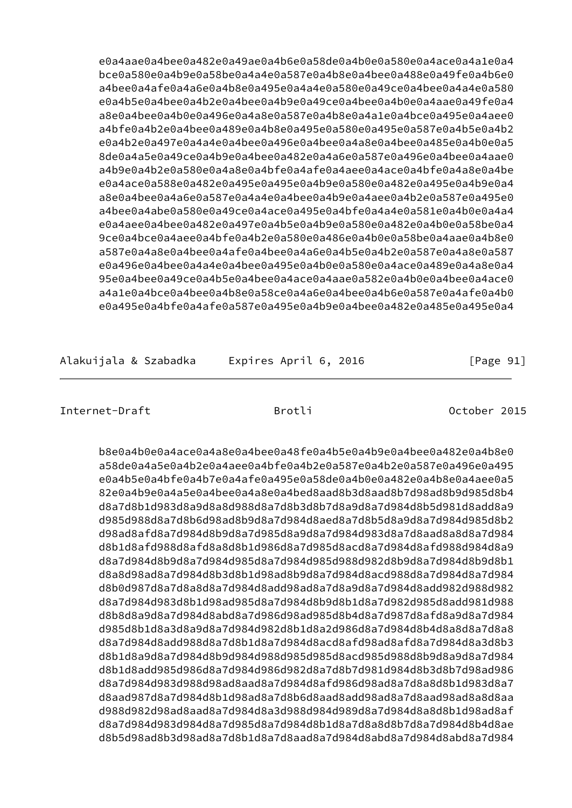e0a4aae0a4bee0a482e0a49ae0a4b6e0a58de0a4b0e0a580e0a4ace0a4a1e0a4 bce0a580e0a4b9e0a58be0a4a4e0a587e0a4b8e0a4bee0a488e0a49fe0a4b6e0 a4bee0a4afe0a4a6e0a4b8e0a495e0a4a4e0a580e0a49ce0a4bee0a4a4e0a580 e0a4b5e0a4bee0a4b2e0a4bee0a4b9e0a49ce0a4bee0a4b0e0a4aae0a49fe0a4 a8e0a4bee0a4b0e0a496e0a4a8e0a587e0a4b8e0a4a1e0a4bce0a495e0a4aee0 a4bfe0a4b2e0a4bee0a489e0a4b8e0a495e0a580e0a495e0a587e0a4b5e0a4b2 e0a4b2e0a497e0a4a4e0a4bee0a496e0a4bee0a4a8e0a4bee0a485e0a4b0e0a5 8de0a4a5e0a49ce0a4b9e0a4bee0a482e0a4a6e0a587e0a496e0a4bee0a4aae0 a4b9e0a4b2e0a580e0a4a8e0a4bfe0a4afe0a4aee0a4ace0a4bfe0a4a8e0a4be e0a4ace0a588e0a482e0a495e0a495e0a4b9e0a580e0a482e0a495e0a4b9e0a4 a8e0a4bee0a4a6e0a587e0a4a4e0a4bee0a4b9e0a4aee0a4b2e0a587e0a495e0 a4bee0a4abe0a580e0a49ce0a4ace0a495e0a4bfe0a4a4e0a581e0a4b0e0a4a4 e0a4aee0a4bee0a482e0a497e0a4b5e0a4b9e0a580e0a482e0a4b0e0a58be0a4 9ce0a4bce0a4aee0a4bfe0a4b2e0a580e0a486e0a4b0e0a58be0a4aae0a4b8e0 a587e0a4a8e0a4bee0a4afe0a4bee0a4a6e0a4b5e0a4b2e0a587e0a4a8e0a587 e0a496e0a4bee0a4a4e0a4bee0a495e0a4b0e0a580e0a4ace0a489e0a4a8e0a4 95e0a4bee0a49ce0a4b5e0a4bee0a4ace0a4aae0a582e0a4b0e0a4bee0a4ace0 a4a1e0a4bce0a4bee0a4b8e0a58ce0a4a6e0a4bee0a4b6e0a587e0a4afe0a4b0 e0a495e0a4bfe0a4afe0a587e0a495e0a4b9e0a4bee0a482e0a485e0a495e0a4

| Alakuijala & Szabadka | Expires April 6, 2016 | [Page 91] |
|-----------------------|-----------------------|-----------|
|                       |                       |           |

October 2015

Brotli

Internet-Draft

b8e0a4b0e0a4ace0a4a8e0a4bee0a48fe0a4b5e0a4b9e0a4bee0a482e0a4b8e0 a58de0a4a5e0a4b2e0a4aee0a4bfe0a4b2e0a587e0a4b2e0a587e0a496e0a495 e0a4b5e0a4bfe0a4b7e0a4afe0a495e0a58de0a4b0e0a482e0a4b8e0a4aee0a5 82e0a4b9e0a4a5e0a4bee0a4a8e0a4bed8aad8b3d8aad8b7d98ad8b9d985d8b4 d8a7d8b1d983d8a9d8a8d988d8a7d8b2d8b7d8a9d8a7d984d8b5d981d8add8a9 d985d988b8a7d8b6d98ad8b9d8a7d984d8aed8a7d985d8a9d8a7d984d985d8b2 d98ad8afd8a7d984d8b9d8a7d985d8a9d8a7d984d983d8a7d8aad8a8d8a7d984 d8b1d8afd988d8afd8a8d8b1d986d8a7d985d8acd8a7d984d8afd988d984d8a d8a7d984d8b9d8a7d984d985d8a7d984d985d988d982d8b9d8a7d984d8b9d8b1 d8a8d98ad8a7d984d8b3d8b1d98ad8b9d8a7d984d8acd988d8a7d984d8a7d984 d8b0d987d8a7d8a8d8a7d984d8add98ad8a7d8a9d8a7d984d8add982d988d982 d8a7d984d983d8b1d98ad985d8a7d984d8b9d8b1d8a7d982d985d8add981d988 d8b8d8a9d8a7d984d8abd8a7d986d98ad985d8b4d8a7d987d8afd8a9d8a7d984 d985d8b1d8a3d8a9d8a7d984d982d8b1d8a2d986d8a7d984d8b4d8a8d8a7d8a8 d8a7d984d8add988d8a7d8b1d8a7d984d8acd8afd98ad8afd8a7d984d8a3d8b3 d8b1d8a9d8a7d984d8b9d984d988d985d985d8acd985d988d8b9d8a9d8a7d984 d8b1d8ad982986d8a7d984d986d982d8a7d8b7d981d984d8b2d8b7d98ad986 d8a7d984d983d988d98ad8aad8a7d984d8afd986d98ad8a7d8a8d8b1d983d8a7 d8aad987d8a7d984d8b1d98ad8a7d8b6d8aad8add98ad8a7d8aad98ad8a8d8aa d988d982d98ad8aad8a7d984d8a3d988d984d989d8a7d984d8a8d8b1d98ad8af d8a7d984d983d984d8a7d985d8a7d984d8b1d8a7d8a8d8b7d8a7d984d8b4d8ae d8b5d98ad8b3d98ad8a7d8b1d8a7d8aad8a7d984d8abd8a7d984d8abd8a7d984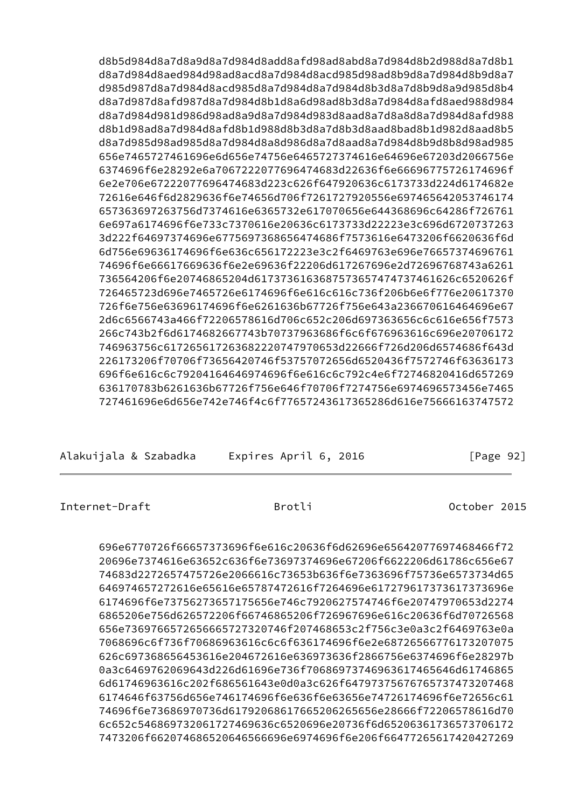d8b5d984d8a7d8a9d8a7d984d8add8afd98ad8abd8a7d984d8b2d988d8a7d8b1 d8a7d984d8aed984d98ad8acd8a7d984d8acd985d98ad8b9d8a7d984d8b9d8a7 d985d987d8a7d984d8acd985d8a7d984d8a7d984d8b3d8a7d8b9d8a9d985d8b4 d8a7d987d8afd987d8a7d984d8b1d8a6d98ad8b3d8a7d984d8afd8aed988d984 d8a7d984d981d986d98ad8a9d8a7d984d983d8aad8a7d8a8d8a7d984d8afd988 d8b1d98ad8a7d984d8afd8b1d988d8b3d8a7d8b3d8aad8bad8b1d982d8aad8b5 d8a7d985d98ad985d8a7d984d8a8d986d8a7d8aad8a7d984d8b9d8b8d98ad985 656e7465727461696e6d656e74756e6465727374616e64696e67203d2066756e 6374696f6e28292e6a7067222077696474683d22636f6e66696775726174696f 6e2e706e67222077696474683d223c626f647920636c6173733d224d6174682e 72616e646f6d2829636f6e74656d706f7261727920556e697465642053746174 657363697263756d7374616e6365732e617070656e644368696c64286f726761 6e697a6174696f6e733c7370616e20636c6173733d22223e3c696d6720737263 3d222f64697374696e6775697368656474686f7573616e6473206f6620636f6d 6d756e69636174696f6e636c656172223e3c2f6469763e696e76657374696761 74696f6e66617669636f6e2e69636f22206d617267696e2d72696768743a6261 736564206f6e20746865204d6173736163687573657474737461626c6520626f 726465723d696e7465726e6174696f6e616c616c736f206b6e6f776e20617370 726f6e756e63696174696f6e6261636b67726f756e643a236670616464696e67 2d6c6566743a466f72206578616d706c652c206d697363656c6c616e656f7573 266c743b2f6d6174682667743b70737963686f6c6f676963616c696e20706172 746963756c617265617263682220747970653d22666f726d206d6574686f643d 226173206f70706f73656420746f53757072656d6520436f7572746f63636173 696f6e616c6c79204164646974696f6e616c6c792c4e6f72746820416d657269 636170783b6261636b67726f756e646f70706f7274756e6974696573456e7465 727461696e6d656e742e746f4c6f77657243617365286d616e75666163747572

| Alakuijala & Szabadka | Expires April 6, 2016 | [Page 92] |
|-----------------------|-----------------------|-----------|
|-----------------------|-----------------------|-----------|

| Internet-Draft |  |  |  |
|----------------|--|--|--|
|----------------|--|--|--|

Brotli **Brotli** October 2015

 696e6770726f66657373696f6e616c20636f6d62696e65642077697468466f72 20696e7374616e63652c636f6e73697374696e67206f6622206d61786c656e67 74683d2272657475726e2066616c73653b636f6e7363696f75736e6573734d65 646974657272616e65616e65787472616f7264696e617279617373617373696e 6174696f6e73756273657175656e746c7920627574746f6e20747970653d2274 6865206e756d626572206f66746865206f726967696e616c20636f6d70726568 656e7369766572656665727320746f207468653c2f756c3e0a3c2f6469763e0a 7068696c6f736f70686963616c6c6f636174696f6e2e68726566776173207075 626c697368656453616e204672616e636973636f2866756e6374696f6e28297b 0a3c6469762069643d226d61696e736f70686973746963617465646d61746865 6d61746963616c202f686561643e0d0a3c626f64797375676765737473207468 6174646f63756d656e746174696f6e636f6e63656e74726174696f6e72656c61 74696f6e73686970736d61792068617665206265656e28666f72206578616d70 6c652c546869732061727469636c6520696e20736f6d65206361736573706172 7473206f662074686520646566696e6974696f6e206f66477265617420427269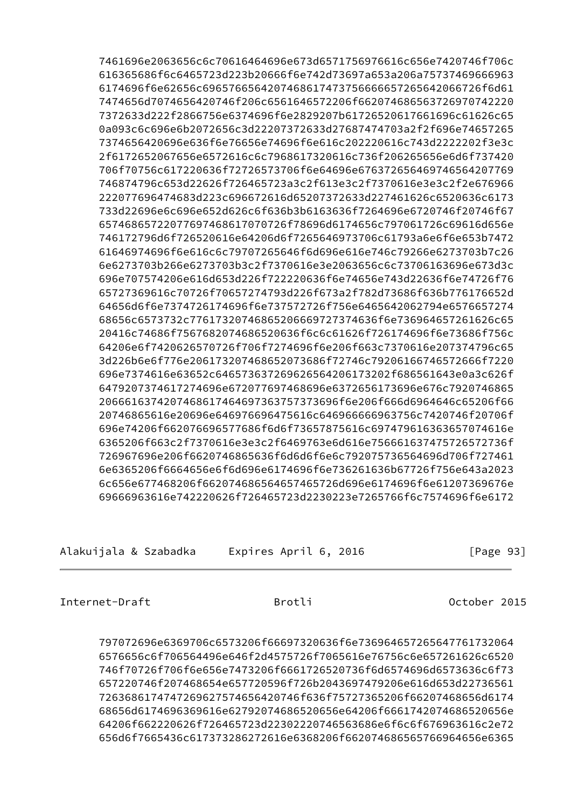7461696e2063656c6c70616464696e673d6571756976616c656e7420746f706c 616365686f6c6465723d223b20666f6e742d73697a653a206a75737469666963 6174696f6e62656c6965766564207468617473756666657265642066726f6d61 7474656d7074656420746f206c6561646572206f662074686563726970742220 7372633d222f2866756e6374696f6e2829207b61726520617661696c61626c65 0a093c6c696e6b2072656c3d22207372633d27687474703a2f2f696e74657265 7374656420696e636f6e76656e74696f6e616c202220616c743d2222202f3e3c 2f6172652067656e6572616c6c7968617320616c736f206265656e6d6f737420 706f70756c617220636f72726573706f6e64696e676372656469746564207769 746874796c653d22626f726465723a3c2f613e3c2f7370616e3e3c2f2e676966 222077696474683d223c696672616d65207372633d227461626c6520636c6173 733d22696e6c696e652d626c6f636b3b6163636f7264696e6720746f20746f67 65746865722077697468617070726f78696d6174656c797061726c69616d656e 746172796d6f726520616e64206d6f7265646973706c61793a6e6f6e653b7472 61646974696f6e616c6c79707265646f6d696e616e746c79266e6273703b7c26 6e6273703b266e6273703b3c2f7370616e3e2063656c6c73706163696e673d3c 696e707574206e616d653d226f722220636f6e74656e743d22636f6e74726f76 65727369616c70726f70657274793d226f673a2f782d73686f636b776176652d 64656d6f6e7374726174696f6e737572726f756e6465642062794e6576657274 68656c6573732c77617320746865206669727374636f6e736964657261626c65 20416c74686f7567682074686520636f6c6c61626f726174696f6e73686f756c 64206e6f7420626570726f706f7274696f6e206f663c7370616e207374796c65 3d226b6e6f776e206173207468652073686f72746c79206166746572666f7220 696e7374616e63652c646573637269626564206173202f686561643e0a3c626f 6479207374617274696e672077697468696e6372656173696e676c7920746865 2066616374207468617464697363757373696f6e206f666d6964646c65206f66 20746865616e20696e646976696475616c646966666963756c7420746f20706f 696e74206f662076696577686f6d6f73657875616c697479616363657074616e 6365206f663c2f7370616e3e3c2f6469763e6d616e756661637475726572736f 726967696e206f6620746865636f6d6d6f6e6c792075736564696d706f727461 6e6365206f6664656e6f6d696e6174696f6e736261636b67726f756e643a2023 6c656e677468206f662074686564657465726d696e6174696f6e61207369676e 69666963616e742220626f726465723d2230223e7265766f6c7574696f6e6172

| Alakuijala & Szabadka | Expires April 6, 2016 |  |
|-----------------------|-----------------------|--|
|-----------------------|-----------------------|--|

 $[Page 93]$ 

Internet-Draft Brotli October 2015

 797072696e6369706c6573206f66697320636f6e736964657265647761732064 6576656c6f706564496e646f2d4575726f7065616e76756c6e657261626c6520 746f70726f706f6e656e7473206f6661726520736f6d6574696d6573636c6f73 657220746f207468654e657720596f726b2043697479206e616d653d22736561 7263686174747269627574656420746f636f75727365206f66207468656d6174 68656d6174696369616e62792074686520656e64206f6661742074686520656e 64206f662220626f726465723d22302220746563686e6f6c6f676963616c2e72 656d6f7665436c617373286272616e6368206f662074686565766964656e6365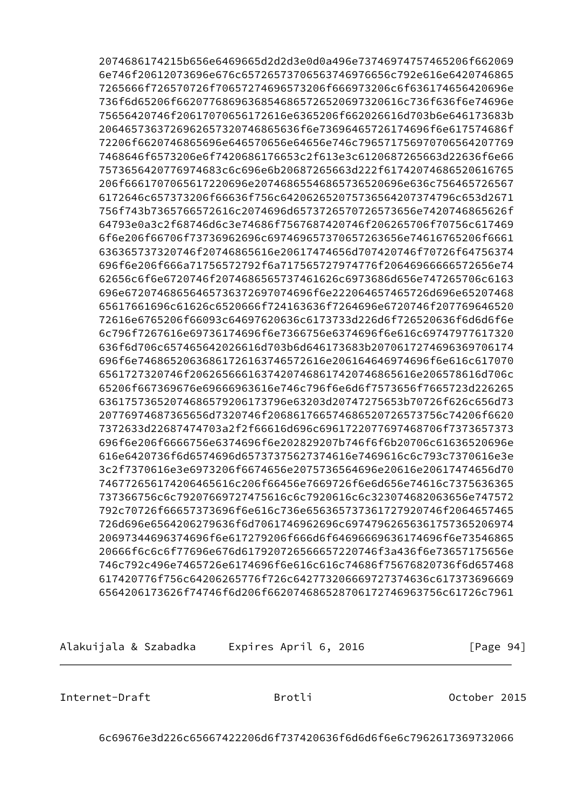2074686174215b656e6469665d2d2d3e0d0a496e73746974757465206f662069 6e746f20612073696e676c65726573706563746976656c792e616e6420746865 7265666f726570726f70657274696573206f666973206c6f636174656420696e 736f6d65206f66207768696368546865726520697320616c736f636f6e74696e 75656420746f20617070656172616e6365206f662026616d703b6e646173683b 2064657363726962657320746865636f6e73696465726174696f6e617574686f 72206f6620746865696e646570656e64656e746c796571756970706564207769 7468646f6573206e6f7420686176653c2f613e3c6120687265663d22636f6e66 7573656420776974683c6c696e6b20687265663d222f61742074686520616765 206f6661707065617220696e20746865546865736520696e636c756465726567 6172646c657373206f66636f756c642062652075736564207374796c653d2671 756f743b7365766572616c2074696d6573726570726573656e7420746865626f 64793e0a3c2f68746d6c3e74686f7567687420746f206265706f70756c617469 6f6e206f66706f73736962696c697469657370657263656e74616765206f6661 636365737320746f20746865616e20617474656d707420746f70726f64756374 696f6e206f666a71756572792f6a717565727974776f20646966666572656e74 62656c6f6e6720746f2074686565737461626c6973686d656e747265706c6163 696e67207468656465736372697074696f6e222064657465726d696e65207468 65617661696c61626c6520666f724163636f7264696e6720746f207769646520 72616e6765206f66093c64697620636c6173733d226d6f726520636f6d6d6f6e 6c796f7267616e69736174696f6e7366756e6374696f6e616c69747977617320 636f6d706c657465642026616d703b6d646173683b2070617274696369706174 696f6e74686520636861726163746572616e206164646974696f6e616c617070 6561727320746f20626566616374207468617420746865616e206578616d706c 65206f667369676e69666963616e746c796f6e6d6f7573656f7665723d226265 63617573652074686579206173796e63203d20747275653b70726f626c656d73 20776974687365656d7320746f206861766574686520726573756c74206f6620 7372633d22687474703a2f2f66616d696c6961722077697468706f7373657373 696f6e206f6666756e6374696f6e202829207b746f6f6b20706c61636520696e 616e6420736f6d6574696d65737375627374616e7469616c6c793c7370616e3e 3c2f7370616e3e6973206f6674656e2075736564696e20616e20617474656d70 746772656174206465616c206f66456e7669726f6e6d656e74616c7375636365 737366756c6c79207669727475616c6c7920616c6c323074682063656e747572 792c70726f66657373696f6e616c736e656365737361727920746f2064657465 726d696e6564206279636f6d7061746962696c69747962656361757365206974 20697344696374696f6e617279206f666d6f64696669636174696f6e73546865 20666f6c6c6f77696e676d617920726566657220746f3a436f6e73657175656e 746c792c496e7465726e6174696f6e616c616c74686f75676820736f6d657468 617420776f756c64206265776f726c642773206669727374636c617373696669 6564206173626f74746f6d206f662074686528706172746963756c61726c7961

Alakuijala & Szabadka Expires April 6, 2016 [Page 94]

Internet-Draft Brotli October 2015

6c69676e3d226c65667422206d6f737420636f6d6d6f6e6c7962617369732066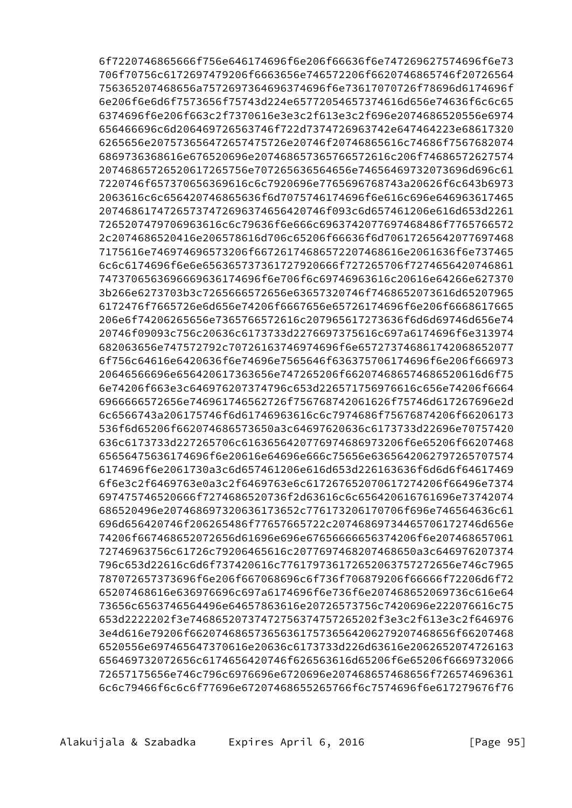6f7220746865666f756e646174696f6e206f66636f6e747269627574696f6e73 706f70756c6172697479206f6663656e746572206f6620746865746f20726564 756365207468656a7572697364696374696f6e73617070726f78696d6174696f 6e206f6e6d6f7573656f75743d224e65772054657374616d656e74636f6c6c65 6374696f6e206f663c2f7370616e3e3c2f613e3c2f696e2074686520556e6974 656466696c6d206469726563746f722d7374726963742e647464223e68617320 6265656e207573656472657475726e20746f20746865616c74686f7567682074 6869736368616e676520696e207468657365766572616c206f74686572627574 20746865726520617265756e707265636564656e74656469732073696d696c61 7220746f657370656369616c6c7920696e7765696768743a20626f6c643b6973 2063616c6c656420746865636f6d7075746174696f6e616c696e646963617465 20746861747265737472696374656420746f093c6d657461206e616d653d2261 7265207479706963616c6c79636f6e666c6963742077697468486f7765766572 2c2074686520416e206578616d706c65206f66636f6d70617265642077697468 7175616e746974696573206f66726174686572207468616e2061636f6e737465 6c6c6174696f6e6e656365737361727920666f727265706f7274656420746861 7473706563696669636174696f6e706f6c69746963616c20616e64266e627370 3b266e6273703b3c7265666572656e63657320746f7468652073616d65207965 6172476f7665726e6d656e74206f6667656e65726174696f6e206f6668617665 206e6f74206265656e7365766572616c207965617273636f6d6d69746d656e74 20746f09093c756c20636c6173733d2276697375616c697a6174696f6e313974 682063656e747572792c70726163746974696f6e657273746861742068652077 6f756c64616e6420636f6e74696e7565646f636375706174696f6e206f666973 20646566696e656420617363656e747265206f662074686574686520616d6f75 6e74206f663e3c646976207374796c653d226571756976616c656e74206f6664 6966666572656e746961746562726f756768742061626f75746d617267696e2d 6c6566743a206175746f6d61746963616c6c7974686f75676874206f66206173 536f6d65206f662074686573650a3c64697620636c6173733d22696e70757420 636c6173733d227265706c6163656420776974686973206f6e65206f66207468 65656475636174696f6e20616e64696e666c75656e6365642062797265707574 6174696f6e2061730a3c6d657461206e616d653d226163636f6d6d6f64617469 6f6e3c2f6469763e0a3c2f6469763e6c617267652070617274206f66496e7374 697475746520666f7274686520736f2d63616c6c656420616761696e73742074 686520496e207468697320636173652c776173206170706f696e746564636c61 696d656420746f206265486f77657665722c20746869734465706172746d656e 74206f667468652072656d61696e696e67656666656374206f6e207468657061 72746963756c61726c79206465616c2077697468207468650a3c646976207374 796c653d22616c6d6f737420616c776179736172652063757272656e746c7965 787072657373696f6e206f667068696c6f736f706879206f66666f72206d6f72 65207468616e636976696c697a6174696f6e736f6e207468652069736c616e64 73656c6563746564496e64657863616e20726573756c7420696e222076616c75 653d2222202f3e74686520737472756374757265202f3e3c2f613e3c2f646976 3e4d616e79206f66207468657365636175736564206279207468656f66207468 6520556e697465647370616e20636c6173733d226d63616e2062652074726163 656469732072656c6174656420746f626563616d65206f6e65206f6669732066 72657175656e746c796c6976696e6720696e207468657468656f726574696361 6c6c79466f6c6c6f77696e67207468655265766f6c7574696f6e617279676f76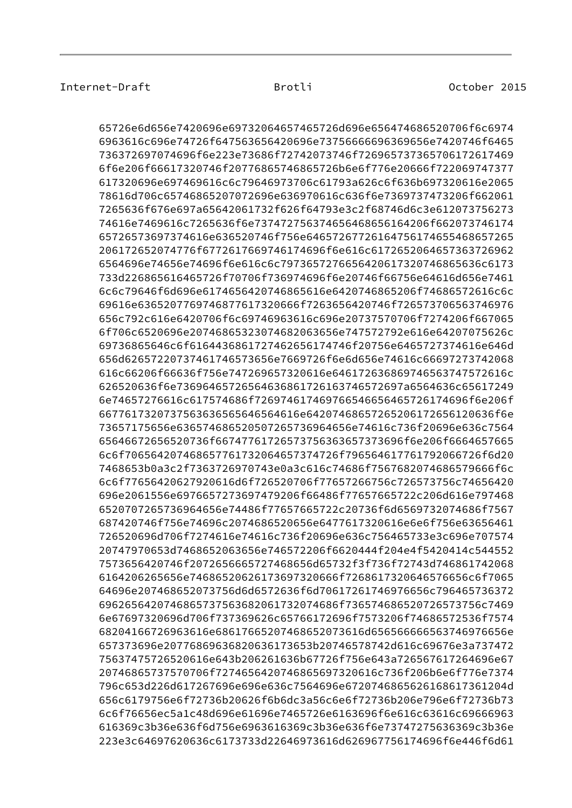Internet-Draft Brotli October 2015

 65726e6d656e7420696e69732064657465726d696e656474686520706f6c6974 6963616c696e74726f647563656420696e73756666696369656e7420746f6465 736372697074696f6e223e73686f72742073746f726965737365706172617469 6f6e206f66617320746f20776865746865726b6e6f776e20666f722069747377 617320696e697469616c6c79646973706c61793a626c6f636b697320616e2065 78616d706c65746865207072696e636970616c636f6e7369737473206f662061 7265636f676e697a65642061732f626f64793e3c2f68746d6c3e612073756273 74616e7469616c7265636f6e737472756374656468656164206f662073746174 65726573697374616e636520746f756e64657267726164756174655468657265 206172652074776f6772617669746174696f6e616c6172652064657363726962 6564696e74656e74696f6e616c6c7973657276656420617320746865636c6173 733d226865616465726f70706f736974696f6e20746f66756e64616d656e7461 6c6c79646f6d696e6174656420746865616e6420746865206f74686572616c6c 69616e6365207769746877617320666f7263656420746f726573706563746976 656c792c616e6420706f6c69746963616c696e20737570706f7274206f667065 6f706c6520696e20746865323074682063656e747572792e616e64207075626c 69736865646c6f6164436861727462656174746f20756e6465727374616e646d 656d62657220737461746573656e7669726f6e6d656e74616c66697273742068 616c66206f66636f756e747269657320616e646172636869746563747572616c 626520636f6e73696465726564636861726163746572697a6564636c65617249 6e74657276616c617574686f726974617469766546656465726174696f6e206f 6677617320737563636565646564616e64207468657265206172656120636f6e 73657175656e636574686520507265736964656e74616c736f20696e636c7564 65646672656520736f66747761726573756363657373696f6e206f6664657665 6c6f706564207468657761732064657374726f796564617761792066726f6d20 7468653b0a3c2f7363726970743e0a3c616c74686f7567682074686579666f6c 6c6f77656420627920616d6f726520706f77657266756c726573756c74656420 696e2061556e6976657273697479206f66486f77657665722c206d616e797468 6520707265736964656e74486f77657665722c20736f6d6569732074686f7567 687420746f756e74696c2074686520656e6477617320616e6e6f756e63656461 726520696d706f7274616e74616c736f20696e636c756465733e3c696e707574 20747970653d7468652063656e746572206f6620444f204e4f5420414c544552 7573656420746f2072656665727468656d65732f3f736f72743d746861742068 6164206265656e74686520626173697320666f7268617320646576656c6f7065 64696e207468652073756d6d6572636f6d70617261746976656c796465736372 6962656420746865737563682061732074686f736574686520726573756c7469 6e67697320696d706f737369626c65766172696f7573206f74686572536f7574 68204166726963616e68617665207468652073616d656566666563746976656e 657373696e20776869636820636173653b20746578742d616c69676e3a737472 75637475726520616e643b206261636b67726f756e643a726567617264696e67 20746865737570706f7274656420746865697320616c736f206b6e6f776e7374 796c653d226d617267696e696e636c7564696e6720746865626168617361204d 656c6179756e6f72736b20626f6b6dc3a56c6e6f72736b206e796e6f72736b73 6c6f76656ec5a1c48d696e61696e7465726e6163696f6e616c63616c69666963 616369c3b36e636f6d756e6963616369c3b36e636f6e73747275636369c3b36e 223e3c64697620636c6173733d22646973616d626967756174696f6e446f6d61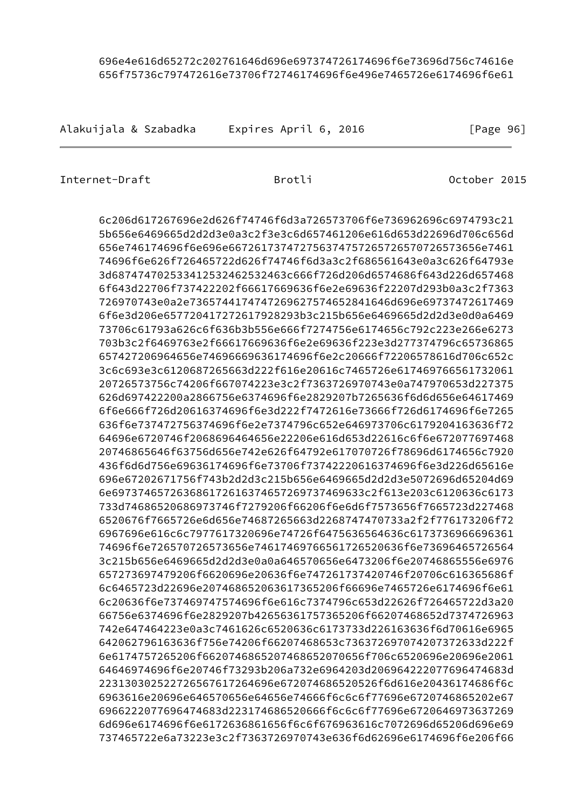Alakuijala & Szabadka Expires April 6, 2016 [Page 96]

Internet-Draft Brotli October 2015

 6c206d617267696e2d626f74746f6d3a726573706f6e736962696c6974793c21 5b656e6469665d2d2d3e0a3c2f3e3c6d657461206e616d653d22696d706c656d 656e746174696f6e696e667261737472756374757265726570726573656e7461 74696f6e626f726465722d626f74746f6d3a3c2f686561643e0a3c626f64793e 3d687474702533412532462532463c666f726d206d6574686f643d226d657468 6f643d22706f737422202f66617669636f6e2e69636f22207d293b0a3c2f7363 726970743e0a2e7365744174747269627574652841646d696e69737472617469 6f6e3d206e657720417272617928293b3c215b656e6469665d2d2d3e0d0a6469 73706c61793a626c6f636b3b556e666f7274756e6174656c792c223e266e6273 703b3c2f6469763e2f66617669636f6e2e69636f223e3d277374796c65736865 657427206964656e74696669636174696f6e2c20666f72206578616d706c652c 3c6c693e3c6120687265663d222f616e20616c7465726e617469766561732061 20726573756c74206f667074223e3c2f7363726970743e0a747970653d227375 626d697422200a2866756e6374696f6e2829207b7265636f6d6d656e64617469 6f6e666f726d20616374696f6e3d222f7472616e73666f726d6174696f6e7265 636f6e737472756374696f6e2e7374796c652e646973706c6179204163636f72 64696e6720746f2068696464656e22206e616d653d22616c6f6e672077697468 20746865646f63756d656e742e626f64792e617070726f78696d6174656c7920 436f6d6d756e69636174696f6e73706f73742220616374696f6e3d226d65616e 696e67202671756f743b2d2d3c215b656e6469665d2d2d3e5072696d65204d69 6e697374657263686172616374657269737469633c2f613e203c6120636c6173 733d74686520686973746f7279206f66206f6e6d6f7573656f7665723d227468 6520676f7665726e6d656e74687265663d2268747470733a2f2f776173206f72 6967696e616c6c7977617320696e74726f6475636564636c6173736966696361 74696f6e726570726573656e74617469766561726520636f6e73696465726564 3c215b656e6469665d2d2d3e0a0a646570656e6473206f6e20746865556e6976 657273697479206f6620696e20636f6e747261737420746f20706c616365686f 6c6465723d22696e207468652063617365206f66696e7465726e6174696f6e61 6c20636f6e737469747574696f6e616c7374796c653d22626f726465722d3a20 66756e6374696f6e2829207b42656361757365206f66207468652d7374726963 742e647464223e0a3c7461626c6520636c6173733d226163636f6d70616e6965 642062796163636f756e74206f66207468653c736372697074207372633d222f 6e6174757265206f6620746865207468652070656f706c6520696e20696e2061 64646974696f6e20746f73293b206a732e6964203d206964222077696474683d 223130302522726567617264696e672074686520526f6d616e20436174686f6c 6963616e20696e646570656e64656e74666f6c6c6f77696e6720746865202e67 6966222077696474683d223174686520666f6c6c6f77696e6720646973637269 6d696e6174696f6e6172636861656f6c6f676963616c7072696d65206d696e69 737465722e6a73223e3c2f7363726970743e636f6d62696e6174696f6e206f66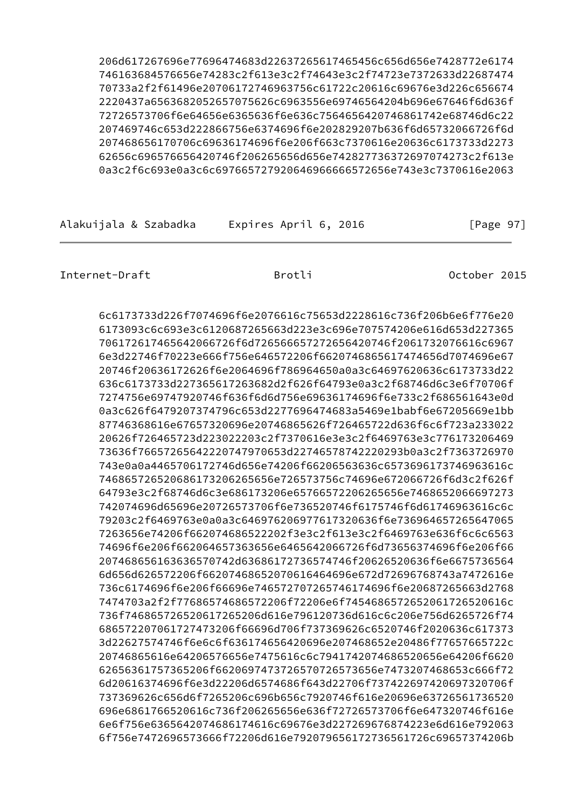206d617267696e77696474683d22637265617465456c656d656e7428772e6174 746163684576656e74283c2f613e3c2f74643e3c2f74723e7372633d22687474 70733a2f2f61496e20706172746963756c61722c20616c69676e3d226c656674 2220437a6563682052657075626c6963556e69746564204b696e67646f6d636f 72726573706f6e64656e6365636f6e636c7564656420746861742e68746d6c22 207469746c653d222866756e6374696f6e202829207b636f6d65732066726f6d 207468656170706c69636174696f6e206f663c7370616e20636c6173733d2273 62656c696576656420746f206265656d656e742827736372697074273c2f613e 0a3c2f6c693e0a3c6c697665727920646966666572656e743e3c7370616e2063

| Alakuijala & Szabadka | Expires April 6, 2016 | [Page 97] |
|-----------------------|-----------------------|-----------|
|-----------------------|-----------------------|-----------|

Internet-Draft Brotli October 2015

 6c6173733d226f7074696f6e2076616c75653d2228616c736f206b6e6f776e20 6173093c6c693e3c6120687265663d223e3c696e707574206e616d653d227365 706172617465642066726f6d726566657272656420746f2061732076616c6967 6e3d22746f70223e666f756e646572206f6620746865617474656d7074696e67 20746f20636172626f6e2064696f786964650a0a3c64697620636c6173733d22 636c6173733d227365617263682d2f626f64793e0a3c2f68746d6c3e6f70706f 7274756e69747920746f636f6d6d756e69636174696f6e733c2f686561643e0d 0a3c626f6479207374796c653d2277696474683a5469e1babf6e67205669e1bb 87746368616e67657320696e20746865626f726465722d636f6c6f723a233022 20626f726465723d223022203c2f7370616e3e3c2f6469763e3c776173206469 73636f76657265642220747970653d22746578742220293b0a3c2f7363726970 743e0a0a4465706172746d656e74206f66206563636c6573696173746963616c 746865726520686173206265656e726573756c74696e672066726f6d3c2f626f 64793e3c2f68746d6c3e686173206e65766572206265656e7468652066697273 742074696d65696e20726573706f6e736520746f6175746f6d61746963616c6c 79203c2f6469763e0a0a3c646976206977617320636f6e736964657265647065 7263656e74206f662074686522202f3e3c2f613e3c2f6469763e636f6c6c6563 74696f6e206f662064657363656e6465642066726f6d73656374696f6e206f66 207468656163636570742d63686172736574746f20626520636f6e6675736564 6d656d626572206f66207468652070616464696e672d72696768743a7472616e 736c6174696f6e206f66696e746572707265746174696f6e20687265663d2768 7474703a2f2f77686574686572206f72206e6f7454686572652061726520616c 736f746865726520617265206d616e796120736d616c6c206e756d6265726f74 686572207061727473206f66696d706f737369626c6520746f2020636c617373 3d22627574746f6e6c6f636174656420696e207468652e20486f77657665722c 20746865616e64206576656e7475616c6c7941742074686520656e64206f6620 62656361757365206f6620697473726570726573656e7473207468653c666f72 6d20616374696f6e3d22206d6574686f643d22706f737422697420697320706f 737369626c656d6f7265206c696b656c7920746f616e20696e63726561736520 696e6861766520616c736f206265656e636f72726573706f6e647320746f616e 6e6f756e6365642074686174616c69676e3d227269676874223e6d616e792063 6f756e7472696573666f72206d616e792079656172736561726c69657374206b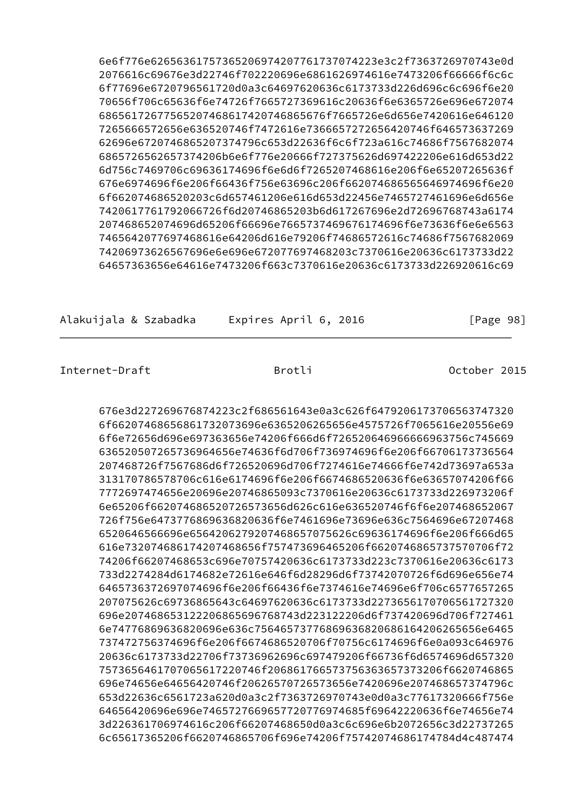6e6f776e62656361757365206974207761737074223e3c2f7363726970743e0d 2076616c69676e3d22746f702220696e6861626974616e7473206f66666f6c6c 6f77696e6720796561720d0a3c64697620636c6173733d226d696c6c696f6e20 70656f706c65636f6e74726f7665727369616c20636f6e6365726e696e672074 68656172677565207468617420746865676f7665726e6d656e7420616e646120 7265666572656e636520746f7472616e7366657272656420746f646573637269 62696e6720746865207374796c653d22636f6c6f723a616c74686f7567682074 6865726562657374206b6e6f776e20666f727375626d697422206e616d653d22 6d756c7469706c69636174696f6e6d6f7265207468616e206f6e65207265636f 676e6974696f6e206f66436f756e63696c206f662074686565646974696f6e20 6f662074686520203c6d657461206e616d653d22456e7465727461696e6d656e 7420617761792066726f6d20746865203b6d617267696e2d72696768743a6174 207468652074696d65206f66696e7665737469676174696f6e73636f6e6e6563 7465642077697468616e64206d616e79206f74686572616c74686f7567682069 74206973626567696e6e696e672077697468203c7370616e20636c6173733d22 64657363656e64616e7473206f663c7370616e20636c6173733d226920616c69

| Alakuijala & Szabadka |  |  |  |
|-----------------------|--|--|--|
|-----------------------|--|--|--|

Expires April 6, 2016

 $\lceil \text{Page } 98 \rceil$ 

Internet-Draft

Brotli

October 2015

676e3d227269676874223c2f686561643e0a3c626f6479206173706563747320 6f66207468656861732073696e6365206265656e4575726f7065616e20556e69 6f6e72656d696e697363656e74206f666d6f726520646966666963756c745669 636520507265736964656e74636f6d706f736974696f6e206f66706173736564 207468726f7567686d6f726520696d706f7274616e74666f6e742d73697a653a 313170786578706c616e6174696f6e206f6674686520636f6e63657074206f66 7772697474656e20696e20746865093c7370616e20636c6173733d226973206f 6e65206f662074686520726573656d626c616e636520746f6f6e207468652067 726f756e6473776869636820636f6e7461696e73696e636c7564696e67207468 6520646566696e6564206279207468657075626c69636174696f6e206f666d65 616e732074686174207468656f757473696465206f6620746865737570706f72 74206f66207468653c696e70757420636c6173733d223c7370616e20636c6173 733d2274284d6174682e72616e646f6d28296d6f73742070726f6d696e656e74 6465736372697074696f6e206f66436f6e7374616e74696e6f706c6577657265 207075626c69736865643c64697620636c6173733d2273656170706561727320 696e207468653122206865696768743d223122206d6f737420696d706f727461 6e74776869636820696e636c75646573776869636820686164206265656e6465 737472756374696f6e206f6674686520706f70756c6174696f6e0a093c646976 20636c6173733d22706f73736962696c697479206f66736f6d6574696d657320 7573656461707065617220746f206861766573756363657373206f6620746865 696e74656e64656420746f20626570726573656e7420696e207468657374796c 653d22636c6561723a620d0a3c2f7363726970743e0d0a3c77617320666f756e 64656420696e696e7465727669657720776974685f69642220636f6e74656e74 3d226361706974616c206f66207468650d0a3c6c696e6b2072656c3d22737265 6c65617365206f6620746865706f696e74206f75742074686174784d4c487474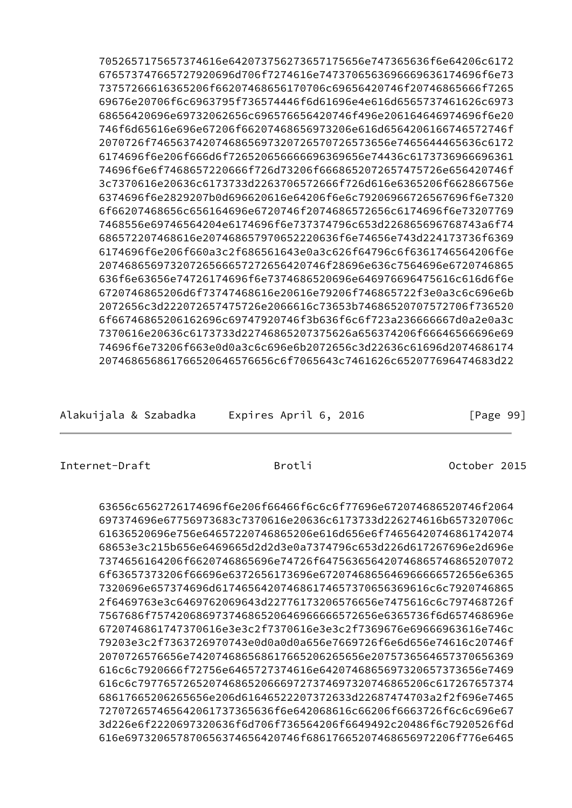7052657175657374616e642073756273657175656e747365636f6e64206c6172 676573747665727920696d706f7274616e7473706563696669636174696f6e73 73757266616365206f66207468656170706c69656420746f20746865666f7265 69676e20706f6c6963795f736574446f6d61696e4e616d6565737461626c6973 68656420696e69732062656c696576656420746f496e206164646974696f6e20 746f6d65616e696e67206f66207468656973206e616d6564206166746572746f 2070726f7465637420746865697320726570726573656e7465644465636c6172 6174696f6e206f666d6f726520656666696369656e74436c6173736966696361 74696f6e6f7468657220666f726d73206f6668652072657475726e656420746f 3c7370616e20636c6173733d2263706572666f726d616e6365206f662866756e 6374696f6e2829207b0d696620616e64206f6e6c79206966726567696f6e7320 6f66207468656c656164696e6720746f2074686572656c6174696f6e73207769 7468556e69746564204e6174696f6e737374796c653d226865696768743a6f74 686572207468616e207468657970652220636f6e74656e743d224173736f6369 6174696f6e206f660a3c2f686561643e0a3c626f64796c6f6361746564206f6e 20746865697320726566657272656420746f28696e636c7564696e6720746865 636f6e63656e74726174696f6e7374686520696e646976696475616c616d6f6e 6720746865206d6f73747468616e20616e79206f746865722f3e0a3c6c696e6b 2072656c3d222072657475726e2066616c73653b74686520707572706f736520 6f66746865206162696c69747920746f3b636f6c6f723a236666667d0a2e0a3c 7370616e20636c6173733d22746865207375626a656374206f66646566696e69 74696f6e73206f663e0d0a3c6c696e6b2072656c3d22636c61696d2074686174 207468656861766520646576656c6f7065643c7461626c652077696474683d22

| Alakuijala & Szabadka | Expires April 6, 2016 | [Page 99] |
|-----------------------|-----------------------|-----------|
|                       |                       |           |

Internet-Draft Brotli October 2015

 63656c6562726174696f6e206f66466f6c6c6f77696e672074686520746f2064 697374696e67756973683c7370616e20636c6173733d226274616b657320706c 61636520696e756e64657220746865206e616d656e6f74656420746861742074 68653e3c215b656e6469665d2d2d3e0a7374796c653d226d617267696e2d696e 7374656164206f6620746865696e74726f647563656420746865746865207072 6f63657373206f66696e6372656173696e6720746865646966666572656e6365 7320696e657374696d617465642074686174657370656369616c6c7920746865 2f6469763e3c6469762069643d22776173206576656e7475616c6c797468726f 7567686f75742068697374686520646966666572656e6365736f6d657468696e 6720746861747370616e3e3c2f7370616e3e3c2f7369676e69666963616e746c 79203e3c2f7363726970743e0d0a0d0a656e7669726f6e6d656e74616c20746f 2070726576656e742074686568617665206265656e2075736564657370656369 616c6c7920666f72756e6465727374616e6420746865697320657373656e7469 616c6c797765726520746865206669727374697320746865206c617267657374 68617665206265656e206d61646522207372633d22687474703a2f2f696e7465 727072657465642061737365636f6e642068616c66206f6663726f6c6c696e67 3d226e6f2220697320636f6d706f736564206f6649492c20486f6c7920526f6d 616e697320657870656374656420746f68617665207468656972206f776e6465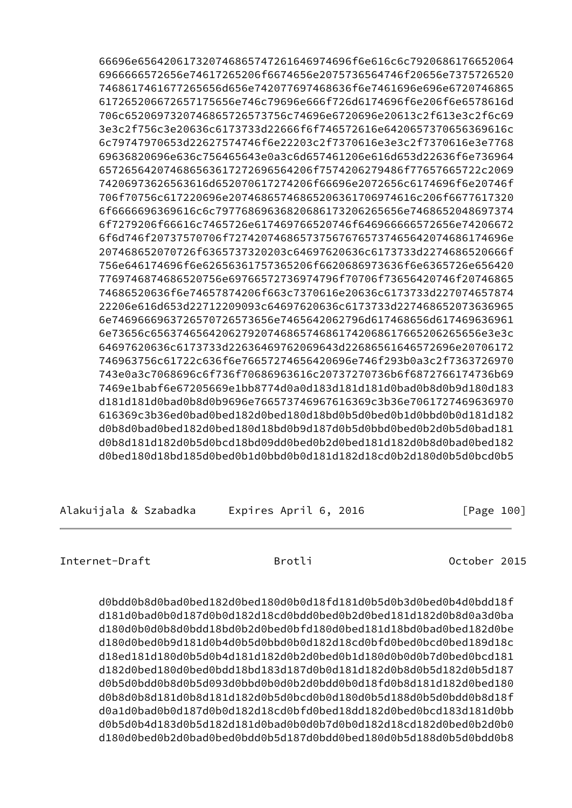66696e656420617320746865747261646974696f6e616c6c7920686176652064 6966666572656e74617265206f6674656e2075736564746f20656e7375726520 7468617461677265656d656e742077697468636f6e7461696e696e6720746865 617265206672657175656e746c79696e666f726d6174696f6e206f6e6578616d 706c6520697320746865726573756c74696e6720696e20613c2f613e3c2f6c69 3e3c2f756c3e20636c6173733d22666f6f746572616e6420657370656369616c 6c79747970653d22627574746f6e22203c2f7370616e3e3c2f7370616e3e7768 69636820696e636c756465643e0a3c6d657461206e616d653d22636f6e736964 657265642074686563617272696564206f7574206279486f77657665722c2069 74206973626563616d652070617274206f66696e2072656c6174696f6e20746f 706f70756c617220696e20746865746865206361706974616c206f6677617320 6f6666696369616c6c79776869636820686173206265656e7468652048697374 6f7279206f66616c7465726e617469766520746f646966666572656e74206672 6f6d746f20737570706f7274207468657375676765737465642074686174696e 207468652070726f6365737320203c64697620636c6173733d2274686520666f 756e646174696f6e62656361757365206f6620686973636f6e6365726e656420 7769746874686520756e69766572736974796f70706f73656420746f20746865 74686520636f6e74657874206f663c7370616e20636c6173733d227074657874 22206e616d653d22712209093c64697620636c6173733d227468652073636965 6e7469666963726570726573656e7465642062796d617468656d617469636961 6e73656c656374656420627920746865746861742068617665206265656e3e3c 64697620636c6173733d22636469762069643d22686561646572696e20706172 746963756c61722c636f6e76657274656420696e746f293b0a3c2f7363726970 743e0a3c7068696c6f736f70686963616c20737270736b6f6872766174736b69 7469e1babf6e67205669e1bb8774d0a0d183d181d181d0bad0b8d0b9d180d183 d181d181d0bad0b8d0b9696e766573746967616369c3b36e7061727469636970 616369c3b36ed0bad0bed182d0bed180d18bd0b5d0bed0b1d0bbd0b0d181d182 d0b8d0bad0bed182d0bed180d18bd0b9d187d0b5d0bbd0bed0b2d0b5d0bad181 d0b8d181d182d0b5d0bcd18bd09dd0bed0b2d0bed181d182d0b8d0bad0bed182 d0bed180d18bd185d0bed0b1d0bbd0b0d181d182d18cd0b2d180d0b5d0bcd0b5

Alakuijala & Szabadka Expires April 6, 2016 [Page 100]

October 2015

Brotli

Internet-Draft

d0bdd0b8d0bad0bed182d0bed180d0b0d18fd181d0b5d0b3d0bed0b4d0bdd18f d181d0bad0b0d187d0b0d182d18cd0bdd0bed0b2d0bed181d182d0b8d0a3d0ba d180d0b0d0b8d0bdd18bd0b2d0bed0bfd180d0bed181d18bd0bad0bed182d0be d180d0bed0b9d181d0b4d0b5d0bbd0b0d182d18cd0bfd0bed0bcd0bed189d18c d18ed181d180d0b5d0b4d181d182d0b2d0bed0b1d180d0b0d0b7d0bed0bcd181 d182d0bed180d0bed0bdd18bd183d187d0b0d181d182d0b8d0b5d182d0b5d187 d0b5d0bdd0b8d0b5d093d0bbd0b0d0b2d0bdd0b0d18fd0b8d181d182d0bed180 d0b8d0b8d181d0b8d181d182d0b5d0bcd0b0d180d0b5d188d0b5d0b6dd0b8d18f d0a1d0bad0b0d187d0b0d182d18cd0bfd0bed18dd182d0bed0bcd183d181d0bb d0b5d0b4d183d0b5d182d181d0bad0b0d0b7d0b0d182d18cd182d0bed0b2d0b0 d180d0bed0b2d0bad0bed0bdd0b5d187d0bdd0bed180d0b5d188d0b5d0bdd0b8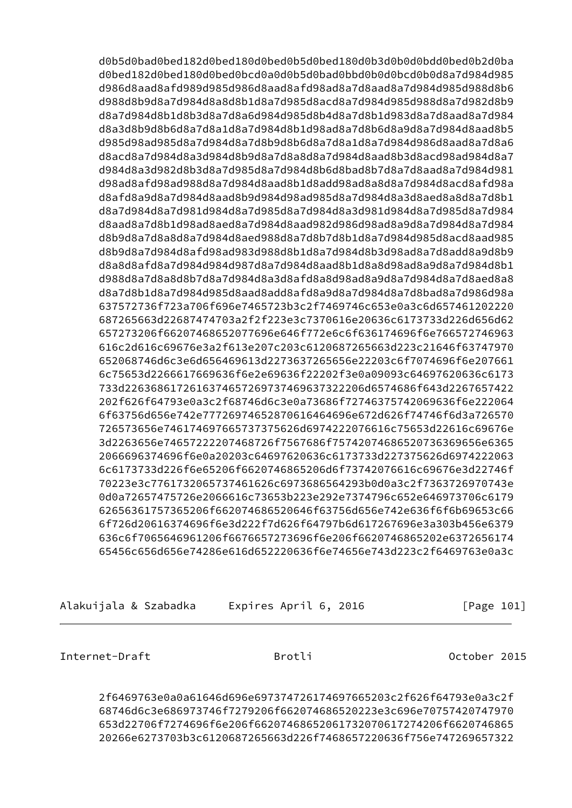d0b5d0bad0bed182d0bed180d0bed0b5d0bed180d0b3d0b0d0bdd0bed0b2d0ba d0bed182d0bed180d0bed0bcd0a0d0b5d0bad0bbd0b0d0bcd0b0d8a7d984d985 d986d8aad8afd989d985d986d8aad8afd98ad8a7d8aad8a7d984d985d988d8b6 d988d8b9d8a7d984d8a8d8b1d8a7d985d8acd8a7d984d985d988d8a7d982d8b9 d8a7d984d8b1d8b3d8a7d8a6d984d985d8b4d8a7d8b1d983d8a7d8aad8a7d984 d8a3d8b9d8b6d8a7d8a1d8a7d984d8b1d98ad8a7d8b6d8a9d8a7d984d8aad8b5 d985d98ad982b58b48eb768b1c8b5c8bd8bd8b9d8b5c8b5c8b588b588b588b588b d8acd8a7d984d8a3d984d8b9d8a7d8a8d8a7d984d8aad8b3d8acd98ad984d8a7 d984d8a3d982d8b3d8a7d985d8a7d984d8b6d8bad8b7d8a7d8aad8a7d984d981 d98ad8afd98ad988d8a7d984d8aad8b1d8add98ad8a8d8a7d984d8acd8afd98a d8afd8a9d8a7d984d8aad8b9d984d98ad985d8a7d984d8a3d8aed8a8d8a7d8b1 d8a7d984d8a7d981d984d8a7d985d8a7d984d8a3d981d984d8a7d985d8a7d984 d8aad8a7d8b1d98ad8aed8a7d984d8aad982d986d98ad8a9d8a7d984d8a7d984 d8b9d8a7d8a8d8a7d984d8aed988d8a7d8b7d8b1d8a7d984d985d8acd8aad985 d8b9d8a7d984d8afd98ad983d988d8b1d8a7d984d8b3d98ad8a7d8add8a9d8b9 d8a8d8afd8a7d984d984d987d8a7d984d8aad8b1d8a8d98ad8a9d8a7d984d8b1 d988d8a7d8a8d8b7d8a7d984d8a3d8afd8a8d98ad8a9d8a7d984d8a7d8aed8a8 d8a7d8b1d8a7d984d985d8aad8add8afd8a9d8a7d984d8a7d8bad8a7d986d98a 637572736f723a706f696e7465723b3c2f7469746c653e0a3c6d657461202220 687265663d22687474703a2f2f223e3c7370616e20636c6173733d226d656d62 657273206f66207468652077696e646f772e6c6f636174696f6e766572746963 616c2d616c69676e3a2f613e207c203c6120687265663d223c21646f63747970 652068746d6c3e6d656469613d2273637265656e22203c6f7074696f6e207661 6c75653d2266617669636f6e2e69636f22202f3e0a09093c64697620636c6173 733d2263686172616374657269737469637322206d6574686f643d2267657422 202f626f64793e0a3c2f68746d6c3e0a73686f72746375742069636f6e222064 6f63756d656e742e77726974652870616464696e672d626f74746f6d3a726570 726573656e746174697665737375626d6974222076616c75653d22616c69676e 3d2263656e74657222207468726f7567686f75742074686520736369656e6365 2066696374696f6e0a20203c64697620636c6173733d227375626d6974222063 6c6173733d226f6e65206f6620746865206d6f73742076616c69676e3d22746f 70223e3c7761732065737461626c6973686564293b0d0a3c2f7363726970743e 0d0a72657475726e2066616c73653b223e292e7374796c652e646973706c6179 62656361757365206f662074686520646f63756d656e742e636f6f6b69653c66 6f726d20616374696f6e3d222f7d626f64797b6d617267696e3a303b456e6379 636c6f7065646961206f6676657273696f6e206f6620746865202e6372656174 65456c656d656e74286e616d652220636f6e74656e743d223c2f6469763e0a3c

| Alakuijala & Szabadka | Expires April 6, 2016 |  |
|-----------------------|-----------------------|--|
|-----------------------|-----------------------|--|

age 101]

Internet-Draft

Brotli

October 2015

2f6469763e0a0a61646d696e697374726174697665203c2f626f64793e0a3c2f 68746d6c3e686973746f7279206f662074686520223e3c696e70757420747970 653d22706f7274696f6e206f66207468652061732070617274206f6620746865 20266e6273703b3c6120687265663d226f7468657220636f756e747269657322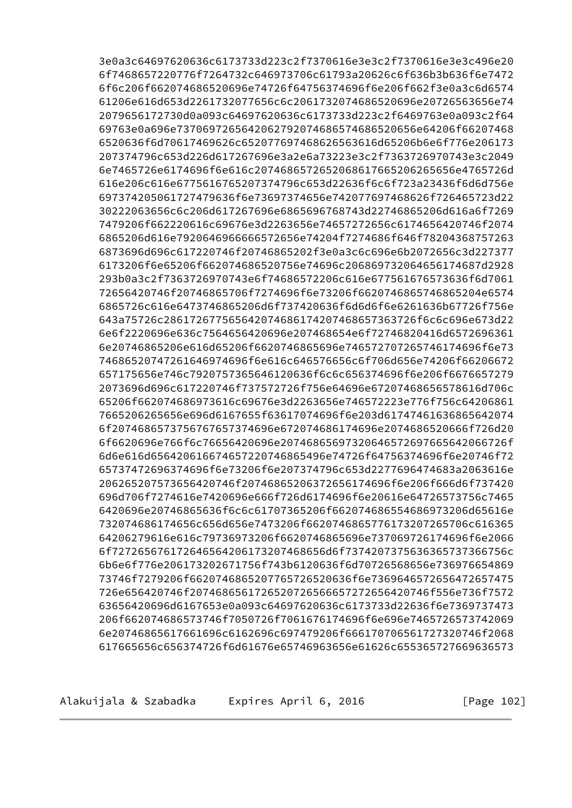3e0a3c64697620636c6173733d223c2f7370616e3e3c2f7370616e3e3c496e20 6f7468657220776f7264732c646973706c61793a20626c6f636b3b636f6e7472 6f6c206f662074686520696e74726f64756374696f6e206f662f3e0a3c6d6574 61206e616d653d2261732077656c6c2061732074686520696e20726563656e74 2079656172730d0a093c64697620636c6173733d223c2f6469763e0a093c2f64 69763e0a696e7370697265642062792074686574686520656e64206f66207468 6520636f6d70617469626c652077697468626563616d65206b6e6f776e206173 207374796c653d226d617267696e3a2e6a73223e3c2f7363726970743e3c2049 6e7465726e6174696f6e616c2074686572652068617665206265656e4765726d 616e206c616e6775616765207374796c653d22636f6c6f723a23436f6d6d756e 697374205061727479636f6e73697374656e742077697468626f726465723d22 30222063656c6c206d617267696e6865696768743d22746865206d616a6f7269 7479206f662220616c69676e3d2263656e74657272656c6174656420746f2074 6865206d616e7920646966666572656e74204f7274686f646f78204368757263 6873696d696c617220746f20746865202f3e0a3c6c696e6b2072656c3d227377 6173206f6e65206f662074686520756e74696c206869732064656174687d2928 293b0a3c2f7363726970743e6f74686572206c616e677561676573636f6d7061 72656420746f20746865706f7274696f6e73206f6620746865746865204e6574 6865726c616e6473746865206d6f737420636f6d6d6f6e6261636b67726f756e 643a75726c286172677565642074686174207468657363726f6c6c696e673d22 6e6f2220696e636c7564656420696e207468654e6f72746820416d6572696361 6e20746865206e616d65206f6620746865696e746572707265746174696f6e73 74686520747261646974696f6e616c646576656c6f706d656e74206f66206672 657175656e746c7920757365646120636f6c6c656374696f6e206f6676657279 2073696d696c617220746f737572726f756e64696e67207468656578616d706c 65206f662074686973616c69676e3d2263656e746572223e776f756c64206861 7665206265656e696d6167655f63617074696f6e203d61747461636865642074 6f2074686573756767657374696e672074686174696e2074686520666f726d20 6f6620696e766f6c76656420696e20746865697320646572697665642066726f 6d6e616d656420616674657220746865496e74726f64756374696f6e20746f72 65737472696374696f6e73206f6e207374796c653d2277696474683a2063616e 206265207573656420746f20746865206372656174696f6e206f666d6f737420 696d706f7274616e7420696e666f726d6174696f6e20616e64726573756c7465 6420696e20746865636f6c6c61707365206f662074686554686973206d65616e 732074686174656c656d656e7473206f6620746865776173207265706c616365 64206279616e616c79736973206f6620746865696e737069726174696f6e2066 6f727265676172646564206173207468656d6f7374207375636365737366756c 6b6e6f776e206173202671756f743b6120636f6d70726568656e736976654869 73746f7279206f6620746865207765726520636f6e7369646572656472657475 726e656420746f2074686561726520726566657272656420746f556e736f7572 63656420696d6167653e0a093c64697620636c6173733d22636f6e7369737473 206f662074686573746f7050726f7061676174696f6e696e7465726573742069 6e20746865617661696c6162696c697479206f666170706561727320746f2068 617665656c656374726f6d61676e65746963656e61626c655365727669636573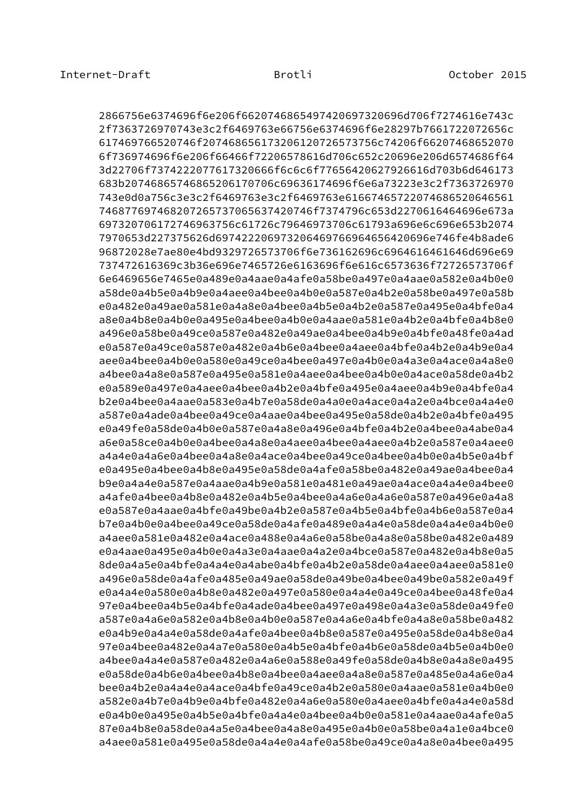2866756e6374696f6e206f6620746865497420697320696d706f7274616e743c 2f7363726970743e3c2f6469763e66756e6374696f6e28297b7661722072656c 617469766520746f207468656173206120726573756c74206f66207468652070 6f736974696f6e206f66466f72206578616d706c652c20696e206d6574686f64 3d22706f7374222077617320666f6c6c6f77656420627926616d703b6d646173 683b20746865746865206170706c69636174696f6e6a73223e3c2f7363726970 743e0d0a756c3e3c2f6469763e3c2f6469763e61667465722074686520646561 746877697468207265737065637420746f7374796c653d2270616464696e673a 697320706172746963756c61726c79646973706c61793a696e6c696e653b2074 7970653d227375626d697422206973206469766964656420696e746fe4b8ade6 96872028e7ae80e4bd9329726573706f6e736162696c6964616461646d696e69 737472616369c3b36e696e7465726e6163696f6e616c6573636f72726573706f 6e6469656e7465e0a489e0a4aae0a4afe0a58be0a497e0a4aae0a582e0a4b0e0 a58de0a4b5e0a4b9e0a4aee0a4bee0a4b0e0a587e0a4b2e0a58be0a497e0a58b e0a482e0a49ae0a581e0a4a8e0a4bee0a4b5e0a4b2e0a587e0a495e0a4bfe0a4 a8e0a4b8e0a4b0e0a495e0a4bee0a4b0e0a4aae0a581e0a4b2e0a4bfe0a4b8e0 a496e0a58be0a49ce0a587e0a482e0a49ae0a4bee0a4b9e0a4bfe0a48fe0a4ad e0a587e0a49ce0a587e0a482e0a4b6e0a4bee0a4aee0a4bfe0a4b2e0a4b9e0a4 aee0a4bee0a4b0e0a580e0a49ce0a4bee0a497e0a4b0e0a4a3e0a4ace0a4a8e0 a4bee0a4a8e0a587e0a495e0a581e0a4aee0a4bee0a4b0e0a4ace0a58de0a4b2 e0a589e0a497e0a4aee0a4bee0a4b2e0a4bfe0a495e0a4aee0a4b9e0a4bfe0a4 b2e0a4bee0a4aae0a583e0a4b7e0a58de0a4a0e0a4ace0a4a2e0a4bce0a4a4e0 a587e0a4ade0a4bee0a49ce0a4aae0a4bee0a495e0a58de0a4b2e0a4bfe0a495 e0a49fe0a58de0a4b0e0a587e0a4a8e0a496e0a4bfe0a4b2e0a4bee0a4abe0a4 a6e0a58ce0a4b0e0a4bee0a4a8e0a4aee0a4bee0a4aee0a4b2e0a587e0a4aee0 a4a4e0a4a6e0a4bee0a4a8e0a4ace0a4bee0a49ce0a4bee0a4b0e0a4b5e0a4bf e0a495e0a4bee0a4b8e0a495e0a58de0a4afe0a58be0a482e0a49ae0a4bee0a4 b9e0a4a4e0a587e0a4aae0a4b9e0a581e0a481e0a49ae0a4ace0a4a4e0a4bee0 a4afe0a4bee0a4b8e0a482e0a4b5e0a4bee0a4a6e0a4a6e0a587e0a496e0a4a8 e0a587e0a4aae0a4bfe0a49be0a4b2e0a587e0a4b5e0a4bfe0a4b6e0a587e0a4 b7e0a4b0e0a4bee0a49ce0a58de0a4afe0a489e0a4a4e0a58de0a4a4e0a4b0e0 a4aee0a581e0a482e0a4ace0a488e0a4a6e0a58be0a4a8e0a58be0a482e0a489 e0a4aae0a495e0a4b0e0a4a3e0a4aae0a4a2e0a4bce0a587e0a482e0a4b8e0a5 8de0a4a5e0a4bfe0a4a4e0a4abe0a4bfe0a4b2e0a58de0a4aee0a4aee0a581e0 a496e0a58de0a4afe0a485e0a49ae0a58de0a49be0a4bee0a49be0a582e0a49f e0a4a4e0a580e0a4b8e0a482e0a497e0a580e0a4a4e0a49ce0a4bee0a48fe0a4 97e0a4bee0a4b5e0a4bfe0a4ade0a4bee0a497e0a498e0a4a3e0a58de0a49fe0 a587e0a4a6e0a582e0a4b8e0a4b0e0a587e0a4a6e0a4bfe0a4a8e0a58be0a482 e0a4b9e0a4a4e0a58de0a4afe0a4bee0a4b8e0a587e0a495e0a58de0a4b8e0a4 97e0a4bee0a482e0a4a7e0a580e0a4b5e0a4bfe0a4b6e0a58de0a4b5e0a4b0e0 a4bee0a4a4e0a587e0a482e0a4a6e0a588e0a49fe0a58de0a4b8e0a4a8e0a495 e0a58de0a4b6e0a4bee0a4b8e0a4bee0a4aee0a4a8e0a587e0a485e0a4a6e0a4 bee0a4b2e0a4a4e0a4ace0a4bfe0a49ce0a4b2e0a580e0a4aae0a581e0a4b0e0 a582e0a4b7e0a4b9e0a4bfe0a482e0a4a6e0a580e0a4aee0a4bfe0a4a4e0a58d e0a4b0e0a495e0a4b5e0a4bfe0a4a4e0a4bee0a4b0e0a581e0a4aae0a4afe0a5 87e0a4b8e0a58de0a4a5e0a4bee0a4a8e0a495e0a4b0e0a58be0a4a1e0a4bce0 a4aee0a581e0a495e0a58de0a4a4e0a4afe0a58be0a49ce0a4a8e0a4bee0a495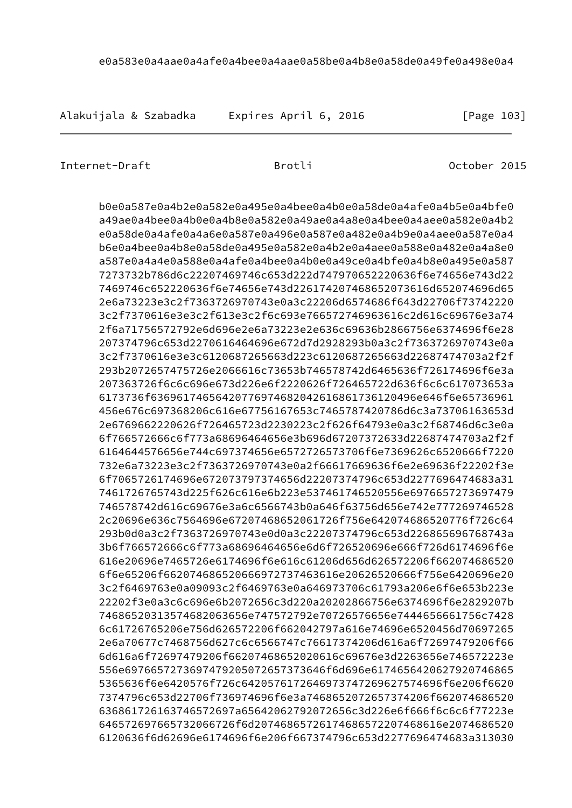Alakuijala & Szabadka Expires April 6, 2016 [Page 103]

Internet-Draft Brotli October 2015

 b0e0a587e0a4b2e0a582e0a495e0a4bee0a4b0e0a58de0a4afe0a4b5e0a4bfe0 a49ae0a4bee0a4b0e0a4b8e0a582e0a49ae0a4a8e0a4bee0a4aee0a582e0a4b2 e0a58de0a4afe0a4a6e0a587e0a496e0a587e0a482e0a4b9e0a4aee0a587e0a4 b6e0a4bee0a4b8e0a58de0a495e0a582e0a4b2e0a4aee0a588e0a482e0a4a8e0 a587e0a4a4e0a588e0a4afe0a4bee0a4b0e0a49ce0a4bfe0a4b8e0a495e0a587 7273732b786d6c22207469746c653d222d747970652220636f6e74656e743d22 7469746c652220636f6e74656e743d226174207468652073616d652074696d65 2e6a73223e3c2f7363726970743e0a3c22206d6574686f643d22706f73742220 3c2f7370616e3e3c2f613e3c2f6c693e766572746963616c2d616c69676e3a74 2f6a71756572792e6d696e2e6a73223e2e636c69636b2866756e6374696f6e28 207374796c653d2270616464696e672d7d2928293b0a3c2f7363726970743e0a 3c2f7370616e3e3c6120687265663d223c6120687265663d22687474703a2f2f 293b2072657475726e2066616c73653b746578742d6465636f726174696f6e3a 207363726f6c6c696e673d226e6f2220626f726465722d636f6c6c617073653a 6173736f63696174656420776974682042616861736120496e646f6e65736961 456e676c697368206c616e67756167653c7465787420786d6c3a73706163653d 2e6769662220626f726465723d2230223c2f626f64793e0a3c2f68746d6c3e0a 6f766572666c6f773a68696464656e3b696d67207372633d22687474703a2f2f 6164644576656e744c697374656e6572726573706f6e7369626c6520666f7220 732e6a73223e3c2f7363726970743e0a2f66617669636f6e2e69636f22202f3e 6f7065726174696e672073797374656d22207374796c653d2277696474683a31 7461726765743d225f626c616e6b223e537461746520556e6976657273697479 746578742d616c69676e3a6c6566743b0a646f63756d656e742e777269746528 2c20696e636c7564696e67207468652061726f756e642074686520776f726c64 293b0d0a3c2f7363726970743e0d0a3c22207374796c653d226865696768743a 3b6f766572666c6f773a68696464656e6d6f726520696e666f726d6174696f6e 616e20696e7465726e6174696f6e616c61206d656d626572206f662074686520 6f6e65206f662074686520666972737463616e20626520666f756e6420696e20 3c2f6469763e0a09093c2f6469763e0a646973706c61793a206e6f6e653b223e 22202f3e0a3c6c696e6b2072656c3d220a20202866756e6374696f6e2829207b 74686520313574682063656e747572792e70726576656e7444656661756c7428 6c61726765206e756d626572206f662042797a616e74696e6520456d70697265 2e6a70677c7468756d627c6c6566747c76617374206d616a6f72697479206f66 6d616a6f72697479206f66207468652020616c69676e3d2263656e746572223e 556e6976657273697479205072657373646f6d696e6174656420627920746865 5365636f6e6420576f726c6420576172646973747269627574696f6e206f6620 7374796c653d22706f736974696f6e3a7468652072657374206f662074686520 636861726163746572697a65642062792072656c3d226e6f666f6c6c6f77223e 646572697665732066726f6d20746865726174686572207468616e2074686520 6120636f6d62696e6174696f6e206f667374796c653d2277696474683a313030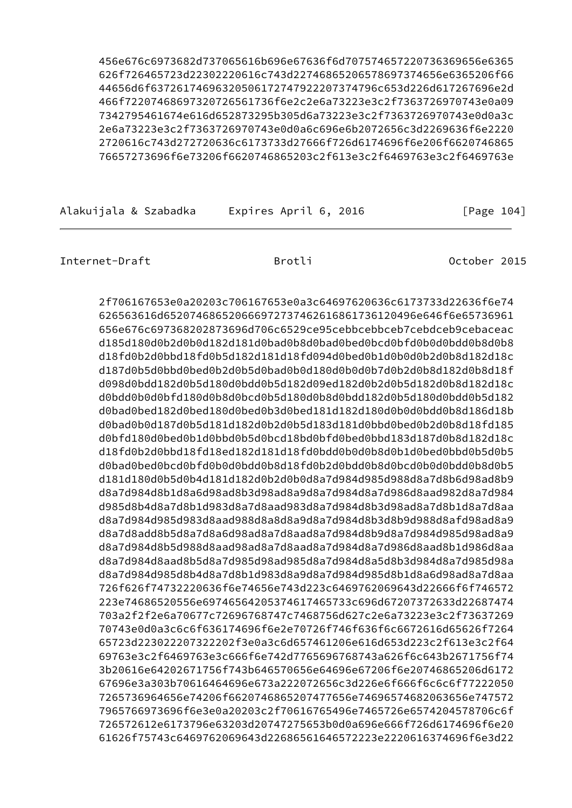456e676c6973682d737065616b696e67636f6d707574657220736369656e6365 626f726465723d22302220616c743d22746865206578697374656e6365206f66 44656d6f63726174696320506172747922207374796c653d226d617267696e2d 466f72207468697320726561736f6e2c2e6a73223e3c2f7363726970743e0a09 7342795461674e616d652873295b305d6a73223e3c2f7363726970743e0d0a3c 2e6a73223e3c2f7363726970743e0d0a6c696e6b2072656c3d2269636f6e2220 2720616c743d272720636c6173733d27666f726d6174696f6e206f6620746865 76657273696f6e73206f6620746865203c2f613e3c2f6469763e3c2f6469763e

| Alakuijala & Szabadka | Expires April 6, 2016 | [Page 104] |
|-----------------------|-----------------------|------------|
|                       |                       |            |

Internet-Draft Brotli October 2015

 2f706167653e0a20203c706167653e0a3c64697620636c6173733d22636f6e74 626563616d652074686520666972737462616861736120496e646f6e65736961 656e676c697368202873696d706c6529ce95cebbcebbceb7cebdceb9cebaceac d185d180d0b2d0b0d182d181d0bad0b8d0bad0bed0bcd0bfd0b0d0bdd0b8d0b8 d18fd0b2d0bbd18fd0b5d182d181d18fd094d0bed0b1d0b0d0b2d0b8d182d18c d187d0b5d0bbd0bed0b2d0b5d0bad0b0d180d0b0d0b7d0b2d0b8d182d0b8d18f d098d0bdd182d0b5d180d0bdd0b5d182d09ed182d0b2d0b5d182d0b8d182d18c d0bdd0b0d0bfd180d0b8d0bcd0b5d180d0b8d0bdd182d0b5d180d0bdd0b5d182 d0bad0bed182d0bed180d0bed0b3d0bed181d182d180d0b0d0bdd0b8d186d18b d0bad0b0d187d0b5d181d182d0b2d0b5d183d181d0bbd0bed0b2d0b8d18fd185 d0bfd180d0bed0b1d0bbd0b5d0bcd18bd0bfd0bed0bbd183d187d0b8d182d18c d18fd0b2d0bbd18fd18ed182d181d18fd0bdd0b0d0b8d0b1d0bed0bbd0b5d0b5 d0bad0bed0bcd0bfd0b0d0bdd0b8d18fd0b2d0bdd0b8d0bcd0b0d0bdd0b8d0b5 d181d180d0b5d0b4d181d182d0b2d0b0d8a7d984d985d988d8a7d8b6d98ad8b9 d8a7d984d8b1d8a6d98ad8b3d98ad8a9d8a7d984d8a7d986d8aad982d8a7d984 d985d8b4d8a7d8b1d983d8a7d8aad983d8a7d984d8b3d98ad8a7d8b1d8a7d8aa d8a7d984d985d983d8aad988d8a8d8a9d8a7d984d8b3d8b9d988d8afd98ad8a9 d8a7d8add8b5d8a7d8a6d98ad8a7d8aad8a7d984d8b9d8a7d984d985d98ad8a9 d8a7d984d8b5d988d8aad98ad8a7d8aad8a7d984d8a7d986d8aad8b1d986d8aa d8a7d984d8aad8b5d8a7d985d98ad985d8a7d984d8a5d8b3d984d8a7d985d98a d8a7d984d985d8b4d8a7d8b1d983d8a9d8a7d984d985d8b1d8a6d98ad8a7d8aa 726f626f74732220636f6e74656e743d223c6469762069643d22666f6f746572 223e74686520556e69746564205374617465733c696d67207372633d22687474 703a2f2f2e6a70677c72696768747c7468756d627c2e6a73223e3c2f73637269 70743e0d0a3c6c6f636174696f6e2e70726f746f636f6c6672616d65626f7264 65723d223022207322202f3e0a3c6d657461206e616d653d223c2f613e3c2f64 69763e3c2f6469763e3c666f6e742d7765696768743a626f6c643b2671756f74 3b20616e64202671756f743b646570656e64696e67206f6e20746865206d6172 67696e3a303b70616464696e673a222072656c3d226e6f666f6c6c6f77222050 7265736964656e74206f6620746865207477656e74696574682063656e747572 7965766973696f6e3e0a20203c2f70616765496e7465726e6574204578706c6f 726572612e6173796e63203d20747275653b0d0a696e666f726d6174696f6e20 61626f75743c6469762069643d22686561646572223e2220616374696f6e3d22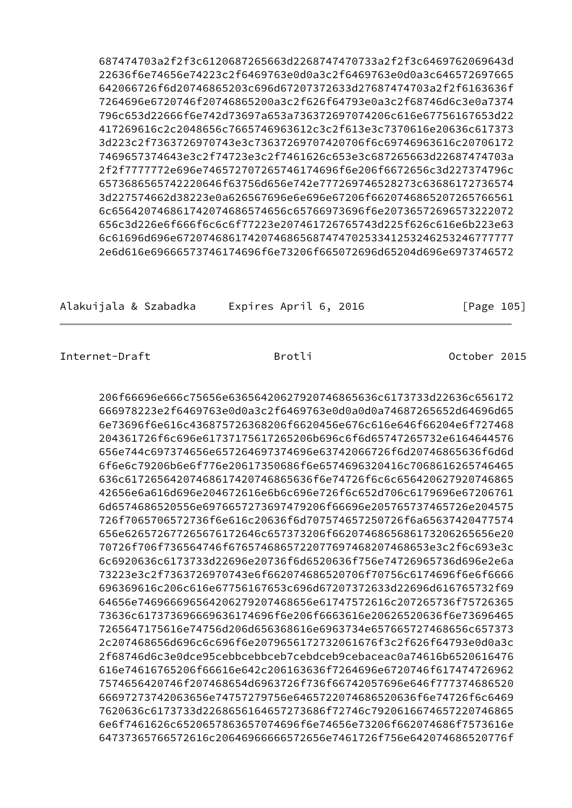687474703a2f2f3c6120687265663d2268747470733a2f2f3c6469762069643d 22636f6e74656e74223c2f6469763e0d0a3c2f6469763e0d0a3c646572697665 642066726f6d20746865203c696d67207372633d27687474703a2f2f6163636f 7264696e6720746f20746865200a3c2f626f64793e0a3c2f68746d6c3e0a7374 796c653d22666f6e742d73697a653a736372697074206c616e67756167653d22 417269616c2c2048656c7665746963612c3c2f613e3c7370616e20636c617373 3d223c2f7363726970743e3c73637269707420706f6c69746963616c20706172 7469657374643e3c2f74723e3c2f7461626c653e3c687265663d22687474703a 2f2f7777772e696e746572707265746174696f6e206f6672656c3d227374796c 6573686565742220646f63756d656e742e777269746528273c63686172736574 3d227574662d38223e0a626567696e6e696e67206f6620746865207265766561 6c656420746861742074686574656c65766973696f6e20736572696573222072 656c3d226e6f666f6c6c6f77223e207461726765743d225f626c616e6b223e63 6c61696d696e6720746861742074686568747470253341253246253246777777 2e6d616e69666573746174696f6e73206f665072696d65204d696e6973746572

| Alakuijala & Szabadka |  | Expires April 6, 2016 |  |  |
|-----------------------|--|-----------------------|--|--|
|-----------------------|--|-----------------------|--|--|

 $\lceil$  Page 105]

Internet-Draft Brotli October 2015

 206f66696e666c75656e63656420627920746865636c6173733d22636c656172 666978223e2f6469763e0d0a3c2f6469763e0d0a0d0a74687265652d64696d65 6e73696f6e616c436875726368206f6620456e676c616e646f66204e6f727468 204361726f6c696e61737175617265206b696c6f6d65747265732e6164644576 656e744c697374656e657264697374696e63742066726f6d20746865636f6d6d 6f6e6c79206b6e6f776e20617350686f6e6574696320416c7068616265746465 636c61726564207468617420746865636f6e74726f6c6c656420627920746865 42656e6a616d696e204672616e6b6c696e726f6c652d706c6179696e67206761 6d6574686520556e6976657273697479206f66696e205765737465726e204575 726f7065706572736f6e616c20636f6d707574657250726f6a65637420477574 656e626572677265676172646c657373206f6620746865686173206265656e20 70726f706f736564746f6765746865722077697468207468653e3c2f6c693e3c 6c6920636c6173733d22696e20736f6d6520636f756e74726965736d696e2e6a 73223e3c2f7363726970743e6f662074686520706f70756c6174696f6e6f6666 696369616c206c616e67756167653c696d67207372633d22696d616765732f69 64656e746966696564206279207468656e61747572616c207265736f75726365 73636c617373696669636174696f6e206f6663616e20626520636f6e73696465 7265647175616e74756d206d656368616e6963734e657665727468656c657373 2c207468656d696c6c696f6e2079656172732061676f3c2f626f64793e0d0a3c 2f68746d6c3e0dce95cebbcebbceb7cebdceb9cebaceac0a74616b6520616476 616e74616765206f66616e642c206163636f7264696e6720746f617474726962 7574656420746f207468654d6963726f736f66742057696e646f777374686520 66697273742063656e74757279756e6465722074686520636f6e74726f6c6469 7620636c6173733d2268656164657273686f72746c7920616674657220746865 6e6f7461626c6520657863657074696f6e74656e73206f662074686f7573616e 64737365766572616c20646966666572656e7461726f756e642074686520776f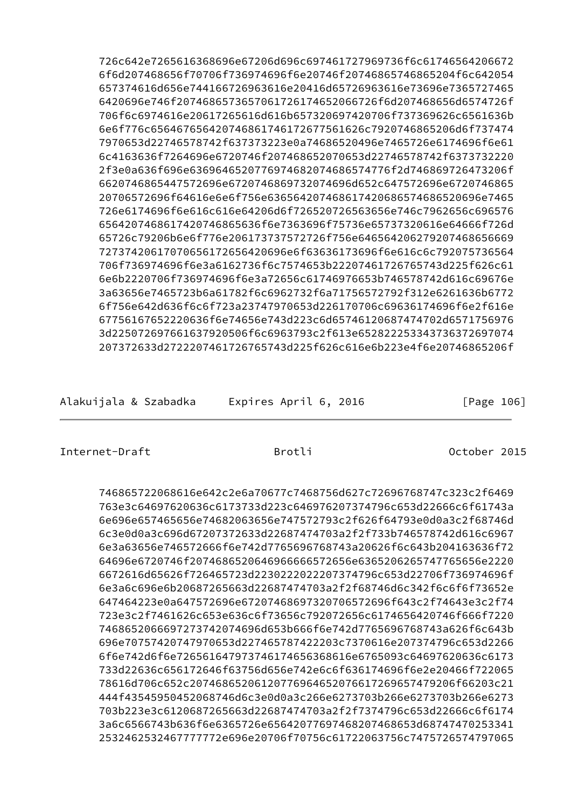726c642e7265616368696e67206d696c697461727969736f6c61746564206672 6f6d207468656f70706f736974696f6e20746f20746865746865204f6c642054 657374616d656e744166726963616e20416d65726963616e73696e7365727465 6420696e746f2074686573657061726174652066726f6d207468656d6574726f 706f6c6974616e20617265616d616b657320697420706f737369626c6561636b 6e6f776c656467656420746861746172677561626c7920746865206d6f737474 7970653d22746578742f637373223e0a74686520496e7465726e6174696f6e61 6c4163636f7264696e6720746f207468652070653d22746578742f6373732220 2f3e0a636f696e6369646520776974682074686574776f2d746869726473206f 6620746865447572696e6720746869732074696d652c647572696e6720746865 20706572696f64616e6e6f756e636564207468617420686574686520696e7465 726e6174696f6e616c616e64206d6f726520726563656e746c7962656c696576 6564207468617420746865636f6e7363696f75736e65737320616e64666f726d 65726c79206b6e6f776e206173737572726f756e646564206279207468656669 72737420617070656172656420696e6f63636173696f6e616c6c792075736564 706f736974696f6e3a6162736f6c7574653b22207461726765743d225f626c61 6e6b2220706f736974696f6e3a72656c61746976653b746578742d616c69676e 3a63656e7465723b6a61782f6c6962732f6a71756572792f312e6261636b6772 6f756e642d636f6c6f723a23747970653d226170706c69636174696f6e2f616e 67756167652220636f6e74656e743d223c6d65746120687474702d6571756976 3d225072697661637920506f6c6963793c2f613e652822253343736372697074 207372633d2722207461726765743d225f626c616e6b223e4f6e20746865206f

Alakuijala & Szabadka Expires April 6, 2016 [Page 106]

Internet-Draft

Brotli

October 2015

746865722068616e642c2e6a70677c7468756d627c72696768747c323c2f6469 763e3c64697620636c6173733d223c646976207374796c653d22666c6f61743a 6e696e657465656e74682063656e747572793c2f626f64793e0d0a3c2f68746d 6c3e0d0a3c696d67207372633d22687474703a2f2f733b746578742d616c6967 6e3a63656e746572666f6e742d7765696768743a20626f6c643b204163636f72 64696e6720746f2074686520646966666572656e6365206265747765656e2220 6672616d65626f726465723d2230222022207374796c653d22706f736974696f 6e3a6c696e6b20687265663d22687474703a2f2f68746d6c342f6c6f6f73652e 647464223e0a647572696e67207468697320706572696f643c2f74643e3c2f74 723e3c2f7461626c653e636c6f73656c792072656c6174656420746f666f7220 7468652066697273742074696d653b666f6e742d7765696768743a626f6c643b 696e70757420747970653d227465787422203c7370616e207374796c653d2266 6f6e742d6f6e726561647973746174656368616e6765093c64697620636c6173 733d22636c656172646f63756d656e742e6c6f636174696f6e2e20466f722065 78616d706c652c20746865206120776964652076617269657479206f66203c21 444f43545950452068746d6c3e0d0a3c266e6273703b266e6273703b266e6273 703b223e3c6120687265663d22687474703a2f2f7374796c653d22666c6f6174 3a6c6566743b636f6e6365726e65642077697468207468653d68747470253341 2532462532467777772e696e20706f70756c61722063756c7475726574797065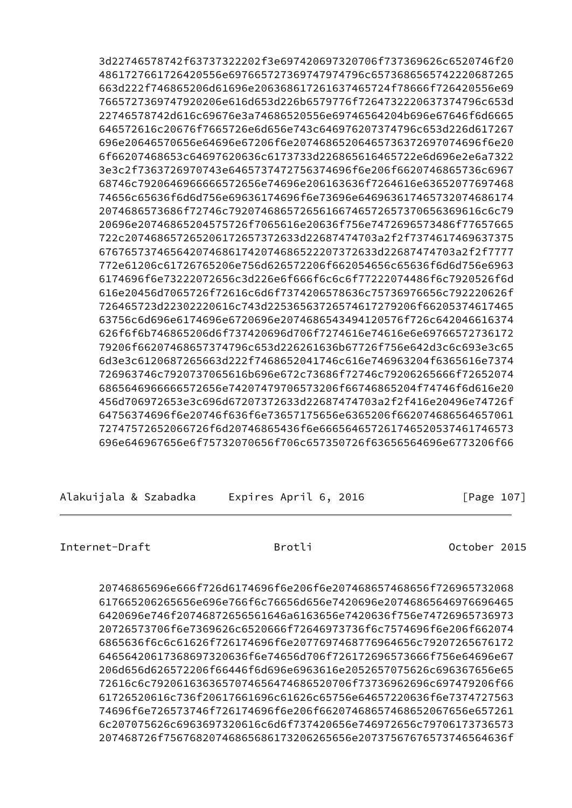3d22746578742f63737322202f3e697420697320706f737369626c6520746f20 4861727661726420556e697665727369747974796c6573686565742220687265 663d222f746865206d61696e206368617261637465724f78666f726420556e69 7665727369747920206e616d653d226b6579776f7264732220637374796c653d 22746578742d616c69676e3a74686520556e69746564204b696e67646f6d6665 646572616c20676f7665726e6d656e743c646976207374796c653d226d617267 696e20646570656e64696e67206f6e20746865206465736372697074696f6e20 6f66207468653c64697620636c6173733d226865616465722e6d696e2e6a7322 3e3c2f7363726970743e6465737472756374696f6e206f6620746865736c6967 68746c7920646966666572656e74696e206163636f7264616e63652077697468 74656c65636f6d6d756e69636174696f6e73696e646963617465732074686174 2074686573686f72746c792074686572656166746572657370656369616c6c79 20696e20746865204575726f7065616e20636f756e7472696573486f77657665 722c207468657265206172657372633d22687474703a2f2f7374617469637375 6767657374656420746861742074686522207372633d22687474703a2f2f7777 772e61206c61726765206e756d626572206f662054656c65636f6d6d756e6963 6174696f6e73222072656c3d226e6f666f6c6c6f77222074486f6c7920526f6d 616e20456d7065726f72616c6d6f7374206578636c75736976656c792220626f 726465723d22302220616c743d22536563726574617279206f66205374617465 63756c6d696e6174696e6720696e2074686543494120576f726c642046616374 626f6f6b746865206d6f737420696d706f7274616e74616e6e69766572736172 79206f66207468657374796c653d226261636b67726f756e642d3c6c693e3c65 6d3e3c6120687265663d222f7468652041746c616e746963204f6365616e7374 726963746c7920737065616b696e672c73686f72746c79206265666f72652074 6865646966666572656e74207479706573206f66746865204f74746f6d616e20 456d706972653e3c696d67207372633d22687474703a2f2f416e20496e74726f 64756374696f6e20746f636f6e73657175656e6365206f662074686564657061 72747572652066726f6d20746865436f6e666564657261746520537461746573 696e646967656e6f75732070656f706c657350726f63656564696e6773206f66

| Alakuijala & Szabadka | Expires April 6, 2016 | [Page 107] |
|-----------------------|-----------------------|------------|
|                       |                       |            |

Internet-Draft Brotli October 2015

 20746865696e666f726d6174696f6e206f6e207468657468656f726965732068 617665206265656e696e766f6c76656d656e7420696e20746865646976696465 6420696e746f20746872656561646a6163656e7420636f756e74726965736973 20726573706f6e7369626c6520666f72646973736f6c7574696f6e206f662074 6865636f6c6c61626f726174696f6e2077697468776964656c79207265676172 64656420617368697320636f6e74656d706f726172696573666f756e64696e67 206d656d626572206f66446f6d696e6963616e2052657075626c696367656e65 72616c6c7920616363657074656474686520706f73736962696c697479206f66 61726520616c736f20617661696c61626c65756e64657220636f6e7374727563 74696f6e726573746f726174696f6e206f66207468657468652067656e657261 6c207075626c6963697320616c6d6f737420656e746972656c79706173736573 207468726f75676820746865686173206265656e20737567676573746564636f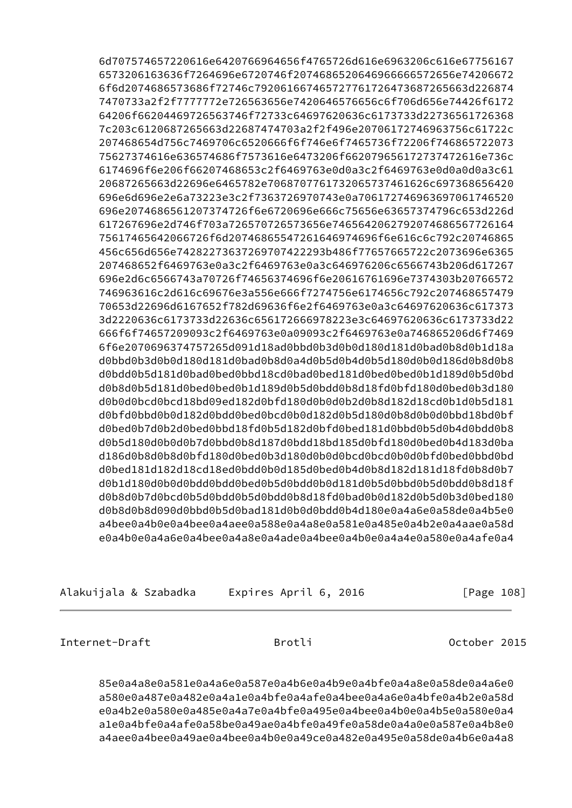6d707574657220616e6420766964656f4765726d616e6963206c616e67756167 6573206163636f7264696e6720746f2074686520646966666572656e74206672 6f6d2074686573686f72746c792061667465727761726473687265663d226874 7470733a2f2f7777772e726563656e7420646576656c6f706d656e74426f6172 64206f66204469726563746f72733c64697620636c6173733d22736561726368 7c203c6120687265663d22687474703a2f2f496e20706172746963756c61722c 207468654d756c7469706c6520666f6f746e6f7465736f72206f746865722073 75627374616e636574686f7573616e6473206f662079656172737472616e736c 6174696f6e206f66207468653c2f6469763e0d0a3c2f6469763e0d0a0d0a3c61 20687265663d22696e6465782e7068707761732065737461626c697368656420 696e6d696e2e6a73223e3c2f7363726970743e0a706172746963697061746520 696e2074686561207374726f6e6720696e666c75656e63657374796c653d226d 617267696e2d746f703a726570726573656e7465642062792074686567726164 75617465642066726f6d20746865547261646974696f6e616c6c792c20746865 456c656d656e74282273637269707422293b486f77657665722c2073696e6365 207468652f6469763e0a3c2f6469763e0a3c646976206c6566743b206d617267 696e2d6c6566743a70726f74656374696f6e20616761696e7374303b20766572 746963616c2d616c69676e3a556e666f7274756e6174656c792c207468657479 70653d22696d6167652f782d69636f6e2f6469763e0a3c64697620636c617373 3d2220636c6173733d22636c656172666978223e3c64697620636c6173733d22 666f6f74657209093c2f6469763e0a09093c2f6469763e0a746865206d6f7469 6f6e2070696374757265d091d18ad0bbd0b3d0b0d180d181d0bad0b8d0b1d18a d0bbd0b3d0b0d180d181d0bad0b8d0a4d0b5d0b4d0b5d180d0b0d186d0b8d0b8 d0bdd0b5d181d0bad0bed0bbd18cd0bad0bed181d0bed0bed0b1d189d0b5d0bd d0b8d0b5d181d0bed0bed0b1d189d0b5d0bdd0b8d18fd0bfd180d0bed0b3d180 d0b0d0bcd0bcd18bd09ed182d0bfd180d0b0d0b2d0b8d182d18cd0b1d0b5d181 d0bfd0bbd0b0d182d0bdd0bed0bcd0b0d182d0b5d180d0b8d0b0d0bbd18bd0bf d0bed0b7d0b2d0bed0bbd18fd0b5d182d0bfd0bed181d0bbd0b5d0b4d0bdd0b8 d0b5d180d0b0d0b7d0bbd0b8d187d0bdd18bd185d0bfd180d0bed0b4d183d0ba d186d0b8d0b8d0bfd180d0bed0b3d180d0b0d0bcd0bcd0b0d0bfd0bed0bbd0bd d0bed181d182d18cd18ed0bdd0b0d185d0bed0b4d0b8d182d181d18fd0b8d0b7 d0b1d180d0b0d0bdd0bdd0bed0b5d0bdd0b0d181d0b5d0bbdd0b5d0bdd0b8d18f d0b8d0b7d0bcd0b5d0bdd0b5d0bdd0b8d18fd0bad0b0d182d0b5d0b3d0bed180 d0b8d0b8d090d0bbd0b5d0bad181d0b0d0bdd0b4d180e0a4a6e0a58de0a4b5e0 a4bee0a4b0e0a4bee0a4aee0a588e0a4a8e0a581e0a485e0a4b2e0a4aae0a58d e0a4b0e0a4a6e0a4bee0a4a8e0a4ade0a4bee0a4b0e0a4a4e0a580e0a4afe0a4

| Alakuijala & Szabadka | Expires April 6, 2016 | [Page 108] |
|-----------------------|-----------------------|------------|
|-----------------------|-----------------------|------------|

Internet-Draft

Brotli

October 2015

85e0a4a8e0a581e0a4a6e0a587e0a4b6e0a4b9e0a4bfe0a4a8e0a58de0a4a6e0 a580e0a487e0a482e0a4a1e0a4bfe0a4afe0a4bee0a4a6e0a4bfe0a4b2e0a58d e0a4b2e0a580e0a485e0a4a7e0a4bfe0a495e0a4bee0a4b0e0a4b5e0a580e0a4 ale0a4bfe0a4afe0a58be0a49ae0a4bfe0a49fe0a58de0a4a0e0a587e0a4b8e0 a4aee0a4bee0a49ae0a4bee0a4b0e0a49ce0a482e0a495e0a58de0a4b6e0a4a8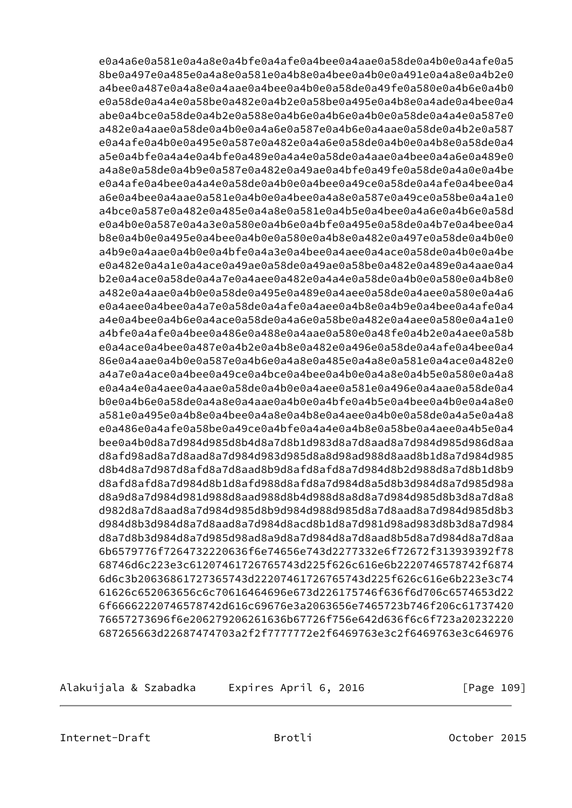e0a4a6e0a581e0a4a8e0a4bfe0a4afe0a4bee0a4aae0a58de0a4b0e0a4afe0a5 8be0a497e0a485e0a4a8e0a581e0a4b8e0a4bee0a4b0e0a491e0a4a8e0a4b2e0 a4bee0a487e0a4a8e0a4aae0a4bee0a4b0e0a58de0a49fe0a580e0a4b6e0a4b0 e0a58de0a4a4e0a58be0a482e0a4b2e0a58be0a495e0a4b8e0a4ade0a4bee0a4 abe0a4bce0a58de0a4b2e0a588e0a4b6e0a4b6e0a4b0e0a58de0a4a4e0a587e0 a482e0a4aae0a58de0a4b0e0a4a6e0a587e0a4b6e0a4aae0a58de0a4b2e0a587 e0a4afe0a4b0e0a495e0a587e0a482e0a4a6e0a58de0a4b0e0a4b8e0a58de0a4 a5e0a4bfe0a4a4e0a4bfe0a489e0a4a4e0a58de0a4aae0a4bee0a4a6e0a489e0 a4a8e0a58de0a4b9e0a587e0a482e0a49ae0a4bfe0a49fe0a58de0a4a0e0a4be e0a4afe0a4bee0a4a4e0a58de0a4b0e0a4bee0a49ce0a58de0a4afe0a4bee0a4 a6e0a4bee0a4aae0a581e0a4b0e0a4bee0a4a8e0a587e0a49ce0a58be0a4a1e0 a4bce0a587e0a482e0a485e0a4a8e0a581e0a4b5e0a4bee0a4a6e0a4b6e0a58d e0a4b0e0a587e0a4a3e0a580e0a4b6e0a4bfe0a495e0a58de0a4b7e0a4bee0a4 b8e0a4b0e0a495e0a4bee0a4b0e0a580e0a4b8e0a482e0a497e0a58de0a4b0e0 a4b9e0a4aae0a4b0e0a4bfe0a4a3e0a4bee0a4aee0a4ace0a58de0a4b0e0a4be e0a482e0a4a1e0a4ace0a49ae0a58de0a49ae0a58be0a482e0a489e0a4aae0a4 b2e0a4ace0a58de0a4a7e0a4aee0a482e0a4a4e0a58de0a4b0e0a580e0a4b8e0 a482e0a4aae0a4b0e0a58de0a495e0a489e0a4aee0a58de0a4aee0a580e0a4a6 e0a4aee0a4bee0a4a7e0a58de0a4afe0a4aee0a4b8e0a4b9e0a4bee0a4afe0a4 a4e0a4bee0a4b6e0a4ace0a58de0a4a6e0a58be0a482e0a4aee0a580e0a4a1e0 a4bfe0a4afe0a4bee0a486e0a488e0a4aae0a580e0a48fe0a4b2e0a4aee0a58b e0a4ace0a4bee0a487e0a4b2e0a4b8e0a482e0a496e0a58de0a4afe0a4bee0a4 86e0a4aae0a4b0e0a587e0a4b6e0a4a8e0a485e0a4a8e0a581e0a4ace0a482e0 a4a7e0a4ace0a4bee0a49ce0a4bce0a4bee0a4b0e0a4a8e0a4b5e0a580e0a4a8 e0a4a4e0a4aee0a4aae0a58de0a4b0e0a4aee0a581e0a496e0a4aae0a58de0a4 b0e0a4b6e0a58de0a4a8e0a4aae0a4b0e0a4bfe0a4b5e0a4bee0a4b0e0a4a8e0 a581e0a495e0a4b8e0a4bee0a4a8e0a4b8e0a4aee0a4b0e0a58de0a4a5e0a4a8 e0a486e0a4afe0a58be0a49ce0a4bfe0a4a4e0a4b8e0a58be0a4aee0a4b5e0a4 bee0a4b0d8a7d984d985d8b4d8a7d8b1d983d8a7d8aad8a7d984d985d986d8aa d8afd98ad8a7d8aad8a7d984d983d985d8a8d98ad988d8aad8b1d8a7d984d985 d8b4d8a7d987d8afd8a7d8aad8b9d8afd8afd8a7d984d8b2d988d8a7d8b1d8b9 d8afd8afd8a7d984d8b1d8afd988d8afd8a7d984d8a5d8b3d984d8a7d985d98a d8a9d8a7d984d981d988d8aad988d8b4d988d8a8d8a7d984d985d8b3d8a7d8a8 d982d8a7d8aad8a7d984d985d8b9d984d988d985d8a7d8aad8a7d984d985d8b3 d984d8b3d984d8a7d8aad8a7d984d8acd8b1d8a7d981d98ad983d8b3d8a7d984 d8a7d8b3d984d8a7d985d98ad8a9d8a7d984d8a7d8aad8b5d8a7d984d8a7d8aa 6b6579776f7264732220636f6e74656e743d2277332e6f72672f313939392f78 68746d6c223e3c61207461726765743d225f626c616e6b2220746578742f6874 6d6c3b20636861727365743d22207461726765743d225f626c616e6b223e3c74 61626c652063656c6c70616464696e673d226175746f636f6d706c6574653d22 6f66662220746578742d616c69676e3a2063656e7465723b746f206c61737420 76657273696f6e206279206261636b67726f756e642d636f6c6f723a20232220 687265663d22687474703a2f2f7777772e2f6469763e3c2f6469763e3c646976

Alakuijala & Szabadka Expires April 6, 2016

[Page 109]

Internet-Draft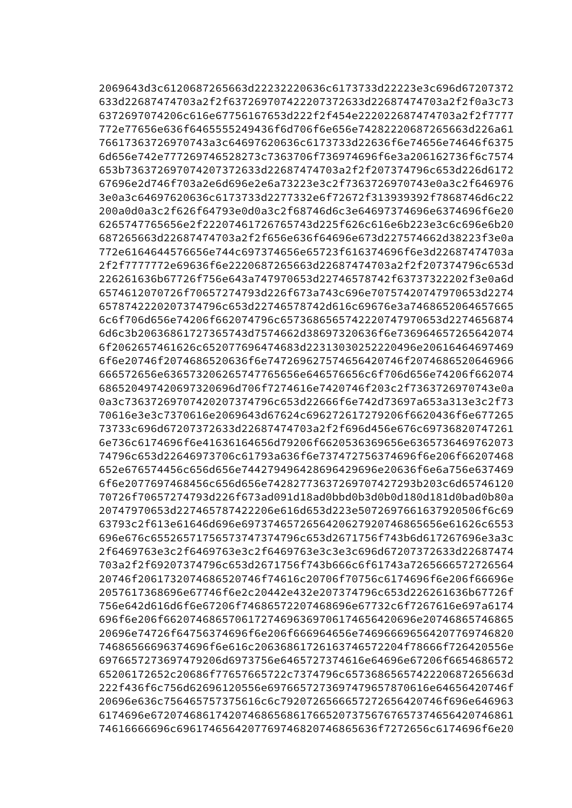2069643d3c6120687265663d22232220636c6173733d22223e3c696d67207372 633d22687474703a2f2f637269707422207372633d22687474703a2f2f0a3c73 6372697074206c616e67756167653d222f2f454e222022687474703a2f2f7777 772e77656e636f6465555249436f6d706f6e656e74282220687265663d226a61 76617363726970743a3c64697620636c6173733d22636f6e74656e74646f6375 6d656e742e777269746528273c7363706f736974696f6e3a206162736f6c7574 653b736372697074207372633d22687474703a2f2f207374796c653d226d6172 67696e2d746f703a2e6d696e2e6a73223e3c2f7363726970743e0a3c2f646976 3e0a3c64697620636c6173733d2277332e6f72672f313939392f7868746d6c22 200a0d0a3c2f626f64793e0d0a3c2f68746d6c3e64697374696e6374696f6e20 6265747765656e2f22207461726765743d225f626c616e6b223e3c6c696e6b20 687265663d22687474703a2f2f656e636f64696e673d227574662d38223f3e0a 772e6164644576656e744c697374656e65723f616374696f6e3d22687474703a 2f2f7777772e69636f6e2220687265663d22687474703a2f2f207374796c653d 226261636b67726f756e643a747970653d22746578742f63737322202f3e0a6d 6574612070726f70657274793d226f673a743c696e70757420747970653d2274 6578742220207374796c653d22746578742d616c69676e3a7468652064657665 6c6f706d656e74206f662074796c6573686565742220747970653d2274656874 6d6c3b20636861727365743d7574662d38697320636f6e736964657265642074 6f2062657461626c652077696474683d22313030252220496e20616464697469 6f6e20746f2074686520636f6e747269627574656420746f2074686520646966 666572656e636573206265747765656e646576656c6f706d656e74206f662074 686520497420697320696d706f7274616e7420746f203c2f7363726970743e0a 0a3c73637269707420207374796c653d22666f6e742d73697a653a313e3c2f73 70616e3e3c7370616e2069643d67624c696272617279206f6620436f6e677265 73733c696d67207372633d22687474703a2f2f696d456e676c69736820747261 6e736c6174696f6e41636164656d79206f6620536369656e6365736469762073 74796c653d22646973706c61793a636f6e737472756374696f6e206f66207468 652e676574456c656d656e744279496428696429696e20636f6e6a756e637469 6f6e2077697468456c656d656e74282773637269707427293b203c6d65746120 70726f70657274793d226f673ad091d18ad0bbd0b3d0b0d180d181d0bad0b80a 20747970653d227465787422206e616d653d223e5072697661637920506f6c69 63793c2f613e61646d696e6973746572656420627920746865656e61626c6553 696e676c65526571756573747374796c653d2671756f743b6d617267696e3a3c 2f6469763e3c2f6469763e3c2f6469763e3c3e3c696d67207372633d22687474 703a2f2f69207374796c653d2671756f743b666c6f61743a7265666572726564 20746f2061732074686520746f74616c20706f70756c6174696f6e206f66696e 2057617368696e67746f6e2c20442e432e207374796c653d226261636b67726f 756e642d616d6f6e67206f74686572207468696e67732c6f7267616e697a6174 696f6e206f662074686570617274696369706174656420696e20746865746865 20696e74726f64756374696f6e206f666964656e746966696564207769746820 74686566696374696f6e616c20636861726163746572204f78666f726420556e 6976657273697479206d6973756e6465727374616e64696e67206f6654686572 65206172652c20686f77657665722c7374796c6573686565742220687265663d 222f436f6c756d62696120556e6976657273697479657870616e64656420746f 20696e636c756465757375616c6c7920726566657272656420746f696e646963 6174696e67207468617420746865686176652073756767657374656420746861 74616666696c6961746564207769746820746865636f7272656c6174696f6e20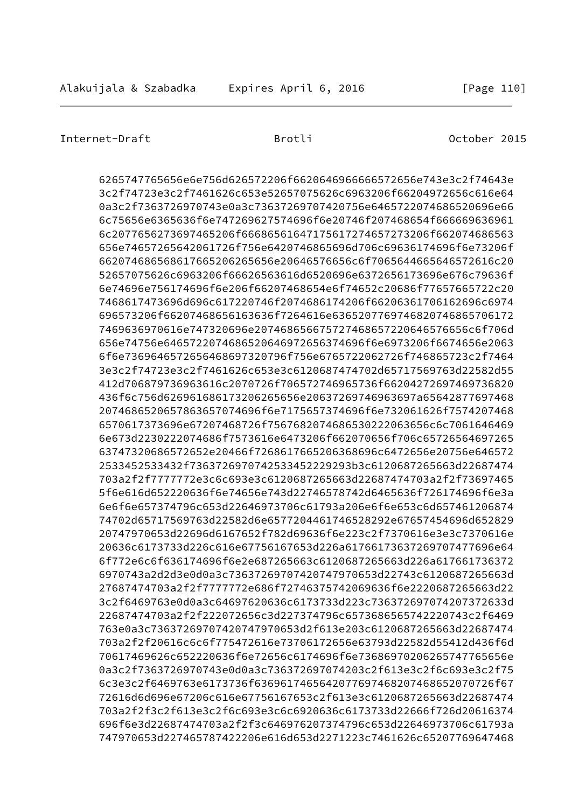Internet-Draft Brotli October 2015

 6265747765656e6e756d626572206f6620646966666572656e743e3c2f74643e 3c2f74723e3c2f7461626c653e52657075626c6963206f66204972656c616e64 0a3c2f7363726970743e0a3c73637269707420756e6465722074686520696e66 6c75656e6365636f6e747269627574696f6e20746f207468654f666669636961 6c2077656273697465206f66686561647175617274657273206f662074686563 656e74657265642061726f756e6420746865696d706c69636174696f6e73206f 662074686568617665206265656e20646576656c6f7065644665646572616c20 52657075626c6963206f66626563616d6520696e6372656173696e676c79636f 6e74696e756174696f6e206f66207468654e6f74652c20686f77657665722c20 7468617473696d696c617220746f2074686174206f66206361706162696c6974 696573206f66207468656163636f7264616e6365207769746820746865706172 7469636970616e747320696e207468656675727468657220646576656c6f706d 656e74756e6465722074686520646972656374696f6e6973206f6674656e2063 6f6e7369646572656468697320796f756e6765722062726f746865723c2f7464 3e3c2f74723e3c2f7461626c653e3c6120687474702d65717569763d22582d55 412d706879736963616c2070726f706572746965736f66204272697469736820 436f6c756d626961686173206265656e20637269746963697a65642877697468 2074686520657863657074696f6e7175657374696f6e732061626f7574207468 6570617373696e67207468726f7567682074686530222063656c6c7061646469 6e673d2230222074686f7573616e6473206f662070656f706c65726564697265 63747320686572652e20466f7268617665206368696c6472656e20756e646572 2533452533432f7363726970742533452229293b3c6120687265663d22687474 703a2f2f7777772e3c6c693e3c6120687265663d22687474703a2f2f73697465 5f6e616d652220636f6e74656e743d22746578742d6465636f726174696f6e3a 6e6f6e657374796c653d22646973706c61793a206e6f6e653c6d657461206874 74702d65717569763d22582d6e6577204461746528292e67657454696d652829 20747970653d22696d6167652f782d69636f6e223c2f7370616e3e3c7370616e 20636c6173733d226c616e67756167653d226a61766173637269707477696e64 6f772e6c6f636174696f6e2e687265663c6120687265663d226a617661736372 6970743a2d2d3e0d0a3c73637269707420747970653d22743c6120687265663d 27687474703a2f2f7777772e686f72746375742069636f6e2220687265663d22 3c2f6469763e0d0a3c64697620636c6173733d223c736372697074207372633d 22687474703a2f2f222072656c3d227374796c6573686565742220743c2f6469 763e0a3c73637269707420747970653d2f613e203c6120687265663d22687474 703a2f2f20616c6c6f775472616e73706172656e63793d22582d55412d436f6d 70617469626c652220636f6e72656c6174696f6e73686970206265747765656e 0a3c2f7363726970743e0d0a3c736372697074203c2f613e3c2f6c693e3c2f75 6c3e3c2f6469763e6173736f6369617465642077697468207468652070726f67 72616d6d696e67206c616e67756167653c2f613e3c6120687265663d22687474 703a2f2f3c2f613e3c2f6c693e3c6c6920636c6173733d22666f726d20616374 696f6e3d22687474703a2f2f3c646976207374796c653d22646973706c61793a 747970653d227465787422206e616d653d2271223c7461626c65207769647468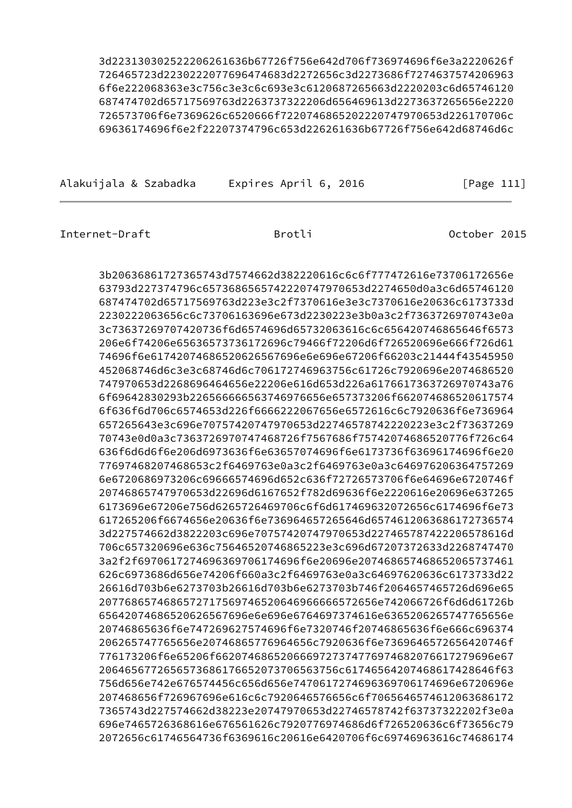3d223130302522206261636b67726f756e642d706f736974696f6e3a2220626f 726465723d2230222077696474683d2272656c3d2273686f7274637574206963 6f6e222068363e3c756c3e3c6c693e3c6120687265663d2220203c6d65746120 687474702d65717569763d2263737322206d656469613d2273637265656e2220 726573706f6e7369626c6520666f7220746865202220747970653d226170706c 69636174696f6e2f22207374796c653d226261636b67726f756e642d68746d6c

|  | Alakuijala & Szabadka | Expires April 6, 2016 |  |  |
|--|-----------------------|-----------------------|--|--|
|  |                       |                       |  |  |

 $\lceil$  Page 111]

Internet-Draft Brotli October 2015

 3b20636861727365743d7574662d382220616c6c6f777472616e73706172656e 63793d227374796c6573686565742220747970653d2274650d0a3c6d65746120 687474702d65717569763d223e3c2f7370616e3e3c7370616e20636c6173733d 2230222063656c6c73706163696e673d2230223e3b0a3c2f7363726970743e0a 3c73637269707420736f6d6574696d65732063616c6c656420746865646f6573 206e6f74206e65636573736172696c79466f72206d6f726520696e666f726d61 74696f6e61742074686520626567696e6e696e67206f66203c21444f43545950 452068746d6c3e3c68746d6c706172746963756c61726c7920696e2074686520 747970653d2268696464656e22206e616d653d226a6176617363726970743a76 6f69642830293b226566666563746976656e657373206f662074686520617574 6f636f6d706c6574653d226f6666222067656e6572616c6c7920636f6e736964 657265643e3c696e70757420747970653d22746578742220223e3c2f73637269 70743e0d0a3c7363726970747468726f7567686f75742074686520776f726c64 636f6d6d6f6e206d6973636f6e63657074696f6e6173736f63696174696f6e20 77697468207468653c2f6469763e0a3c2f6469763e0a3c646976206364757269 6e6720686973206c69666574696d652c636f72726573706f6e64696e6720746f 20746865747970653d22696d6167652f782d69636f6e2220616e20696e637265 6173696e67206e756d6265726469706c6f6d617469632072656c6174696f6e73 617265206f6674656e20636f6e736964657265646d6574612063686172736574 3d227574662d3822203c696e70757420747970653d227465787422206578616d 706c657320696e636c75646520746865223e3c696d67207372633d2268747470 3a2f2f6970617274696369706174696f6e20696e207468657468652065737461 626c6973686d656e74206f660a3c2f6469763e0a3c64697620636c6173733d22 26616d703b6e6273703b26616d703b6e6273703b746f2064657465726d696e65 2077686574686572717569746520646966666572656e742066726f6d6d61726b 65642074686520626567696e6e696e6764697374616e6365206265747765656e 20746865636f6e747269627574696f6e7320746f20746865636f6e666c696374 206265747765656e20746865776964656c7920636f6e7369646572656420746f 776173206f6e65206f6620746865206669727374776974682076617279696e67 2064656772656573686176652073706563756c61746564207468617428646f63 756d656e742e676574456c656d656e7470617274696369706174696e6720696e 207468656f726967696e616c6c7920646576656c6f7065646574612063686172 7365743d227574662d38223e20747970653d22746578742f63737322202f3e0a 696e7465726368616e676561626c7920776974686d6f726520636c6f73656c79 2072656c61746564736f6369616c20616e6420706f6c69746963616c74686174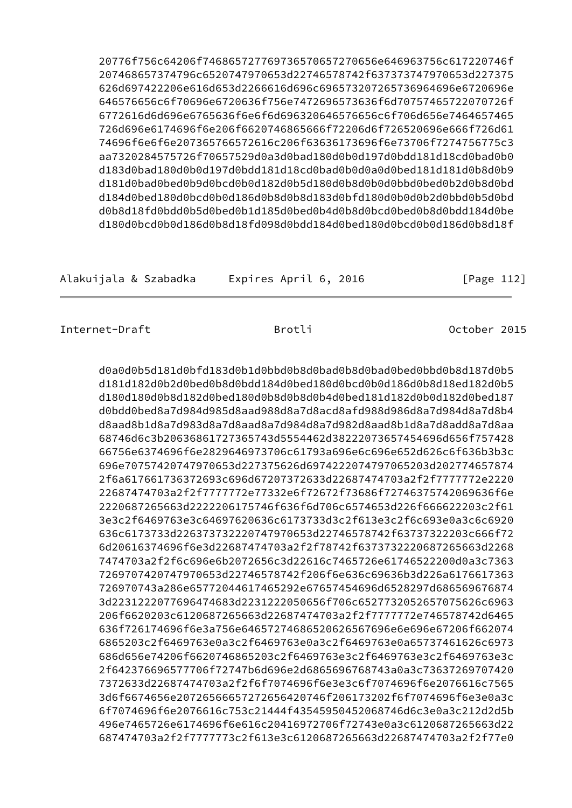20776f756c64206f746865727769736570657270656e646963756c617220746f 207468657374796c6520747970653d22746578742f637373747970653d227375 626d697422206e616d653d2266616d696c696573207265736964696e6720696e 646576656c6f70696e6720636f756e7472696573636f6d70757465722070726f 6772616d6d696e6765636f6e6f6d696320646576656c6f706d656e7464657465 726d696e6174696f6e206f6620746865666f72206d6f726520696e666f726d61 74696f6e6f6e207365766572616c206f63636173696f6e73706f7274756775c3 aa7320284575726f70657529d0a3d0bad180d0b0d197d0bdd181d18cd0bad0b0 d183d0bad180d0b0d197d0bdd181d18cd0bad0b0d0a0d0bed181d181d0b8d0b9 d181d0bad0bed0b9d0bcd0b0d182d0b5d180d0b8d0b0d0bed0bad0b2d0b8d0bd d184d0bdd0bcd0b0d186d0b8d0b8d183d0bfd180d0b0d0b2d0bbd0b5d0bd d0b8d18fd0bdd0b5d0bed0b1d185d0bed0b4d0b8d0bcd0bed0b8d0bdd184d0be d180d0bcd0b0d186d0b8d18fd098d0bdd184d0bed180d0bcd0b0d186d0b8d18f

| Alakuijala & Szabadka | Expires April 6, 2016 | [Page 112] |
|-----------------------|-----------------------|------------|
|-----------------------|-----------------------|------------|

Internet-Draft

Brotli

October 2015

d0a0d0b5d181d0bfd183d0b1d0bbd0b8d0bad0b8d0bad0bed0bbd0b8d187d0b5 d181d182d0b2d0bed0b8d0bdd184d0bed180d0bcd0b0d186d0b8d18ed182d0b5 d180d180d0b8d182d0bed180d0b8d0b8d0b4d0bed181d182d0b0d182d0bed187 d0bdd0bed8a7d984d985d8aad988d8a7d8acd8afd988d986d8a7d984d8a7d8b4 d8aad8b1d8a7d983d8a7d8aad8a7d984d8a7d982d8aad8b1d8a7d8add8a7d8aa 68746d6c3b20636861727365743d5554462d38222073657454696d656f757428 66756e6374696f6e2829646973706c61793a696e6c696e652d626c6f636b3b3c 696e70757420747970653d227375626d6974222074797065203d202774657874 2f6a617661736372693c696d67207372633d22687474703a2f2f7777772e2220 22687474703a2f2f7777772e77332e6f72672f73686f72746375742069636f6e 2220687265663d2222206175746f636f6d706c6574653d226f666622203c2f61 3e3c2f6469763e3c64697620636c6173733d3c2f613e3c2f6c693e0a3c6c6920 636c6173733d226373732220747970653d22746578742f63737322203c666f72 6d20616374696f6e3d22687474703a2f2f78742f6373732220687265663d2268 7474703a2f2f6c696e6b2072656c3d22616c7465726e61746522200d0a3c7363 7269707420747970653d22746578742f206f6e636c69636b3d226a6176617363 726970743a286e65772044617465292e67657454696d6528297d686569676874 3d2231222077696474683d2231222050656f706c6527732052657075626c6963 206f6620203c6120687265663d22687474703a2f2f7777772e746578742d6465 636f726174696f6e3a756e64657274686520626567696e6e696e67206f662074 6865203c2f6469763e0a3c2f6469763e0a3c2f6469763e0a65737461626c6973 686d656e74206f6620746865203c2f6469763e3c2f6469763e3c2f6469763e3c 2f642376696577706f72747b6d696e2d6865696768743a0a3c73637269707420 7372633d22687474703a2f2f6f7074696f6e3e3c6f7074696f6e2076616c7565 3d6f6674656e20726566657272656420746f206173202f6f7074696f6e3e0a3c 6f7074696f6e2076616c753c21444f43545950452068746d6c3e0a3c212d2d5b 496e7465726e6174696f6e616c20416972706f72743e0a3c6120687265663d22 687474703a2f2f7777773c2f613e3c6120687265663d22687474703a2f2f77e0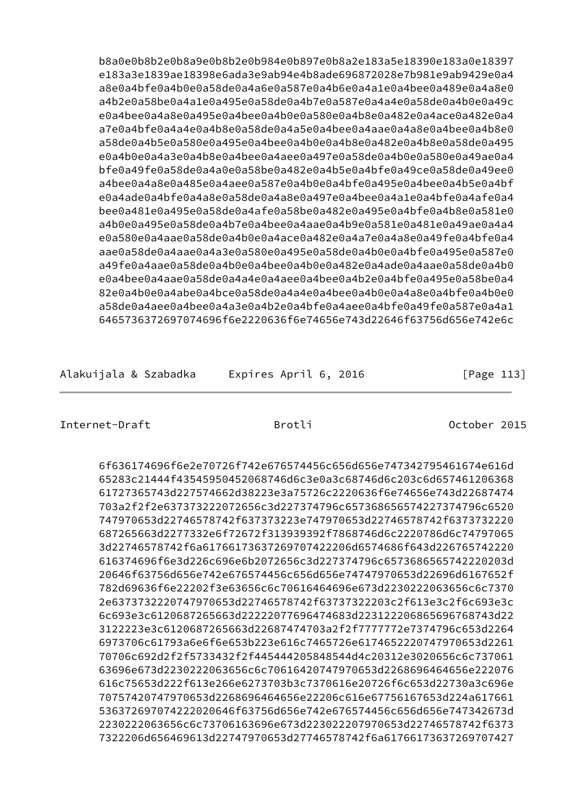b8a0e0b8b2e0b8a9e0b8b2e0b984e0b897e0b8a2e183a5e18390e183a0e18397 e183a3e1839ae18398e6ada3e9ab94e4b8ade696872028e7b981e9ab9429e0a4 a8e0a4bfe0a4b0e0a58de0a4a6e0a587e0a4b6e0a4a1e0a4bee0a489e0a4a8e0 a4b2e0a58be0a4a1e0a495e0a58de0a4b7e0a587e0a4a4e0a58de0a4b0e0a49c e0a4bee0a4a8e0a495e0a4bee0a4b0e0a580e0a4b8e0a482e0a4ace0a482e0a4 a7e0a4bfe0a4a4e0a4b8e0a58de0a4a5e0a4bee0a4aae0a4a8e0a4bee0a4b8e0 a58de0a4b5e0a580e0a495e0a4bee0a4b0e0a4b8e0a482e0a4b8e0a58de0a495 e0a4b0e0a4a3e0a4b8e0a4bee0a4aee0a497e0a58de0a4b0e0a580e0a49ae0a4 bfe0a49fe0a58de0a4a0e0a58be0a482e0a4b5e0a4bfe0a49ce0a58de0a49ee0 a4bee0a4a8e0a485e0a4aee0a587e0a4b0e0a4bfe0a495e0a4bee0a4b5e0a4bf e0a4ade0a4bfe0a4a8e0a58de0a4a8e0a497e0a4bee0a4a1e0a4bfe0a4afe0a4 bee0a481e0a495e0a58de0a4afe0a58be0a482e0a495e0a4bfe0a4b8e0a581e0 a4b0e0a495e0a58de0a4b7e0a4bee0a4aae0a4b9e0a581e0a481e0a49ae0a4a4 e0a580e0a4aae0a58de0a4b0e0a4ace0a482e0a4a7e0a4a8e0a49fe0a4bfe0a4 aae0a58de0a4aae0a4a3e0a580e0a495e0a58de0a4b0e0a4bfe0a495e0a587e0 a49fe0a4aae0a58de0a4b0e0a4bee0a4b0e0a482e0a4ade0a4aae0a58de0a4b0 e0a4bee0a4aae0a58de0a4a4e0a4aee0a4bee0a4b2e0a4bfe0a495e0a58be0a4 82e0a4b0e0a4abe0a4bce0a58de0a4a4e0a4bee0a4b0e0a4a8e0a4bfe0a4b0e0 a58de0a4aee0a4bee0a4a3e0a4b2e0a4bfe0a4aee0a4bfe0a49fe0a587e0a4a1 6465736372697074696f6e2220636f6e74656e743d22646f63756d656e742e6c

Alakuijala & Szabadka Expires April 6, 2016 [Page 113]

Internet-Draft

Brotli

October 2015

6f636174696f6e2e70726f742e676574456c656d656e747342795461674e616d 65283c21444f43545950452068746d6c3e0a3c68746d6c203c6d657461206368 61727365743d227574662d38223e3a75726c2220636f6e74656e743d22687474 703a2f2f2e637373222072656c3d227374796c657368656574227374796c6520 747970653d22746578742f637373223e747970653d22746578742f6373732220 687265663d2277332e6f72672f313939392f7868746d6c2220786d6c74797065 3d22746578742f6a61766173637269707422206d6574686f643d226765742220 616374696f6e3d226c696e6b2072656c3d227374796c6573686565742220203d 20646f63756d656e742e676574456c656d656e74747970653d22696d6167652f 782d69636f6e22202f3e63656c6c70616464696e673d2230222063656c6c7370 2e6373732220747970653d22746578742f63737322203c2f613e3c2f6c693e3c 6c693e3c6120687265663d22222077696474683d223122206865696768743d22 3122223e3c6120687265663d22687474703a2f2f7777772e7374796c653d2264 6973706c61793a6e6f6e653b223e616c7465726e6174652220747970653d2261 70706c692d2f2f5733432f2f445444205848544d4c20312e3020656c6c737061 63696e673d2230222063656c6c70616420747970653d2268696464656e222076 616c75653d222f613e266e6273703b3c7370616e20726f6c653d22730a3c696e 70757420747970653d2268696464656e22206c616e67756167653d224a617661 536372697074222020646f63756d656e742e676574456c656d656e747342673d 2230222063656c6c73706163696e673d223022207970653d22746578742f6373 7322206d656469613d22747970653d27746578742f6a61766173637269707427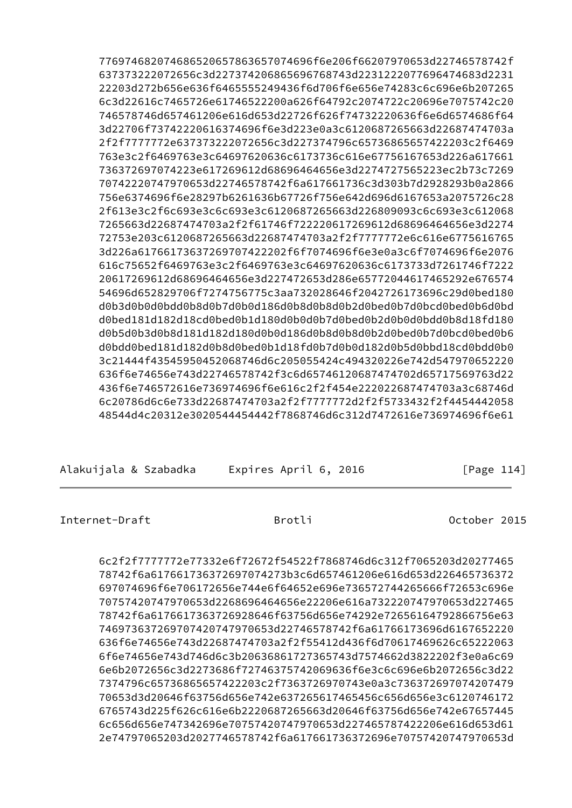776974682074686520657863657074696f6e206f66207970653d22746578742f 637373222072656c3d227374206865696768743d2231222077696474683d2231 22203d272b656e636f6465555249436f6d706f6e656e74283c6c696e6b207265 6c3d22616c7465726e61746522200a626f64792c2074722c20696e7075742c20 746578746d657461206e616d653d22726f626f74732220636f6e6d6574686f64 3d22706f73742220616374696f6e3d223e0a3c6120687265663d22687474703a 2f2f7777772e637373222072656c3d227374796c65736865657422203c2f6469 763e3c2f6469763e3c64697620636c6173736c616e67756167653d226a617661 736372697074223e617269612d68696464656e3d2274727565223ec2b73c7269 70742220747970653d22746578742f6a617661736c3d303b7d2928293b0a2866 756e6374696f6e28297b6261636b67726f756e642d696d6167653a2075726c28 2f613e3c2f6c693e3c6c693e3c6120687265663d226809093c6c693e3c612068 7265663d22687474703a2f2f61746f722220617269612d68696464656e3d2274 72753e203c6120687265663d22687474703a2f2f7777772e6c616e6775616765 3d226a61766173637269707422202f6f7074696f6e3e0a3c6f7074696f6e2076 616c75652f6469763e3c2f6469763e3c64697620636c6173733d7261746f7222 20617269612d68696464656e3d227472653d286e65772044617465292e676574 54696d652829706f7274756775c3aa732028646f2042726173696c29d0bed180 d0b3d0b0d0bdd0b8d0b7d0b0d186d0b8d0b8d0b2d0bed0b7d0bcd0bed0b6d0bd d0bed181d182d18cd0bed0b1d180d0b0d0b7d0bed0b2d0b0d0bdd0b8d18fd180 d0b5d0b3d0b8d181d182d180d0b0d186d0b8d0b8d0b2d0bed0b7d0bcd0bed0b6 d0bdd0bed181d182d0b8d0bed0b1d18fd0b7d0b0d182d0b5d0bbd18cd0bdd0b0 3c21444f43545950452068746d6c205055424c494320226e742d547970652220 636f6e74656e743d22746578742f3c6d65746120687474702d65717569763d22 436f6e746572616e736974696f6e616c2f2f454e222022687474703a3c68746d 6c20786d6c6e733d22687474703a2f2f7777772d2f2f5733432f2f4454442058 48544d4c20312e3020544454442f7868746d6c312d7472616e736974696f6e61

| Alakuijala & Szabadka | Expires April 6, 2016 |  | [Page 114] |
|-----------------------|-----------------------|--|------------|
|-----------------------|-----------------------|--|------------|

Internet-Draft

Brotli

October 2015

6c2f2f7777772e77332e6f72672f54522f7868746d6c312f7065203d20277465 78742f6a617661736372697074273b3c6d657461206e616d653d226465736372 697074696f6e706172656e744e6f64652e696e736572744265666f72653c696e 70757420747970653d2268696464656e22206e616a732220747970653d227465 78742f6a6176617363726928646f63756d656e74292e72656164792866756e63 746973637269707420747970653d22746578742f6a61766173696d6167652220 636f6e74656e743d22687474703a2f2f55412d436f6d70617469626c65222063 6f6e74656e743d746d6c3b20636861727365743d7574662d3822202f3e0a6c69 6e6b2072656c3d2273686f72746375742069636f6e3c6c696e6b2072656c3d22 7374796c65736865657422203c2f7363726970743e0a3c736372697074207479 70653d3d20646f63756d656e742e637265617465456c656d656e3c6120746172 6765743d225f626c616e6b2220687265663d20646f63756d656e742e67657445 6c656d656e747342696e70757420747970653d227465787422206e616d653d61 2e74797065203d2027746578742f6a617661736372696e70757420747970653d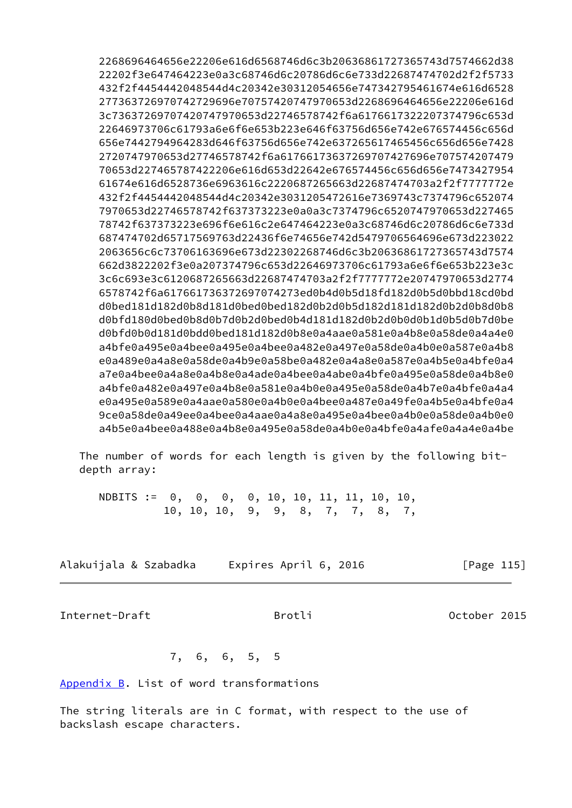2268696464656e22206e616d6568746d6c3b20636861727365743d7574662d38 22202f3e647464223e0a3c68746d6c20786d6c6e733d22687474702d2f2f5733 432f2f4454442048544d4c20342e30312054656e747342795461674e616d6528 277363726970742729696e70757420747970653d2268696464656e22206e616d 3c73637269707420747970653d22746578742f6a6176617322207374796c653d 22646973706c61793a6e6f6e653b223e646f63756d656e742e676574456c656d 656e7442794964283d646f63756d656e742e637265617465456c656d656e7428 2720747970653d27746578742f6a61766173637269707427696e707574207479 70653d227465787422206e616d653d22642e676574456c656d656e7473427954 61674e616d6528736e6963616c2220687265663d22687474703a2f2f7777772e 432f2f4454442048544d4c20342e3031205472616e7369743c7374796c652074 7970653d22746578742f637373223e0a0a3c7374796c6520747970653d227465 78742f637373223e696f6e616c2e647464223e0a3c68746d6c20786d6c6e733d 687474702d65717569763d22436f6e74656e742d5479706564696e673d223022 2063656c6c73706163696e673d22302268746d6c3b20636861727365743d7574 662d3822202f3e0a207374796c653d22646973706c61793a6e6f6e653b223e3c 3c6c693e3c6120687265663d22687474703a2f2f7777772e20747970653d2774 6578742f6a617661736372697074273ed0b4d0b5d18fd182d0b5d0bbd18cd0bd d0bed181d182d0b8d181d0bed0bed182d0b2d0b5d182d181d182d0b2d0b8d0b8 d0bfd180d0bed0b8d0b7d0b2d0bed0b4d181d182d0b2d0b0d0b1d0b5d0b7d0be d0bfd0b0d181d0bdd0bed181d182d0b8e0a4aae0a581e0a4b8e0a58de0a4a4e0 a4bfe0a495e0a4bee0a495e0a4bee0a482e0a497e0a58de0a4b0e0a587e0a4b8 e0a489e0a4a8e0a58de0a4b9e0a58be0a482e0a4a8e0a587e0a4b5e0a4bfe0a4 a7e0a4bee0a4a8e0a4b8e0a4ade0a4bee0a4abe0a4bfe0a495e0a58de0a4b8e0 a4bfe0a482e0a497e0a4b8e0a581e0a4b0e0a495e0a58de0a4b7e0a4bfe0a4a4 e0a495e0a589e0a4aae0a580e0a4b0e0a4bee0a487e0a49fe0a4b5e0a4bfe0a4 9ce0a58de0a49ee0a4bee0a4aae0a4a8e0a495e0a4bee0a4b0e0a58de0a4b0e0 a4b5e0a4bee0a488e0a4b8e0a495e0a58de0a4b0e0a4bfe0a4afe0a4a4e0a4be

The number of words for each length is given by the following bitdepth array:

NDBITS := 0, 0, 0, 0, 10, 10, 11, 11, 10, 10,  $10, 10, 10, 9, 9, 8, 7, 7, 8, 7,$ 

| Alakuijala & Szabadka | Expires April 6, 2016 |  |
|-----------------------|-----------------------|--|
|-----------------------|-----------------------|--|

Internet-Draft

 $7, 6, 6, 5,$ 5

<span id="page-130-0"></span>Appendix B. List of word transformations

The string literals are in C format, with respect to the use of backslash escape characters.

Brotli

[Page  $115$ ]

October 2015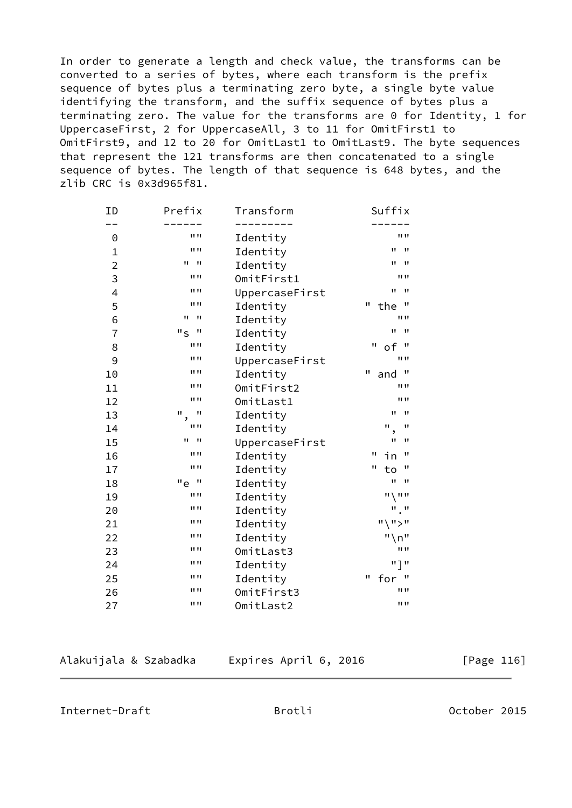In order to generate a length and check value, the transforms can be converted to a series of bytes, where each transform is the prefix sequence of bytes plus a terminating zero byte, a single byte value identifying the transform, and the suffix sequence of bytes plus a terminating zero. The value for the transforms are 0 for Identity, 1 for UppercaseFirst, 2 for UppercaseAll, 3 to 11 for OmitFirst1 to OmitFirst9, and 12 to 20 for OmitLast1 to OmitLast9. The byte sequences that represent the 121 transforms are then concatenated to a single sequence of bytes. The length of that sequence is 648 bytes, and the zlib CRC is 0x3d965f81.

| ID             | Prefix                             | Transform      | Suffix                    |
|----------------|------------------------------------|----------------|---------------------------|
|                |                                    |                |                           |
| $\Theta$       | 11 II                              | Identity       | 11 II                     |
| $\mathbf 1$    | $\mathbf{11}$                      | Identity       | п<br>$^{\prime\prime}$    |
| $\overline{2}$ | 11<br>$^{\prime\prime}$            | Identity       | $\mathbf{H}$<br>"         |
| 3              | $\mathbf{H}$                       | OmitFirst1     | H H                       |
| 4              | <b>HH</b>                          | UppercaseFirst | $\mathbf{u}$<br>п         |
| 5              | 11 II                              | Identity       | п<br>the<br>Ш             |
| 6              | П<br>$\mathbf{H}$                  | Identity       | H H                       |
| $\overline{7}$ | "s<br>Ш                            | Identity       | "<br>п                    |
| 8              | <b>HH</b>                          | Identity       | п<br>of<br>ш              |
| 9              | <b>HH</b>                          | UppercaseFirst | 11 H                      |
| 10             | <b>HH</b>                          | Identity       | п<br>$\mathbf{H}$<br>and  |
| 11             | <b>HH</b>                          | OmitFirst2     | H H                       |
| 12             | <b>HH</b>                          | OmitLast1      | <b>HH</b>                 |
| 13             | п<br>п<br>$\overline{\phantom{a}}$ | Identity       | п<br>п                    |
| 14             | H H                                | Identity       | 11<br>п                   |
| 15             | п.<br>- 11                         | UppercaseFirst | $\mathbf{H}$<br>"         |
| 16             | <b>HH</b>                          | Identity       | п<br>п<br>in              |
| 17             | <b>HH</b>                          | Identity       | п<br>п<br>to              |
| 18             | "e<br>$\mathbf{u}$                 | Identity       | п<br>п                    |
| 19             | <b>HH</b>                          | Identity       | 11 \ 11 11                |
| 20             | <b>HH</b>                          | Identity       | $\mathbf{u}$ $\mathbf{u}$ |
| 21             | <b>HH</b>                          | Identity       | $'' \setminus '' >''$     |
| 22             | $\mathbf{11}$                      | Identity       | "\n"                      |
| 23             | 11 II                              | OmitLast3      | 11 II                     |
| 24             | <b>HH</b>                          | Identity       | "]"                       |
| 25             | <b>HH</b>                          | Identity       | 11<br>for "               |
| 26             | 11 II                              | OmitFirst3     | 11 II                     |
| 27             | H H                                | OmitLast2      | H H                       |

Alakuijala & Szabadka Expires April 6, 2016 [Page 116]

Internet-Draft Brotli October 2015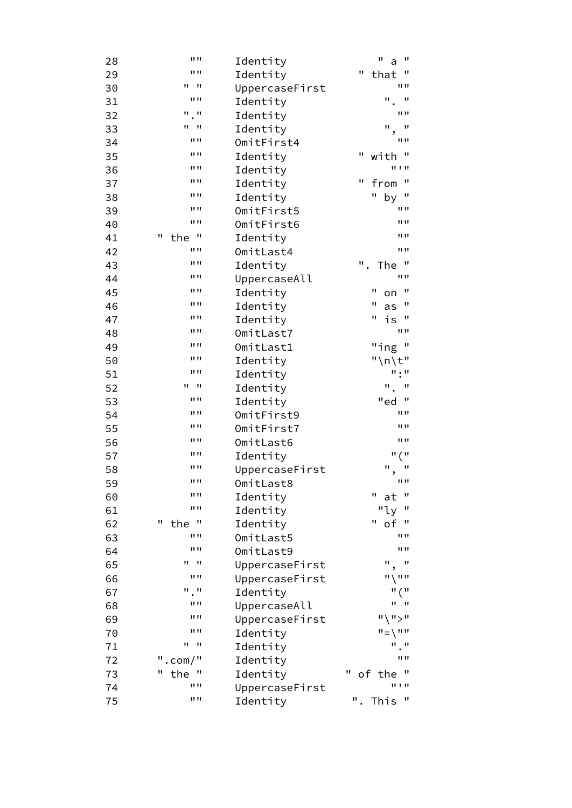| 28 | 11 H                                  | Identity       | п<br>п<br>a                            |
|----|---------------------------------------|----------------|----------------------------------------|
| 29 | H H                                   | Identity       | п<br>that<br>Ш                         |
| 30 | п<br>$\mathbf{H}$                     | UppercaseFirst | H H                                    |
| 31 | <b>HH</b>                             | Identity       | н.<br>Ш                                |
| 32 | $\mathbf{u}$ $\mathbf{u}$             | Identity       | H H                                    |
| 33 | Π.<br>$\mathbf{H}$                    | Identity       | п<br>π                                 |
| 34 | H H                                   | OmitFirst4     | 11 II                                  |
| 35 | <b>HH</b>                             | Identity       | п<br>ш<br>with                         |
| 36 | 11 II                                 | Identity       | 11 I II                                |
| 37 | 11 II                                 | Identity       | п<br>н<br>from                         |
| 38 | 11 II                                 | Identity       | П.<br>п<br>by                          |
| 39 | H H                                   | OmitFirst5     | 11 II                                  |
| 40 | 11 II                                 | OmitFirst6     | H H                                    |
| 41 | п<br>Ш<br>the                         | Identity       | 11 II                                  |
| 42 | H H                                   | OmitLast4      | H H                                    |
| 43 | <b>HH</b>                             | Identity       | ". The<br>ш                            |
| 44 | 11 II                                 |                | H H                                    |
|    | 11 II                                 | UppercaseAll   | п<br>п                                 |
| 45 | 11 II                                 | Identity       | on<br>п<br>п                           |
| 46 | 11 II                                 | Identity       | as<br>п<br>П                           |
| 47 |                                       | Identity       | is<br><b>HH</b>                        |
| 48 | 11 II                                 | OmitLast7      |                                        |
| 49 | 11 II                                 | OmitLast1      | "ing<br>$\mathbf{u}$                   |
| 50 | H H                                   | Identity       | "\n\t"                                 |
| 51 | 11 II                                 | Identity       | $\mathbf{u}$ , $\mathbf{u}$            |
| 52 | п<br>$\mathbf{H}$                     | Identity       | П.<br>п                                |
| 53 | H H                                   | Identity       | "ed<br>п                               |
| 54 | <b>HH</b>                             | OmitFirst9     | H H                                    |
| 55 | 11 II                                 | OmitFirst7     | H H                                    |
| 56 | 11 II                                 | OmitLast6      | 11 II                                  |
| 57 | 11 II                                 | Identity       | п<br>$\mathfrak{g}$                    |
| 58 | H H                                   | UppercaseFirst | $\mathbf{H}$<br>п                      |
| 59 | 11 II                                 | OmitLast8      | H H                                    |
| 60 | 11 II                                 | Identity       | п<br>П<br>at                           |
| 61 | 11 II                                 | Identity       | "ly<br>п                               |
| 62 | п<br>the<br>$^{\prime\prime}$         | Identity       | п<br>of<br>- 11                        |
| 63 | ""                                    | OmitLast5      | 11 II                                  |
| 64 | H H                                   | OmitLast9      | H H                                    |
| 65 | п<br>- 11                             | UppercaseFirst | н<br>п                                 |
| 66 | H H                                   | UppercaseFirst | 11 H<br>$^{\prime\prime}$              |
| 67 | $^{\prime\prime}$ , $^{\prime\prime}$ | Identity       | " ( "                                  |
| 68 | 11 II                                 | UppercaseAll   | п<br>$\mathbf{H}$                      |
| 69 | H H                                   | UppercaseFirst | $"$ \">"                               |
| 70 | H H                                   |                | $" = \$ "                              |
|    | п<br>- 11                             | Identity       | $^{\prime\prime}$ , $^{\prime\prime}$  |
| 71 |                                       | Identity       | H H                                    |
| 72 | $"$ .com/"<br>н                       | Identity       | "                                      |
| 73 | the "<br>11 II                        | Identity       | of the<br>$^{\prime\prime}$<br>11 I II |
| 74 |                                       | UppercaseFirst |                                        |
| 75 | H H                                   | Identity       | $\mathbf{H}$<br>". This                |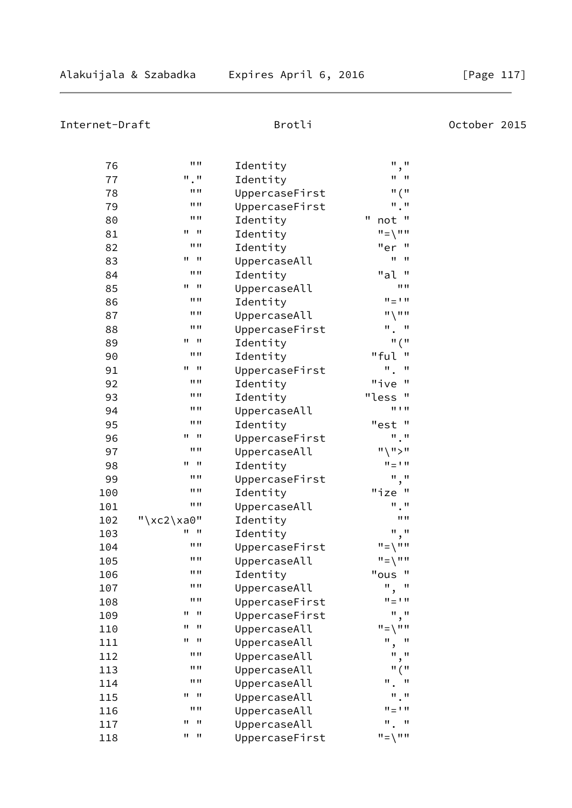# Alakuijala & Szabadka Expires April 6, 2016 [Page 117]

### Internet-Draft **Brotli** Brotli **Communist** Brotli **Communist** October 2015

| 76  | <b>HH</b>                 | Identity       | , "<br>"                                    |
|-----|---------------------------|----------------|---------------------------------------------|
| 77  | $\mathbf{u}$ $\mathbf{u}$ | Identity       | "<br>$\overline{\phantom{a}}$               |
| 78  | H H                       | UppercaseFirst | $"$ ( $"$                                   |
| 79  | H H                       | UppercaseFirst | $^{\prime\prime}$ , $^{\prime\prime}$       |
| 80  | H H                       | Identity       | п<br>$\blacksquare$<br>not                  |
| 81  | $\mathbf{u}$ $\mathbf{u}$ | Identity       | $" = \sqrt{" "$                             |
| 82  | H H                       | Identity       | "er<br>$\blacksquare$                       |
| 83  | H H                       | UppercaseAll   | 11<br>$\mathbf{u}$                          |
| 84  | H H                       | Identity       | "al "                                       |
| 85  | $\mathbf{H}$ $\mathbf{H}$ | UppercaseAll   | 11 II                                       |
| 86  | H H                       | Identity       | $\mathbf{u} = \mathbf{v} \mathbf{u}$        |
| 87  | H H                       | UppercaseAll   | $"$ \""                                     |
| 88  | H H                       | UppercaseFirst | "<br>$^{\prime\prime}$                      |
| 89  | H H                       | Identity       | $"$ ( $"$                                   |
| 90  | H H                       | Identity       | $\mathbf{H}$<br>"ful                        |
| 91  | H H                       | UppercaseFirst | Ш<br>н                                      |
| 92  | H H                       | Identity       | $\mathbf{H}$<br>"ive                        |
| 93  | H H                       | Identity       | "less<br>Ш                                  |
| 94  | H H                       | UppercaseAll   | 11 I II                                     |
| 95  | H H                       | Identity       | "est "                                      |
| 96  | H H                       | UppercaseFirst | $\cdot$ "                                   |
| 97  | H H                       | UppercaseAll   | $'' \setminus '' > ''$                      |
| 98  | п<br>- 11                 | Identity       | $"=""$                                      |
| 99  | 11 II                     | UppercaseFirst | ","                                         |
| 100 | H H                       | Identity       | "ize "                                      |
| 101 | H H                       | UppercaseAll   | "."                                         |
| 102 | " $\xc2\xa0$ "            | Identity       | 11 II                                       |
| 103 | 11<br>$\mathbf{H}$        | Identity       | $\overline{\phantom{a}}$<br>"               |
| 104 | H H                       | UppercaseFirst | $" = \n\sqrt{" "$                           |
| 105 | H H                       | UppercaseAll   | $" = \$<br>"                                |
| 106 | H H                       | Identity       | П<br>"ous                                   |
| 107 | H H                       | UppercaseAll   | Π<br>п<br>,                                 |
| 108 | H H                       | UppercaseFirst | $\mathbf{u} = \mathbf{v} \mathbf{u}$        |
| 109 | п<br>Н                    | UppercaseFirst | , "                                         |
| 110 | п<br>Н                    | UppercaseAll   | $" = \n\sqrt{" "$                           |
| 111 | п<br>п                    | UppercaseAll   | п                                           |
| 112 | H H                       | UppercaseAll   | Ш<br>$\overline{\phantom{a}}$               |
| 113 | H H                       | UppercaseAll   | $\binom{11}{1}$<br>Н                        |
| 114 | H H                       | UppercaseAll   | ш<br>н                                      |
| 115 | - 11<br>"                 | UppercaseAll   | "."                                         |
| 116 | H H                       | UppercaseAll   | $\mathbf{u} = \mathbf{u} \mathbf{u}$        |
| 117 | п<br>п                    | UppercaseAll   | $\mathbf{u}$<br>н.                          |
| 118 | п<br>"                    | UppercaseFirst | $\mathbf{u} = \nabla \mathbf{u} \mathbf{u}$ |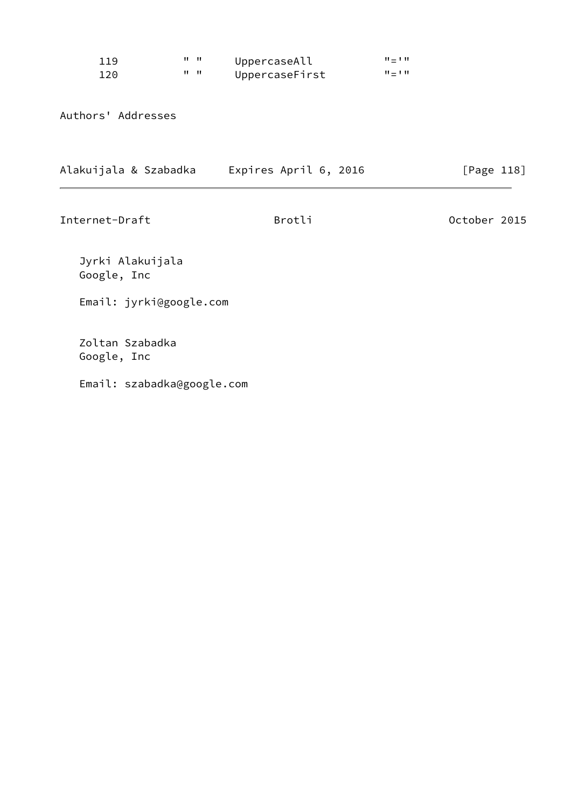| 119 | UppercaseAll   | $"'' = "$ |
|-----|----------------|-----------|
| 120 | UppercaseFirst | $"=""$    |

## Authors' Addresses

| Alakuijala & Szabadka           | Expires April 6, 2016 | [Page 118]   |
|---------------------------------|-----------------------|--------------|
| Internet-Draft                  | Brotli                | October 2015 |
| Jyrki Alakuijala<br>Google, Inc |                       |              |
| Email: jyrki@google.com         |                       |              |
| Zoltan Szabadka<br>Google, Inc  |                       |              |

Email: szabadka@google.com